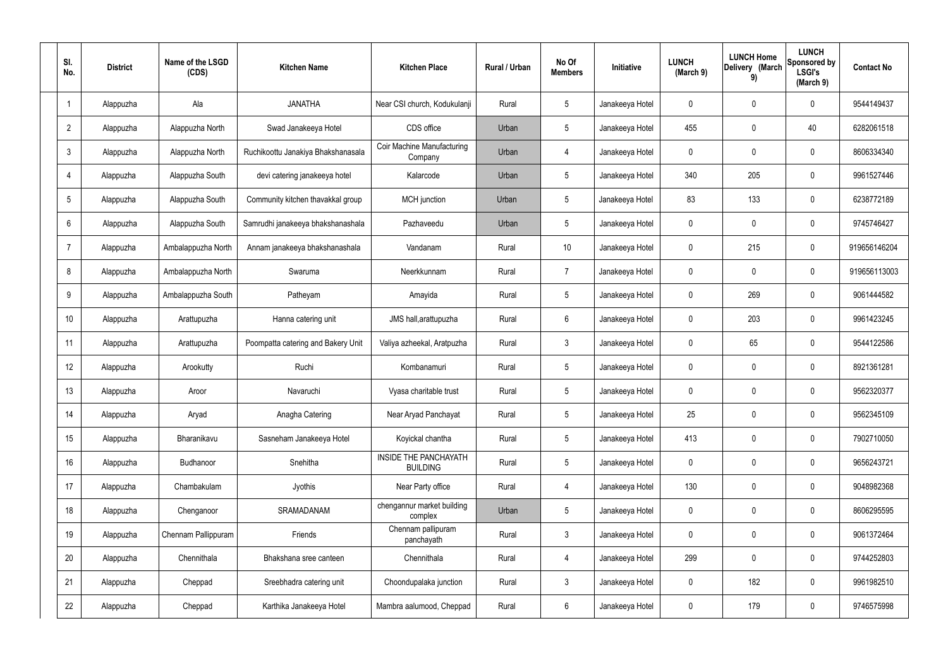| SI.<br>No.      | <b>District</b> | Name of the LSGD<br>(CDS) | <b>Kitchen Name</b>                | <b>Kitchen Place</b>                            | Rural / Urban | No Of<br><b>Members</b> | <b>Initiative</b> | <b>LUNCH</b><br>(March 9) | <b>LUNCH Home</b><br>Delivery (March<br>9) | <b>LUNCH</b><br>Sponsored by<br><b>LSGI's</b><br>(March 9) | <b>Contact No</b> |
|-----------------|-----------------|---------------------------|------------------------------------|-------------------------------------------------|---------------|-------------------------|-------------------|---------------------------|--------------------------------------------|------------------------------------------------------------|-------------------|
|                 | Alappuzha       | Ala                       | <b>JANATHA</b>                     | Near CSI church, Kodukulanji                    | Rural         | $5\phantom{.0}$         | Janakeeya Hotel   | $\mathbf 0$               | 0                                          | $\mathbf 0$                                                | 9544149437        |
| $\overline{2}$  | Alappuzha       | Alappuzha North           | Swad Janakeeya Hotel               | CDS office                                      | Urban         | $5\phantom{.0}$         | Janakeeya Hotel   | 455                       | 0                                          | 40                                                         | 6282061518        |
| $\mathbf{3}$    | Alappuzha       | Alappuzha North           | Ruchikoottu Janakiya Bhakshanasala | <b>Coir Machine Manufacturing</b><br>Company    | Urban         | 4                       | Janakeeya Hotel   | $\mathbf 0$               | 0                                          | $\mathbf 0$                                                | 8606334340        |
| $\overline{4}$  | Alappuzha       | Alappuzha South           | devi catering janakeeya hotel      | Kalarcode                                       | Urban         | $5\phantom{.0}$         | Janakeeya Hotel   | 340                       | 205                                        | $\mathbf 0$                                                | 9961527446        |
| $5\overline{)}$ | Alappuzha       | Alappuzha South           | Community kitchen thavakkal group  | MCH junction                                    | Urban         | $5\phantom{.0}$         | Janakeeya Hotel   | 83                        | 133                                        | $\mathbf 0$                                                | 6238772189        |
| 6               | Alappuzha       | Alappuzha South           | Samrudhi janakeeya bhakshanashala  | Pazhaveedu                                      | Urban         | $5\phantom{.0}$         | Janakeeya Hotel   | $\mathbf 0$               | $\mathbf 0$                                | $\mathbf 0$                                                | 9745746427        |
| $\overline{7}$  | Alappuzha       | Ambalappuzha North        | Annam janakeeya bhakshanashala     | Vandanam                                        | Rural         | 10 <sup>°</sup>         | Janakeeya Hotel   | $\mathbf 0$               | 215                                        | $\mathbf 0$                                                | 919656146204      |
| 8               | Alappuzha       | Ambalappuzha North        | Swaruma                            | Neerkkunnam                                     | Rural         | $\overline{7}$          | Janakeeya Hotel   | $\mathbf 0$               | $\mathbf 0$                                | $\mathbf 0$                                                | 919656113003      |
| 9               | Alappuzha       | Ambalappuzha South        | Patheyam                           | Amayida                                         | Rural         | $5\phantom{.0}$         | Janakeeya Hotel   | $\mathbf 0$               | 269                                        | $\mathbf 0$                                                | 9061444582        |
| 10              | Alappuzha       | Arattupuzha               | Hanna catering unit                | JMS hall, arattupuzha                           | Rural         | $6\phantom{.}6$         | Janakeeya Hotel   | $\mathbf 0$               | 203                                        | $\mathbf 0$                                                | 9961423245        |
| 11              | Alappuzha       | Arattupuzha               | Poompatta catering and Bakery Unit | Valiya azheekal, Aratpuzha                      | Rural         | $\mathbf{3}$            | Janakeeya Hotel   | $\mathbf 0$               | 65                                         | $\mathbf 0$                                                | 9544122586        |
| 12              | Alappuzha       | Arookutty                 | Ruchi                              | Kombanamuri                                     | Rural         | $5\phantom{.0}$         | Janakeeya Hotel   | $\mathbf 0$               | 0                                          | $\mathbf 0$                                                | 8921361281        |
| 13              | Alappuzha       | Aroor                     | Navaruchi                          | Vyasa charitable trust                          | Rural         | $5\phantom{.0}$         | Janakeeya Hotel   | $\mathbf 0$               | 0                                          | 0                                                          | 9562320377        |
| 14              | Alappuzha       | Aryad                     | Anagha Catering                    | Near Aryad Panchayat                            | Rural         | $5\phantom{.0}$         | Janakeeya Hotel   | 25                        | $\mathbf 0$                                | $\mathbf 0$                                                | 9562345109        |
| 15              | Alappuzha       | Bharanikavu               | Sasneham Janakeeya Hotel           | Koyickal chantha                                | Rural         | $5\phantom{.0}$         | Janakeeya Hotel   | 413                       | $\mathbf 0$                                | $\mathbf 0$                                                | 7902710050        |
| 16              | Alappuzha       | <b>Budhanoor</b>          | Snehitha                           | <b>INSIDE THE PANCHAYATH</b><br><b>BUILDING</b> | Rural         | $5\phantom{.0}$         | Janakeeya Hotel   | $\mathbf 0$               | $\mathbf 0$                                | $\mathbf 0$                                                | 9656243721        |
| 17              | Alappuzha       | Chambakulam               | Jyothis                            | Near Party office                               | Rural         | $\overline{4}$          | Janakeeya Hotel   | 130                       | $\mathbf 0$                                | $\mathbf 0$                                                | 9048982368        |
| 18              | Alappuzha       | Chenganoor                | SRAMADANAM                         | chengannur market building<br>complex           | Urban         | $5\phantom{.0}$         | Janakeeya Hotel   | $\mathbf 0$               | 0                                          | $\mathbf 0$                                                | 8606295595        |
| 19              | Alappuzha       | Chennam Pallippuram       | Friends                            | Chennam pallipuram<br>panchayath                | Rural         | $\mathbf{3}$            | Janakeeya Hotel   | $\mathbf 0$               | 0                                          | $\mathbf 0$                                                | 9061372464        |
| 20              | Alappuzha       | Chennithala               | Bhakshana sree canteen             | Chennithala                                     | Rural         | $\overline{4}$          | Janakeeya Hotel   | 299                       | 0                                          | $\mathbf 0$                                                | 9744252803        |
| 21              | Alappuzha       | Cheppad                   | Sreebhadra catering unit           | Choondupalaka junction                          | Rural         | $\mathbf{3}$            | Janakeeya Hotel   | $\mathbf 0$               | 182                                        | $\mathbf 0$                                                | 9961982510        |
| 22              | Alappuzha       | Cheppad                   | Karthika Janakeeya Hotel           | Mambra aalumood, Cheppad                        | Rural         | $6\overline{6}$         | Janakeeya Hotel   | 0                         | 179                                        | $\mathbf 0$                                                | 9746575998        |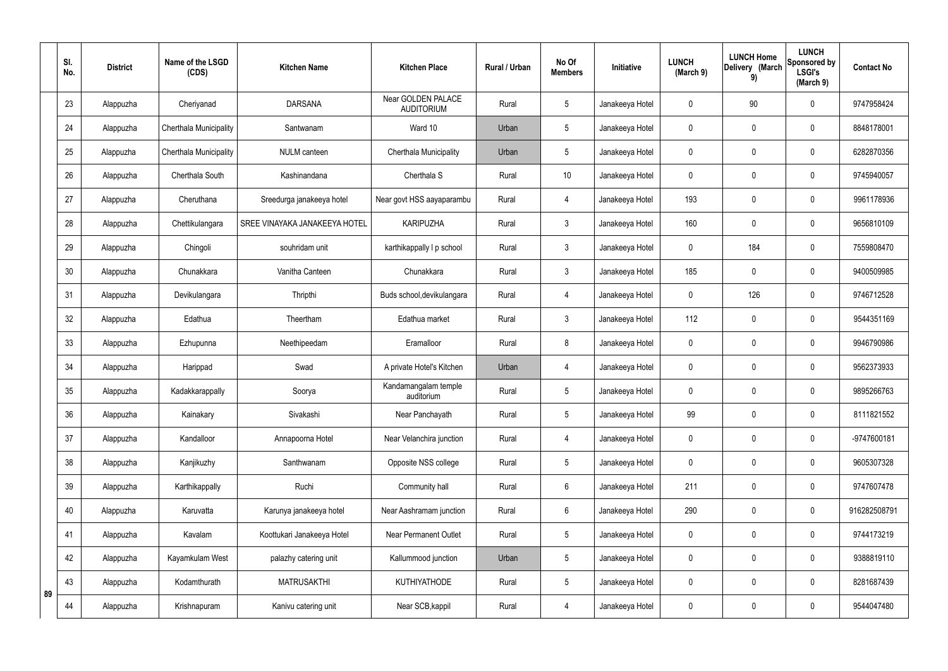|    | SI.<br>No. | <b>District</b> | Name of the LSGD<br>(CDS) | <b>Kitchen Name</b>           | <b>Kitchen Place</b>                    | <b>Rural / Urban</b> | No Of<br><b>Members</b> | Initiative      | <b>LUNCH</b><br>(March 9) | <b>LUNCH Home</b><br>Delivery (March<br>9) | <b>LUNCH</b><br>Sponsored by<br><b>LSGI's</b><br>(March 9) | <b>Contact No</b> |
|----|------------|-----------------|---------------------------|-------------------------------|-----------------------------------------|----------------------|-------------------------|-----------------|---------------------------|--------------------------------------------|------------------------------------------------------------|-------------------|
|    | 23         | Alappuzha       | Cheriyanad                | <b>DARSANA</b>                | Near GOLDEN PALACE<br><b>AUDITORIUM</b> | Rural                | 5                       | Janakeeya Hotel | 0                         | 90                                         | $\mathbf 0$                                                | 9747958424        |
|    | 24         | Alappuzha       | Cherthala Municipality    | Santwanam                     | Ward 10                                 | Urban                | 5                       | Janakeeya Hotel | $\mathbf 0$               | $\mathbf 0$                                | $\mathbf 0$                                                | 8848178001        |
|    | 25         | Alappuzha       | Cherthala Municipality    | NULM canteen                  | Cherthala Municipality                  | Urban                | 5                       | Janakeeya Hotel | 0                         | $\mathbf 0$                                | $\mathbf 0$                                                | 6282870356        |
|    | 26         | Alappuzha       | Cherthala South           | Kashinandana                  | Cherthala S                             | Rural                | 10                      | Janakeeya Hotel | 0                         | $\mathbf 0$                                | $\pmb{0}$                                                  | 9745940057        |
|    | 27         | Alappuzha       | Cheruthana                | Sreedurga janakeeya hotel     | Near govt HSS aayaparambu               | Rural                | $\overline{4}$          | Janakeeya Hotel | 193                       | $\mathbf 0$                                | $\mathbf 0$                                                | 9961178936        |
|    | 28         | Alappuzha       | Chettikulangara           | SREE VINAYAKA JANAKEEYA HOTEL | <b>KARIPUZHA</b>                        | Rural                | $\mathfrak{Z}$          | Janakeeya Hotel | 160                       | $\mathbf 0$                                | $\pmb{0}$                                                  | 9656810109        |
|    | 29         | Alappuzha       | Chingoli                  | souhridam unit                | karthikappally I p school               | Rural                | $\mathbf{3}$            | Janakeeya Hotel | 0                         | 184                                        | $\mathbf 0$                                                | 7559808470        |
|    | 30         | Alappuzha       | Chunakkara                | Vanitha Canteen               | Chunakkara                              | Rural                | $\mathfrak{Z}$          | Janakeeya Hotel | 185                       | $\mathbf 0$                                | $\mathbf 0$                                                | 9400509985        |
|    | 31         | Alappuzha       | Devikulangara             | Thripthi                      | Buds school, devikulangara              | Rural                | $\overline{4}$          | Janakeeya Hotel | 0                         | 126                                        | $\mathbf 0$                                                | 9746712528        |
|    | 32         | Alappuzha       | Edathua                   | Theertham                     | Edathua market                          | Rural                | 3                       | Janakeeya Hotel | 112                       | 0                                          | $\mathbf 0$                                                | 9544351169        |
|    | 33         | Alappuzha       | Ezhupunna                 | Neethipeedam                  | Eramalloor                              | Rural                | 8                       | Janakeeya Hotel | 0                         | $\mathbf 0$                                | $\mathbf 0$                                                | 9946790986        |
|    | 34         | Alappuzha       | Harippad                  | Swad                          | A private Hotel's Kitchen               | Urban                | $\overline{4}$          | Janakeeya Hotel | 0                         | 0                                          | $\mathbf 0$                                                | 9562373933        |
|    | 35         | Alappuzha       | Kadakkarappally           | Soorya                        | Kandamangalam temple<br>auditorium      | Rural                | 5                       | Janakeeya Hotel | 0                         | $\mathbf 0$                                | $\mathbf 0$                                                | 9895266763        |
|    | 36         | Alappuzha       | Kainakary                 | Sivakashi                     | Near Panchayath                         | Rural                | 5                       | Janakeeya Hotel | 99                        | $\mathbf 0$                                | $\mathbf 0$                                                | 8111821552        |
|    | 37         | Alappuzha       | Kandalloor                | Annapoorna Hotel              | Near Velanchira junction                | Rural                | $\overline{4}$          | Janakeeya Hotel | 0                         | $\mathbf 0$                                | $\pmb{0}$                                                  | -9747600181       |
|    | 38         | Alappuzha       | Kanjikuzhy                | Santhwanam                    | Opposite NSS college                    | Rural                | 5                       | Janakeeya Hotel | 0                         | $\mathbf 0$                                | $\pmb{0}$                                                  | 9605307328        |
|    | 39         | Alappuzha       | Karthikappally            | Ruchi                         | Community hall                          | Rural                | $6\phantom{.}$          | Janakeeya Hotel | 211                       | $\mathbf 0$                                | $\pmb{0}$                                                  | 9747607478        |
|    | 40         | Alappuzha       | Karuvatta                 | Karunya janakeeya hotel       | Near Aashramam junction                 | Rural                | 6                       | Janakeeya Hotel | 290                       | $\pmb{0}$                                  | $\pmb{0}$                                                  | 916282508791      |
|    | 41         | Alappuzha       | Kavalam                   | Koottukari Janakeeya Hotel    | <b>Near Permanent Outlet</b>            | Rural                | 5                       | Janakeeya Hotel | 0                         | $\mathbf 0$                                | $\pmb{0}$                                                  | 9744173219        |
|    | 42         | Alappuzha       | Kayamkulam West           | palazhy catering unit         | Kallummood junction                     | Urban                | 5                       | Janakeeya Hotel | $\mathbf 0$               | $\mathbf 0$                                | $\mathbf 0$                                                | 9388819110        |
| 89 | 43         | Alappuzha       | Kodamthurath              | <b>MATRUSAKTHI</b>            | <b>KUTHIYATHODE</b>                     | Rural                | 5                       | Janakeeya Hotel | $\mathbf 0$               | $\mathbf 0$                                | $\pmb{0}$                                                  | 8281687439        |
|    | 44         | Alappuzha       | Krishnapuram              | Kanivu catering unit          | Near SCB, kappil                        | Rural                | $\overline{4}$          | Janakeeya Hotel | 0                         | $\boldsymbol{0}$                           | $\pmb{0}$                                                  | 9544047480        |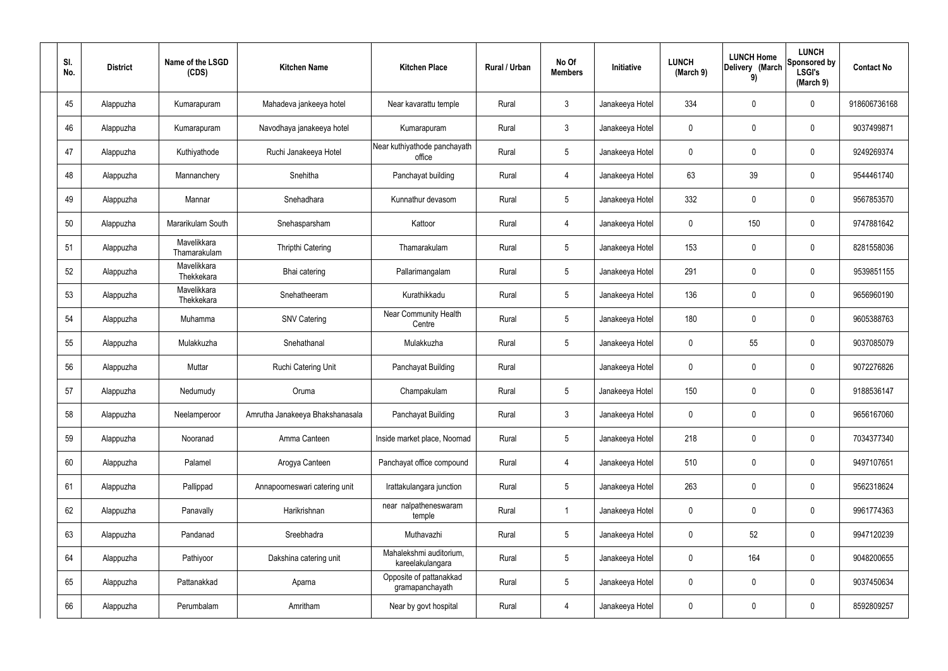| SI.<br>No. | <b>District</b> | Name of the LSGD<br>(CDS)   | <b>Kitchen Name</b>             | <b>Kitchen Place</b>                        | Rural / Urban | No Of<br><b>Members</b> | Initiative      | <b>LUNCH</b><br>(March 9) | <b>LUNCH Home</b><br>Delivery (March<br>9) | <b>LUNCH</b><br>Sponsored by<br><b>LSGI's</b><br>(March 9) | <b>Contact No</b> |
|------------|-----------------|-----------------------------|---------------------------------|---------------------------------------------|---------------|-------------------------|-----------------|---------------------------|--------------------------------------------|------------------------------------------------------------|-------------------|
| 45         | Alappuzha       | Kumarapuram                 | Mahadeva jankeeya hotel         | Near kavarattu temple                       | Rural         | $\mathbf{3}$            | Janakeeya Hotel | 334                       | 0                                          | $\mathbf 0$                                                | 918606736168      |
| 46         | Alappuzha       | Kumarapuram                 | Navodhaya janakeeya hotel       | Kumarapuram                                 | Rural         | $\mathbf{3}$            | Janakeeya Hotel | $\mathbf 0$               | 0                                          | $\pmb{0}$                                                  | 9037499871        |
| 47         | Alappuzha       | Kuthiyathode                | Ruchi Janakeeya Hotel           | Near kuthiyathode panchayath<br>office      | Rural         | $5\phantom{.0}$         | Janakeeya Hotel | 0                         | 0                                          | $\mathbf 0$                                                | 9249269374        |
| 48         | Alappuzha       | Mannanchery                 | Snehitha                        | Panchayat building                          | Rural         | 4                       | Janakeeya Hotel | 63                        | 39                                         | $\mathbf 0$                                                | 9544461740        |
| 49         | Alappuzha       | Mannar                      | Snehadhara                      | Kunnathur devasom                           | Rural         | $5\phantom{.0}$         | Janakeeya Hotel | 332                       | 0                                          | $\mathbf 0$                                                | 9567853570        |
| 50         | Alappuzha       | Mararikulam South           | Snehasparsham                   | Kattoor                                     | Rural         | 4                       | Janakeeya Hotel | $\mathbf 0$               | 150                                        | $\mathbf 0$                                                | 9747881642        |
| 51         | Alappuzha       | Mavelikkara<br>Thamarakulam | <b>Thripthi Catering</b>        | Thamarakulam                                | Rural         | $5\phantom{.0}$         | Janakeeya Hotel | 153                       | $\boldsymbol{0}$                           | $\mathbf 0$                                                | 8281558036        |
| 52         | Alappuzha       | Mavelikkara<br>Thekkekara   | Bhai catering                   | Pallarimangalam                             | Rural         | $\sqrt{5}$              | Janakeeya Hotel | 291                       | 0                                          | $\mathbf 0$                                                | 9539851155        |
| 53         | Alappuzha       | Mavelikkara<br>Thekkekara   | Snehatheeram                    | Kurathikkadu                                | Rural         | $5\phantom{.0}$         | Janakeeya Hotel | 136                       | $\boldsymbol{0}$                           | $\mathbf 0$                                                | 9656960190        |
| 54         | Alappuzha       | Muhamma                     | <b>SNV Catering</b>             | <b>Near Community Health</b><br>Centre      | Rural         | $5\phantom{.0}$         | Janakeeya Hotel | 180                       | 0                                          | $\boldsymbol{0}$                                           | 9605388763        |
| 55         | Alappuzha       | Mulakkuzha                  | Snehathanal                     | Mulakkuzha                                  | Rural         | $5\phantom{.0}$         | Janakeeya Hotel | $\mathbf 0$               | 55                                         | $\boldsymbol{0}$                                           | 9037085079        |
| 56         | Alappuzha       | Muttar                      | Ruchi Catering Unit             | Panchayat Building                          | Rural         |                         | Janakeeya Hotel | $\mathbf 0$               | 0                                          | $\boldsymbol{0}$                                           | 9072276826        |
| 57         | Alappuzha       | Nedumudy                    | Oruma                           | Champakulam                                 | Rural         | $5\phantom{.0}$         | Janakeeya Hotel | 150                       | 0                                          | 0                                                          | 9188536147        |
| 58         | Alappuzha       | Neelamperoor                | Amrutha Janakeeya Bhakshanasala | Panchayat Building                          | Rural         | $\mathbf{3}$            | Janakeeya Hotel | $\mathbf 0$               | $\mathbf 0$                                | $\mathbf 0$                                                | 9656167060        |
| 59         | Alappuzha       | Nooranad                    | Amma Canteen                    | Inside market place, Noornad                | Rural         | $5\phantom{.0}$         | Janakeeya Hotel | 218                       | $\mathbf 0$                                | $\mathbf 0$                                                | 7034377340        |
| 60         | Alappuzha       | Palamel                     | Arogya Canteen                  | Panchayat office compound                   | Rural         | $\overline{4}$          | Janakeeya Hotel | 510                       | $\mathbf 0$                                | $\mathbf 0$                                                | 9497107651        |
| 61         | Alappuzha       | Pallippad                   | Annapoorneswari catering unit   | Irattakulangara junction                    | Rural         | $5\phantom{.0}$         | Janakeeya Hotel | 263                       | $\mathbf 0$                                | $\mathbf 0$                                                | 9562318624        |
| 62         | Alappuzha       | Panavally                   | Harikrishnan                    | near nalpatheneswaram<br>temple             | Rural         | $\overline{1}$          | Janakeeya Hotel | $\mathbf 0$               | $\mathbf 0$                                | $\mathbf 0$                                                | 9961774363        |
| 63         | Alappuzha       | Pandanad                    | Sreebhadra                      | Muthavazhi                                  | Rural         | $5\phantom{.0}$         | Janakeeya Hotel | $\mathbf 0$               | 52                                         | $\mathbf 0$                                                | 9947120239        |
| 64         | Alappuzha       | Pathiyoor                   | Dakshina catering unit          | Mahalekshmi auditorium,<br>kareelakulangara | Rural         | $5\phantom{.0}$         | Janakeeya Hotel | $\mathbf 0$               | 164                                        | $\mathbf 0$                                                | 9048200655        |
| 65         | Alappuzha       | Pattanakkad                 | Aparna                          | Opposite of pattanakkad<br>gramapanchayath  | Rural         | $5\phantom{.0}$         | Janakeeya Hotel | $\mathbf 0$               | 0                                          | $\mathbf 0$                                                | 9037450634        |
| 66         | Alappuzha       | Perumbalam                  | Amritham                        | Near by govt hospital                       | Rural         | 4                       | Janakeeya Hotel | 0                         | $\pmb{0}$                                  | $\bf{0}$                                                   | 8592809257        |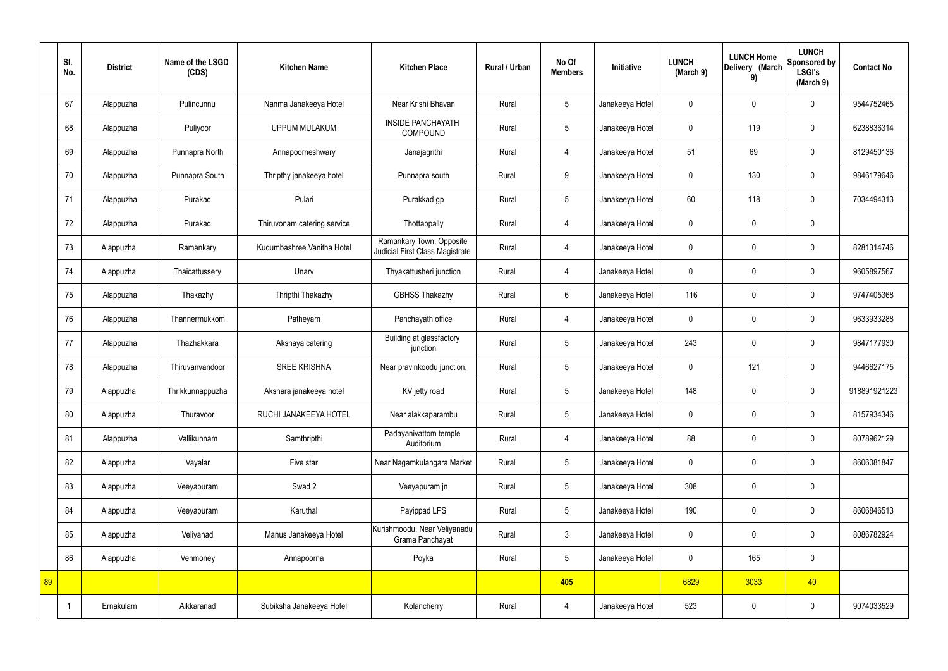|    | SI.<br>No. | <b>District</b> | Name of the LSGD<br>(CDS) | <b>Kitchen Name</b>         | <b>Kitchen Place</b>                                        | Rural / Urban | No Of<br><b>Members</b> | <b>Initiative</b> | <b>LUNCH</b><br>(March 9) | <b>LUNCH Home</b><br>Delivery (March<br>9) | <b>LUNCH</b><br>Sponsored by<br><b>LSGI's</b><br>(March 9) | <b>Contact No</b> |
|----|------------|-----------------|---------------------------|-----------------------------|-------------------------------------------------------------|---------------|-------------------------|-------------------|---------------------------|--------------------------------------------|------------------------------------------------------------|-------------------|
|    | 67         | Alappuzha       | Pulincunnu                | Nanma Janakeeya Hotel       | Near Krishi Bhavan                                          | Rural         | $5\phantom{.0}$         | Janakeeya Hotel   | $\mathbf 0$               | $\mathbf 0$                                | $\mathbf 0$                                                | 9544752465        |
|    | 68         | Alappuzha       | Puliyoor                  | <b>UPPUM MULAKUM</b>        | <b>INSIDE PANCHAYATH</b><br><b>COMPOUND</b>                 | Rural         | $5\phantom{.0}$         | Janakeeya Hotel   | $\mathbf 0$               | 119                                        | $\mathbf 0$                                                | 6238836314        |
|    | 69         | Alappuzha       | Punnapra North            | Annapoorneshwary            | Janajagrithi                                                | Rural         | $\overline{4}$          | Janakeeya Hotel   | 51                        | 69                                         | $\mathbf 0$                                                | 8129450136        |
|    | 70         | Alappuzha       | Punnapra South            | Thripthy janakeeya hotel    | Punnapra south                                              | Rural         | 9                       | Janakeeya Hotel   | $\mathbf 0$               | 130                                        | $\mathbf 0$                                                | 9846179646        |
|    | 71         | Alappuzha       | Purakad                   | Pulari                      | Purakkad gp                                                 | Rural         | $5\phantom{.0}$         | Janakeeya Hotel   | 60                        | 118                                        | $\mathbf 0$                                                | 7034494313        |
|    | 72         | Alappuzha       | Purakad                   | Thiruvonam catering service | Thottappally                                                | Rural         | $\overline{4}$          | Janakeeya Hotel   | $\mathbf 0$               | $\mathbf 0$                                | $\mathbf 0$                                                |                   |
|    | 73         | Alappuzha       | Ramankary                 | Kudumbashree Vanitha Hotel  | Ramankary Town, Opposite<br>Judicial First Class Magistrate | Rural         | $\overline{4}$          | Janakeeya Hotel   | $\mathbf 0$               | $\mathbf 0$                                | $\mathbf 0$                                                | 8281314746        |
|    | 74         | Alappuzha       | Thaicattussery            | Unarv                       | Thyakattusheri junction                                     | Rural         | $\overline{4}$          | Janakeeya Hotel   | $\mathbf 0$               | $\mathbf 0$                                | $\mathbf 0$                                                | 9605897567        |
|    | 75         | Alappuzha       | Thakazhy                  | Thripthi Thakazhy           | <b>GBHSS Thakazhy</b>                                       | Rural         | $6\overline{6}$         | Janakeeya Hotel   | 116                       | $\mathbf 0$                                | $\mathbf 0$                                                | 9747405368        |
|    | 76         | Alappuzha       | Thannermukkom             | Patheyam                    | Panchayath office                                           | Rural         | $\overline{4}$          | Janakeeya Hotel   | $\mathbf 0$               | $\mathbf 0$                                | $\mathbf 0$                                                | 9633933288        |
|    | 77         | Alappuzha       | Thazhakkara               | Akshaya catering            | Building at glassfactory<br>junction                        | Rural         | $5\phantom{.0}$         | Janakeeya Hotel   | 243                       | $\mathbf 0$                                | $\mathbf 0$                                                | 9847177930        |
|    | 78         | Alappuzha       | Thiruvanvandoor           | <b>SREE KRISHNA</b>         | Near pravinkoodu junction,                                  | Rural         | $5\phantom{.0}$         | Janakeeya Hotel   | $\mathbf 0$               | 121                                        | $\mathbf 0$                                                | 9446627175        |
|    | 79         | Alappuzha       | Thrikkunnappuzha          | Akshara janakeeya hotel     | KV jetty road                                               | Rural         | $5\phantom{.0}$         | Janakeeya Hotel   | 148                       | $\mathbf 0$                                | $\mathbf 0$                                                | 918891921223      |
|    | 80         | Alappuzha       | Thuravoor                 | RUCHI JANAKEEYA HOTEL       | Near alakkaparambu                                          | Rural         | $5\phantom{.0}$         | Janakeeya Hotel   | $\mathbf 0$               | $\pmb{0}$                                  | $\mathbf 0$                                                | 8157934346        |
|    | 81         | Alappuzha       | Vallikunnam               | Samthripthi                 | Padayanivattom temple<br>Auditorium                         | Rural         | $\overline{4}$          | Janakeeya Hotel   | 88                        | $\mathbf 0$                                | $\mathbf 0$                                                | 8078962129        |
|    | 82         | Alappuzha       | Vayalar                   | Five star                   | Near Nagamkulangara Market                                  | Rural         | $5\overline{)}$         | Janakeeya Hotel   | $\mathbf 0$               | $\mathbf 0$                                | $\mathbf 0$                                                | 8606081847        |
|    | 83         | Alappuzha       | Veeyapuram                | Swad 2                      | Veeyapuram in                                               | Rural         | $5\phantom{.0}$         | Janakeeya Hotel   | 308                       | $\pmb{0}$                                  | $\mathbf 0$                                                |                   |
|    | 84         | Alappuzha       | Veeyapuram                | Karuthal                    | Payippad LPS                                                | Rural         | $5\phantom{.0}$         | Janakeeya Hotel   | 190                       | $\pmb{0}$                                  | $\mathbf 0$                                                | 8606846513        |
|    | 85         | Alappuzha       | Veliyanad                 | Manus Janakeeya Hotel       | Kurishmoodu, Near Veliyanadu<br>Grama Panchayat             | Rural         | $\mathbf{3}$            | Janakeeya Hotel   | $\pmb{0}$                 | $\mathbf 0$                                | $\mathbf 0$                                                | 8086782924        |
|    | 86         | Alappuzha       | Venmoney                  | Annapoorna                  | Poyka                                                       | Rural         | $5\overline{)}$         | Janakeeya Hotel   | $\mathbf 0$               | 165                                        | $\mathbf 0$                                                |                   |
| 89 |            |                 |                           |                             |                                                             |               | 405                     |                   | 6829                      | 3033                                       | 40                                                         |                   |
|    |            | Ernakulam       | Aikkaranad                | Subiksha Janakeeya Hotel    | Kolancherry                                                 | Rural         | $\overline{4}$          | Janakeeya Hotel   | 523                       | $\pmb{0}$                                  | $\mathbf 0$                                                | 9074033529        |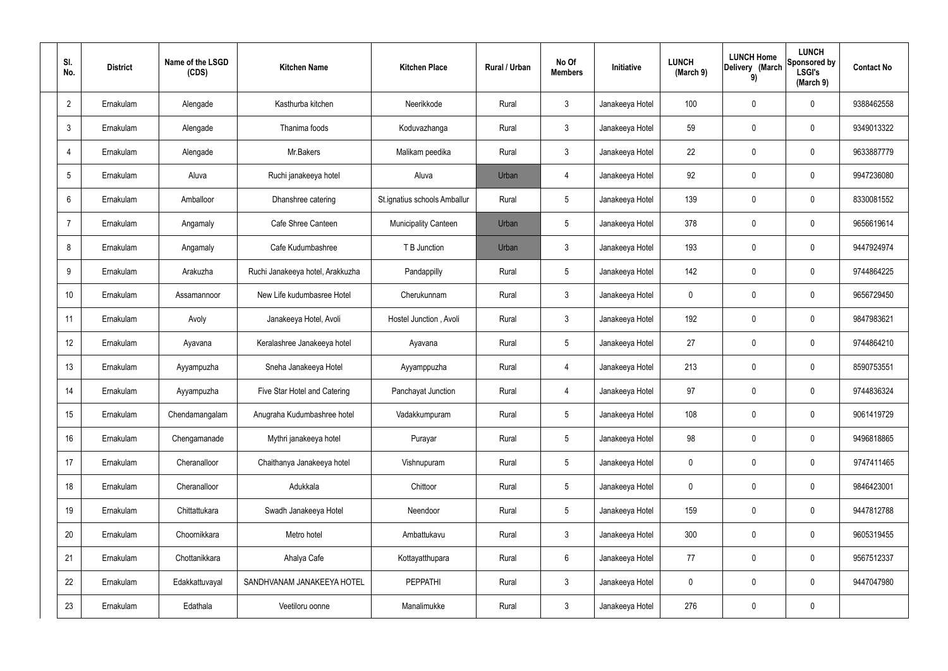| SI.<br>No.      | <b>District</b> | Name of the LSGD<br>(CDS) | <b>Kitchen Name</b>              | <b>Kitchen Place</b>         | Rural / Urban | No Of<br><b>Members</b> | Initiative      | <b>LUNCH</b><br>(March 9) | <b>LUNCH Home</b><br>Delivery (March<br>9) | <b>LUNCH</b><br>Sponsored by<br><b>LSGI's</b><br>(March 9) | <b>Contact No</b> |
|-----------------|-----------------|---------------------------|----------------------------------|------------------------------|---------------|-------------------------|-----------------|---------------------------|--------------------------------------------|------------------------------------------------------------|-------------------|
| $\overline{2}$  | Ernakulam       | Alengade                  | Kasthurba kitchen                | Neerikkode                   | Rural         | $\mathbf{3}$            | Janakeeya Hotel | 100                       | $\mathbf 0$                                | 0                                                          | 9388462558        |
| $\mathbf{3}$    | Ernakulam       | Alengade                  | Thanima foods                    | Koduvazhanga                 | Rural         | $\mathbf{3}$            | Janakeeya Hotel | 59                        | $\mathbf 0$                                | 0                                                          | 9349013322        |
| 4               | Ernakulam       | Alengade                  | Mr.Bakers                        | Malikam peedika              | Rural         | $\mathbf{3}$            | Janakeeya Hotel | 22                        | $\mathbf 0$                                | 0                                                          | 9633887779        |
| $5\overline{)}$ | Ernakulam       | Aluva                     | Ruchi janakeeya hotel            | Aluva                        | Urban         | 4                       | Janakeeya Hotel | 92                        | $\mathbf 0$                                | 0                                                          | 9947236080        |
| 6               | Ernakulam       | Amballoor                 | Dhanshree catering               | St.ignatius schools Amballur | Rural         | $5\phantom{.0}$         | Janakeeya Hotel | 139                       | $\boldsymbol{0}$                           | 0                                                          | 8330081552        |
| 7               | Ernakulam       | Angamaly                  | Cafe Shree Canteen               | <b>Municipality Canteen</b>  | Urban         | $5\phantom{.0}$         | Janakeeya Hotel | 378                       | $\mathbf 0$                                | 0                                                          | 9656619614        |
| 8               | Ernakulam       | Angamaly                  | Cafe Kudumbashree                | T B Junction                 | Urban         | $\mathbf{3}$            | Janakeeya Hotel | 193                       | $\mathbf 0$                                | 0                                                          | 9447924974        |
| 9               | Ernakulam       | Arakuzha                  | Ruchi Janakeeya hotel, Arakkuzha | Pandappilly                  | Rural         | $5\phantom{.0}$         | Janakeeya Hotel | 142                       | $\mathbf 0$                                | 0                                                          | 9744864225        |
| 10 <sup>°</sup> | Ernakulam       | Assamannoor               | New Life kudumbasree Hotel       | Cherukunnam                  | Rural         | $\mathbf{3}$            | Janakeeya Hotel | $\mathbf 0$               | 0                                          | 0                                                          | 9656729450        |
| 11              | Ernakulam       | Avoly                     | Janakeeya Hotel, Avoli           | Hostel Junction, Avoli       | Rural         | $\mathbf{3}$            | Janakeeya Hotel | 192                       | $\mathbf 0$                                | 0                                                          | 9847983621        |
| 12              | Ernakulam       | Ayavana                   | Keralashree Janakeeya hotel      | Ayavana                      | Rural         | $5\phantom{.0}$         | Janakeeya Hotel | 27                        | $\mathbf 0$                                | 0                                                          | 9744864210        |
| 13              | Ernakulam       | Ayyampuzha                | Sneha Janakeeya Hotel            | Ayyamppuzha                  | Rural         | $\overline{4}$          | Janakeeya Hotel | 213                       | $\mathbf 0$                                | 0                                                          | 8590753551        |
| 14              | Ernakulam       | Ayyampuzha                | Five Star Hotel and Catering     | Panchayat Junction           | Rural         | 4                       | Janakeeya Hotel | 97                        | $\mathbf 0$                                | 0                                                          | 9744836324        |
| 15              | Ernakulam       | Chendamangalam            | Anugraha Kudumbashree hotel      | Vadakkumpuram                | Rural         | $5\phantom{.0}$         | Janakeeya Hotel | 108                       | $\pmb{0}$                                  | 0                                                          | 9061419729        |
| 16              | Ernakulam       | Chengamanade              | Mythri janakeeya hotel           | Purayar                      | Rural         | $5\phantom{.0}$         | Janakeeya Hotel | 98                        | $\pmb{0}$                                  | $\mathbf 0$                                                | 9496818865        |
| 17              | Ernakulam       | Cheranalloor              | Chaithanya Janakeeya hotel       | Vishnupuram                  | Rural         | $5\phantom{.0}$         | Janakeeya Hotel | $\mathbf 0$               | $\mathbf 0$                                | 0                                                          | 9747411465        |
| 18              | Ernakulam       | Cheranalloor              | Adukkala                         | Chittoor                     | Rural         | $5\phantom{.0}$         | Janakeeya Hotel | $\mathbf 0$               | $\pmb{0}$                                  | 0                                                          | 9846423001        |
| 19              | Ernakulam       | Chittattukara             | Swadh Janakeeya Hotel            | Neendoor                     | Rural         | $5\phantom{.0}$         | Janakeeya Hotel | 159                       | $\mathbf 0$                                | 0                                                          | 9447812788        |
| 20              | Ernakulam       | Choornikkara              | Metro hotel                      | Ambattukavu                  | Rural         | $\mathbf{3}$            | Janakeeya Hotel | 300                       | $\pmb{0}$                                  | $\mathbf 0$                                                | 9605319455        |
| 21              | Ernakulam       | Chottanikkara             | Ahalya Cafe                      | Kottayatthupara              | Rural         | $6\overline{6}$         | Janakeeya Hotel | 77                        | $\pmb{0}$                                  | 0                                                          | 9567512337        |
| 22              | Ernakulam       | Edakkattuvayal            | SANDHVANAM JANAKEEYA HOTEL       | <b>PEPPATHI</b>              | Rural         | $\mathbf{3}$            | Janakeeya Hotel | $\mathbf 0$               | $\mathbf 0$                                | $\mathbf 0$                                                | 9447047980        |
| 23              | Ernakulam       | Edathala                  | Veetiloru oonne                  | Manalimukke                  | Rural         | $\mathbf{3}$            | Janakeeya Hotel | 276                       | $\pmb{0}$                                  | 0                                                          |                   |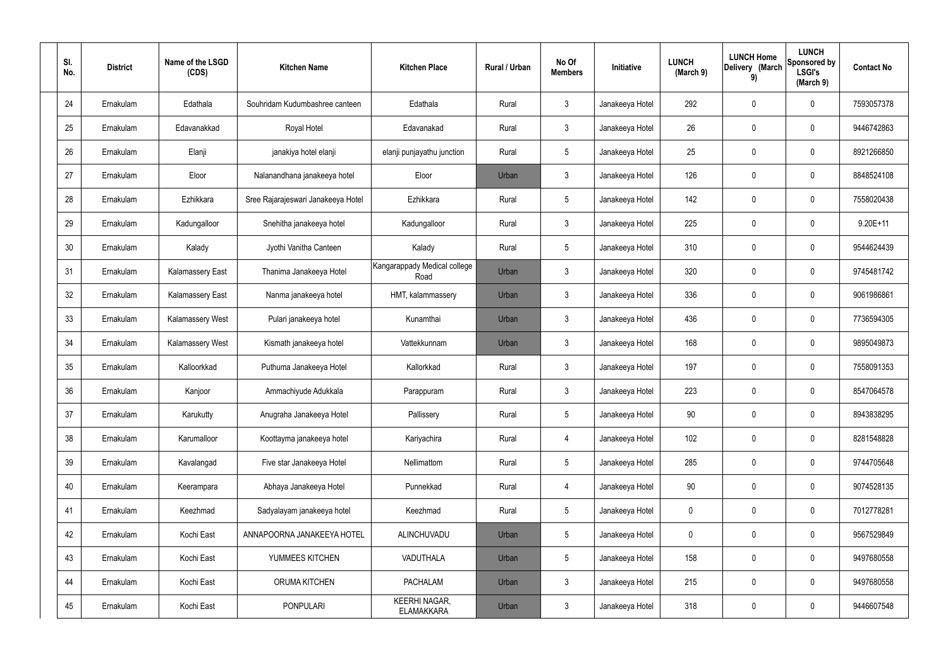| SI.<br>No. | <b>District</b> | Name of the LSGD<br>(CDS) | <b>Kitchen Name</b>                | <b>Kitchen Place</b>                      | Rural / Urban | No Of<br><b>Members</b> | <b>Initiative</b> | <b>LUNCH</b><br>(March 9) | <b>LUNCH Home</b><br>Delivery (March<br>9) | <b>LUNCH</b><br>Sponsored by<br><b>LSGI's</b><br>(March 9) | <b>Contact No</b> |
|------------|-----------------|---------------------------|------------------------------------|-------------------------------------------|---------------|-------------------------|-------------------|---------------------------|--------------------------------------------|------------------------------------------------------------|-------------------|
| 24         | Ernakulam       | Edathala                  | Souhridam Kudumbashree canteen     | Edathala                                  | Rural         | $\mathbf{3}$            | Janakeeya Hotel   | 292                       | $\mathbf 0$                                | $\mathbf 0$                                                | 7593057378        |
| 25         | Ernakulam       | Edavanakkad               | Royal Hotel                        | Edavanakad                                | Rural         | $\mathbf{3}$            | Janakeeya Hotel   | 26                        | 0                                          | $\mathbf 0$                                                | 9446742863        |
| 26         | Ernakulam       | Elanji                    | janakiya hotel elanji              | elanji punjayathu junction                | Rural         | $5\phantom{.0}$         | Janakeeya Hotel   | 25                        | 0                                          | $\mathbf 0$                                                | 8921266850        |
| 27         | Ernakulam       | Eloor                     | Nalanandhana janakeeya hotel       | Eloor                                     | Urban         | $\mathbf{3}$            | Janakeeya Hotel   | 126                       | 0                                          | $\mathbf 0$                                                | 8848524108        |
| 28         | Ernakulam       | Ezhikkara                 | Sree Rajarajeswari Janakeeya Hotel | Ezhikkara                                 | Rural         | $5\phantom{.0}$         | Janakeeya Hotel   | 142                       | $\mathbf 0$                                | $\mathbf 0$                                                | 7558020438        |
| 29         | Ernakulam       | Kadungalloor              | Snehitha janakeeya hotel           | Kadungalloor                              | Rural         | $\mathbf{3}$            | Janakeeya Hotel   | 225                       | 0                                          | $\mathbf 0$                                                | $9.20E+11$        |
| 30         | Ernakulam       | Kalady                    | Jyothi Vanitha Canteen             | Kalady                                    | Rural         | $5\phantom{.0}$         | Janakeeya Hotel   | 310                       | $\mathbf 0$                                | $\mathbf 0$                                                | 9544624439        |
| 31         | Ernakulam       | <b>Kalamassery East</b>   | Thanima Janakeeya Hotel            | Kangarappady Medical college<br>Road      | Urban         | $\mathbf{3}$            | Janakeeya Hotel   | 320                       | 0                                          | $\mathbf 0$                                                | 9745481742        |
| 32         | Ernakulam       | Kalamassery East          | Nanma janakeeya hotel              | HMT, kalammassery                         | Urban         | $\mathbf{3}$            | Janakeeya Hotel   | 336                       | $\mathbf 0$                                | $\mathbf 0$                                                | 9061986861        |
| 33         | Ernakulam       | <b>Kalamassery West</b>   | Pulari janakeeya hotel             | Kunamthai                                 | Urban         | $\mathbf{3}$            | Janakeeya Hotel   | 436                       | 0                                          | $\mathbf 0$                                                | 7736594305        |
| 34         | Ernakulam       | Kalamassery West          | Kismath janakeeya hotel            | Vattekkunnam                              | Urban         | $\mathbf{3}$            | Janakeeya Hotel   | 168                       | 0                                          | $\mathbf 0$                                                | 9895049873        |
| 35         | Ernakulam       | Kalloorkkad               | Puthuma Janakeeya Hotel            | Kallorkkad                                | Rural         | $\mathbf{3}$            | Janakeeya Hotel   | 197                       | 0                                          | $\mathbf 0$                                                | 7558091353        |
| 36         | Ernakulam       | Kanjoor                   | Ammachiyude Adukkala               | Parappuram                                | Rural         | $\mathbf{3}$            | Janakeeya Hotel   | 223                       | 0                                          | 0                                                          | 8547064578        |
| 37         | Ernakulam       | Karukutty                 | Anugraha Janakeeya Hotel           | Pallissery                                | Rural         | $5\phantom{.0}$         | Janakeeya Hotel   | 90                        | $\mathbf 0$                                | $\mathbf 0$                                                | 8943838295        |
| 38         | Ernakulam       | Karumalloor               | Koottayma janakeeya hotel          | Kariyachira                               | Rural         | $\overline{4}$          | Janakeeya Hotel   | 102                       | $\mathbf 0$                                | $\mathbf 0$                                                | 8281548828        |
| 39         | Ernakulam       | Kavalangad                | Five star Janakeeya Hotel          | Nellimattom                               | Rural         | $5\overline{)}$         | Janakeeya Hotel   | 285                       | $\mathbf 0$                                | $\mathbf 0$                                                | 9744705648        |
| 40         | Ernakulam       | Keerampara                | Abhaya Janakeeya Hotel             | Punnekkad                                 | Rural         | $\overline{4}$          | Janakeeya Hotel   | 90                        | $\mathbf 0$                                | $\mathbf 0$                                                | 9074528135        |
| 41         | Ernakulam       | Keezhmad                  | Sadyalayam janakeeya hotel         | Keezhmad                                  | Rural         | $5\phantom{.0}$         | Janakeeya Hotel   | $\mathbf 0$               | 0                                          | $\mathbf 0$                                                | 7012778281        |
| 42         | Ernakulam       | Kochi East                | ANNAPOORNA JANAKEEYA HOTEL         | ALINCHUVADU                               | Urban         | $5\phantom{.0}$         | Janakeeya Hotel   | $\mathbf 0$               | 0                                          | $\mathbf 0$                                                | 9567529849        |
| 43         | Ernakulam       | Kochi East                | YUMMEES KITCHEN                    | VADUTHALA                                 | Urban         | $5\phantom{.0}$         | Janakeeya Hotel   | 158                       | 0                                          | $\mathbf 0$                                                | 9497680558        |
| 44         | Ernakulam       | Kochi East                | ORUMA KITCHEN                      | <b>PACHALAM</b>                           | Urban         | $\mathbf{3}$            | Janakeeya Hotel   | 215                       | 0                                          | $\mathbf 0$                                                | 9497680558        |
| 45         | Ernakulam       | Kochi East                | <b>PONPULARI</b>                   | <b>KEERHI NAGAR,</b><br><b>ELAMAKKARA</b> | Urban         | $\mathfrak{Z}$          | Janakeeya Hotel   | 318                       | 0                                          | $\mathbf 0$                                                | 9446607548        |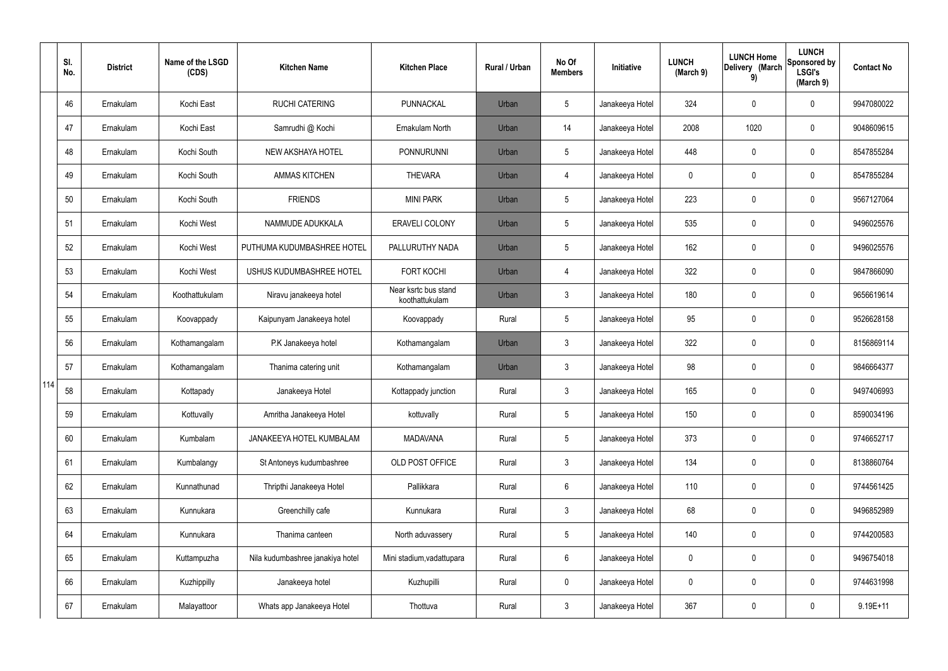|     | SI.<br>No. | <b>District</b> | Name of the LSGD<br>(CDS) | <b>Kitchen Name</b>              | <b>Kitchen Place</b>                   | <b>Rural / Urban</b> | No Of<br><b>Members</b> | Initiative      | <b>LUNCH</b><br>(March 9) | <b>LUNCH Home</b><br>Delivery (March<br>9) | <b>LUNCH</b><br>Sponsored by<br><b>LSGI's</b><br>(March 9) | <b>Contact No</b> |
|-----|------------|-----------------|---------------------------|----------------------------------|----------------------------------------|----------------------|-------------------------|-----------------|---------------------------|--------------------------------------------|------------------------------------------------------------|-------------------|
|     | 46         | Ernakulam       | Kochi East                | <b>RUCHI CATERING</b>            | PUNNACKAL                              | Urban                | 5                       | Janakeeya Hotel | 324                       | 0                                          | $\mathbf 0$                                                | 9947080022        |
|     | 47         | Ernakulam       | Kochi East                | Samrudhi @ Kochi                 | Ernakulam North                        | Urban                | 14                      | Janakeeya Hotel | 2008                      | 1020                                       | $\boldsymbol{0}$                                           | 9048609615        |
|     | 48         | Ernakulam       | Kochi South               | NEW AKSHAYA HOTEL                | <b>PONNURUNNI</b>                      | Urban                | 5                       | Janakeeya Hotel | 448                       | 0                                          | $\mathbf 0$                                                | 8547855284        |
|     | 49         | Ernakulam       | Kochi South               | <b>AMMAS KITCHEN</b>             | <b>THEVARA</b>                         | Urban                | 4                       | Janakeeya Hotel | 0                         | 0                                          | $\boldsymbol{0}$                                           | 8547855284        |
|     | 50         | Ernakulam       | Kochi South               | <b>FRIENDS</b>                   | <b>MINI PARK</b>                       | Urban                | 5                       | Janakeeya Hotel | 223                       | 0                                          | $\mathbf 0$                                                | 9567127064        |
|     | 51         | Ernakulam       | Kochi West                | NAMMUDE ADUKKALA                 | <b>ERAVELI COLONY</b>                  | Urban                | 5                       | Janakeeya Hotel | 535                       | 0                                          | $\mathbf 0$                                                | 9496025576        |
|     | 52         | Ernakulam       | Kochi West                | PUTHUMA KUDUMBASHREE HOTEL       | PALLURUTHY NADA                        | Urban                | 5                       | Janakeeya Hotel | 162                       | 0                                          | $\mathbf 0$                                                | 9496025576        |
|     | 53         | Ernakulam       | Kochi West                | USHUS KUDUMBASHREE HOTEL         | <b>FORT KOCHI</b>                      | Urban                | $\overline{4}$          | Janakeeya Hotel | 322                       | 0                                          | $\mathbf 0$                                                | 9847866090        |
|     | 54         | Ernakulam       | Koothattukulam            | Niravu janakeeya hotel           | Near ksrtc bus stand<br>koothattukulam | Urban                | $\mathbf{3}$            | Janakeeya Hotel | 180                       | 0                                          | $\mathbf 0$                                                | 9656619614        |
|     | 55         | Ernakulam       | Koovappady                | Kaipunyam Janakeeya hotel        | Koovappady                             | Rural                | 5                       | Janakeeya Hotel | 95                        | 0                                          | $\pmb{0}$                                                  | 9526628158        |
|     | 56         | Ernakulam       | Kothamangalam             | P.K Janakeeya hotel              | Kothamangalam                          | Urban                | $\mathbf{3}$            | Janakeeya Hotel | 322                       | 0                                          | $\boldsymbol{0}$                                           | 8156869114        |
|     | 57         | Ernakulam       | Kothamangalam             | Thanima catering unit            | Kothamangalam                          | Urban                | $\mathbf{3}$            | Janakeeya Hotel | 98                        | 0                                          | $\boldsymbol{0}$                                           | 9846664377        |
| 114 | 58         | Ernakulam       | Kottapady                 | Janakeeya Hotel                  | Kottappady junction                    | Rural                | $\mathbf{3}$            | Janakeeya Hotel | 165                       | 0                                          | $\mathbf 0$                                                | 9497406993        |
|     | 59         | Ernakulam       | Kottuvally                | Amritha Janakeeya Hotel          | kottuvally                             | Rural                | 5                       | Janakeeya Hotel | 150                       | 0                                          | $\mathbf 0$                                                | 8590034196        |
|     | 60         | Ernakulam       | Kumbalam                  | JANAKEEYA HOTEL KUMBALAM         | <b>MADAVANA</b>                        | Rural                | 5                       | Janakeeya Hotel | 373                       | 0                                          | $\mathbf 0$                                                | 9746652717        |
|     | 61         | Ernakulam       | Kumbalangy                | St Antoneys kudumbashree         | OLD POST OFFICE                        | Rural                | $\mathbf{3}$            | Janakeeya Hotel | 134                       | 0                                          | $\mathbf 0$                                                | 8138860764        |
|     | 62         | Ernakulam       | Kunnathunad               | Thripthi Janakeeya Hotel         | Pallikkara                             | Rural                | 6                       | Janakeeya Hotel | 110                       | 0                                          | $\pmb{0}$                                                  | 9744561425        |
|     | 63         | Ernakulam       | Kunnukara                 | Greenchilly cafe                 | Kunnukara                              | Rural                | $\mathbf{3}$            | Janakeeya Hotel | 68                        | 0                                          | $\mathbf 0$                                                | 9496852989        |
|     | 64         | Ernakulam       | Kunnukara                 | Thanima canteen                  | North aduvassery                       | Rural                | 5                       | Janakeeya Hotel | 140                       | 0                                          | $\pmb{0}$                                                  | 9744200583        |
|     | 65         | Ernakulam       | Kuttampuzha               | Nila kudumbashree janakiya hotel | Mini stadium, vadattupara              | Rural                | $6\phantom{.}6$         | Janakeeya Hotel | 0                         | 0                                          | $\pmb{0}$                                                  | 9496754018        |
|     | 66         | Ernakulam       | Kuzhippilly               | Janakeeya hotel                  | Kuzhupilli                             | Rural                | $\mathbf 0$             | Janakeeya Hotel | 0                         | 0                                          | $\pmb{0}$                                                  | 9744631998        |
|     | 67         | Ernakulam       | Malayattoor               | Whats app Janakeeya Hotel        | Thottuva                               | Rural                | $\mathfrak{Z}$          | Janakeeya Hotel | 367                       | 0                                          | $\pmb{0}$                                                  | $9.19E + 11$      |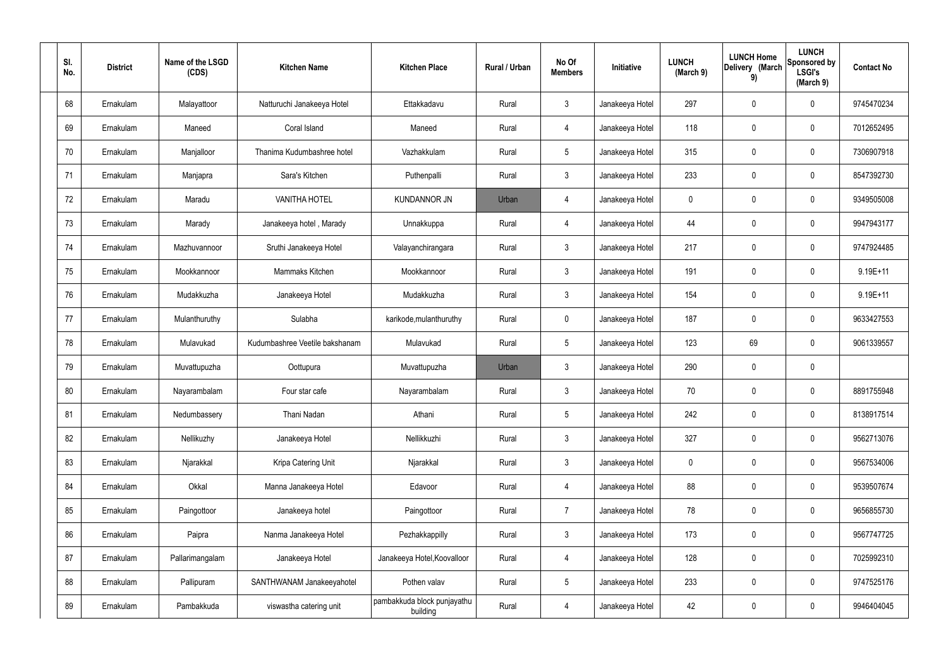| SI.<br>No. | <b>District</b> | Name of the LSGD<br>(CDS) | <b>Kitchen Name</b>            | <b>Kitchen Place</b>                    | Rural / Urban | No Of<br><b>Members</b> | Initiative      | <b>LUNCH</b><br>(March 9) | <b>LUNCH Home</b><br>Delivery (March<br>9) | <b>LUNCH</b><br>Sponsored by<br><b>LSGI's</b><br>(March 9) | <b>Contact No</b> |
|------------|-----------------|---------------------------|--------------------------------|-----------------------------------------|---------------|-------------------------|-----------------|---------------------------|--------------------------------------------|------------------------------------------------------------|-------------------|
| 68         | Ernakulam       | Malayattoor               | Natturuchi Janakeeya Hotel     | Ettakkadavu                             | Rural         | $\mathbf{3}$            | Janakeeya Hotel | 297                       | 0                                          | $\mathbf 0$                                                | 9745470234        |
| 69         | Ernakulam       | Maneed                    | Coral Island                   | Maneed                                  | Rural         | $\overline{4}$          | Janakeeya Hotel | 118                       | 0                                          | $\mathbf 0$                                                | 7012652495        |
| 70         | Ernakulam       | Manjalloor                | Thanima Kudumbashree hotel     | Vazhakkulam                             | Rural         | $5\phantom{.0}$         | Janakeeya Hotel | 315                       | 0                                          | $\mathbf 0$                                                | 7306907918        |
| 71         | Ernakulam       | Manjapra                  | Sara's Kitchen                 | Puthenpalli                             | Rural         | $\mathbf{3}$            | Janakeeya Hotel | 233                       | 0                                          | $\boldsymbol{0}$                                           | 8547392730        |
| 72         | Ernakulam       | Maradu                    | <b>VANITHA HOTEL</b>           | <b>KUNDANNOR JN</b>                     | Urban         | $\overline{4}$          | Janakeeya Hotel | 0                         | 0                                          | $\mathbf 0$                                                | 9349505008        |
| 73         | Ernakulam       | Marady                    | Janakeeya hotel, Marady        | Unnakkuppa                              | Rural         | $\overline{4}$          | Janakeeya Hotel | 44                        | 0                                          | $\boldsymbol{0}$                                           | 9947943177        |
| 74         | Ernakulam       | Mazhuvannoor              | Sruthi Janakeeya Hotel         | Valayanchirangara                       | Rural         | $\mathbf{3}$            | Janakeeya Hotel | 217                       | 0                                          | $\mathbf 0$                                                | 9747924485        |
| 75         | Ernakulam       | Mookkannoor               | Mammaks Kitchen                | Mookkannoor                             | Rural         | $\mathbf{3}$            | Janakeeya Hotel | 191                       | 0                                          | $\boldsymbol{0}$                                           | 9.19E+11          |
| 76         | Ernakulam       | Mudakkuzha                | Janakeeya Hotel                | Mudakkuzha                              | Rural         | $\mathbf{3}$            | Janakeeya Hotel | 154                       | 0                                          | $\boldsymbol{0}$                                           | $9.19E + 11$      |
| 77         | Ernakulam       | Mulanthuruthy             | Sulabha                        | karikode, mulanthuruthy                 | Rural         | $\mathbf 0$             | Janakeeya Hotel | 187                       | 0                                          | $\mathbf 0$                                                | 9633427553        |
| 78         | Ernakulam       | Mulavukad                 | Kudumbashree Veetile bakshanam | Mulavukad                               | Rural         | $5\phantom{.0}$         | Janakeeya Hotel | 123                       | 69                                         | $\mathbf 0$                                                | 9061339557        |
| 79         | Ernakulam       | Muvattupuzha              | Oottupura                      | Muvattupuzha                            | Urban         | $\mathbf{3}$            | Janakeeya Hotel | 290                       | 0                                          | $\pmb{0}$                                                  |                   |
| 80         | Ernakulam       | Nayarambalam              | Four star cafe                 | Nayarambalam                            | Rural         | $\mathbf{3}$            | Janakeeya Hotel | 70                        | $\boldsymbol{0}$                           | 0                                                          | 8891755948        |
| 81         | Ernakulam       | Nedumbassery              | Thani Nadan                    | Athani                                  | Rural         | $\sqrt{5}$              | Janakeeya Hotel | 242                       | 0                                          | $\mathbf 0$                                                | 8138917514        |
| 82         | Ernakulam       | Nellikuzhy                | Janakeeya Hotel                | Nellikkuzhi                             | Rural         | 3 <sup>1</sup>          | Janakeeya Hotel | 327                       | 0                                          | $\mathbf 0$                                                | 9562713076        |
| 83         | Ernakulam       | Njarakkal                 | Kripa Catering Unit            | Njarakkal                               | Rural         | $\mathbf{3}$            | Janakeeya Hotel | $\pmb{0}$                 | 0                                          | $\mathbf 0$                                                | 9567534006        |
| 84         | Ernakulam       | Okkal                     | Manna Janakeeya Hotel          | Edavoor                                 | Rural         | $\overline{4}$          | Janakeeya Hotel | 88                        | 0                                          | $\mathbf 0$                                                | 9539507674        |
| 85         | Ernakulam       | Paingottoor               | Janakeeya hotel                | Paingottoor                             | Rural         | $\overline{7}$          | Janakeeya Hotel | 78                        | 0                                          | $\mathbf 0$                                                | 9656855730        |
| 86         | Ernakulam       | Paipra                    | Nanma Janakeeya Hotel          | Pezhakkappilly                          | Rural         | $\mathfrak{Z}$          | Janakeeya Hotel | 173                       | 0                                          | $\mathbf 0$                                                | 9567747725        |
| 87         | Ernakulam       | Pallarimangalam           | Janakeeya Hotel                | Janakeeya Hotel, Koovalloor             | Rural         | $\overline{4}$          | Janakeeya Hotel | 128                       | 0                                          | $\mathbf 0$                                                | 7025992310        |
| 88         | Ernakulam       | Pallipuram                | SANTHWANAM Janakeeyahotel      | Pothen valav                            | Rural         | $5\,$                   | Janakeeya Hotel | 233                       | 0                                          | $\mathbf 0$                                                | 9747525176        |
| 89         | Ernakulam       | Pambakkuda                | viswastha catering unit        | pambakkuda block punjayathu<br>building | Rural         | 4                       | Janakeeya Hotel | 42                        | 0                                          | $\mathbf 0$                                                | 9946404045        |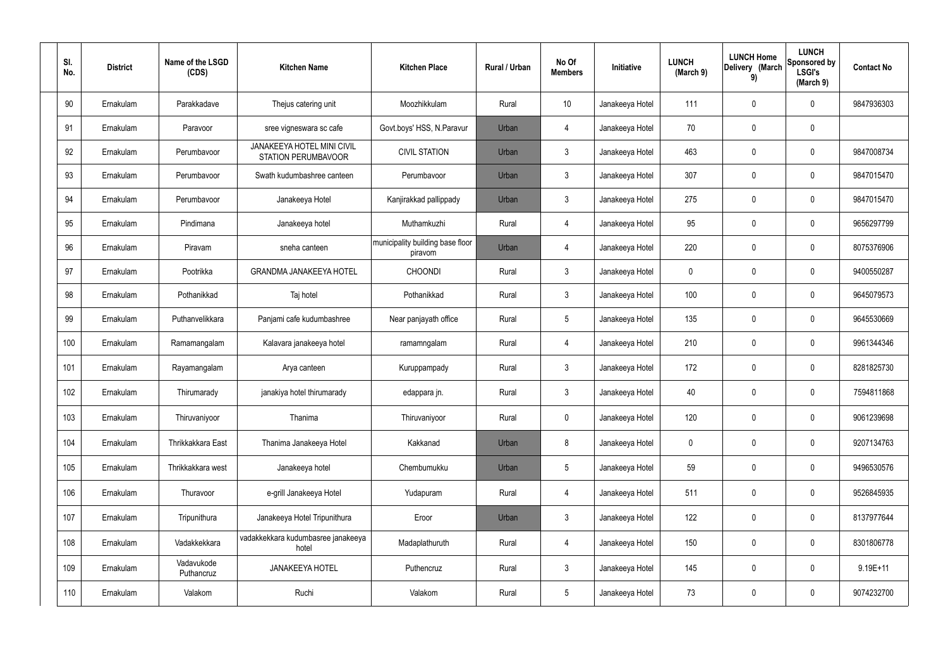| SI.<br>No. | <b>District</b> | Name of the LSGD<br>(CDS) | <b>Kitchen Name</b>                                             | <b>Kitchen Place</b>                        | Rural / Urban | No Of<br><b>Members</b> | Initiative      | <b>LUNCH</b><br>(March 9) | <b>LUNCH Home</b><br>Delivery (March<br>9) | <b>LUNCH</b><br>Sponsored by<br><b>LSGI's</b><br>(March 9) | <b>Contact No</b> |
|------------|-----------------|---------------------------|-----------------------------------------------------------------|---------------------------------------------|---------------|-------------------------|-----------------|---------------------------|--------------------------------------------|------------------------------------------------------------|-------------------|
| 90         | Ernakulam       | Parakkadave               | Thejus catering unit                                            | Moozhikkulam                                | Rural         | 10                      | Janakeeya Hotel | 111                       | 0                                          | 0                                                          | 9847936303        |
| 91         | Ernakulam       | Paravoor                  | sree vigneswara sc cafe                                         | Govt.boys' HSS, N.Paravur                   | Urban         | 4                       | Janakeeya Hotel | 70                        | $\mathbf 0$                                | 0                                                          |                   |
| 92         | Ernakulam       | Perumbavoor               | <b>JANAKEEYA HOTEL MINI CIVIL</b><br><b>STATION PERUMBAVOOR</b> | <b>CIVIL STATION</b>                        | Urban         | $\mathbf{3}$            | Janakeeya Hotel | 463                       | $\mathbf 0$                                | 0                                                          | 9847008734        |
| 93         | Ernakulam       | Perumbavoor               | Swath kudumbashree canteen                                      | Perumbavoor                                 | Urban         | $\mathbf{3}$            | Janakeeya Hotel | 307                       | $\mathbf 0$                                | 0                                                          | 9847015470        |
| 94         | Ernakulam       | Perumbavoor               | Janakeeya Hotel                                                 | Kanjirakkad pallippady                      | Urban         | $\mathbf{3}$            | Janakeeya Hotel | 275                       | 0                                          | 0                                                          | 9847015470        |
| 95         | Ernakulam       | Pindimana                 | Janakeeya hotel                                                 | Muthamkuzhi                                 | Rural         | $\overline{4}$          | Janakeeya Hotel | 95                        | $\mathbf 0$                                | 0                                                          | 9656297799        |
| 96         | Ernakulam       | Piravam                   | sneha canteen                                                   | municipality building base floor<br>piravom | Urban         | $\overline{4}$          | Janakeeya Hotel | 220                       | 0                                          | 0                                                          | 8075376906        |
| 97         | Ernakulam       | Pootrikka                 | <b>GRANDMA JANAKEEYA HOTEL</b>                                  | <b>CHOONDI</b>                              | Rural         | $\mathbf{3}$            | Janakeeya Hotel | $\mathbf 0$               | $\mathbf 0$                                | 0                                                          | 9400550287        |
| 98         | Ernakulam       | Pothanikkad               | Taj hotel                                                       | Pothanikkad                                 | Rural         | $\mathbf{3}$            | Janakeeya Hotel | 100                       | 0                                          | 0                                                          | 9645079573        |
| 99         | Ernakulam       | Puthanvelikkara           | Panjami cafe kudumbashree                                       | Near panjayath office                       | Rural         | $5\phantom{.0}$         | Janakeeya Hotel | 135                       | $\mathbf 0$                                | 0                                                          | 9645530669        |
| 100        | Ernakulam       | Ramamangalam              | Kalavara janakeeya hotel                                        | ramamngalam                                 | Rural         | $\overline{4}$          | Janakeeya Hotel | 210                       | $\boldsymbol{0}$                           | 0                                                          | 9961344346        |
| 101        | Ernakulam       | Rayamangalam              | Arya canteen                                                    | Kuruppampady                                | Rural         | $\mathbf{3}$            | Janakeeya Hotel | 172                       | $\mathbf 0$                                | 0                                                          | 8281825730        |
| 102        | Ernakulam       | Thirumarady               | janakiya hotel thirumarady                                      | edappara jn.                                | Rural         | $\mathbf{3}$            | Janakeeya Hotel | 40                        | $\mathbf 0$                                | 0                                                          | 7594811868        |
| 103        | Ernakulam       | Thiruvaniyoor             | Thanima                                                         | Thiruvaniyoor                               | Rural         | $\pmb{0}$               | Janakeeya Hotel | 120                       | $\pmb{0}$                                  | 0                                                          | 9061239698        |
| 104        | Ernakulam       | Thrikkakkara East         | Thanima Janakeeya Hotel                                         | Kakkanad                                    | Urban         | 8                       | Janakeeya Hotel | $\mathbf 0$               | $\boldsymbol{0}$                           | 0                                                          | 9207134763        |
| 105        | Ernakulam       | Thrikkakkara west         | Janakeeya hotel                                                 | Chembumukku                                 | Urban         | $5\phantom{.0}$         | Janakeeya Hotel | 59                        | $\pmb{0}$                                  | 0                                                          | 9496530576        |
| 106        | Ernakulam       | Thuravoor                 | e-grill Janakeeya Hotel                                         | Yudapuram                                   | Rural         | $\overline{4}$          | Janakeeya Hotel | 511                       | $\pmb{0}$                                  | 0                                                          | 9526845935        |
| 107        | Ernakulam       | Tripunithura              | Janakeeya Hotel Tripunithura                                    | Eroor                                       | Urban         | $\mathbf{3}$            | Janakeeya Hotel | 122                       | $\mathbf 0$                                | 0                                                          | 8137977644        |
| 108        | Ernakulam       | Vadakkekkara              | vadakkekkara kudumbasree janakeeya<br>hotel                     | Madaplathuruth                              | Rural         | $\overline{4}$          | Janakeeya Hotel | 150                       | $\mathbf 0$                                | 0                                                          | 8301806778        |
| 109        | Ernakulam       | Vadavukode<br>Puthancruz  | JANAKEEYA HOTEL                                                 | Puthencruz                                  | Rural         | $\mathbf{3}$            | Janakeeya Hotel | 145                       | $\boldsymbol{0}$                           | 0                                                          | $9.19E + 11$      |
| 110        | Ernakulam       | Valakom                   | Ruchi                                                           | Valakom                                     | Rural         | $5\phantom{.0}$         | Janakeeya Hotel | 73                        | $\boldsymbol{0}$                           | 0                                                          | 9074232700        |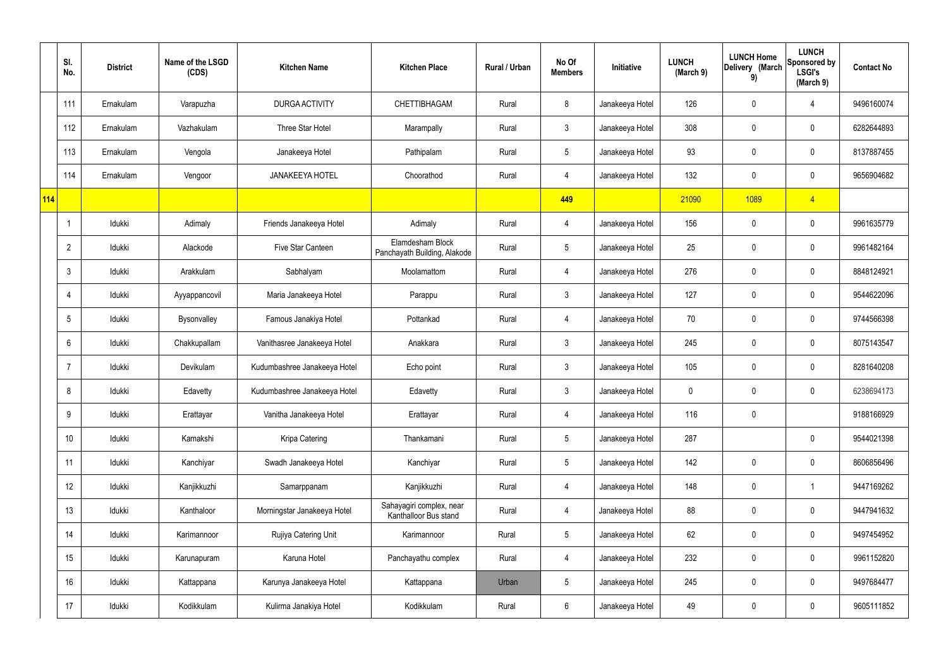|     | SI.<br>No.     | <b>District</b> | Name of the LSGD<br>(CDS) | <b>Kitchen Name</b>          | <b>Kitchen Place</b>                              | Rural / Urban | No Of<br><b>Members</b> | Initiative      | <b>LUNCH</b><br>(March 9) | <b>LUNCH Home</b><br>Delivery (March<br>9) | <b>LUNCH</b><br>Sponsored by<br><b>LSGI's</b><br>(March 9) | <b>Contact No</b> |
|-----|----------------|-----------------|---------------------------|------------------------------|---------------------------------------------------|---------------|-------------------------|-----------------|---------------------------|--------------------------------------------|------------------------------------------------------------|-------------------|
|     | 111            | Ernakulam       | Varapuzha                 | DURGA ACTIVITY               | CHETTIBHAGAM                                      | Rural         | 8                       | Janakeeya Hotel | 126                       | $\mathbf 0$                                | 4                                                          | 9496160074        |
|     | 112            | Ernakulam       | Vazhakulam                | Three Star Hotel             | Marampally                                        | Rural         | $\mathbf{3}$            | Janakeeya Hotel | 308                       | $\mathbf 0$                                | $\mathbf 0$                                                | 6282644893        |
|     | 113            | Ernakulam       | Vengola                   | Janakeeya Hotel              | Pathipalam                                        | Rural         | $5\overline{)}$         | Janakeeya Hotel | 93                        | $\mathbf 0$                                | $\mathbf 0$                                                | 8137887455        |
|     | 114            | Ernakulam       | Vengoor                   | <b>JANAKEEYA HOTEL</b>       | Choorathod                                        | Rural         | $\overline{4}$          | Janakeeya Hotel | 132                       | $\mathbf 0$                                | $\mathbf 0$                                                | 9656904682        |
| 114 |                |                 |                           |                              |                                                   |               | 449                     |                 | 21090                     | 1089                                       | $\overline{4}$                                             |                   |
|     |                | Idukki          | Adimaly                   | Friends Janakeeya Hotel      | Adimaly                                           | Rural         | $\overline{4}$          | Janakeeya Hotel | 156                       | $\mathbf 0$                                | $\mathbf 0$                                                | 9961635779        |
|     | $\overline{2}$ | Idukki          | Alackode                  | Five Star Canteen            | Elamdesham Block<br>Panchayath Building, Alakode  | Rural         | $5\overline{)}$         | Janakeeya Hotel | 25                        | $\mathbf 0$                                | $\mathbf 0$                                                | 9961482164        |
|     | 3              | Idukki          | Arakkulam                 | Sabhalyam                    | Moolamattom                                       | Rural         | $\overline{4}$          | Janakeeya Hotel | 276                       | $\mathbf 0$                                | $\mathbf 0$                                                | 8848124921        |
|     | $\overline{4}$ | Idukki          | Ayyappancovil             | Maria Janakeeya Hotel        | Parappu                                           | Rural         | $\mathbf{3}$            | Janakeeya Hotel | 127                       | $\mathbf 0$                                | $\mathbf 0$                                                | 9544622096        |
|     | 5              | Idukki          | Bysonvalley               | Famous Janakiya Hotel        | Pottankad                                         | Rural         | 4                       | Janakeeya Hotel | 70                        | $\mathbf 0$                                | $\mathbf 0$                                                | 9744566398        |
|     | 6              | Idukki          | Chakkupallam              | Vanithasree Janakeeya Hotel  | Anakkara                                          | Rural         | $\mathbf{3}$            | Janakeeya Hotel | 245                       | 0                                          | $\mathbf 0$                                                | 8075143547        |
|     |                | Idukki          | Devikulam                 | Kudumbashree Janakeeya Hotel | Echo point                                        | Rural         | $\mathbf{3}$            | Janakeeya Hotel | 105                       | $\mathbf 0$                                | $\mathbf 0$                                                | 8281640208        |
|     | 8              | Idukki          | Edavetty                  | Kudumbashree Janakeeya Hotel | Edavetty                                          | Rural         | $\mathbf{3}$            | Janakeeya Hotel | 0                         | 0                                          | $\mathbf 0$                                                | 6238694173        |
|     | 9              | Idukki          | Erattayar                 | Vanitha Janakeeya Hotel      | Erattayar                                         | Rural         | $\overline{4}$          | Janakeeya Hotel | 116                       | $\mathbf 0$                                |                                                            | 9188166929        |
|     | 10             | Idukki          | Kamakshi                  | Kripa Catering               | Thankamani                                        | Rural         | $5\phantom{.0}$         | Janakeeya Hotel | 287                       |                                            | $\mathbf 0$                                                | 9544021398        |
|     | 11             | Idukki          | Kanchiyar                 | Swadh Janakeeya Hotel        | Kanchiyar                                         | Rural         | $5\phantom{.0}$         | Janakeeya Hotel | 142                       | $\mathbf 0$                                | $\mathbf 0$                                                | 8606856496        |
|     | 12             | Idukki          | Kanjikkuzhi               | Samarppanam                  | Kanjikkuzhi                                       | Rural         | $\overline{4}$          | Janakeeya Hotel | 148                       | 0                                          | $\mathbf{1}$                                               | 9447169262        |
|     | 13             | Idukki          | Kanthaloor                | Morningstar Janakeeya Hotel  | Sahayagiri complex, near<br>Kanthalloor Bus stand | Rural         | $\overline{4}$          | Janakeeya Hotel | 88                        | 0                                          | $\mathbf 0$                                                | 9447941632        |
|     | 14             | Idukki          | Karimannoor               | Rujiya Catering Unit         | Karimannoor                                       | Rural         | $5\overline{)}$         | Janakeeya Hotel | 62                        | 0                                          | $\mathbf 0$                                                | 9497454952        |
|     | 15             | Idukki          | Karunapuram               | Karuna Hotel                 | Panchayathu complex                               | Rural         | $\overline{4}$          | Janakeeya Hotel | 232                       | 0                                          | $\mathbf 0$                                                | 9961152820        |
|     | 16             | Idukki          | Kattappana                | Karunya Janakeeya Hotel      | Kattappana                                        | Urban         | $5\phantom{.0}$         | Janakeeya Hotel | 245                       | 0                                          | $\mathbf 0$                                                | 9497684477        |
|     | 17             | Idukki          | Kodikkulam                | Kulirma Janakiya Hotel       | Kodikkulam                                        | Rural         | $6\phantom{.}6$         | Janakeeya Hotel | 49                        | 0                                          | $\overline{0}$                                             | 9605111852        |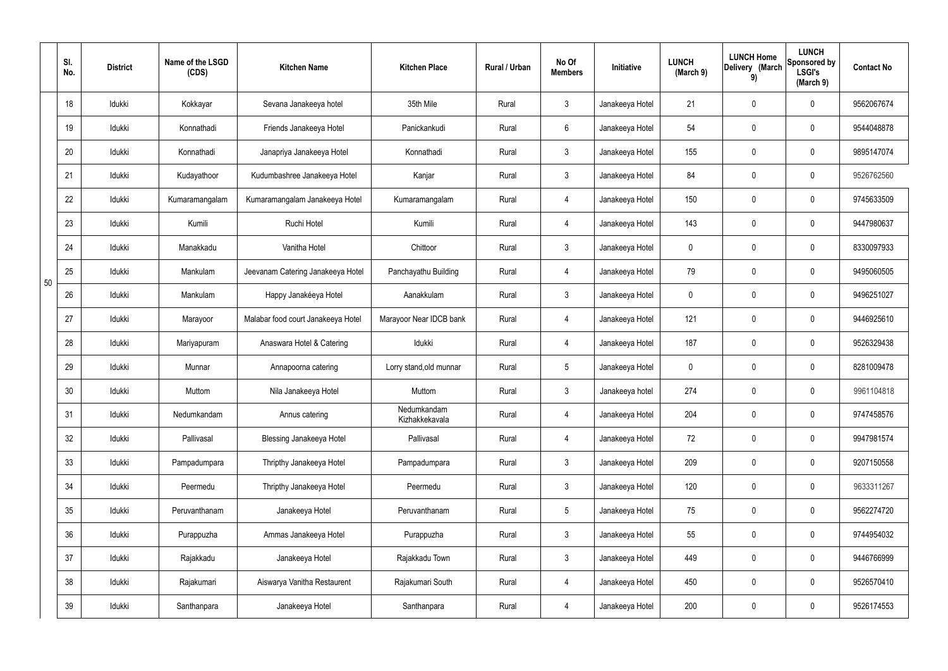|    | SI.<br>No. | <b>District</b> | Name of the LSGD<br>(CDS) | <b>Kitchen Name</b>                | <b>Kitchen Place</b>          | Rural / Urban | No Of<br><b>Members</b> | Initiative      | <b>LUNCH</b><br>(March 9) | <b>LUNCH Home</b><br>Delivery (March<br>9) | <b>LUNCH</b><br>Sponsored by<br><b>LSGI's</b><br>(March 9) | <b>Contact No</b> |
|----|------------|-----------------|---------------------------|------------------------------------|-------------------------------|---------------|-------------------------|-----------------|---------------------------|--------------------------------------------|------------------------------------------------------------|-------------------|
|    | 18         | Idukki          | Kokkayar                  | Sevana Janakeeya hotel             | 35th Mile                     | Rural         | $\mathbf{3}$            | Janakeeya Hotel | 21                        | $\mathbf 0$                                | $\mathbf 0$                                                | 9562067674        |
|    | 19         | Idukki          | Konnathadi                | Friends Janakeeya Hotel            | Panickankudi                  | Rural         | $6\overline{6}$         | Janakeeya Hotel | 54                        | $\mathbf 0$                                | $\mathbf 0$                                                | 9544048878        |
|    | 20         | Idukki          | Konnathadi                | Janapriya Janakeeya Hotel          | Konnathadi                    | Rural         | $\mathbf{3}$            | Janakeeya Hotel | 155                       | $\mathbf 0$                                | $\mathbf 0$                                                | 9895147074        |
|    | 21         | Idukki          | Kudayathoor               | Kudumbashree Janakeeya Hotel       | Kanjar                        | Rural         | $\mathbf{3}$            | Janakeeya Hotel | 84                        | $\mathbf 0$                                | $\mathbf 0$                                                | 9526762560        |
|    | 22         | Idukki          | Kumaramangalam            | Kumaramangalam Janakeeya Hotel     | Kumaramangalam                | Rural         | 4                       | Janakeeya Hotel | 150                       | $\mathbf 0$                                | $\mathbf 0$                                                | 9745633509        |
|    | 23         | Idukki          | Kumili                    | Ruchi Hotel                        | Kumili                        | Rural         | 4                       | Janakeeya Hotel | 143                       | $\mathbf 0$                                | $\mathbf 0$                                                | 9447980637        |
|    | 24         | Idukki          | Manakkadu                 | Vanitha Hotel                      | Chittoor                      | Rural         | $\mathbf{3}$            | Janakeeya Hotel | 0                         | $\mathbf 0$                                | $\mathbf 0$                                                | 8330097933        |
| 50 | 25         | Idukki          | Mankulam                  | Jeevanam Catering Janakeeya Hotel  | Panchayathu Building          | Rural         | 4                       | Janakeeya Hotel | 79                        | $\mathbf 0$                                | $\mathbf 0$                                                | 9495060505        |
|    | 26         | Idukki          | Mankulam                  | Happy Janakéeya Hotel              | Aanakkulam                    | Rural         | $\mathbf{3}$            | Janakeeya Hotel | 0                         | 0                                          | $\mathbf 0$                                                | 9496251027        |
|    | 27         | Idukki          | Marayoor                  | Malabar food court Janakeeya Hotel | Marayoor Near IDCB bank       | Rural         | 4                       | Janakeeya Hotel | 121                       | $\mathbf 0$                                | $\mathbf 0$                                                | 9446925610        |
|    | 28         | Idukki          | Mariyapuram               | Anaswara Hotel & Catering          | Idukki                        | Rural         | 4                       | Janakeeya Hotel | 187                       | $\mathbf 0$                                | $\mathbf 0$                                                | 9526329438        |
|    | 29         | Idukki          | Munnar                    | Annapoorna catering                | Lorry stand, old munnar       | Rural         | $5\overline{)}$         | Janakeeya Hotel | 0                         | $\mathbf 0$                                | $\mathbf 0$                                                | 8281009478        |
|    | 30         | Idukki          | Muttom                    | Nila Janakeeya Hotel               | Muttom                        | Rural         | $\mathbf{3}$            | Janakeeya hotel | 274                       | $\mathbf 0$                                | $\mathbf 0$                                                | 9961104818        |
|    | 31         | Idukki          | Nedumkandam               | Annus catering                     | Nedumkandam<br>Kizhakkekavala | Rural         | $\overline{4}$          | Janakeeya Hotel | 204                       | 0                                          | $\mathbf 0$                                                | 9747458576        |
|    | 32         | Idukki          | Pallivasal                | <b>Blessing Janakeeya Hotel</b>    | Pallivasal                    | Rural         | $\overline{4}$          | Janakeeya Hotel | 72                        | 0                                          | $\mathbf 0$                                                | 9947981574        |
|    | 33         | Idukki          | Pampadumpara              | Thripthy Janakeeya Hotel           | Pampadumpara                  | Rural         | $\mathbf{3}$            | Janakeeya Hotel | 209                       | 0                                          | $\mathbf 0$                                                | 9207150558        |
|    | 34         | Idukki          | Peermedu                  | Thripthy Janakeeya Hotel           | Peermedu                      | Rural         | $\mathbf{3}$            | Janakeeya Hotel | 120                       | 0                                          | $\mathbf 0$                                                | 9633311267        |
|    | 35         | Idukki          | Peruvanthanam             | Janakeeya Hotel                    | Peruvanthanam                 | Rural         | $5\phantom{.0}$         | Janakeeya Hotel | 75                        | 0                                          | $\mathbf 0$                                                | 9562274720        |
|    | 36         | Idukki          | Purappuzha                | Ammas Janakeeya Hotel              | Purappuzha                    | Rural         | $\mathbf{3}$            | Janakeeya Hotel | 55                        | 0                                          | $\mathbf 0$                                                | 9744954032        |
|    | 37         | Idukki          | Rajakkadu                 | Janakeeya Hotel                    | Rajakkadu Town                | Rural         | $\mathbf{3}$            | Janakeeya Hotel | 449                       | 0                                          | $\mathbf 0$                                                | 9446766999        |
|    | 38         | Idukki          | Rajakumari                | Aiswarya Vanitha Restaurent        | Rajakumari South              | Rural         | $\overline{4}$          | Janakeeya Hotel | 450                       | 0                                          | $\mathbf 0$                                                | 9526570410        |
|    | 39         | Idukki          | Santhanpara               | Janakeeya Hotel                    | Santhanpara                   | Rural         | $\overline{4}$          | Janakeeya Hotel | 200                       | 0                                          | $\pmb{0}$                                                  | 9526174553        |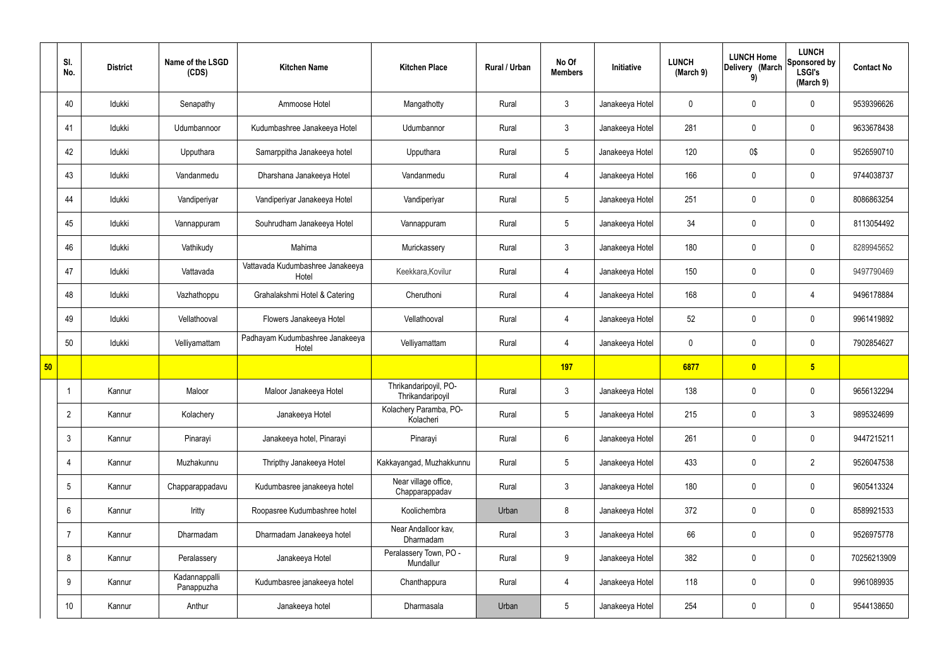|    | SI.<br>No.      | <b>District</b> | Name of the LSGD<br>(CDS)   | <b>Kitchen Name</b>                       | <b>Kitchen Place</b>                      | Rural / Urban | No Of<br><b>Members</b> | Initiative      | <b>LUNCH</b><br>(March 9) | <b>LUNCH Home</b><br>Delivery (March<br>9) | <b>LUNCH</b><br>Sponsored by<br><b>LSGI's</b><br>(March 9) | <b>Contact No</b> |
|----|-----------------|-----------------|-----------------------------|-------------------------------------------|-------------------------------------------|---------------|-------------------------|-----------------|---------------------------|--------------------------------------------|------------------------------------------------------------|-------------------|
|    | 40              | Idukki          | Senapathy                   | Ammoose Hotel                             | Mangathotty                               | Rural         | $\mathbf{3}$            | Janakeeya Hotel | $\mathbf 0$               | 0                                          | $\mathbf 0$                                                | 9539396626        |
|    | 41              | Idukki          | Udumbannoor                 | Kudumbashree Janakeeya Hotel              | Udumbannor                                | Rural         | $\mathbf{3}$            | Janakeeya Hotel | 281                       | $\mathbf 0$                                | $\mathbf 0$                                                | 9633678438        |
|    | 42              | Idukki          | Upputhara                   | Samarppitha Janakeeya hotel               | Upputhara                                 | Rural         | $5\overline{)}$         | Janakeeya Hotel | 120                       | 0\$                                        | $\mathbf 0$                                                | 9526590710        |
|    | 43              | Idukki          | Vandanmedu                  | Dharshana Janakeeya Hotel                 | Vandanmedu                                | Rural         | 4                       | Janakeeya Hotel | 166                       | $\mathbf 0$                                | $\mathbf 0$                                                | 9744038737        |
|    | 44              | Idukki          | Vandiperiyar                | Vandiperiyar Janakeeya Hotel              | Vandiperiyar                              | Rural         | $5\phantom{.0}$         | Janakeeya Hotel | 251                       | $\mathbf 0$                                | $\mathbf 0$                                                | 8086863254        |
|    | 45              | Idukki          | Vannappuram                 | Souhrudham Janakeeya Hotel                | Vannappuram                               | Rural         | $5\phantom{.0}$         | Janakeeya Hotel | 34                        | $\mathbf 0$                                | $\mathbf 0$                                                | 8113054492        |
|    | 46              | Idukki          | Vathikudy                   | Mahima                                    | Murickassery                              | Rural         | $\mathbf{3}$            | Janakeeya Hotel | 180                       | $\mathbf 0$                                | $\mathbf 0$                                                | 8289945652        |
|    | 47              | Idukki          | Vattavada                   | Vattavada Kudumbashree Janakeeya<br>Hotel | Keekkara, Kovilur                         | Rural         | $\overline{4}$          | Janakeeya Hotel | 150                       | $\mathbf 0$                                | $\mathbf 0$                                                | 9497790469        |
|    | 48              | Idukki          | Vazhathoppu                 | Grahalakshmi Hotel & Catering             | Cheruthoni                                | Rural         | $\overline{4}$          | Janakeeya Hotel | 168                       | $\mathbf 0$                                | 4                                                          | 9496178884        |
|    | 49              | Idukki          | Vellathooval                | Flowers Janakeeya Hotel                   | Vellathooval                              | Rural         | $\overline{4}$          | Janakeeya Hotel | 52                        | $\mathbf 0$                                | $\mathbf 0$                                                | 9961419892        |
|    | 50              | Idukki          | Velliyamattam               | Padhayam Kudumbashree Janakeeya<br>Hotel  | Velliyamattam                             | Rural         | $\overline{4}$          | Janakeeya Hotel | $\mathbf 0$               | $\mathbf 0$                                | $\mathbf 0$                                                | 7902854627        |
| 50 |                 |                 |                             |                                           |                                           |               | 197                     |                 | 6877                      | $\overline{\mathbf{0}}$                    | $5\overline{)}$                                            |                   |
|    |                 | Kannur          | Maloor                      | Maloor Janakeeya Hotel                    | Thrikandaripoyil, PO-<br>Thrikandaripoyil | Rural         | $\mathbf{3}$            | Janakeeya Hotel | 138                       | $\mathbf 0$                                | $\mathbf 0$                                                | 9656132294        |
|    | $\overline{2}$  | Kannur          | Kolachery                   | Janakeeya Hotel                           | Kolachery Paramba, PO-<br>Kolacheri       | Rural         | $5\phantom{.0}$         | Janakeeya Hotel | 215                       | $\mathbf 0$                                | $\mathbf{3}$                                               | 9895324699        |
|    | $\mathbf{3}$    | Kannur          | Pinarayi                    | Janakeeya hotel, Pinarayi                 | Pinarayi                                  | Rural         | $6\overline{6}$         | Janakeeya Hotel | 261                       | $\pmb{0}$                                  | $\mathbf 0$                                                | 9447215211        |
|    | 4               | Kannur          | Muzhakunnu                  | Thripthy Janakeeya Hotel                  | Kakkayangad, Muzhakkunnu                  | Rural         | $5\overline{)}$         | Janakeeya Hotel | 433                       | $\pmb{0}$                                  | $\overline{2}$                                             | 9526047538        |
|    | $5\phantom{.0}$ | Kannur          | Chapparappadavu             | Kudumbasree janakeeya hotel               | Near village office,<br>Chapparappadav    | Rural         | $\mathbf{3}$            | Janakeeya Hotel | 180                       | $\pmb{0}$                                  | $\mathbf 0$                                                | 9605413324        |
|    | $6\overline{6}$ | Kannur          | Iritty                      | Roopasree Kudumbashree hotel              | Koolichembra                              | Urban         | 8                       | Janakeeya Hotel | 372                       | $\pmb{0}$                                  | $\mathbf 0$                                                | 8589921533        |
|    | $\overline{7}$  | Kannur          | Dharmadam                   | Dharmadam Janakeeya hotel                 | Near Andalloor kav,<br>Dharmadam          | Rural         | $\mathbf{3}$            | Janakeeya Hotel | 66                        | $\pmb{0}$                                  | $\mathbf 0$                                                | 9526975778        |
|    | 8               | Kannur          | Peralassery                 | Janakeeya Hotel                           | Peralassery Town, PO -<br>Mundallur       | Rural         | 9                       | Janakeeya Hotel | 382                       | $\pmb{0}$                                  | $\mathbf 0$                                                | 70256213909       |
|    | 9               | Kannur          | Kadannappalli<br>Panappuzha | Kudumbasree janakeeya hotel               | Chanthappura                              | Rural         | $\overline{4}$          | Janakeeya Hotel | 118                       | $\pmb{0}$                                  | $\mathbf 0$                                                | 9961089935        |
|    | 10              | Kannur          | Anthur                      | Janakeeya hotel                           | Dharmasala                                | Urban         | $5\phantom{.0}$         | Janakeeya Hotel | 254                       | $\pmb{0}$                                  | $\boldsymbol{0}$                                           | 9544138650        |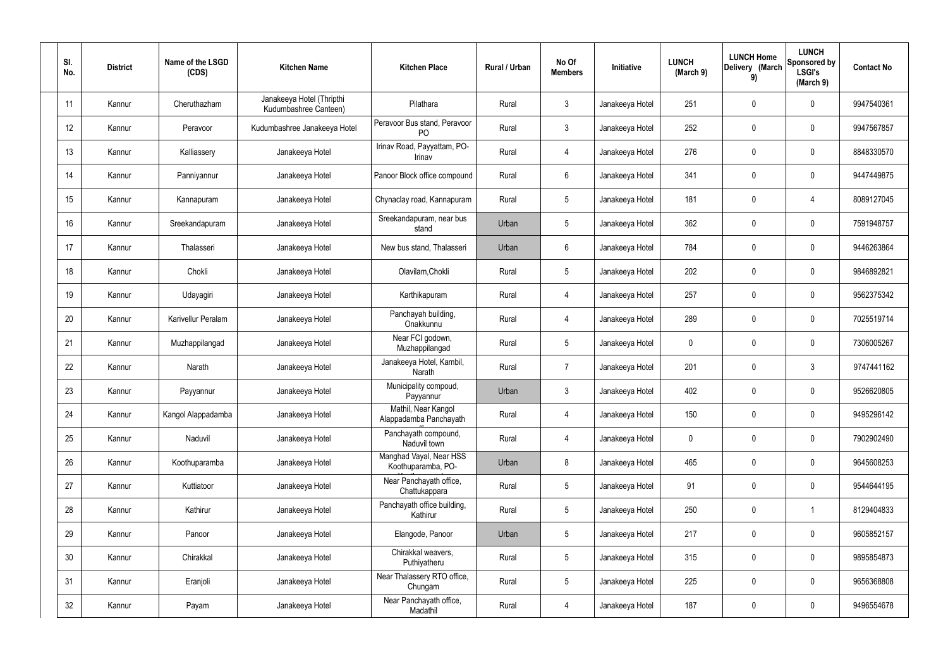| SI.<br>No. | <b>District</b> | Name of the LSGD<br>(CDS) | <b>Kitchen Name</b>                                | <b>Kitchen Place</b>                           | Rural / Urban | No Of<br><b>Members</b> | Initiative      | <b>LUNCH</b><br>(March 9) | <b>LUNCH Home</b><br>Delivery (March<br>9) | <b>LUNCH</b><br>Sponsored by<br><b>LSGI's</b><br>(March 9) | <b>Contact No</b> |
|------------|-----------------|---------------------------|----------------------------------------------------|------------------------------------------------|---------------|-------------------------|-----------------|---------------------------|--------------------------------------------|------------------------------------------------------------|-------------------|
| 11         | Kannur          | Cheruthazham              | Janakeeya Hotel (Thripthi<br>Kudumbashree Canteen) | Pilathara                                      | Rural         | $\mathbf{3}$            | Janakeeya Hotel | 251                       | $\mathbf 0$                                | $\mathbf 0$                                                | 9947540361        |
| 12         | Kannur          | Peravoor                  | Kudumbashree Janakeeya Hotel                       | Peravoor Bus stand, Peravoor<br>P <sub>O</sub> | Rural         | $\mathbf{3}$            | Janakeeya Hotel | 252                       | $\mathbf 0$                                | $\mathbf 0$                                                | 9947567857        |
| 13         | Kannur          | Kalliassery               | Janakeeya Hotel                                    | Irinav Road, Payyattam, PO-<br>Irinav          | Rural         | $\overline{4}$          | Janakeeya Hotel | 276                       | $\mathbf 0$                                | $\mathbf 0$                                                | 8848330570        |
| 14         | Kannur          | Panniyannur               | Janakeeya Hotel                                    | Panoor Block office compound                   | Rural         | $6\phantom{.}6$         | Janakeeya Hotel | 341                       | $\mathbf 0$                                | $\mathbf 0$                                                | 9447449875        |
| 15         | Kannur          | Kannapuram                | Janakeeya Hotel                                    | Chynaclay road, Kannapuram                     | Rural         | $5\overline{)}$         | Janakeeya Hotel | 181                       | $\mathbf 0$                                | 4                                                          | 8089127045        |
| 16         | Kannur          | Sreekandapuram            | Janakeeya Hotel                                    | Sreekandapuram, near bus<br>stand              | Urban         | $5\phantom{.0}$         | Janakeeya Hotel | 362                       | $\mathbf 0$                                | $\mathbf 0$                                                | 7591948757        |
| 17         | Kannur          | Thalasseri                | Janakeeya Hotel                                    | New bus stand, Thalasseri                      | Urban         | $6\phantom{.}6$         | Janakeeya Hotel | 784                       | $\mathbf 0$                                | $\mathbf 0$                                                | 9446263864        |
| 18         | Kannur          | Chokli                    | Janakeeya Hotel                                    | Olavilam, Chokli                               | Rural         | $5\phantom{.0}$         | Janakeeya Hotel | 202                       | $\mathbf 0$                                | $\mathbf 0$                                                | 9846892821        |
| 19         | Kannur          | Udayagiri                 | Janakeeya Hotel                                    | Karthikapuram                                  | Rural         | $\overline{4}$          | Janakeeya Hotel | 257                       | $\mathbf 0$                                | $\mathbf 0$                                                | 9562375342        |
| 20         | Kannur          | Karivellur Peralam        | Janakeeya Hotel                                    | Panchayah building,<br>Onakkunnu               | Rural         | $\overline{4}$          | Janakeeya Hotel | 289                       | 0                                          | $\mathbf 0$                                                | 7025519714        |
| 21         | Kannur          | Muzhappilangad            | Janakeeya Hotel                                    | Near FCI godown,<br>Muzhappilangad             | Rural         | $5\phantom{.0}$         | Janakeeya Hotel | 0                         | 0                                          | $\mathbf 0$                                                | 7306005267        |
| 22         | Kannur          | Narath                    | Janakeeya Hotel                                    | Janakeeya Hotel, Kambil,<br>Narath             | Rural         | $\overline{7}$          | Janakeeya Hotel | 201                       | $\mathbf 0$                                | $\mathfrak{Z}$                                             | 9747441162        |
| 23         | Kannur          | Payyannur                 | Janakeeya Hotel                                    | Municipality compoud,<br>Payyannur             | Urban         | $\mathbf{3}$            | Janakeeya Hotel | 402                       | $\mathbf 0$                                | $\mathbf 0$                                                | 9526620805        |
| 24         | Kannur          | Kangol Alappadamba        | Janakeeya Hotel                                    | Mathil, Near Kangol<br>Alappadamba Panchayath  | Rural         | $\overline{4}$          | Janakeeya Hotel | 150                       | $\mathsf{0}$                               | $\mathbf 0$                                                | 9495296142        |
| 25         | Kannur          | Naduvil                   | Janakeeya Hotel                                    | Panchayath compound,<br>Naduvil town           | Rural         | $\overline{4}$          | Janakeeya Hotel | 0                         | $\mathsf{0}$                               | $\mathbf 0$                                                | 7902902490        |
| 26         | Kannur          | Koothuparamba             | Janakeeya Hotel                                    | Manghad Vayal, Near HSS<br>Koothuparamba, PO-  | Urban         | 8                       | Janakeeya Hotel | 465                       | $\mathbf 0$                                | $\mathbf 0$                                                | 9645608253        |
| 27         | Kannur          | Kuttiatoor                | Janakeeya Hotel                                    | Near Panchayath office,<br>Chattukappara       | Rural         | $5\phantom{.0}$         | Janakeeya Hotel | 91                        | $\mathsf{0}$                               | $\mathbf 0$                                                | 9544644195        |
| 28         | Kannur          | Kathirur                  | Janakeeya Hotel                                    | Panchayath office building,<br>Kathirur        | Rural         | $5\phantom{.0}$         | Janakeeya Hotel | 250                       | $\mathsf{0}$                               | $\mathbf 1$                                                | 8129404833        |
| 29         | Kannur          | Panoor                    | Janakeeya Hotel                                    | Elangode, Panoor                               | Urban         | $5\phantom{.0}$         | Janakeeya Hotel | 217                       | 0                                          | $\mathbf 0$                                                | 9605852157        |
| 30         | Kannur          | Chirakkal                 | Janakeeya Hotel                                    | Chirakkal weavers,<br>Puthiyatheru             | Rural         | $5\phantom{.0}$         | Janakeeya Hotel | 315                       | 0                                          | $\mathbf 0$                                                | 9895854873        |
| 31         | Kannur          | Eranjoli                  | Janakeeya Hotel                                    | Near Thalassery RTO office,<br>Chungam         | Rural         | $5\phantom{.0}$         | Janakeeya Hotel | 225                       | $\mathsf{0}$                               | $\mathbf 0$                                                | 9656368808        |
| 32         | Kannur          | Payam                     | Janakeeya Hotel                                    | Near Panchayath office,<br>Madathil            | Rural         | $\overline{4}$          | Janakeeya Hotel | 187                       | 0                                          | $\mathbf 0$                                                | 9496554678        |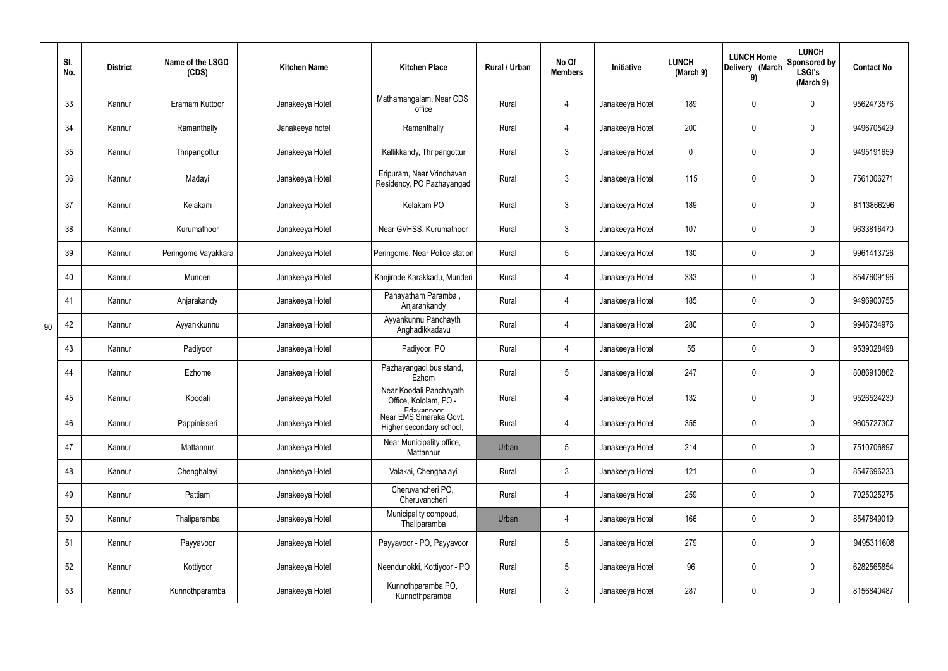|    | SI.<br>No. | <b>District</b> | Name of the LSGD<br>(CDS) | <b>Kitchen Name</b> | <b>Kitchen Place</b>                                           | Rural / Urban | No Of<br><b>Members</b> | Initiative      | <b>LUNCH</b><br>(March 9) | <b>LUNCH Home</b><br>Delivery (March<br>9) | <b>LUNCH</b><br>Sponsored by<br><b>LSGI's</b><br>(March 9) | <b>Contact No</b> |
|----|------------|-----------------|---------------------------|---------------------|----------------------------------------------------------------|---------------|-------------------------|-----------------|---------------------------|--------------------------------------------|------------------------------------------------------------|-------------------|
|    | 33         | Kannur          | Eramam Kuttoor            | Janakeeya Hotel     | Mathamangalam, Near CDS<br>office                              | Rural         | 4                       | Janakeeya Hotel | 189                       | 0                                          | $\mathbf 0$                                                | 9562473576        |
|    | 34         | Kannur          | Ramanthally               | Janakeeya hotel     | Ramanthally                                                    | Rural         | 4                       | Janakeeya Hotel | 200                       | $\mathbf 0$                                | $\mathbf 0$                                                | 9496705429        |
|    | 35         | Kannur          | Thripangottur             | Janakeeya Hotel     | Kallikkandy, Thripangottur                                     | Rural         | $\mathbf{3}$            | Janakeeya Hotel | $\mathbf 0$               | $\mathbf 0$                                | $\mathbf 0$                                                | 9495191659        |
|    | 36         | Kannur          | Madayi                    | Janakeeya Hotel     | Eripuram, Near Vrindhavan<br>Residency, PO Pazhayangadi        | Rural         | $\mathbf{3}$            | Janakeeya Hotel | 115                       | 0                                          | $\mathbf 0$                                                | 7561006271        |
|    | 37         | Kannur          | Kelakam                   | Janakeeya Hotel     | Kelakam PO                                                     | Rural         | $\mathbf{3}$            | Janakeeya Hotel | 189                       | $\mathbf 0$                                | $\mathbf 0$                                                | 8113866296        |
|    | 38         | Kannur          | Kurumathoor               | Janakeeya Hotel     | Near GVHSS, Kurumathoor                                        | Rural         | $\mathbf{3}$            | Janakeeya Hotel | 107                       | 0                                          | $\mathbf 0$                                                | 9633816470        |
|    | 39         | Kannur          | Peringome Vayakkara       | Janakeeya Hotel     | Peringome, Near Police station                                 | Rural         | $5\overline{)}$         | Janakeeya Hotel | 130                       | $\mathbf 0$                                | $\overline{0}$                                             | 9961413726        |
|    | 40         | Kannur          | Munderi                   | Janakeeya Hotel     | Kanjirode Karakkadu, Munderi                                   | Rural         | 4                       | Janakeeya Hotel | 333                       | 0                                          | $\mathbf 0$                                                | 8547609196        |
|    | 41         | Kannur          | Anjarakandy               | Janakeeya Hotel     | Panayatham Paramba,<br>Anjarankandy                            | Rural         | 4                       | Janakeeya Hotel | 185                       | 0                                          | $\mathbf 0$                                                | 9496900755        |
| 90 | 42         | Kannur          | Ayyankkunnu               | Janakeeya Hotel     | Ayyankunnu Panchayth<br>Anghadikkadavu                         | Rural         | $\overline{4}$          | Janakeeya Hotel | 280                       | 0                                          | $\mathbf 0$                                                | 9946734976        |
|    | 43         | Kannur          | Padiyoor                  | Janakeeya Hotel     | Padiyoor PO                                                    | Rural         | 4                       | Janakeeya Hotel | 55                        | 0                                          | $\mathbf 0$                                                | 9539028498        |
|    | 44         | Kannur          | Ezhome                    | Janakeeya Hotel     | Pazhayangadi bus stand,<br>Ezhom                               | Rural         | $5\overline{)}$         | Janakeeya Hotel | 247                       | 0                                          | $\mathbf 0$                                                | 8086910862        |
|    | 45         | Kannur          | Koodali                   | Janakeeya Hotel     | Near Koodali Panchayath<br>Office, Kololam, PO -<br>Edavannoor | Rural         | 4                       | Janakeeya Hotel | 132                       | 0                                          | 0                                                          | 9526524230        |
|    | 46         | Kannur          | Pappinisseri              | Janakeeya Hotel     | Near EMS Smaraka Govt.<br>Higher secondary school,             | Rural         | 4                       | Janakeeya Hotel | 355                       | $\pmb{0}$                                  | $\mathbf 0$                                                | 9605727307        |
|    | 47         | Kannur          | Mattannur                 | Janakeeya Hotel     | Near Municipality office,<br>Mattannur                         | Urban         | $5\phantom{.0}$         | Janakeeya Hotel | 214                       | $\pmb{0}$                                  | $\mathbf 0$                                                | 7510706897        |
|    | 48         | Kannur          | Chenghalayi               | Janakeeya Hotel     | Valakai, Chenghalayi                                           | Rural         | $\mathbf{3}$            | Janakeeya Hotel | 121                       | $\pmb{0}$                                  | $\mathbf 0$                                                | 8547696233        |
|    | 49         | Kannur          | Pattiam                   | Janakeeya Hotel     | Cheruvancheri PO,<br>Cheruvancheri                             | Rural         | 4                       | Janakeeya Hotel | 259                       | $\pmb{0}$                                  | $\mathbf 0$                                                | 7025025275        |
|    | 50         | Kannur          | Thaliparamba              | Janakeeya Hotel     | Municipality compoud,<br>Thaliparamba                          | Urban         | 4                       | Janakeeya Hotel | 166                       | $\pmb{0}$                                  | $\mathbf 0$                                                | 8547849019        |
|    | 51         | Kannur          | Payyavoor                 | Janakeeya Hotel     | Payyavoor - PO, Payyavoor                                      | Rural         | $5\phantom{.0}$         | Janakeeya Hotel | 279                       | $\pmb{0}$                                  | $\mathbf 0$                                                | 9495311608        |
|    | 52         | Kannur          | Kottiyoor                 | Janakeeya Hotel     | Neendunokki, Kottiyoor - PO                                    | Rural         | $5\phantom{.0}$         | Janakeeya Hotel | 96                        | $\pmb{0}$                                  | $\mathbf 0$                                                | 6282565854        |
|    | 53         | Kannur          | Kunnothparamba            | Janakeeya Hotel     | Kunnothparamba PO,<br>Kunnothparamba                           | Rural         | $3\phantom{.0}$         | Janakeeya Hotel | 287                       | 0                                          | $\pmb{0}$                                                  | 8156840487        |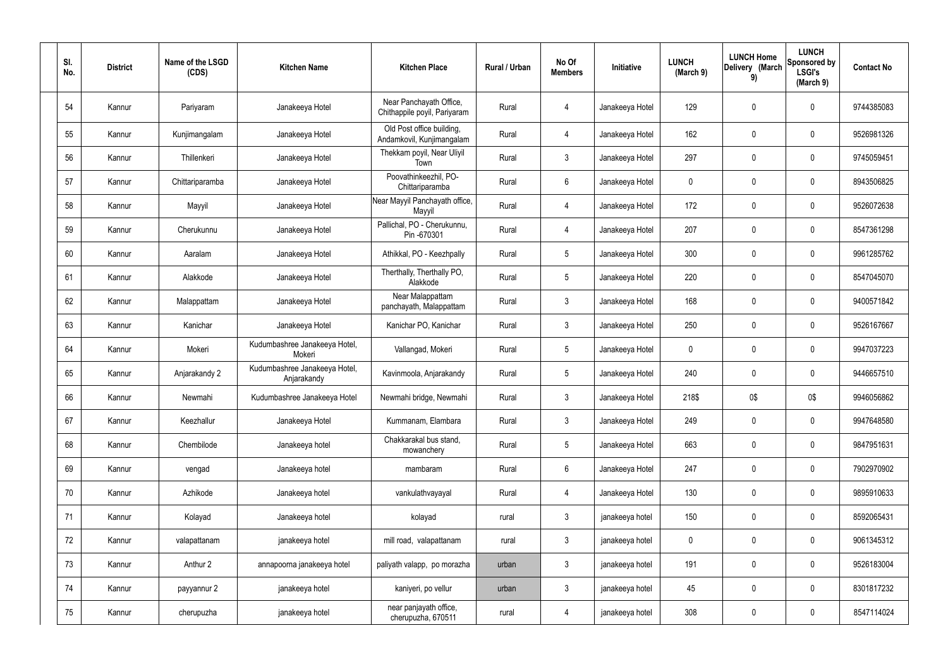| SI.<br>No. | <b>District</b> | Name of the LSGD<br>(CDS) | <b>Kitchen Name</b>                          | <b>Kitchen Place</b>                                    | Rural / Urban | No Of<br><b>Members</b> | Initiative      | <b>LUNCH</b><br>(March 9) | <b>LUNCH Home</b><br>Delivery (March<br>9) | <b>LUNCH</b><br>Sponsored by<br><b>LSGI's</b><br>(March 9) | <b>Contact No</b> |
|------------|-----------------|---------------------------|----------------------------------------------|---------------------------------------------------------|---------------|-------------------------|-----------------|---------------------------|--------------------------------------------|------------------------------------------------------------|-------------------|
| 54         | Kannur          | Pariyaram                 | Janakeeya Hotel                              | Near Panchayath Office,<br>Chithappile poyil, Pariyaram | Rural         | 4                       | Janakeeya Hotel | 129                       | 0                                          | $\mathbf 0$                                                | 9744385083        |
| 55         | Kannur          | Kunjimangalam             | Janakeeya Hotel                              | Old Post office building,<br>Andamkovil, Kunjimangalam  | Rural         | $\overline{4}$          | Janakeeya Hotel | 162                       | 0                                          | $\mathbf 0$                                                | 9526981326        |
| 56         | Kannur          | Thillenkeri               | Janakeeya Hotel                              | Thekkam poyil, Near Uliyil<br>Town                      | Rural         | $\mathbf{3}$            | Janakeeya Hotel | 297                       | $\boldsymbol{0}$                           | $\overline{0}$                                             | 9745059451        |
| 57         | Kannur          | Chittariparamba           | Janakeeya Hotel                              | Poovathinkeezhil, PO-<br>Chittariparamba                | Rural         | $6\phantom{.}6$         | Janakeeya Hotel | $\mathbf 0$               | 0                                          | $\mathbf 0$                                                | 8943506825        |
| 58         | Kannur          | Mayyil                    | Janakeeya Hotel                              | Near Mayyil Panchayath office,<br>Mayyil                | Rural         | 4                       | Janakeeya Hotel | 172                       | 0                                          | $\mathbf 0$                                                | 9526072638        |
| 59         | Kannur          | Cherukunnu                | Janakeeya Hotel                              | Pallichal, PO - Cherukunnu,<br>Pin -670301              | Rural         | $\overline{4}$          | Janakeeya Hotel | 207                       | 0                                          | $\mathbf 0$                                                | 8547361298        |
| 60         | Kannur          | Aaralam                   | Janakeeya Hotel                              | Athikkal, PO - Keezhpally                               | Rural         | $5\phantom{.0}$         | Janakeeya Hotel | 300                       | $\mathbf 0$                                | $\mathbf 0$                                                | 9961285762        |
| 61         | Kannur          | Alakkode                  | Janakeeya Hotel                              | Therthally, Therthally PO,<br>Alakkode                  | Rural         | $5\overline{)}$         | Janakeeya Hotel | 220                       | $\mathbf 0$                                | $\mathbf 0$                                                | 8547045070        |
| 62         | Kannur          | Malappattam               | Janakeeya Hotel                              | Near Malappattam<br>panchayath, Malappattam             | Rural         | $\mathbf{3}$            | Janakeeya Hotel | 168                       | $\mathbf 0$                                | $\mathbf 0$                                                | 9400571842        |
| 63         | Kannur          | Kanichar                  | Janakeeya Hotel                              | Kanichar PO, Kanichar                                   | Rural         | $\mathbf{3}$            | Janakeeya Hotel | 250                       | 0                                          | $\pmb{0}$                                                  | 9526167667        |
| 64         | Kannur          | Mokeri                    | Kudumbashree Janakeeya Hotel,<br>Mokeri      | Vallangad, Mokeri                                       | Rural         | $5\overline{)}$         | Janakeeya Hotel | $\mathbf 0$               | 0                                          | $\mathbf 0$                                                | 9947037223        |
| 65         | Kannur          | Anjarakandy 2             | Kudumbashree Janakeeya Hotel,<br>Anjarakandy | Kavinmoola, Anjarakandy                                 | Rural         | $5\phantom{.0}$         | Janakeeya Hotel | 240                       | 0                                          | $\mathbf 0$                                                | 9446657510        |
| 66         | Kannur          | Newmahi                   | Kudumbashree Janakeeya Hotel                 | Newmahi bridge, Newmahi                                 | Rural         | 3                       | Janakeeya Hotel | 218\$                     | 0\$                                        | 0\$                                                        | 9946056862        |
| 67         | Kannur          | Keezhallur                | Janakeeya Hotel                              | Kummanam, Elambara                                      | Rural         | $\mathbf{3}$            | Janakeeya Hotel | 249                       | 0                                          | $\mathbf 0$                                                | 9947648580        |
| 68         | Kannur          | Chembilode                | Janakeeya hotel                              | Chakkarakal bus stand,<br>mowanchery                    | Rural         | 5 <sub>5</sub>          | Janakeeya Hotel | 663                       | 0                                          | $\overline{0}$                                             | 9847951631        |
| 69         | Kannur          | vengad                    | Janakeeya hotel                              | mambaram                                                | Rural         | 6                       | Janakeeya Hotel | 247                       | 0                                          | $\overline{0}$                                             | 7902970902        |
| 70         | Kannur          | Azhikode                  | Janakeeya hotel                              | vankulathvayayal                                        | Rural         | 4                       | Janakeeya Hotel | 130                       | 0                                          | $\overline{0}$                                             | 9895910633        |
| 71         | Kannur          | Kolayad                   | Janakeeya hotel                              | kolayad                                                 | rural         | $\mathbf{3}$            | janakeeya hotel | 150                       | 0                                          | $\mathbf 0$                                                | 8592065431        |
| 72         | Kannur          | valapattanam              | janakeeya hotel                              | mill road, valapattanam                                 | rural         | $\mathbf{3}$            | janakeeya hotel | $\boldsymbol{0}$          | 0                                          | $\mathbf 0$                                                | 9061345312        |
| 73         | Kannur          | Anthur 2                  | annapoorna janakeeya hotel                   | paliyath valapp, po morazha                             | urban         | $\mathbf{3}$            | janakeeya hotel | 191                       | 0                                          | $\mathbf 0$                                                | 9526183004        |
| 74         | Kannur          | payyannur 2               | janakeeya hotel                              | kaniyeri, po vellur                                     | urban         | $\mathbf{3}$            | janakeeya hotel | 45                        | 0                                          | $\overline{0}$                                             | 8301817232        |
| 75         | Kannur          | cherupuzha                | janakeeya hotel                              | near panjayath office,<br>cherupuzha, 670511            | rural         | $\overline{4}$          | janakeeya hotel | 308                       | 0                                          | $\overline{0}$                                             | 8547114024        |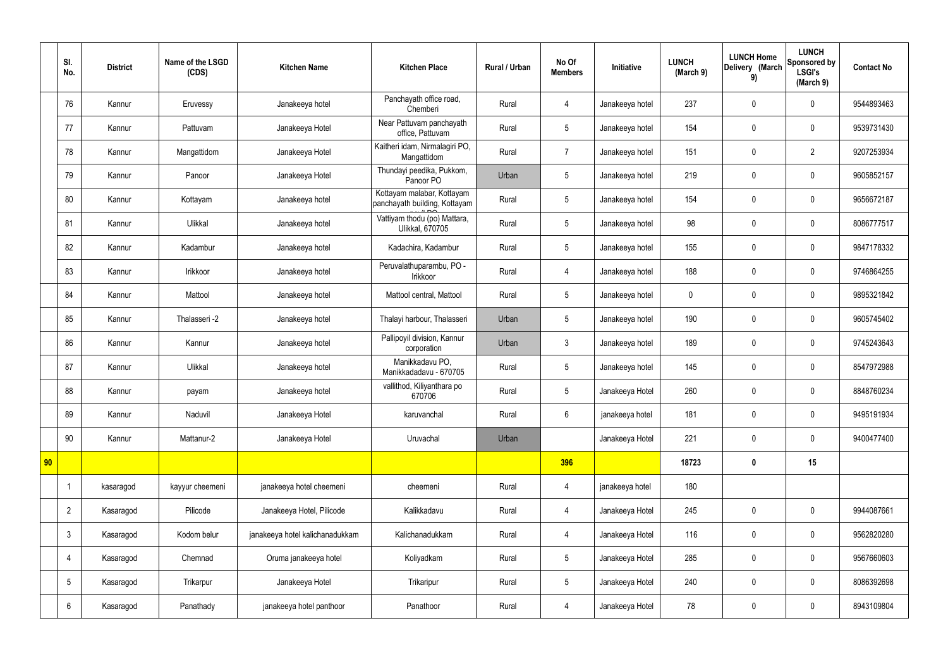|    | SI.<br>No.      | <b>District</b> | Name of the LSGD<br>(CDS) | <b>Kitchen Name</b>             | <b>Kitchen Place</b>                                        | <b>Rural / Urban</b> | No Of<br><b>Members</b> | Initiative      | <b>LUNCH</b><br>(March 9) | <b>LUNCH Home</b><br>Delivery (March<br>9) | <b>LUNCH</b><br>Sponsored by<br><b>LSGI's</b><br>(March 9) | <b>Contact No</b> |
|----|-----------------|-----------------|---------------------------|---------------------------------|-------------------------------------------------------------|----------------------|-------------------------|-----------------|---------------------------|--------------------------------------------|------------------------------------------------------------|-------------------|
|    | 76              | Kannur          | Eruvessy                  | Janakeeya hotel                 | Panchayath office road,<br>Chemberi                         | Rural                | 4                       | Janakeeya hotel | 237                       | $\mathbf 0$                                | $\mathbf 0$                                                | 9544893463        |
|    | 77              | Kannur          | Pattuvam                  | Janakeeya Hotel                 | Near Pattuvam panchayath<br>office, Pattuvam                | Rural                | 5                       | Janakeeya hotel | 154                       | $\mathbf 0$                                | $\mathbf 0$                                                | 9539731430        |
|    | 78              | Kannur          | Mangattidom               | Janakeeya Hotel                 | Kaitheri idam, Nirmalagiri PO,<br>Mangattidom               | Rural                | $\overline{7}$          | Janakeeya hotel | 151                       | $\boldsymbol{0}$                           | $\overline{2}$                                             | 9207253934        |
|    | 79              | Kannur          | Panoor                    | Janakeeya Hotel                 | Thundayi peedika, Pukkom,<br>Panoor PO                      | Urban                | 5                       | Janakeeya hotel | 219                       | $\mathbf 0$                                | $\mathbf 0$                                                | 9605852157        |
|    | 80              | Kannur          | Kottayam                  | Janakeeya hotel                 | Kottayam malabar, Kottayam<br>panchayath building, Kottayam | Rural                | 5                       | Janakeeya hotel | 154                       | $\mathbf 0$                                | $\mathbf 0$                                                | 9656672187        |
|    | 81              | Kannur          | Ulikkal                   | Janakeeya hotel                 | Vattiyam thodu (po) Mattara,<br><b>Ulikkal, 670705</b>      | Rural                | 5                       | Janakeeya hotel | 98                        | $\mathbf 0$                                | $\mathbf 0$                                                | 8086777517        |
|    | 82              | Kannur          | Kadambur                  | Janakeeya hotel                 | Kadachira, Kadambur                                         | Rural                | 5                       | Janakeeya hotel | 155                       | $\mathbf 0$                                | $\mathbf 0$                                                | 9847178332        |
|    | 83              | Kannur          | Irikkoor                  | Janakeeya hotel                 | Peruvalathuparambu, PO -<br>Irikkoor                        | Rural                | 4                       | Janakeeya hotel | 188                       | $\mathbf 0$                                | $\mathbf 0$                                                | 9746864255        |
|    | 84              | Kannur          | Mattool                   | Janakeeya hotel                 | Mattool central, Mattool                                    | Rural                | 5                       | Janakeeya hotel | $\mathbf 0$               | $\mathbf 0$                                | $\mathbf 0$                                                | 9895321842        |
|    | 85              | Kannur          | Thalasseri -2             | Janakeeya hotel                 | Thalayi harbour, Thalasseri                                 | Urban                | 5                       | Janakeeya hotel | 190                       | $\mathbf 0$                                | $\mathbf 0$                                                | 9605745402        |
|    | 86              | Kannur          | Kannur                    | Janakeeya hotel                 | Pallipoyil division, Kannur<br>corporation                  | Urban                | $\mathbf{3}$            | Janakeeya hotel | 189                       | $\pmb{0}$                                  | $\mathbf 0$                                                | 9745243643        |
|    | 87              | Kannur          | Ulikkal                   | Janakeeya hotel                 | Manikkadavu PO,<br>Manikkadadavu - 670705                   | Rural                | 5                       | Janakeeya hotel | 145                       | $\boldsymbol{0}$                           | $\mathbf 0$                                                | 8547972988        |
|    | 88              | Kannur          | payam                     | Janakeeya hotel                 | vallithod, Kiliyanthara po<br>670706                        | Rural                | 5                       | Janakeeya Hotel | 260                       | $\mathbf 0$                                | $\mathbf 0$                                                | 8848760234        |
|    | 89              | Kannur          | Naduvil                   | Janakeeya Hotel                 | karuvanchal                                                 | Rural                | $6\overline{6}$         | janakeeya hotel | 181                       | $\pmb{0}$                                  | $\mathbf 0$                                                | 9495191934        |
|    | 90              | Kannur          | Mattanur-2                | Janakeeya Hotel                 | Uruvachal                                                   | Urban                |                         | Janakeeya Hotel | 221                       | $\pmb{0}$                                  | $\mathbf 0$                                                | 9400477400        |
| 90 |                 |                 |                           |                                 |                                                             |                      | 396                     |                 | 18723                     | $\pmb{0}$                                  | 15                                                         |                   |
|    |                 | kasaragod       | kayyur cheemeni           | janakeeya hotel cheemeni        | cheemeni                                                    | Rural                | $\overline{4}$          | janakeeya hotel | 180                       |                                            |                                                            |                   |
|    | $\overline{2}$  | Kasaragod       | Pilicode                  | Janakeeya Hotel, Pilicode       | Kalikkadavu                                                 | Rural                | $\overline{4}$          | Janakeeya Hotel | 245                       | $\pmb{0}$                                  | $\mathbf 0$                                                | 9944087661        |
|    | $\mathbf{3}$    | Kasaragod       | Kodom belur               | janakeeya hotel kalichanadukkam | Kalichanadukkam                                             | Rural                | $\overline{4}$          | Janakeeya Hotel | 116                       | $\pmb{0}$                                  | $\mathbf 0$                                                | 9562820280        |
|    | 4               | Kasaragod       | Chemnad                   | Oruma janakeeya hotel           | Koliyadkam                                                  | Rural                | 5                       | Janakeeya Hotel | 285                       | $\pmb{0}$                                  | $\mathbf 0$                                                | 9567660603        |
|    | $5\phantom{.0}$ | Kasaragod       | Trikarpur                 | Janakeeya Hotel                 | Trikaripur                                                  | Rural                | 5                       | Janakeeya Hotel | 240                       | $\mathbf 0$                                | $\mathbf 0$                                                | 8086392698        |
|    | $6\phantom{.}6$ | Kasaragod       | Panathady                 | janakeeya hotel panthoor        | Panathoor                                                   | Rural                | 4                       | Janakeeya Hotel | 78                        | $\pmb{0}$                                  | $\mathbf 0$                                                | 8943109804        |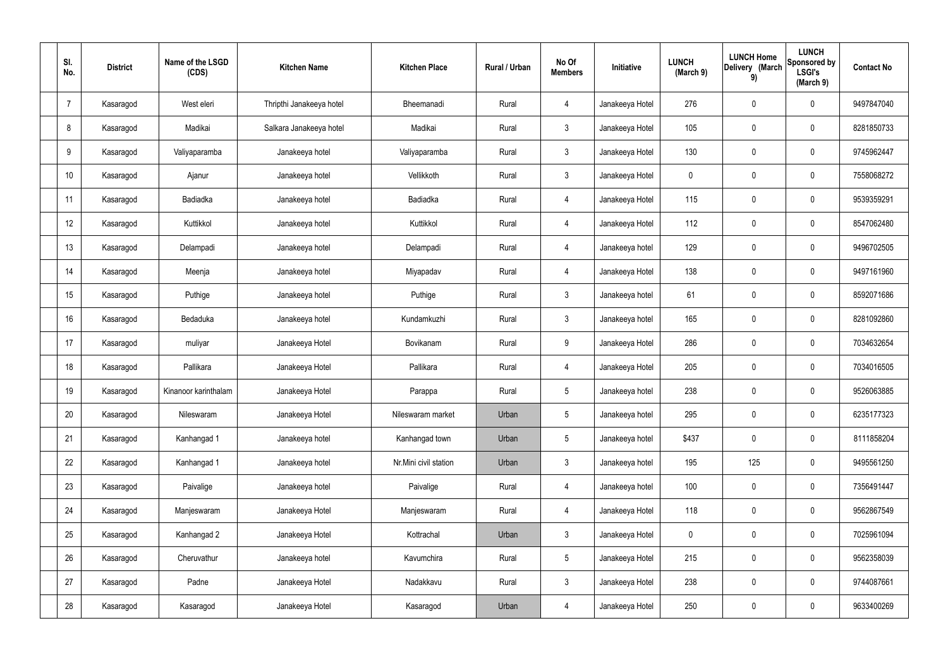| SI.<br>No.      | <b>District</b> | Name of the LSGD<br>(CDS) | <b>Kitchen Name</b>      | <b>Kitchen Place</b>  | <b>Rural / Urban</b> | No Of<br><b>Members</b> | Initiative      | <b>LUNCH</b><br>(March 9) | <b>LUNCH Home</b><br>Delivery (March<br>9) | <b>LUNCH</b><br>Sponsored by<br><b>LSGI's</b><br>(March 9) | <b>Contact No</b> |
|-----------------|-----------------|---------------------------|--------------------------|-----------------------|----------------------|-------------------------|-----------------|---------------------------|--------------------------------------------|------------------------------------------------------------|-------------------|
| $\overline{7}$  | Kasaragod       | West eleri                | Thripthi Janakeeya hotel | Bheemanadi            | Rural                | 4                       | Janakeeya Hotel | 276                       | $\mathbf 0$                                | $\mathbf 0$                                                | 9497847040        |
| 8               | Kasaragod       | Madikai                   | Salkara Janakeeya hotel  | Madikai               | Rural                | $\mathbf{3}$            | Janakeeya Hotel | 105                       | $\mathbf 0$                                | $\mathbf 0$                                                | 8281850733        |
| 9               | Kasaragod       | Valiyaparamba             | Janakeeya hotel          | Valiyaparamba         | Rural                | $\mathbf{3}$            | Janakeeya Hotel | 130                       | $\mathbf 0$                                | $\mathbf 0$                                                | 9745962447        |
| 10 <sup>°</sup> | Kasaragod       | Ajanur                    | Janakeeya hotel          | Vellikkoth            | Rural                | $\mathbf{3}$            | Janakeeya Hotel | $\mathbf 0$               | $\mathbf 0$                                | $\mathbf 0$                                                | 7558068272        |
| 11              | Kasaragod       | Badiadka                  | Janakeeya hotel          | Badiadka              | Rural                | $\overline{4}$          | Janakeeya Hotel | 115                       | $\mathbf 0$                                | $\mathbf 0$                                                | 9539359291        |
| 12              | Kasaragod       | Kuttikkol                 | Janakeeya hotel          | Kuttikkol             | Rural                | $\overline{4}$          | Janakeeya Hotel | 112                       | $\pmb{0}$                                  | $\mathbf 0$                                                | 8547062480        |
| 13              | Kasaragod       | Delampadi                 | Janakeeya hotel          | Delampadi             | Rural                | $\overline{4}$          | Janakeeya hotel | 129                       | $\mathbf 0$                                | $\mathbf 0$                                                | 9496702505        |
| 14              | Kasaragod       | Meenja                    | Janakeeya hotel          | Miyapadav             | Rural                | $\overline{4}$          | Janakeeya Hotel | 138                       | $\mathbf 0$                                | $\mathbf 0$                                                | 9497161960        |
| 15              | Kasaragod       | Puthige                   | Janakeeya hotel          | Puthige               | Rural                | $\mathbf{3}$            | Janakeeya hotel | 61                        | $\pmb{0}$                                  | $\mathbf 0$                                                | 8592071686        |
| 16              | Kasaragod       | Bedaduka                  | Janakeeya hotel          | Kundamkuzhi           | Rural                | $\mathbf{3}$            | Janakeeya hotel | 165                       | $\mathbf 0$                                | $\mathbf 0$                                                | 8281092860        |
| 17              | Kasaragod       | muliyar                   | Janakeeya Hotel          | Bovikanam             | Rural                | 9                       | Janakeeya Hotel | 286                       | $\pmb{0}$                                  | $\mathbf 0$                                                | 7034632654        |
| 18              | Kasaragod       | Pallikara                 | Janakeeya Hotel          | Pallikara             | Rural                | 4                       | Janakeeya Hotel | 205                       | $\pmb{0}$                                  | $\mathbf 0$                                                | 7034016505        |
| 19              | Kasaragod       | Kinanoor karinthalam      | Janakeeya Hotel          | Parappa               | Rural                | 5                       | Janakeeya hotel | 238                       | 0                                          | $\mathbf 0$                                                | 9526063885        |
| 20              | Kasaragod       | Nileswaram                | Janakeeya Hotel          | Nileswaram market     | Urban                | 5                       | Janakeeya hotel | 295                       | $\pmb{0}$                                  | $\mathbf 0$                                                | 6235177323        |
| 21              | Kasaragod       | Kanhangad 1               | Janakeeya hotel          | Kanhangad town        | Urban                | 5                       | Janakeeya hotel | \$437                     | $\pmb{0}$                                  | $\mathbf 0$                                                | 8111858204        |
| 22              | Kasaragod       | Kanhangad 1               | Janakeeya hotel          | Nr.Mini civil station | Urban                | $\mathfrak{Z}$          | Janakeeya hotel | 195                       | 125                                        | $\mathbf 0$                                                | 9495561250        |
| 23              | Kasaragod       | Paivalige                 | Janakeeya hotel          | Paivalige             | Rural                | $\overline{4}$          | Janakeeya hotel | 100                       | $\pmb{0}$                                  | $\mathbf 0$                                                | 7356491447        |
| 24              | Kasaragod       | Manjeswaram               | Janakeeya Hotel          | Manjeswaram           | Rural                | $\overline{4}$          | Janakeeya Hotel | 118                       | $\pmb{0}$                                  | $\mathbf 0$                                                | 9562867549        |
| 25              | Kasaragod       | Kanhangad 2               | Janakeeya Hotel          | Kottrachal            | Urban                | $\mathbf{3}$            | Janakeeya Hotel | $\mathbf 0$               | $\pmb{0}$                                  | $\mathbf 0$                                                | 7025961094        |
| 26              | Kasaragod       | Cheruvathur               | Janakeeya hotel          | Kavumchira            | Rural                | $5\phantom{.0}$         | Janakeeya Hotel | 215                       | $\pmb{0}$                                  | $\mathbf 0$                                                | 9562358039        |
| 27              | Kasaragod       | Padne                     | Janakeeya Hotel          | Nadakkavu             | Rural                | $\mathfrak{Z}$          | Janakeeya Hotel | 238                       | $\pmb{0}$                                  | $\mathbf 0$                                                | 9744087661        |
| 28              | Kasaragod       | Kasaragod                 | Janakeeya Hotel          | Kasaragod             | Urban                | 4                       | Janakeeya Hotel | 250                       | $\pmb{0}$                                  | $\mathbf 0$                                                | 9633400269        |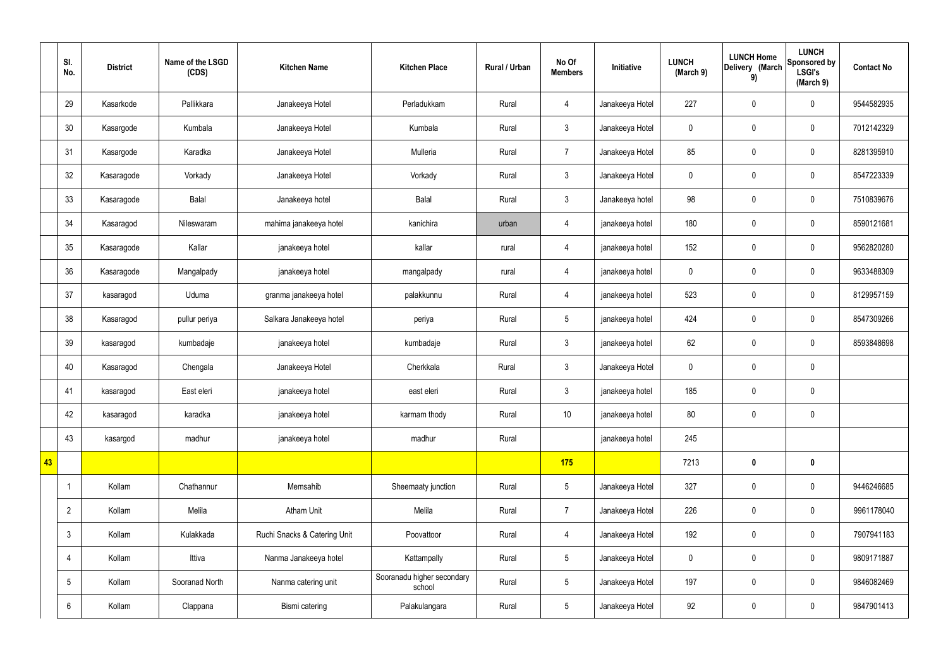|    | SI.<br>No.      | <b>District</b> | Name of the LSGD<br>(CDS) | <b>Kitchen Name</b>          | <b>Kitchen Place</b>                 | Rural / Urban | No Of<br><b>Members</b> | Initiative      | <b>LUNCH</b><br>(March 9) | <b>LUNCH Home</b><br>Delivery (March<br>9) | <b>LUNCH</b><br>Sponsored by<br><b>LSGI's</b><br>(March 9) | <b>Contact No</b> |
|----|-----------------|-----------------|---------------------------|------------------------------|--------------------------------------|---------------|-------------------------|-----------------|---------------------------|--------------------------------------------|------------------------------------------------------------|-------------------|
|    | 29              | Kasarkode       | Pallikkara                | Janakeeya Hotel              | Perladukkam                          | Rural         | $\overline{4}$          | Janakeeya Hotel | 227                       | $\pmb{0}$                                  | $\mathbf 0$                                                | 9544582935        |
|    | 30              | Kasargode       | Kumbala                   | Janakeeya Hotel              | Kumbala                              | Rural         | $\mathbf{3}$            | Janakeeya Hotel | $\mathbf 0$               | $\pmb{0}$                                  | $\mathbf 0$                                                | 7012142329        |
|    | 31              | Kasargode       | Karadka                   | Janakeeya Hotel              | Mulleria                             | Rural         | $\overline{7}$          | Janakeeya Hotel | 85                        | $\pmb{0}$                                  | $\mathbf 0$                                                | 8281395910        |
|    | 32              | Kasaragode      | Vorkady                   | Janakeeya Hotel              | Vorkady                              | Rural         | $\mathbf{3}$            | Janakeeya Hotel | $\mathbf 0$               | $\pmb{0}$                                  | $\mathbf 0$                                                | 8547223339        |
|    | 33              | Kasaragode      | Balal                     | Janakeeya hotel              | Balal                                | Rural         | $\mathbf{3}$            | Janakeeya hotel | 98                        | $\pmb{0}$                                  | $\mathbf 0$                                                | 7510839676        |
|    | 34              | Kasaragod       | Nileswaram                | mahima janakeeya hotel       | kanichira                            | urban         | $\overline{4}$          | janakeeya hotel | 180                       | $\mathbf 0$                                | $\mathbf 0$                                                | 8590121681        |
|    | 35              | Kasaragode      | Kallar                    | janakeeya hotel              | kallar                               | rural         | $\overline{4}$          | janakeeya hotel | 152                       | $\pmb{0}$                                  | $\mathbf 0$                                                | 9562820280        |
|    | 36              | Kasaragode      | Mangalpady                | janakeeya hotel              | mangalpady                           | rural         | $\overline{4}$          | janakeeya hotel | $\mathbf 0$               | $\pmb{0}$                                  | $\mathbf 0$                                                | 9633488309        |
|    | 37              | kasaragod       | Uduma                     | granma janakeeya hotel       | palakkunnu                           | Rural         | $\overline{4}$          | janakeeya hotel | 523                       | $\pmb{0}$                                  | $\mathbf 0$                                                | 8129957159        |
|    | 38              | Kasaragod       | pullur periya             | Salkara Janakeeya hotel      | periya                               | Rural         | $5\overline{)}$         | janakeeya hotel | 424                       | $\mathbf 0$                                | $\mathbf 0$                                                | 8547309266        |
|    | 39              | kasaragod       | kumbadaje                 | janakeeya hotel              | kumbadaje                            | Rural         | $\mathfrak{Z}$          | janakeeya hotel | 62                        | $\mathbf 0$                                | $\mathbf 0$                                                | 8593848698        |
|    | 40              | Kasaragod       | Chengala                  | Janakeeya Hotel              | Cherkkala                            | Rural         | $\mathbf{3}$            | Janakeeya Hotel | $\mathbf 0$               | $\pmb{0}$                                  | $\mathbf 0$                                                |                   |
|    | 41              | kasaragod       | East eleri                | janakeeya hotel              | east eleri                           | Rural         | $\mathfrak{Z}$          | janakeeya hotel | 185                       | $\mathbf 0$                                | $\mathbf 0$                                                |                   |
|    | 42              | kasaragod       | karadka                   | janakeeya hotel              | karmam thody                         | Rural         | $10$                    | janakeeya hotel | 80                        | $\pmb{0}$                                  | $\mathbf 0$                                                |                   |
|    | 43              | kasargod        | madhur                    | janakeeya hotel              | madhur                               | Rural         |                         | janakeeya hotel | 245                       |                                            |                                                            |                   |
| 43 |                 |                 |                           |                              |                                      |               | 175                     |                 | 7213                      | $\pmb{0}$                                  | $\mathbf 0$                                                |                   |
|    | -1              | Kollam          | Chathannur                | Memsahib                     | Sheemaaty junction                   | Rural         | $5\phantom{.0}$         | Janakeeya Hotel | 327                       | $\mathbf 0$                                | $\mathbf 0$                                                | 9446246685        |
|    | $\overline{2}$  | Kollam          | Melila                    | <b>Atham Unit</b>            | Melila                               | Rural         | $\overline{7}$          | Janakeeya Hotel | 226                       | $\pmb{0}$                                  | $\mathbf 0$                                                | 9961178040        |
|    | $\mathbf{3}$    | Kollam          | Kulakkada                 | Ruchi Snacks & Catering Unit | Poovattoor                           | Rural         | $\overline{4}$          | Janakeeya Hotel | 192                       | $\pmb{0}$                                  | $\mathbf 0$                                                | 7907941183        |
|    | 4               | Kollam          | Ittiva                    | Nanma Janakeeya hotel        | Kattampally                          | Rural         | $5\phantom{.0}$         | Janakeeya Hotel | $\pmb{0}$                 | $\pmb{0}$                                  | $\mathbf 0$                                                | 9809171887        |
|    | $5\phantom{.0}$ | Kollam          | Sooranad North            | Nanma catering unit          | Sooranadu higher secondary<br>school | Rural         | $5\phantom{.0}$         | Janakeeya Hotel | 197                       | $\pmb{0}$                                  | $\mathbf 0$                                                | 9846082469        |
|    | 6               | Kollam          | Clappana                  | Bismi catering               | Palakulangara                        | Rural         | $5\phantom{.0}$         | Janakeeya Hotel | 92                        | $\pmb{0}$                                  | $\boldsymbol{0}$                                           | 9847901413        |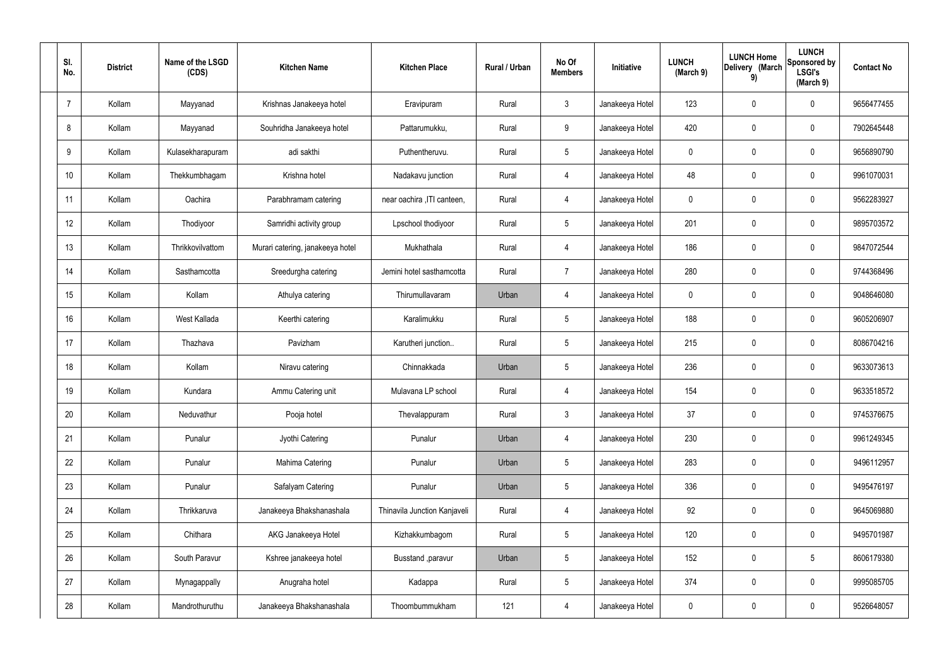| SI.<br>No.     | <b>District</b> | Name of the LSGD<br>(CDS) | <b>Kitchen Name</b>              | <b>Kitchen Place</b>         | Rural / Urban | No Of<br><b>Members</b> | Initiative      | <b>LUNCH</b><br>(March 9) | <b>LUNCH Home</b><br>Delivery (March<br>9) | <b>LUNCH</b><br>Sponsored by<br><b>LSGI's</b><br>(March 9) | <b>Contact No</b> |
|----------------|-----------------|---------------------------|----------------------------------|------------------------------|---------------|-------------------------|-----------------|---------------------------|--------------------------------------------|------------------------------------------------------------|-------------------|
| $\overline{7}$ | Kollam          | Mayyanad                  | Krishnas Janakeeya hotel         | Eravipuram                   | Rural         | $\mathbf{3}$            | Janakeeya Hotel | 123                       | $\mathbf 0$                                | $\mathbf 0$                                                | 9656477455        |
| 8              | Kollam          | Mayyanad                  | Souhridha Janakeeya hotel        | Pattarumukku,                | Rural         | 9                       | Janakeeya Hotel | 420                       | 0                                          | $\mathbf 0$                                                | 7902645448        |
| 9              | Kollam          | Kulasekharapuram          | adi sakthi                       | Puthentheruvu.               | Rural         | $5\overline{)}$         | Janakeeya Hotel | $\mathbf 0$               | 0                                          | $\mathbf 0$                                                | 9656890790        |
| 10             | Kollam          | Thekkumbhagam             | Krishna hotel                    | Nadakavu junction            | Rural         | $\overline{4}$          | Janakeeya Hotel | 48                        | 0                                          | $\mathbf 0$                                                | 9961070031        |
| 11             | Kollam          | Oachira                   | Parabhramam catering             | near oachira , ITI canteen,  | Rural         | 4                       | Janakeeya Hotel | $\mathbf 0$               | 0                                          | $\mathbf 0$                                                | 9562283927        |
| 12             | Kollam          | Thodiyoor                 | Samridhi activity group          | Lpschool thodiyoor           | Rural         | $5\phantom{.0}$         | Janakeeya Hotel | 201                       | 0                                          | $\mathbf 0$                                                | 9895703572        |
| 13             | Kollam          | Thrikkovilvattom          | Murari catering, janakeeya hotel | Mukhathala                   | Rural         | $\overline{4}$          | Janakeeya Hotel | 186                       | 0                                          | $\mathbf 0$                                                | 9847072544        |
| 14             | Kollam          | Sasthamcotta              | Sreedurgha catering              | Jemini hotel sasthamcotta    | Rural         | $\overline{7}$          | Janakeeya Hotel | 280                       | 0                                          | $\mathbf 0$                                                | 9744368496        |
| 15             | Kollam          | Kollam                    | Athulya catering                 | Thirumullavaram              | Urban         | 4                       | Janakeeya Hotel | $\mathbf 0$               | $\boldsymbol{0}$                           | $\mathbf 0$                                                | 9048646080        |
| 16             | Kollam          | West Kallada              | Keerthi catering                 | Karalimukku                  | Rural         | $5\phantom{.0}$         | Janakeeya Hotel | 188                       | 0                                          | $\mathbf 0$                                                | 9605206907        |
| 17             | Kollam          | Thazhava                  | Pavizham                         | Karutheri junction           | Rural         | $5\phantom{.0}$         | Janakeeya Hotel | 215                       | 0                                          | $\mathbf 0$                                                | 8086704216        |
| 18             | Kollam          | Kollam                    | Niravu catering                  | Chinnakkada                  | Urban         | $5\phantom{.0}$         | Janakeeya Hotel | 236                       | $\mathbf 0$                                | $\mathbf 0$                                                | 9633073613        |
| 19             | Kollam          | Kundara                   | Ammu Catering unit               | Mulavana LP school           | Rural         | $\overline{4}$          | Janakeeya Hotel | 154                       | 0                                          | $\mathbf 0$                                                | 9633518572        |
| 20             | Kollam          | Neduvathur                | Pooja hotel                      | Thevalappuram                | Rural         | $\mathfrak{Z}$          | Janakeeya Hotel | 37                        | 0                                          | $\mathbf 0$                                                | 9745376675        |
| 21             | Kollam          | Punalur                   | Jyothi Catering                  | Punalur                      | Urban         | $\overline{4}$          | Janakeeya Hotel | 230                       | 0                                          | $\mathbf 0$                                                | 9961249345        |
| 22             | Kollam          | Punalur                   | Mahima Catering                  | Punalur                      | Urban         | $5\phantom{.0}$         | Janakeeya Hotel | 283                       | 0                                          | $\mathbf 0$                                                | 9496112957        |
| 23             | Kollam          | Punalur                   | Safalyam Catering                | Punalur                      | Urban         | $5\phantom{.0}$         | Janakeeya Hotel | 336                       | 0                                          | $\mathbf 0$                                                | 9495476197        |
| 24             | Kollam          | Thrikkaruva               | Janakeeya Bhakshanashala         | Thinavila Junction Kanjaveli | Rural         | $\overline{4}$          | Janakeeya Hotel | 92                        | 0                                          | $\mathbf 0$                                                | 9645069880        |
| 25             | Kollam          | Chithara                  | AKG Janakeeya Hotel              | Kizhakkumbagom               | Rural         | $5\phantom{.0}$         | Janakeeya Hotel | 120                       | 0                                          | $\mathbf 0$                                                | 9495701987        |
| 26             | Kollam          | South Paravur             | Kshree janakeeya hotel           | Busstand , paravur           | Urban         | $5\phantom{.0}$         | Janakeeya Hotel | 152                       | 0                                          | $5\phantom{.0}$                                            | 8606179380        |
| 27             | Kollam          | Mynagappally              | Anugraha hotel                   | Kadappa                      | Rural         | $5\phantom{.0}$         | Janakeeya Hotel | 374                       | 0                                          | $\mathbf 0$                                                | 9995085705        |
| 28             | Kollam          | Mandrothuruthu            | Janakeeya Bhakshanashala         | Thoombummukham               | 121           | 4                       | Janakeeya Hotel | 0                         | 0                                          | $\mathbf 0$                                                | 9526648057        |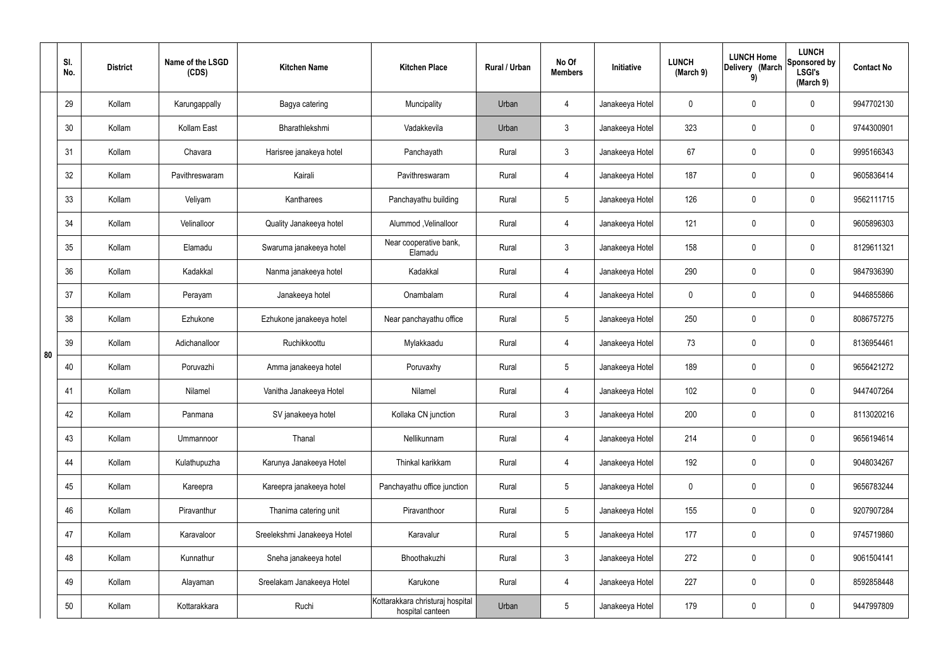|    | SI.<br>No. | <b>District</b> | Name of the LSGD<br>(CDS) | <b>Kitchen Name</b>         | <b>Kitchen Place</b>                                 | Rural / Urban | No Of<br><b>Members</b> | Initiative      | <b>LUNCH</b><br>(March 9) | <b>LUNCH Home</b><br>Delivery (March<br>9) | <b>LUNCH</b><br>Sponsored by<br><b>LSGI's</b><br>(March 9) | <b>Contact No</b> |
|----|------------|-----------------|---------------------------|-----------------------------|------------------------------------------------------|---------------|-------------------------|-----------------|---------------------------|--------------------------------------------|------------------------------------------------------------|-------------------|
|    | 29         | Kollam          | Karungappally             | Bagya catering              | Muncipality                                          | Urban         | $\overline{4}$          | Janakeeya Hotel | $\mathbf 0$               | 0                                          | $\mathbf 0$                                                | 9947702130        |
|    | 30         | Kollam          | Kollam East               | Bharathlekshmi              | Vadakkevila                                          | Urban         | $\mathbf{3}$            | Janakeeya Hotel | 323                       | 0                                          | $\mathbf 0$                                                | 9744300901        |
|    | 31         | Kollam          | Chavara                   | Harisree janakeya hotel     | Panchayath                                           | Rural         | $\mathbf{3}$            | Janakeeya Hotel | 67                        | $\mathbf 0$                                | $\mathbf 0$                                                | 9995166343        |
|    | 32         | Kollam          | Pavithreswaram            | Kairali                     | Pavithreswaram                                       | Rural         | $\overline{4}$          | Janakeeya Hotel | 187                       | 0                                          | $\mathbf 0$                                                | 9605836414        |
|    | 33         | Kollam          | Veliyam                   | Kantharees                  | Panchayathu building                                 | Rural         | $5\phantom{.0}$         | Janakeeya Hotel | 126                       | $\mathbf 0$                                | $\mathbf 0$                                                | 9562111715        |
|    | 34         | Kollam          | Velinalloor               | Quality Janakeeya hotel     | Alummod, Velinalloor                                 | Rural         | $\overline{4}$          | Janakeeya Hotel | 121                       | 0                                          | $\mathbf 0$                                                | 9605896303        |
|    | 35         | Kollam          | Elamadu                   | Swaruma janakeeya hotel     | Near cooperative bank,<br>Elamadu                    | Rural         | $\mathbf{3}$            | Janakeeya Hotel | 158                       | $\mathbf 0$                                | $\mathbf 0$                                                | 8129611321        |
|    | 36         | Kollam          | Kadakkal                  | Nanma janakeeya hotel       | Kadakkal                                             | Rural         | $\overline{4}$          | Janakeeya Hotel | 290                       | 0                                          | $\mathbf 0$                                                | 9847936390        |
|    | 37         | Kollam          | Perayam                   | Janakeeya hotel             | Onambalam                                            | Rural         | $\overline{4}$          | Janakeeya Hotel | $\mathbf 0$               | 0                                          | $\mathbf 0$                                                | 9446855866        |
|    | 38         | Kollam          | Ezhukone                  | Ezhukone janakeeya hotel    | Near panchayathu office                              | Rural         | $5\phantom{.0}$         | Janakeeya Hotel | 250                       | $\boldsymbol{0}$                           | $\mathbf 0$                                                | 8086757275        |
| 80 | 39         | Kollam          | Adichanalloor             | Ruchikkoottu                | Mylakkaadu                                           | Rural         | 4                       | Janakeeya Hotel | 73                        | 0                                          | $\mathbf 0$                                                | 8136954461        |
|    | 40         | Kollam          | Poruvazhi                 | Amma janakeeya hotel        | Poruvaxhy                                            | Rural         | $5\phantom{.0}$         | Janakeeya Hotel | 189                       | 0                                          | $\mathbf 0$                                                | 9656421272        |
|    | 41         | Kollam          | Nilamel                   | Vanitha Janakeeya Hotel     | Nilamel                                              | Rural         | 4                       | Janakeeya Hotel | 102                       | 0                                          | $\mathbf 0$                                                | 9447407264        |
|    | 42         | Kollam          | Panmana                   | SV janakeeya hotel          | Kollaka CN junction                                  | Rural         | $\mathbf{3}$            | Janakeeya Hotel | 200                       | $\mathbf 0$                                | $\mathbf 0$                                                | 8113020216        |
|    | 43         | Kollam          | Ummannoor                 | Thanal                      | Nellikunnam                                          | Rural         | $\overline{4}$          | Janakeeya Hotel | 214                       | $\mathbf 0$                                | $\mathbf 0$                                                | 9656194614        |
|    | 44         | Kollam          | Kulathupuzha              | Karunya Janakeeya Hotel     | Thinkal karikkam                                     | Rural         | $\overline{4}$          | Janakeeya Hotel | 192                       | 0                                          | $\mathbf 0$                                                | 9048034267        |
|    | 45         | Kollam          | Kareepra                  | Kareepra janakeeya hotel    | Panchayathu office junction                          | Rural         | $5\phantom{.0}$         | Janakeeya Hotel | $\mathbf 0$               | 0                                          | $\mathbf 0$                                                | 9656783244        |
|    | 46         | Kollam          | Piravanthur               | Thanima catering unit       | Piravanthoor                                         | Rural         | $5\phantom{.0}$         | Janakeeya Hotel | 155                       | 0                                          | $\mathbf 0$                                                | 9207907284        |
|    | 47         | Kollam          | Karavaloor                | Sreelekshmi Janakeeya Hotel | Karavalur                                            | Rural         | $5\phantom{.0}$         | Janakeeya Hotel | 177                       | 0                                          | $\mathbf 0$                                                | 9745719860        |
|    | 48         | Kollam          | Kunnathur                 | Sneha janakeeya hotel       | Bhoothakuzhi                                         | Rural         | $\mathfrak{Z}$          | Janakeeya Hotel | 272                       | 0                                          | $\mathbf 0$                                                | 9061504141        |
|    | 49         | Kollam          | Alayaman                  | Sreelakam Janakeeya Hotel   | Karukone                                             | Rural         | $\overline{4}$          | Janakeeya Hotel | 227                       | 0                                          | $\mathbf 0$                                                | 8592858448        |
|    | 50         | Kollam          | Kottarakkara              | Ruchi                       | Kottarakkara christuraj hospital<br>hospital canteen | Urban         | $5\phantom{.0}$         | Janakeeya Hotel | 179                       | 0                                          | $\mathbf 0$                                                | 9447997809        |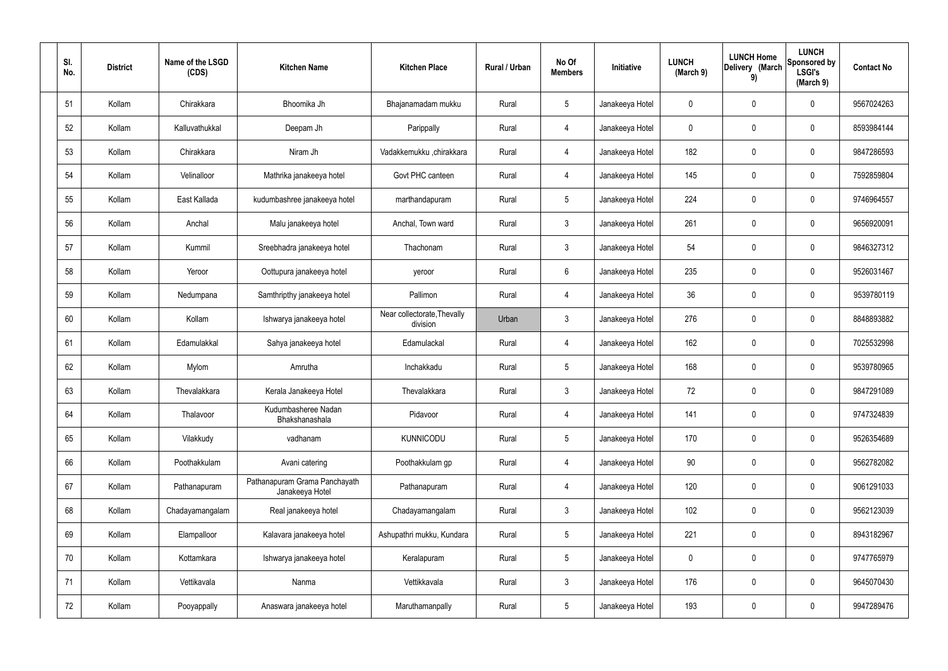| SI.<br>No. | <b>District</b> | Name of the LSGD<br>(CDS) | <b>Kitchen Name</b>                              | <b>Kitchen Place</b>                    | Rural / Urban | No Of<br><b>Members</b> | Initiative      | <b>LUNCH</b><br>(March 9) | <b>LUNCH Home</b><br>Delivery (March<br>9) | <b>LUNCH</b><br>Sponsored by<br><b>LSGI's</b><br>(March 9) | <b>Contact No</b> |
|------------|-----------------|---------------------------|--------------------------------------------------|-----------------------------------------|---------------|-------------------------|-----------------|---------------------------|--------------------------------------------|------------------------------------------------------------|-------------------|
| 51         | Kollam          | Chirakkara                | Bhoomika Jh                                      | Bhajanamadam mukku                      | Rural         | $5\phantom{.0}$         | Janakeeya Hotel | 0                         | $\mathbf 0$                                | $\mathbf 0$                                                | 9567024263        |
| 52         | Kollam          | Kalluvathukkal            | Deepam Jh                                        | Parippally                              | Rural         | 4                       | Janakeeya Hotel | 0                         | $\mathbf 0$                                | $\mathbf 0$                                                | 8593984144        |
| 53         | Kollam          | Chirakkara                | Niram Jh                                         | Vadakkemukku ,chirakkara                | Rural         | 4                       | Janakeeya Hotel | 182                       | $\mathbf 0$                                | $\mathbf 0$                                                | 9847286593        |
| 54         | Kollam          | Velinalloor               | Mathrika janakeeya hotel                         | Govt PHC canteen                        | Rural         | 4                       | Janakeeya Hotel | 145                       | $\mathbf 0$                                | $\mathbf 0$                                                | 7592859804        |
| 55         | Kollam          | East Kallada              | kudumbashree janakeeya hotel                     | marthandapuram                          | Rural         | $5\overline{)}$         | Janakeeya Hotel | 224                       | $\mathbf 0$                                | $\mathbf 0$                                                | 9746964557        |
| 56         | Kollam          | Anchal                    | Malu janakeeya hotel                             | Anchal, Town ward                       | Rural         | $\mathbf{3}$            | Janakeeya Hotel | 261                       | $\mathbf 0$                                | $\mathbf 0$                                                | 9656920091        |
| 57         | Kollam          | Kummil                    | Sreebhadra janakeeya hotel                       | Thachonam                               | Rural         | $\mathbf{3}$            | Janakeeya Hotel | 54                        | $\mathbf 0$                                | $\mathbf 0$                                                | 9846327312        |
| 58         | Kollam          | Yeroor                    | Oottupura janakeeya hotel                        | yeroor                                  | Rural         | $6\overline{6}$         | Janakeeya Hotel | 235                       | $\mathbf 0$                                | $\mathbf 0$                                                | 9526031467        |
| 59         | Kollam          | Nedumpana                 | Samthripthy janakeeya hotel                      | Pallimon                                | Rural         | $\overline{4}$          | Janakeeya Hotel | 36                        | $\mathbf 0$                                | $\mathbf 0$                                                | 9539780119        |
| 60         | Kollam          | Kollam                    | Ishwarya janakeeya hotel                         | Near collectorate, Thevally<br>division | Urban         | $\mathbf{3}$            | Janakeeya Hotel | 276                       | $\mathbf 0$                                | $\mathbf 0$                                                | 8848893882        |
| 61         | Kollam          | Edamulakkal               | Sahya janakeeya hotel                            | Edamulackal                             | Rural         | 4                       | Janakeeya Hotel | 162                       | 0                                          | $\mathbf 0$                                                | 7025532998        |
| 62         | Kollam          | Mylom                     | Amrutha                                          | Inchakkadu                              | Rural         | $5\phantom{.0}$         | Janakeeya Hotel | 168                       | $\mathbf 0$                                | $\mathbf 0$                                                | 9539780965        |
| 63         | Kollam          | Thevalakkara              | Kerala Janakeeya Hotel                           | Thevalakkara                            | Rural         | $\mathbf{3}$            | Janakeeya Hotel | 72                        | 0                                          | $\mathbf 0$                                                | 9847291089        |
| 64         | Kollam          | Thalavoor                 | Kudumbasheree Nadan<br>Bhakshanashala            | Pidavoor                                | Rural         | $\overline{4}$          | Janakeeya Hotel | 141                       | $\mathbf 0$                                | $\mathbf 0$                                                | 9747324839        |
| 65         | Kollam          | Vilakkudy                 | vadhanam                                         | <b>KUNNICODU</b>                        | Rural         | $5\phantom{.0}$         | Janakeeya Hotel | 170                       | $\mathbf 0$                                | $\mathbf 0$                                                | 9526354689        |
| 66         | Kollam          | Poothakkulam              | Avani catering                                   | Poothakkulam gp                         | Rural         | $\overline{4}$          | Janakeeya Hotel | 90 <sup>°</sup>           | $\mathbf 0$                                | $\mathbf 0$                                                | 9562782082        |
| 67         | Kollam          | Pathanapuram              | Pathanapuram Grama Panchayath<br>Janakeeya Hotel | Pathanapuram                            | Rural         | $\overline{4}$          | Janakeeya Hotel | 120                       | 0                                          | $\mathbf 0$                                                | 9061291033        |
| 68         | Kollam          | Chadayamangalam           | Real janakeeya hotel                             | Chadayamangalam                         | Rural         | $\mathbf{3}$            | Janakeeya Hotel | 102                       | 0                                          | $\mathbf 0$                                                | 9562123039        |
| 69         | Kollam          | Elampalloor               | Kalavara janakeeya hotel                         | Ashupathri mukku, Kundara               | Rural         | $5\phantom{.0}$         | Janakeeya Hotel | 221                       | 0                                          | $\mathbf 0$                                                | 8943182967        |
| 70         | Kollam          | Kottamkara                | Ishwarya janakeeya hotel                         | Keralapuram                             | Rural         | $5\overline{)}$         | Janakeeya Hotel | 0                         | 0                                          | $\mathbf 0$                                                | 9747765979        |
| 71         | Kollam          | Vettikavala               | Nanma                                            | Vettikkavala                            | Rural         | $\mathbf{3}$            | Janakeeya Hotel | 176                       | 0                                          | $\mathbf 0$                                                | 9645070430        |
| 72         | Kollam          | Pooyappally               | Anaswara janakeeya hotel                         | Maruthamanpally                         | Rural         | $5\phantom{.0}$         | Janakeeya Hotel | 193                       | 0                                          | $\overline{0}$                                             | 9947289476        |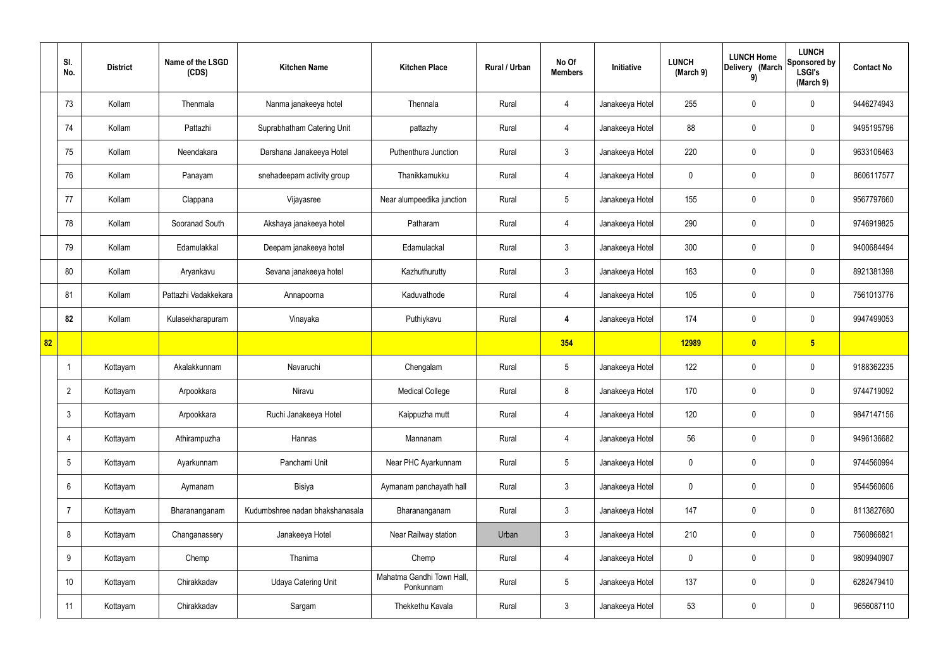|    | SI.<br>No.      | <b>District</b> | Name of the LSGD<br>(CDS) | <b>Kitchen Name</b>             | <b>Kitchen Place</b>                   | Rural / Urban | No Of<br><b>Members</b> | Initiative      | <b>LUNCH</b><br>(March 9) | <b>LUNCH Home</b><br>Delivery (March<br>9) | <b>LUNCH</b><br>Sponsored by<br><b>LSGI's</b><br>(March 9) | <b>Contact No</b> |
|----|-----------------|-----------------|---------------------------|---------------------------------|----------------------------------------|---------------|-------------------------|-----------------|---------------------------|--------------------------------------------|------------------------------------------------------------|-------------------|
|    | 73              | Kollam          | Thenmala                  | Nanma janakeeya hotel           | Thennala                               | Rural         | 4                       | Janakeeya Hotel | 255                       | $\mathbf 0$                                | $\mathbf 0$                                                | 9446274943        |
|    | 74              | Kollam          | Pattazhi                  | Suprabhatham Catering Unit      | pattazhy                               | Rural         | $\overline{4}$          | Janakeeya Hotel | 88                        | $\mathbf 0$                                | $\mathbf 0$                                                | 9495195796        |
|    | 75              | Kollam          | Neendakara                | Darshana Janakeeya Hotel        | Puthenthura Junction                   | Rural         | $\mathbf{3}$            | Janakeeya Hotel | 220                       | $\mathbf 0$                                | $\mathbf 0$                                                | 9633106463        |
|    | 76              | Kollam          | Panayam                   | snehadeepam activity group      | Thanikkamukku                          | Rural         | $\overline{4}$          | Janakeeya Hotel | $\mathbf 0$               | $\mathbf 0$                                | $\mathbf 0$                                                | 8606117577        |
|    | 77              | Kollam          | Clappana                  | Vijayasree                      | Near alumpeedika junction              | Rural         | $5\overline{)}$         | Janakeeya Hotel | 155                       | $\mathbf 0$                                | $\mathbf 0$                                                | 9567797660        |
|    | 78              | Kollam          | Sooranad South            | Akshaya janakeeya hotel         | Patharam                               | Rural         | $\overline{4}$          | Janakeeya Hotel | 290                       | $\mathbf 0$                                | $\mathbf 0$                                                | 9746919825        |
|    | 79              | Kollam          | Edamulakkal               | Deepam janakeeya hotel          | Edamulackal                            | Rural         | 3                       | Janakeeya Hotel | 300                       | $\mathbf 0$                                | $\mathbf 0$                                                | 9400684494        |
|    | 80              | Kollam          | Aryankavu                 | Sevana janakeeya hotel          | Kazhuthurutty                          | Rural         | $\mathbf{3}$            | Janakeeya Hotel | 163                       | $\mathbf 0$                                | $\mathbf 0$                                                | 8921381398        |
|    | 81              | Kollam          | Pattazhi Vadakkekara      | Annapoorna                      | Kaduvathode                            | Rural         | 4                       | Janakeeya Hotel | 105                       | $\mathbf 0$                                | $\mathbf 0$                                                | 7561013776        |
|    | 82              | Kollam          | Kulasekharapuram          | Vinayaka                        | Puthiykavu                             | Rural         | $\overline{4}$          | Janakeeya Hotel | 174                       | $\mathbf 0$                                | $\mathbf 0$                                                | 9947499053        |
| 82 |                 |                 |                           |                                 |                                        |               | 354                     |                 | <b>12989</b>              | $\boldsymbol{0}$                           | $5\overline{)}$                                            |                   |
|    | -1              | Kottayam        | Akalakkunnam              | Navaruchi                       | Chengalam                              | Rural         | $5\phantom{.0}$         | Janakeeya Hotel | 122                       | $\mathbf 0$                                | $\mathbf 0$                                                | 9188362235        |
|    | $\overline{2}$  | Kottayam        | Arpookkara                | Niravu                          | <b>Medical College</b>                 | Rural         | 8                       | Janakeeya Hotel | 170                       | $\mathbf 0$                                | $\mathbf 0$                                                | 9744719092        |
|    | $\mathbf{3}$    | Kottayam        | Arpookkara                | Ruchi Janakeeya Hotel           | Kaippuzha mutt                         | Rural         | $\overline{4}$          | Janakeeya Hotel | 120                       | $\pmb{0}$                                  | $\mathbf 0$                                                | 9847147156        |
|    | $\overline{4}$  | Kottayam        | Athirampuzha              | Hannas                          | Mannanam                               | Rural         | $\overline{4}$          | Janakeeya Hotel | 56                        | $\pmb{0}$                                  | $\mathbf 0$                                                | 9496136682        |
|    | $5\overline{)}$ | Kottayam        | Ayarkunnam                | Panchami Unit                   | Near PHC Ayarkunnam                    | Rural         | $5\overline{)}$         | Janakeeya Hotel | $\mathbf 0$               | $\mathbf 0$                                | $\mathbf 0$                                                | 9744560994        |
|    | 6               | Kottayam        | Aymanam                   | Bisiya                          | Aymanam panchayath hall                | Rural         | $\mathbf{3}$            | Janakeeya Hotel | $\mathbf 0$               | 0                                          | $\mathbf 0$                                                | 9544560606        |
|    | $\overline{7}$  | Kottayam        | Bharananganam             | Kudumbshree nadan bhakshanasala | Bharananganam                          | Rural         | $3\phantom{a}$          | Janakeeya Hotel | 147                       | 0                                          | $\mathbf 0$                                                | 8113827680        |
|    | 8               | Kottayam        | Changanassery             | Janakeeya Hotel                 | Near Railway station                   | Urban         | $\mathbf{3}$            | Janakeeya Hotel | 210                       | $\pmb{0}$                                  | $\mathbf 0$                                                | 7560866821        |
|    | 9               | Kottayam        | Chemp                     | Thanima                         | Chemp                                  | Rural         | $\overline{4}$          | Janakeeya Hotel | $\mathbf 0$               | 0                                          | $\mathbf 0$                                                | 9809940907        |
|    | 10              | Kottayam        | Chirakkadav               | <b>Udaya Catering Unit</b>      | Mahatma Gandhi Town Hall,<br>Ponkunnam | Rural         | $5\phantom{.0}$         | Janakeeya Hotel | 137                       | 0                                          | $\mathbf 0$                                                | 6282479410        |
|    | 11              | Kottayam        | Chirakkadav               | Sargam                          | Thekkethu Kavala                       | Rural         | $\mathbf{3}$            | Janakeeya Hotel | 53                        | 0                                          | $\boldsymbol{0}$                                           | 9656087110        |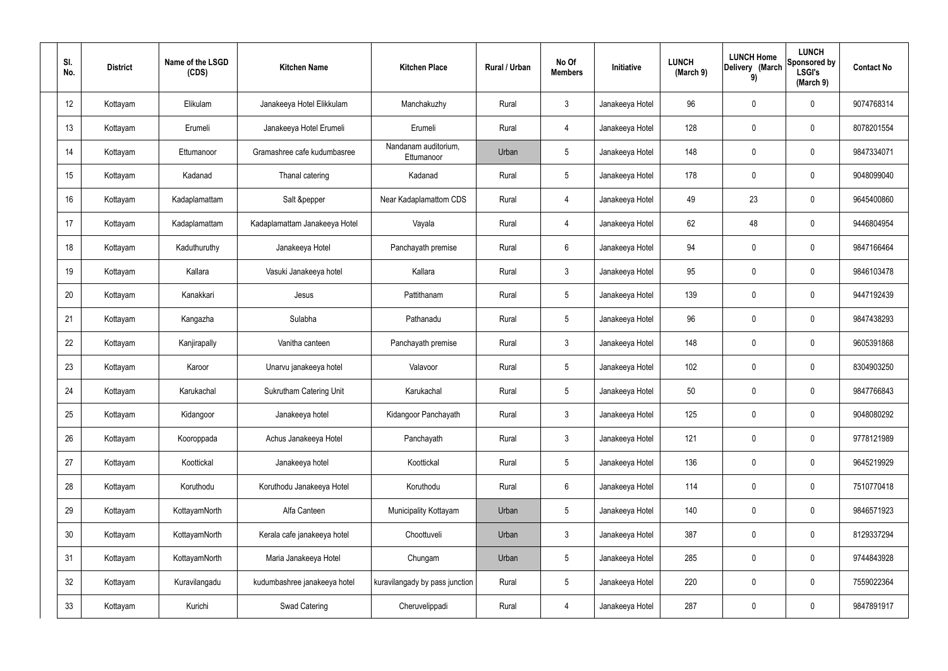| SI.<br>No.      | <b>District</b> | Name of the LSGD<br>(CDS) | <b>Kitchen Name</b>            | <b>Kitchen Place</b>               | Rural / Urban | No Of<br><b>Members</b> | Initiative      | <b>LUNCH</b><br>(March 9) | <b>LUNCH Home</b><br>Delivery (March<br>9) | <b>LUNCH</b><br><b>Sponsored by</b><br><b>LSGI's</b><br>(March 9) | <b>Contact No</b> |
|-----------------|-----------------|---------------------------|--------------------------------|------------------------------------|---------------|-------------------------|-----------------|---------------------------|--------------------------------------------|-------------------------------------------------------------------|-------------------|
| 12              | Kottayam        | Elikulam                  | Janakeeya Hotel Elikkulam      | Manchakuzhy                        | Rural         | $\mathbf{3}$            | Janakeeya Hotel | 96                        | $\mathbf 0$                                | 0                                                                 | 9074768314        |
| 13              | Kottayam        | Erumeli                   | Janakeeya Hotel Erumeli        | Erumeli                            | Rural         | $\overline{4}$          | Janakeeya Hotel | 128                       | $\mathbf 0$                                | 0                                                                 | 8078201554        |
| 14              | Kottayam        | Ettumanoor                | Gramashree cafe kudumbasree    | Nandanam auditorium,<br>Ettumanoor | Urban         | 5                       | Janakeeya Hotel | 148                       | $\mathbf 0$                                | 0                                                                 | 9847334071        |
| 15              | Kottayam        | Kadanad                   | Thanal catering                | Kadanad                            | Rural         | $5\phantom{.0}$         | Janakeeya Hotel | 178                       | $\mathbf 0$                                | 0                                                                 | 9048099040        |
| 16              | Kottayam        | Kadaplamattam             | Salt &pepper                   | Near Kadaplamattom CDS             | Rural         | 4                       | Janakeeya Hotel | 49                        | 23                                         | 0                                                                 | 9645400860        |
| 17              | Kottayam        | Kadaplamattam             | Kadaplamattam Janakeeya Hotel  | Vayala                             | Rural         | 4                       | Janakeeya Hotel | 62                        | 48                                         | 0                                                                 | 9446804954        |
| 18              | Kottayam        | Kaduthuruthy              | Janakeeya Hotel                | Panchayath premise                 | Rural         | $6\overline{6}$         | Janakeeya Hotel | 94                        | $\mathbf 0$                                | 0                                                                 | 9847166464        |
| 19              | Kottayam        | Kallara                   | Vasuki Janakeeya hotel         | Kallara                            | Rural         | $\mathbf{3}$            | Janakeeya Hotel | 95                        | $\mathbf 0$                                | 0                                                                 | 9846103478        |
| 20              | Kottayam        | Kanakkari                 | Jesus                          | Pattithanam                        | Rural         | $5\phantom{.0}$         | Janakeeya Hotel | 139                       | $\mathbf 0$                                | 0                                                                 | 9447192439        |
| 21              | Kottayam        | Kangazha                  | Sulabha                        | Pathanadu                          | Rural         | $5\phantom{.0}$         | Janakeeya Hotel | 96                        | $\mathbf 0$                                | 0                                                                 | 9847438293        |
| 22              | Kottayam        | Kanjirapally              | Vanitha canteen                | Panchayath premise                 | Rural         | $\mathbf{3}$            | Janakeeya Hotel | 148                       | $\mathbf 0$                                | 0                                                                 | 9605391868        |
| 23              | Kottayam        | Karoor                    | Unarvu janakeeya hotel         | Valavoor                           | Rural         | $5\phantom{.0}$         | Janakeeya Hotel | 102                       | $\mathbf 0$                                | 0                                                                 | 8304903250        |
| 24              | Kottayam        | Karukachal                | <b>Sukrutham Catering Unit</b> | Karukachal                         | Rural         | $5\phantom{.0}$         | Janakeeya Hotel | 50                        | $\mathbf 0$                                | 0                                                                 | 9847766843        |
| 25              | Kottayam        | Kidangoor                 | Janakeeya hotel                | Kidangoor Panchayath               | Rural         | $\mathbf{3}$            | Janakeeya Hotel | 125                       | $\pmb{0}$                                  | 0                                                                 | 9048080292        |
| 26              | Kottayam        | Kooroppada                | Achus Janakeeya Hotel          | Panchayath                         | Rural         | $\mathbf{3}$            | Janakeeya Hotel | 121                       | $\pmb{0}$                                  | 0                                                                 | 9778121989        |
| 27              | Kottayam        | Koottickal                | Janakeeya hotel                | Koottickal                         | Rural         | $5\phantom{.0}$         | Janakeeya Hotel | 136                       | $\mathbf 0$                                | 0                                                                 | 9645219929        |
| 28              | Kottayam        | Koruthodu                 | Koruthodu Janakeeya Hotel      | Koruthodu                          | Rural         | $6\phantom{.}6$         | Janakeeya Hotel | 114                       | $\pmb{0}$                                  | 0                                                                 | 7510770418        |
| 29              | Kottayam        | KottayamNorth             | Alfa Canteen                   | Municipality Kottayam              | Urban         | $5\phantom{.0}$         | Janakeeya Hotel | 140                       | $\mathbf 0$                                | 0                                                                 | 9846571923        |
| 30 <sub>2</sub> | Kottayam        | KottayamNorth             | Kerala cafe janakeeya hotel    | Choottuveli                        | Urban         | $\mathbf{3}$            | Janakeeya Hotel | 387                       | $\pmb{0}$                                  | 0                                                                 | 8129337294        |
| 31              | Kottayam        | KottayamNorth             | Maria Janakeeya Hotel          | Chungam                            | Urban         | $5\phantom{.0}$         | Janakeeya Hotel | 285                       | $\mathbf 0$                                | 0                                                                 | 9744843928        |
| 32              | Kottayam        | Kuravilangadu             | kudumbashree janakeeya hotel   | kuravilangady by pass junction     | Rural         | $5\phantom{.0}$         | Janakeeya Hotel | 220                       | $\mathbf 0$                                | 0                                                                 | 7559022364        |
| 33              | Kottayam        | Kurichi                   | Swad Catering                  | Cheruvelippadi                     | Rural         | $\overline{4}$          | Janakeeya Hotel | 287                       | $\pmb{0}$                                  | 0                                                                 | 9847891917        |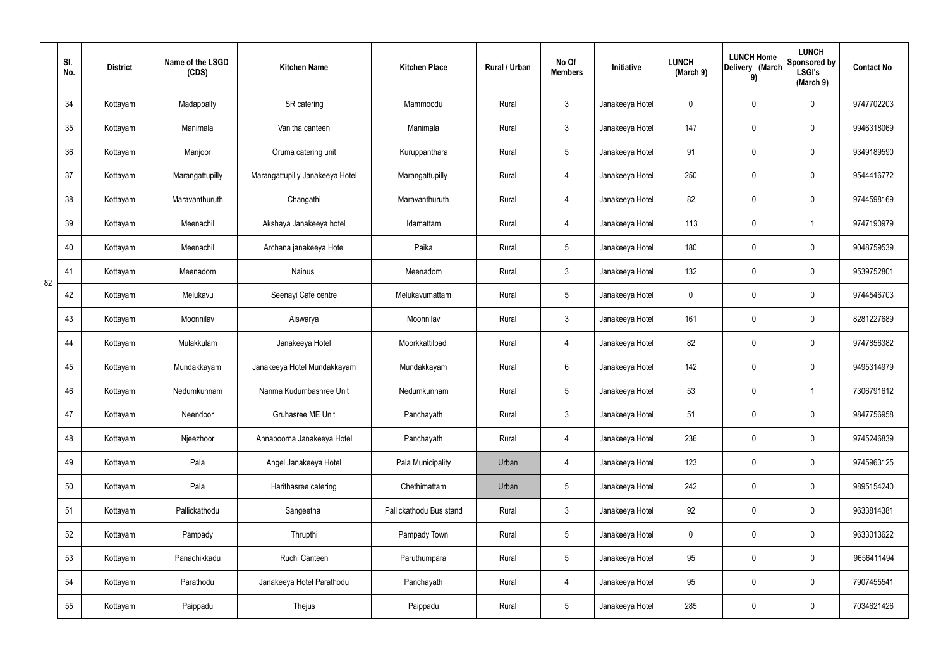|    | SI.<br>No. | <b>District</b> | Name of the LSGD<br>(CDS) | <b>Kitchen Name</b>             | <b>Kitchen Place</b>    | Rural / Urban | No Of<br><b>Members</b> | Initiative      | <b>LUNCH</b><br>(March 9) | <b>LUNCH Home</b><br>Delivery (March<br>9) | <b>LUNCH</b><br>Sponsored by<br><b>LSGI's</b><br>(March 9) | <b>Contact No</b> |
|----|------------|-----------------|---------------------------|---------------------------------|-------------------------|---------------|-------------------------|-----------------|---------------------------|--------------------------------------------|------------------------------------------------------------|-------------------|
|    | 34         | Kottayam        | Madappally                | SR catering                     | Mammoodu                | Rural         | $\mathbf{3}$            | Janakeeya Hotel | 0                         | 0                                          | $\mathbf 0$                                                | 9747702203        |
|    | 35         | Kottayam        | Manimala                  | Vanitha canteen                 | Manimala                | Rural         | $\mathbf{3}$            | Janakeeya Hotel | 147                       | 0                                          | $\mathbf 0$                                                | 9946318069        |
|    | 36         | Kottayam        | Manjoor                   | Oruma catering unit             | Kuruppanthara           | Rural         | $5\phantom{.0}$         | Janakeeya Hotel | 91                        | 0                                          | $\mathbf 0$                                                | 9349189590        |
|    | 37         | Kottayam        | Marangattupilly           | Marangattupilly Janakeeya Hotel | Marangattupilly         | Rural         | $\overline{4}$          | Janakeeya Hotel | 250                       | 0                                          | $\mathbf 0$                                                | 9544416772        |
|    | 38         | Kottayam        | Maravanthuruth            | Changathi                       | Maravanthuruth          | Rural         | 4                       | Janakeeya Hotel | 82                        | 0                                          | $\mathbf 0$                                                | 9744598169        |
|    | 39         | Kottayam        | Meenachil                 | Akshaya Janakeeya hotel         | Idamattam               | Rural         | $\overline{4}$          | Janakeeya Hotel | 113                       | 0                                          | -1                                                         | 9747190979        |
|    | 40         | Kottayam        | Meenachil                 | Archana janakeeya Hotel         | Paika                   | Rural         | $5\phantom{.0}$         | Janakeeya Hotel | 180                       | $\boldsymbol{0}$                           | $\mathbf 0$                                                | 9048759539        |
| 82 | 41         | Kottayam        | Meenadom                  | Nainus                          | Meenadom                | Rural         | $\mathfrak{Z}$          | Janakeeya Hotel | 132                       | $\boldsymbol{0}$                           | $\mathbf 0$                                                | 9539752801        |
|    | 42         | Kottayam        | Melukavu                  | Seenayi Cafe centre             | Melukavumattam          | Rural         | $5\phantom{.0}$         | Janakeeya Hotel | $\mathbf 0$               | $\boldsymbol{0}$                           | $\mathbf 0$                                                | 9744546703        |
|    | 43         | Kottayam        | Moonnilav                 | Aiswarya                        | Moonnilav               | Rural         | $\mathbf{3}$            | Janakeeya Hotel | 161                       | 0                                          | $\mathbf 0$                                                | 8281227689        |
|    | 44         | Kottayam        | Mulakkulam                | Janakeeya Hotel                 | Moorkkattilpadi         | Rural         | 4                       | Janakeeya Hotel | 82                        | 0                                          | $\mathbf 0$                                                | 9747856382        |
|    | 45         | Kottayam        | Mundakkayam               | Janakeeya Hotel Mundakkayam     | Mundakkayam             | Rural         | $6\phantom{.}6$         | Janakeeya Hotel | 142                       | 0                                          | $\mathbf 0$                                                | 9495314979        |
|    | 46         | Kottayam        | Nedumkunnam               | Nanma Kudumbashree Unit         | Nedumkunnam             | Rural         | $5\phantom{.0}$         | Janakeeya Hotel | 53                        | 0                                          |                                                            | 7306791612        |
|    | 47         | Kottayam        | Neendoor                  | Gruhasree ME Unit               | Panchayath              | Rural         | $\mathfrak{Z}$          | Janakeeya Hotel | 51                        | 0                                          | $\mathbf 0$                                                | 9847756958        |
|    | 48         | Kottayam        | Njeezhoor                 | Annapoorna Janakeeya Hotel      | Panchayath              | Rural         | $\overline{4}$          | Janakeeya Hotel | 236                       | 0                                          | $\mathbf 0$                                                | 9745246839        |
|    | 49         | Kottayam        | Pala                      | Angel Janakeeya Hotel           | Pala Municipality       | Urban         | $\overline{4}$          | Janakeeya Hotel | 123                       | $\pmb{0}$                                  | $\mathbf 0$                                                | 9745963125        |
|    | 50         | Kottayam        | Pala                      | Harithasree catering            | Chethimattam            | Urban         | $5\overline{)}$         | Janakeeya Hotel | 242                       | 0                                          | $\mathbf 0$                                                | 9895154240        |
|    | 51         | Kottayam        | Pallickathodu             | Sangeetha                       | Pallickathodu Bus stand | Rural         | $\mathbf{3}$            | Janakeeya Hotel | 92                        | 0                                          | $\mathbf 0$                                                | 9633814381        |
|    | 52         | Kottayam        | Pampady                   | Thrupthi                        | Pampady Town            | Rural         | $5\overline{)}$         | Janakeeya Hotel | $\mathbf 0$               | 0                                          | $\mathbf 0$                                                | 9633013622        |
|    | 53         | Kottayam        | Panachikkadu              | Ruchi Canteen                   | Paruthumpara            | Rural         | $5\overline{)}$         | Janakeeya Hotel | 95                        | 0                                          | $\mathbf 0$                                                | 9656411494        |
|    | 54         | Kottayam        | Parathodu                 | Janakeeya Hotel Parathodu       | Panchayath              | Rural         | $\overline{4}$          | Janakeeya Hotel | 95                        | 0                                          | $\mathbf 0$                                                | 7907455541        |
|    | 55         | Kottayam        | Paippadu                  | Thejus                          | Paippadu                | Rural         | $\sqrt{5}$              | Janakeeya Hotel | 285                       | $\pmb{0}$                                  | $\boldsymbol{0}$                                           | 7034621426        |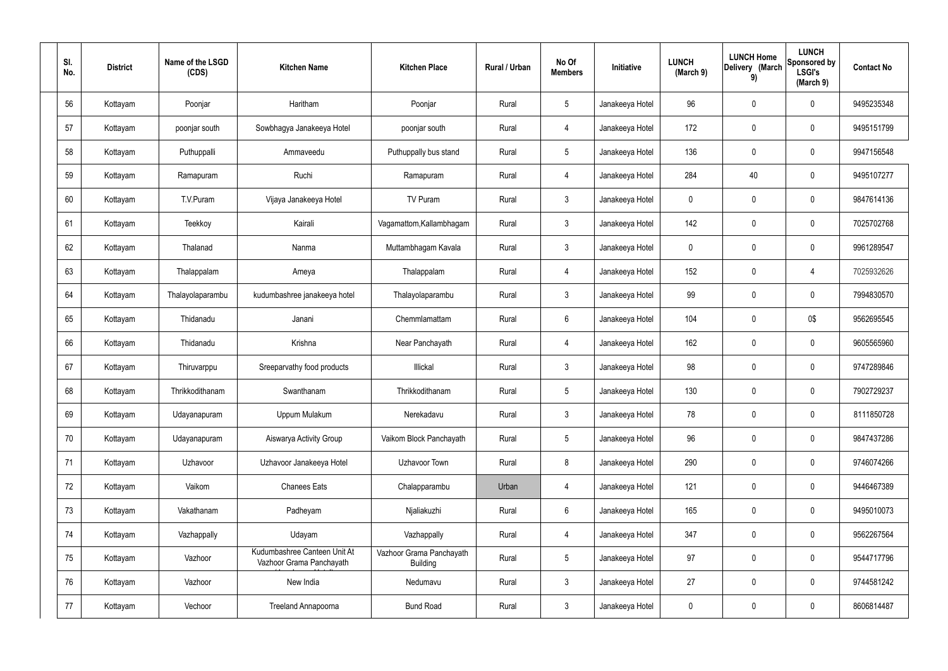| SI.<br>No. | <b>District</b> | Name of the LSGD<br>(CDS) | <b>Kitchen Name</b>                                      | <b>Kitchen Place</b>                        | Rural / Urban | No Of<br><b>Members</b> | Initiative      | <b>LUNCH</b><br>(March 9) | <b>LUNCH Home</b><br>Delivery (March<br>9) | <b>LUNCH</b><br>Sponsored by<br><b>LSGI's</b><br>(March 9) | <b>Contact No</b> |
|------------|-----------------|---------------------------|----------------------------------------------------------|---------------------------------------------|---------------|-------------------------|-----------------|---------------------------|--------------------------------------------|------------------------------------------------------------|-------------------|
| 56         | Kottayam        | Poonjar                   | Haritham                                                 | Poonjar                                     | Rural         | $5\phantom{.0}$         | Janakeeya Hotel | 96                        | $\pmb{0}$                                  | 0                                                          | 9495235348        |
| 57         | Kottayam        | poonjar south             | Sowbhagya Janakeeya Hotel                                | poonjar south                               | Rural         | $\overline{4}$          | Janakeeya Hotel | 172                       | $\mathbf 0$                                | 0                                                          | 9495151799        |
| 58         | Kottayam        | Puthuppalli               | Ammaveedu                                                | Puthuppally bus stand                       | Rural         | 5                       | Janakeeya Hotel | 136                       | $\pmb{0}$                                  | 0                                                          | 9947156548        |
| 59         | Kottayam        | Ramapuram                 | Ruchi                                                    | Ramapuram                                   | Rural         | $\overline{4}$          | Janakeeya Hotel | 284                       | 40                                         | 0                                                          | 9495107277        |
| 60         | Kottayam        | T.V.Puram                 | Vijaya Janakeeya Hotel                                   | TV Puram                                    | Rural         | $\mathbf{3}$            | Janakeeya Hotel | 0                         | $\mathbf 0$                                | 0                                                          | 9847614136        |
| 61         | Kottayam        | Teekkoy                   | Kairali                                                  | Vagamattom, Kallambhagam                    | Rural         | $\mathbf{3}$            | Janakeeya Hotel | 142                       | $\mathbf 0$                                | 0                                                          | 7025702768        |
| 62         | Kottayam        | Thalanad                  | Nanma                                                    | Muttambhagam Kavala                         | Rural         | $\mathbf{3}$            | Janakeeya Hotel | 0                         | $\mathbf 0$                                | 0                                                          | 9961289547        |
| 63         | Kottayam        | Thalappalam               | Ameya                                                    | Thalappalam                                 | Rural         | $\overline{4}$          | Janakeeya Hotel | 152                       | $\mathbf 0$                                | $\overline{4}$                                             | 7025932626        |
| 64         | Kottayam        | Thalayolaparambu          | kudumbashree janakeeya hotel                             | Thalayolaparambu                            | Rural         | $\mathbf{3}$            | Janakeeya Hotel | 99                        | $\mathbf 0$                                | 0                                                          | 7994830570        |
| 65         | Kottayam        | Thidanadu                 | Janani                                                   | Chemmlamattam                               | Rural         | 6                       | Janakeeya Hotel | 104                       | $\mathbf 0$                                | 0\$                                                        | 9562695545        |
| 66         | Kottayam        | Thidanadu                 | Krishna                                                  | Near Panchayath                             | Rural         | 4                       | Janakeeya Hotel | 162                       | $\pmb{0}$                                  | 0                                                          | 9605565960        |
| 67         | Kottayam        | Thiruvarppu               | Sreeparvathy food products                               | Illickal                                    | Rural         | $\mathbf{3}$            | Janakeeya Hotel | 98                        | $\mathbf 0$                                | 0                                                          | 9747289846        |
| 68         | Kottayam        | Thrikkodithanam           | Swanthanam                                               | Thrikkodithanam                             | Rural         | 5                       | Janakeeya Hotel | 130                       | $\pmb{0}$                                  | 0                                                          | 7902729237        |
| 69         | Kottayam        | Udayanapuram              | Uppum Mulakum                                            | Nerekadavu                                  | Rural         | $\mathbf{3}$            | Janakeeya Hotel | 78                        | $\pmb{0}$                                  | 0                                                          | 8111850728        |
| 70         | Kottayam        | Udayanapuram              | Aiswarya Activity Group                                  | Vaikom Block Panchayath                     | Rural         | $5\phantom{.0}$         | Janakeeya Hotel | 96                        | $\mathbf 0$                                | 0                                                          | 9847437286        |
| 71         | Kottayam        | Uzhavoor                  | Uzhavoor Janakeeya Hotel                                 | Uzhavoor Town                               | Rural         | 8                       | Janakeeya Hotel | 290                       | $\mathbf 0$                                | 0                                                          | 9746074266        |
| 72         | Kottayam        | Vaikom                    | <b>Chanees Eats</b>                                      | Chalapparambu                               | Urban         | $\overline{4}$          | Janakeeya Hotel | 121                       | $\mathbf 0$                                | 0                                                          | 9446467389        |
| 73         | Kottayam        | Vakathanam                | Padheyam                                                 | Njaliakuzhi                                 | Rural         | $6\phantom{.}6$         | Janakeeya Hotel | 165                       | $\mathbf 0$                                | 0                                                          | 9495010073        |
| 74         | Kottayam        | Vazhappally               | Udayam                                                   | Vazhappally                                 | Rural         | $\overline{4}$          | Janakeeya Hotel | 347                       | $\mathbf 0$                                | 0                                                          | 9562267564        |
| 75         | Kottayam        | Vazhoor                   | Kudumbashree Canteen Unit At<br>Vazhoor Grama Panchayath | Vazhoor Grama Panchayath<br><b>Building</b> | Rural         | $5\phantom{.0}$         | Janakeeya Hotel | 97                        | $\mathbf 0$                                | 0                                                          | 9544717796        |
| 76         | Kottayam        | Vazhoor                   | New India                                                | Nedumavu                                    | Rural         | $\mathfrak{Z}$          | Janakeeya Hotel | 27                        | $\mathbf 0$                                | 0                                                          | 9744581242        |
| 77         | Kottayam        | Vechoor                   | Treeland Annapoorna                                      | <b>Bund Road</b>                            | Rural         | $\mathfrak{Z}$          | Janakeeya Hotel | 0                         | $\boldsymbol{0}$                           | 0                                                          | 8606814487        |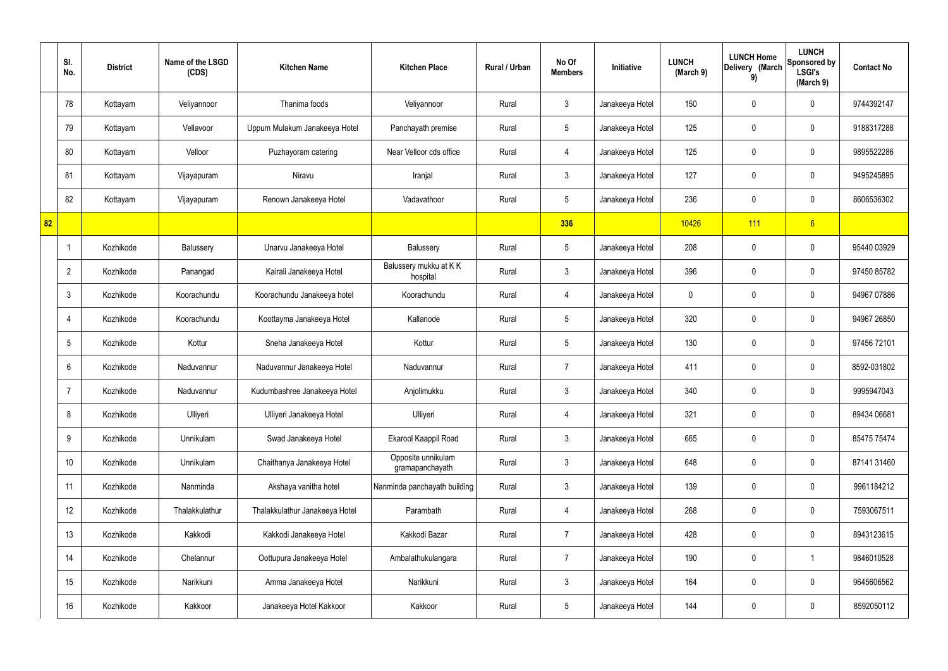|    | SI.<br>No.      | <b>District</b> | Name of the LSGD<br>(CDS) | <b>Kitchen Name</b>            | <b>Kitchen Place</b>                  | Rural / Urban | No Of<br><b>Members</b> | Initiative      | <b>LUNCH</b><br>(March 9) | <b>LUNCH Home</b><br>Delivery (March<br>9) | <b>LUNCH</b><br>Sponsored by<br><b>LSGI's</b><br>(March 9) | <b>Contact No</b> |
|----|-----------------|-----------------|---------------------------|--------------------------------|---------------------------------------|---------------|-------------------------|-----------------|---------------------------|--------------------------------------------|------------------------------------------------------------|-------------------|
|    | 78              | Kottayam        | Veliyannoor               | Thanima foods                  | Veliyannoor                           | Rural         | $\mathbf{3}$            | Janakeeya Hotel | 150                       | $\mathbf 0$                                | $\mathbf 0$                                                | 9744392147        |
|    | 79              | Kottayam        | Vellavoor                 | Uppum Mulakum Janakeeya Hotel  | Panchayath premise                    | Rural         | $5\phantom{.0}$         | Janakeeya Hotel | 125                       | $\mathbf 0$                                | $\mathbf 0$                                                | 9188317288        |
|    | 80              | Kottayam        | Velloor                   | Puzhayoram catering            | Near Velloor cds office               | Rural         | $\overline{4}$          | Janakeeya Hotel | 125                       | $\mathbf 0$                                | $\mathbf 0$                                                | 9895522286        |
|    | 81              | Kottayam        | Vijayapuram               | Niravu                         | Iranjal                               | Rural         | $\mathbf{3}$            | Janakeeya Hotel | 127                       | 0                                          | $\mathbf 0$                                                | 9495245895        |
|    | 82              | Kottayam        | Vijayapuram               | Renown Janakeeya Hotel         | Vadavathoor                           | Rural         | $5\overline{)}$         | Janakeeya Hotel | 236                       | $\mathbf 0$                                | $\mathbf 0$                                                | 8606536302        |
| 82 |                 |                 |                           |                                |                                       |               | 336                     |                 | 10426                     | 111                                        | 6                                                          |                   |
|    |                 | Kozhikode       | Balussery                 | Unarvu Janakeeya Hotel         | Balussery                             | Rural         | $5\phantom{.0}$         | Janakeeya Hotel | 208                       | 0                                          | $\mathbf 0$                                                | 95440 03929       |
|    | $\overline{2}$  | Kozhikode       | Panangad                  | Kairali Janakeeya Hotel        | Balussery mukku at KK<br>hospital     | Rural         | $\mathfrak{Z}$          | Janakeeya Hotel | 396                       | 0                                          | $\mathbf 0$                                                | 97450 85782       |
|    | $\mathbf{3}$    | Kozhikode       | Koorachundu               | Koorachundu Janakeeya hotel    | Koorachundu                           | Rural         | $\overline{4}$          | Janakeeya Hotel | $\mathbf 0$               | $\boldsymbol{0}$                           | $\mathbf 0$                                                | 94967 07886       |
|    | $\overline{4}$  | Kozhikode       | Koorachundu               | Koottayma Janakeeya Hotel      | Kallanode                             | Rural         | $5\phantom{.0}$         | Janakeeya Hotel | 320                       | 0                                          | $\mathbf 0$                                                | 94967 26850       |
|    | $5\overline{)}$ | Kozhikode       | Kottur                    | Sneha Janakeeya Hotel          | Kottur                                | Rural         | $5\phantom{.0}$         | Janakeeya Hotel | 130                       | $\mathbf 0$                                | $\mathbf 0$                                                | 97456 72101       |
|    | 6               | Kozhikode       | Naduvannur                | Naduvannur Janakeeya Hotel     | Naduvannur                            | Rural         | $\overline{7}$          | Janakeeya Hotel | 411                       | $\mathbf 0$                                | $\mathbf 0$                                                | 8592-031802       |
|    | $\overline{7}$  | Kozhikode       | Naduvannur                | Kudumbashree Janakeeya Hotel   | Anjolimukku                           | Rural         | $\mathbf{3}$            | Janakeeya Hotel | 340                       | $\mathbf 0$                                | $\mathbf 0$                                                | 9995947043        |
|    | 8               | Kozhikode       | Ulliyeri                  | Ulliyeri Janakeeya Hotel       | Ulliyeri                              | Rural         | $\overline{4}$          | Janakeeya Hotel | 321                       | 0                                          | $\mathbf 0$                                                | 89434 06681       |
|    | 9               | Kozhikode       | Unnikulam                 | Swad Janakeeya Hotel           | Ekarool Kaappil Road                  | Rural         | $\mathbf{3}$            | Janakeeya Hotel | 665                       | 0                                          | $\mathbf 0$                                                | 85475 75474       |
|    | 10              | Kozhikode       | Unnikulam                 | Chaithanya Janakeeya Hotel     | Opposite unnikulam<br>gramapanchayath | Rural         | $\mathbf{3}$            | Janakeeya Hotel | 648                       | 0                                          | $\mathbf 0$                                                | 87141 31460       |
|    | 11              | Kozhikode       | Nanminda                  | Akshaya vanitha hotel          | Nanminda panchayath building          | Rural         | $\mathbf{3}$            | Janakeeya Hotel | 139                       | 0                                          | $\mathbf 0$                                                | 9961184212        |
|    | 12              | Kozhikode       | Thalakkulathur            | Thalakkulathur Janakeeya Hotel | Parambath                             | Rural         | $\overline{4}$          | Janakeeya Hotel | 268                       | 0                                          | $\mathbf 0$                                                | 7593067511        |
|    | 13              | Kozhikode       | Kakkodi                   | Kakkodi Janakeeya Hotel        | Kakkodi Bazar                         | Rural         | $\overline{7}$          | Janakeeya Hotel | 428                       | 0                                          | $\mathbf 0$                                                | 8943123615        |
|    | 14              | Kozhikode       | Chelannur                 | Oottupura Janakeeya Hotel      | Ambalathukulangara                    | Rural         | $\overline{7}$          | Janakeeya Hotel | 190                       | 0                                          | $\mathbf 1$                                                | 9846010528        |
|    | 15              | Kozhikode       | Narikkuni                 | Amma Janakeeya Hotel           | Narikkuni                             | Rural         | $\mathbf{3}$            | Janakeeya Hotel | 164                       | 0                                          | $\mathbf 0$                                                | 9645606562        |
|    | 16              | Kozhikode       | Kakkoor                   | Janakeeya Hotel Kakkoor        | Kakkoor                               | Rural         | $5\phantom{.0}$         | Janakeeya Hotel | 144                       | $\pmb{0}$                                  | $\mathbf 0$                                                | 8592050112        |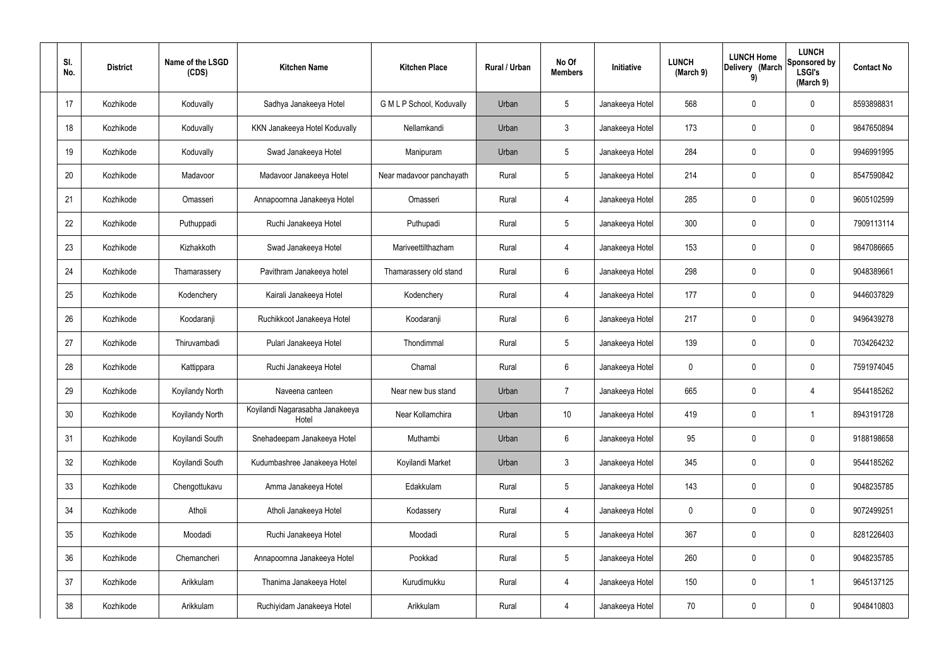| SI.<br>No. | <b>District</b> | Name of the LSGD<br>(CDS) | <b>Kitchen Name</b>                      | <b>Kitchen Place</b>      | Rural / Urban | No Of<br><b>Members</b> | <b>Initiative</b> | <b>LUNCH</b><br>(March 9) | <b>LUNCH Home</b><br>Delivery (March<br>9) | <b>LUNCH</b><br>Sponsored by<br><b>LSGI's</b><br>(March 9) | <b>Contact No</b> |
|------------|-----------------|---------------------------|------------------------------------------|---------------------------|---------------|-------------------------|-------------------|---------------------------|--------------------------------------------|------------------------------------------------------------|-------------------|
| 17         | Kozhikode       | Koduvally                 | Sadhya Janakeeya Hotel                   | G M L P School, Koduvally | Urban         | $5\phantom{.0}$         | Janakeeya Hotel   | 568                       | 0                                          | $\mathbf 0$                                                | 8593898831        |
| 18         | Kozhikode       | Koduvally                 | KKN Janakeeya Hotel Koduvally            | Nellamkandi               | Urban         | $\mathbf{3}$            | Janakeeya Hotel   | 173                       | 0                                          | $\mathbf 0$                                                | 9847650894        |
| 19         | Kozhikode       | Koduvally                 | Swad Janakeeya Hotel                     | Manipuram                 | Urban         | $5\phantom{.0}$         | Janakeeya Hotel   | 284                       | 0                                          | $\mathbf 0$                                                | 9946991995        |
| 20         | Kozhikode       | Madavoor                  | Madavoor Janakeeya Hotel                 | Near madavoor panchayath  | Rural         | $5\phantom{.0}$         | Janakeeya Hotel   | 214                       | 0                                          | $\mathbf 0$                                                | 8547590842        |
| 21         | Kozhikode       | Omasseri                  | Annapoornna Janakeeya Hotel              | Omasseri                  | Rural         | $\overline{4}$          | Janakeeya Hotel   | 285                       | 0                                          | $\mathbf 0$                                                | 9605102599        |
| 22         | Kozhikode       | Puthuppadi                | Ruchi Janakeeya Hotel                    | Puthupadi                 | Rural         | $5\phantom{.0}$         | Janakeeya Hotel   | 300                       | 0                                          | $\mathbf 0$                                                | 7909113114        |
| 23         | Kozhikode       | Kizhakkoth                | Swad Janakeeya Hotel                     | Mariveettilthazham        | Rural         | $\overline{4}$          | Janakeeya Hotel   | 153                       | 0                                          | $\mathbf 0$                                                | 9847086665        |
| 24         | Kozhikode       | Thamarassery              | Pavithram Janakeeya hotel                | Thamarassery old stand    | Rural         | $6\phantom{.}6$         | Janakeeya Hotel   | 298                       | 0                                          | $\mathbf 0$                                                | 9048389661        |
| 25         | Kozhikode       | Kodenchery                | Kairali Janakeeya Hotel                  | Kodenchery                | Rural         | 4                       | Janakeeya Hotel   | 177                       | 0                                          | $\mathbf 0$                                                | 9446037829        |
| 26         | Kozhikode       | Koodaranji                | Ruchikkoot Janakeeya Hotel               | Koodaranji                | Rural         | $6\phantom{.}6$         | Janakeeya Hotel   | 217                       | 0                                          | $\mathbf 0$                                                | 9496439278        |
| 27         | Kozhikode       | Thiruvambadi              | Pulari Janakeeya Hotel                   | Thondimmal                | Rural         | $5\phantom{.0}$         | Janakeeya Hotel   | 139                       | 0                                          | $\mathbf 0$                                                | 7034264232        |
| 28         | Kozhikode       | Kattippara                | Ruchi Janakeeya Hotel                    | Chamal                    | Rural         | $6\phantom{.}6$         | Janakeeya Hotel   | $\mathbf 0$               | 0                                          | $\mathbf 0$                                                | 7591974045        |
| 29         | Kozhikode       | Koyilandy North           | Naveena canteen                          | Near new bus stand        | Urban         | $\overline{7}$          | Janakeeya Hotel   | 665                       | 0                                          | 4                                                          | 9544185262        |
| 30         | Kozhikode       | Koyilandy North           | Koyilandi Nagarasabha Janakeeya<br>Hotel | Near Kollamchira          | Urban         | 10 <sup>°</sup>         | Janakeeya Hotel   | 419                       | $\mathsf{0}$                               | $\mathbf 1$                                                | 8943191728        |
| 31         | Kozhikode       | Koyilandi South           | Snehadeepam Janakeeya Hotel              | Muthambi                  | Urban         | $6\overline{6}$         | Janakeeya Hotel   | 95                        | 0                                          | $\mathbf 0$                                                | 9188198658        |
| 32         | Kozhikode       | Koyilandi South           | Kudumbashree Janakeeya Hotel             | Koyilandi Market          | Urban         | $\mathbf{3}$            | Janakeeya Hotel   | 345                       | 0                                          | $\mathbf 0$                                                | 9544185262        |
| 33         | Kozhikode       | Chengottukavu             | Amma Janakeeya Hotel                     | Edakkulam                 | Rural         | $5\phantom{.0}$         | Janakeeya Hotel   | 143                       | 0                                          | $\mathbf 0$                                                | 9048235785        |
| 34         | Kozhikode       | Atholi                    | Atholi Janakeeya Hotel                   | Kodassery                 | Rural         | $\overline{4}$          | Janakeeya Hotel   | $\mathbf 0$               | 0                                          | $\mathbf 0$                                                | 9072499251        |
| 35         | Kozhikode       | Moodadi                   | Ruchi Janakeeya Hotel                    | Moodadi                   | Rural         | $5\phantom{.0}$         | Janakeeya Hotel   | 367                       | 0                                          | $\mathbf 0$                                                | 8281226403        |
| 36         | Kozhikode       | Chemancheri               | Annapoornna Janakeeya Hotel              | Pookkad                   | Rural         | $5\phantom{.0}$         | Janakeeya Hotel   | 260                       | 0                                          | $\mathbf 0$                                                | 9048235785        |
| 37         | Kozhikode       | Arikkulam                 | Thanima Janakeeya Hotel                  | Kurudimukku               | Rural         | $\overline{4}$          | Janakeeya Hotel   | 150                       | 0                                          | $\overline{1}$                                             | 9645137125        |
| 38         | Kozhikode       | Arikkulam                 | Ruchiyidam Janakeeya Hotel               | Arikkulam                 | Rural         | 4                       | Janakeeya Hotel   | 70                        | 0                                          | $\mathbf 0$                                                | 9048410803        |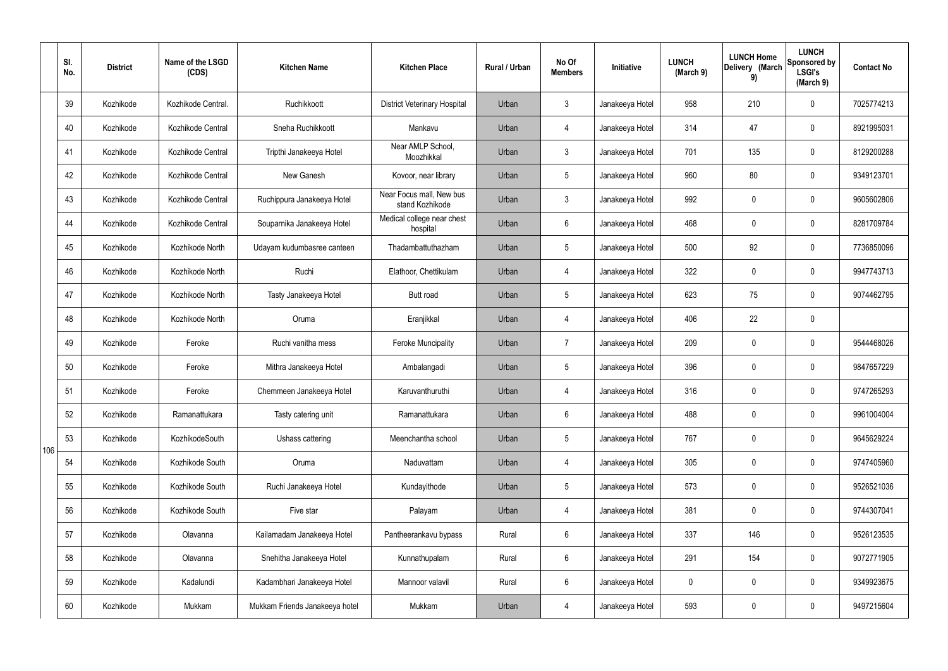|     | SI.<br>No. | <b>District</b> | Name of the LSGD<br>(CDS) | <b>Kitchen Name</b>            | <b>Kitchen Place</b>                        | Rural / Urban | No Of<br><b>Members</b> | Initiative      | <b>LUNCH</b><br>(March 9) | <b>LUNCH Home</b><br>Delivery (March<br>9) | <b>LUNCH</b><br>Sponsored by<br><b>LSGI's</b><br>(March 9) | <b>Contact No</b> |
|-----|------------|-----------------|---------------------------|--------------------------------|---------------------------------------------|---------------|-------------------------|-----------------|---------------------------|--------------------------------------------|------------------------------------------------------------|-------------------|
|     | 39         | Kozhikode       | Kozhikode Central.        | Ruchikkoott                    | <b>District Veterinary Hospital</b>         | Urban         | $\mathbf{3}$            | Janakeeya Hotel | 958                       | 210                                        | $\mathbf 0$                                                | 7025774213        |
|     | 40         | Kozhikode       | Kozhikode Central         | Sneha Ruchikkoott              | Mankavu                                     | Urban         | $\overline{4}$          | Janakeeya Hotel | 314                       | 47                                         | $\mathbf 0$                                                | 8921995031        |
|     | 41         | Kozhikode       | Kozhikode Central         | Tripthi Janakeeya Hotel        | Near AMLP School,<br>Moozhikkal             | Urban         | $\mathbf{3}$            | Janakeeya Hotel | 701                       | 135                                        | $\mathbf 0$                                                | 8129200288        |
|     | 42         | Kozhikode       | Kozhikode Central         | New Ganesh                     | Kovoor, near library                        | Urban         | $5\overline{)}$         | Janakeeya Hotel | 960                       | 80                                         | $\mathbf 0$                                                | 9349123701        |
|     | 43         | Kozhikode       | Kozhikode Central         | Ruchippura Janakeeya Hotel     | Near Focus mall, New bus<br>stand Kozhikode | Urban         | 3                       | Janakeeya Hotel | 992                       | $\mathbf 0$                                | $\mathbf 0$                                                | 9605602806        |
|     | 44         | Kozhikode       | Kozhikode Central         | Souparnika Janakeeya Hotel     | Medical college near chest<br>hospital      | Urban         | $6\overline{6}$         | Janakeeya Hotel | 468                       | $\mathbf 0$                                | $\mathbf 0$                                                | 8281709784        |
|     | 45         | Kozhikode       | Kozhikode North           | Udayam kudumbasree canteen     | Thadambattuthazham                          | Urban         | $5\overline{)}$         | Janakeeya Hotel | 500                       | 92                                         | $\mathbf 0$                                                | 7736850096        |
|     | 46         | Kozhikode       | Kozhikode North           | Ruchi                          | Elathoor, Chettikulam                       | Urban         | $\overline{4}$          | Janakeeya Hotel | 322                       | $\mathbf 0$                                | $\mathbf 0$                                                | 9947743713        |
|     | 47         | Kozhikode       | Kozhikode North           | Tasty Janakeeya Hotel          | <b>Butt</b> road                            | Urban         | $5\overline{)}$         | Janakeeya Hotel | 623                       | 75                                         | $\mathbf 0$                                                | 9074462795        |
|     | 48         | Kozhikode       | Kozhikode North           | Oruma                          | Eranjikkal                                  | Urban         | 4                       | Janakeeya Hotel | 406                       | 22                                         | $\mathbf 0$                                                |                   |
|     | 49         | Kozhikode       | Feroke                    | Ruchi vanitha mess             | <b>Feroke Muncipality</b>                   | Urban         | $\overline{7}$          | Janakeeya Hotel | 209                       | $\mathbf 0$                                | $\mathbf 0$                                                | 9544468026        |
|     | 50         | Kozhikode       | Feroke                    | Mithra Janakeeya Hotel         | Ambalangadi                                 | Urban         | $5\overline{)}$         | Janakeeya Hotel | 396                       | $\mathbf 0$                                | $\mathbf 0$                                                | 9847657229        |
|     | 51         | Kozhikode       | Feroke                    | Chemmeen Janakeeya Hotel       | Karuvanthuruthi                             | Urban         | 4                       | Janakeeya Hotel | 316                       | 0                                          | $\mathbf 0$                                                | 9747265293        |
|     | 52         | Kozhikode       | Ramanattukara             | Tasty catering unit            | Ramanattukara                               | Urban         | $6\overline{6}$         | Janakeeya Hotel | 488                       | $\pmb{0}$                                  | $\mathbf 0$                                                | 9961004004        |
| 106 | 53         | Kozhikode       | KozhikodeSouth            | Ushass cattering               | Meenchantha school                          | Urban         | $5\overline{)}$         | Janakeeya Hotel | 767                       | 0                                          | $\mathbf 0$                                                | 9645629224        |
|     | 54         | Kozhikode       | Kozhikode South           | Oruma                          | Naduvattam                                  | Urban         | $\overline{4}$          | Janakeeya Hotel | 305                       | 0                                          | $\mathbf 0$                                                | 9747405960        |
|     | 55         | Kozhikode       | Kozhikode South           | Ruchi Janakeeya Hotel          | Kundayithode                                | Urban         | $5\overline{)}$         | Janakeeya Hotel | 573                       | 0                                          | $\mathbf 0$                                                | 9526521036        |
|     | 56         | Kozhikode       | Kozhikode South           | Five star                      | Palayam                                     | Urban         | $\overline{4}$          | Janakeeya Hotel | 381                       | 0                                          | $\mathbf 0$                                                | 9744307041        |
|     | 57         | Kozhikode       | Olavanna                  | Kailamadam Janakeeya Hotel     | Pantheerankavu bypass                       | Rural         | $6\overline{6}$         | Janakeeya Hotel | 337                       | 146                                        | $\mathbf 0$                                                | 9526123535        |
|     | 58         | Kozhikode       | Olavanna                  | Snehitha Janakeeya Hotel       | Kunnathupalam                               | Rural         | $6\overline{6}$         | Janakeeya Hotel | 291                       | 154                                        | $\mathbf 0$                                                | 9072771905        |
|     | 59         | Kozhikode       | Kadalundi                 | Kadambhari Janakeeya Hotel     | Mannoor valavil                             | Rural         | $6\overline{6}$         | Janakeeya Hotel | $\mathbf 0$               | 0                                          | $\mathbf 0$                                                | 9349923675        |
|     | 60         | Kozhikode       | Mukkam                    | Mukkam Friends Janakeeya hotel | Mukkam                                      | Urban         | $\overline{4}$          | Janakeeya Hotel | 593                       | 0                                          | $\overline{0}$                                             | 9497215604        |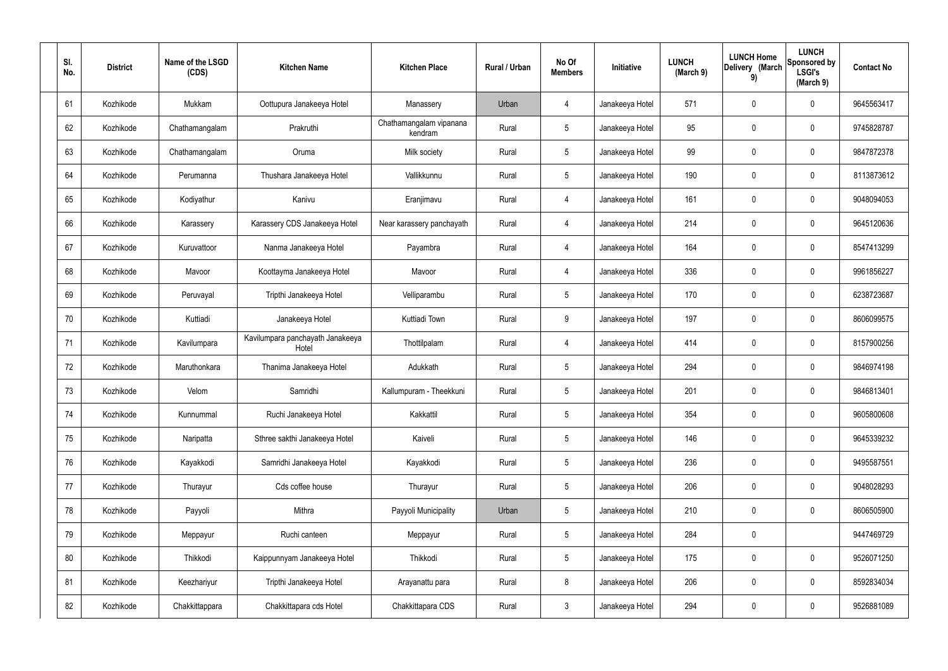| SI.<br>No. | <b>District</b> | Name of the LSGD<br>(CDS) | <b>Kitchen Name</b>                       | <b>Kitchen Place</b>               | Rural / Urban | No Of<br><b>Members</b> | Initiative      | <b>LUNCH</b><br>(March 9) | <b>LUNCH Home</b><br>Delivery (March<br>9) | <b>LUNCH</b><br>Sponsored by<br><b>LSGI's</b><br>(March 9) | <b>Contact No</b> |
|------------|-----------------|---------------------------|-------------------------------------------|------------------------------------|---------------|-------------------------|-----------------|---------------------------|--------------------------------------------|------------------------------------------------------------|-------------------|
| 61         | Kozhikode       | Mukkam                    | Oottupura Janakeeya Hotel                 | Manassery                          | Urban         | 4                       | Janakeeya Hotel | 571                       | $\mathbf 0$                                | 0                                                          | 9645563417        |
| 62         | Kozhikode       | Chathamangalam            | Prakruthi                                 | Chathamangalam vipanana<br>kendram | Rural         | $5\phantom{.0}$         | Janakeeya Hotel | 95                        | $\mathbf 0$                                | 0                                                          | 9745828787        |
| 63         | Kozhikode       | Chathamangalam            | Oruma                                     | Milk society                       | Rural         | $5\phantom{.0}$         | Janakeeya Hotel | 99                        | $\mathbf 0$                                | 0                                                          | 9847872378        |
| 64         | Kozhikode       | Perumanna                 | Thushara Janakeeya Hotel                  | Vallikkunnu                        | Rural         | $5\phantom{.0}$         | Janakeeya Hotel | 190                       | $\mathbf 0$                                | 0                                                          | 8113873612        |
| 65         | Kozhikode       | Kodiyathur                | Kanivu                                    | Eranjimavu                         | Rural         | 4                       | Janakeeya Hotel | 161                       | $\mathbf 0$                                | 0                                                          | 9048094053        |
| 66         | Kozhikode       | Karassery                 | Karassery CDS Janakeeya Hotel             | Near karassery panchayath          | Rural         | 4                       | Janakeeya Hotel | 214                       | $\mathbf 0$                                | 0                                                          | 9645120636        |
| 67         | Kozhikode       | Kuruvattoor               | Nanma Janakeeya Hotel                     | Payambra                           | Rural         | $\overline{4}$          | Janakeeya Hotel | 164                       | $\mathbf 0$                                | 0                                                          | 8547413299        |
| 68         | Kozhikode       | Mavoor                    | Koottayma Janakeeya Hotel                 | Mavoor                             | Rural         | $\overline{4}$          | Janakeeya Hotel | 336                       | $\mathbf 0$                                | 0                                                          | 9961856227        |
| 69         | Kozhikode       | Peruvayal                 | Tripthi Janakeeya Hotel                   | Velliparambu                       | Rural         | $5\phantom{.0}$         | Janakeeya Hotel | 170                       | $\mathbf 0$                                | 0                                                          | 6238723687        |
| 70         | Kozhikode       | Kuttiadi                  | Janakeeya Hotel                           | Kuttiadi Town                      | Rural         | 9                       | Janakeeya Hotel | 197                       | 0                                          | 0                                                          | 8606099575        |
| 71         | Kozhikode       | Kavilumpara               | Kavilumpara panchayath Janakeeya<br>Hotel | Thottilpalam                       | Rural         | $\overline{4}$          | Janakeeya Hotel | 414                       | 0                                          | 0                                                          | 8157900256        |
| 72         | Kozhikode       | Maruthonkara              | Thanima Janakeeya Hotel                   | Adukkath                           | Rural         | $5\phantom{.0}$         | Janakeeya Hotel | 294                       | 0                                          | 0                                                          | 9846974198        |
| 73         | Kozhikode       | Velom                     | Samridhi                                  | Kallumpuram - Theekkuni            | Rural         | 5                       | Janakeeya Hotel | 201                       | 0                                          | 0                                                          | 9846813401        |
| 74         | Kozhikode       | Kunnummal                 | Ruchi Janakeeya Hotel                     | Kakkattil                          | Rural         | $5\phantom{.0}$         | Janakeeya Hotel | 354                       | $\mathbf 0$                                | 0                                                          | 9605800608        |
| 75         | Kozhikode       | Naripatta                 | Sthree sakthi Janakeeya Hotel             | Kaiveli                            | Rural         | $5\phantom{.0}$         | Janakeeya Hotel | 146                       | $\mathbf 0$                                | 0                                                          | 9645339232        |
| 76         | Kozhikode       | Kayakkodi                 | Samridhi Janakeeya Hotel                  | Kayakkodi                          | Rural         | $5\phantom{.0}$         | Janakeeya Hotel | 236                       | $\mathbf 0$                                | 0                                                          | 9495587551        |
| 77         | Kozhikode       | Thurayur                  | Cds coffee house                          | Thurayur                           | Rural         | $5\phantom{.0}$         | Janakeeya Hotel | 206                       | $\mathbf 0$                                | 0                                                          | 9048028293        |
| 78         | Kozhikode       | Payyoli                   | Mithra                                    | Payyoli Municipality               | Urban         | $5\phantom{.0}$         | Janakeeya Hotel | 210                       | $\boldsymbol{0}$                           | 0                                                          | 8606505900        |
| 79         | Kozhikode       | Meppayur                  | Ruchi canteen                             | Meppayur                           | Rural         | $5\phantom{.0}$         | Janakeeya Hotel | 284                       | $\pmb{0}$                                  |                                                            | 9447469729        |
| 80         | Kozhikode       | Thikkodi                  | Kaippunnyam Janakeeya Hotel               | Thikkodi                           | Rural         | $5\phantom{.0}$         | Janakeeya Hotel | 175                       | $\boldsymbol{0}$                           | 0                                                          | 9526071250        |
| 81         | Kozhikode       | Keezhariyur               | Tripthi Janakeeya Hotel                   | Arayanattu para                    | Rural         | $\,8\,$                 | Janakeeya Hotel | 206                       | $\mathbf 0$                                | 0                                                          | 8592834034        |
| 82         | Kozhikode       | Chakkittappara            | Chakkittapara cds Hotel                   | Chakkittapara CDS                  | Rural         | $\mathbf{3}$            | Janakeeya Hotel | 294                       | 0                                          | 0                                                          | 9526881089        |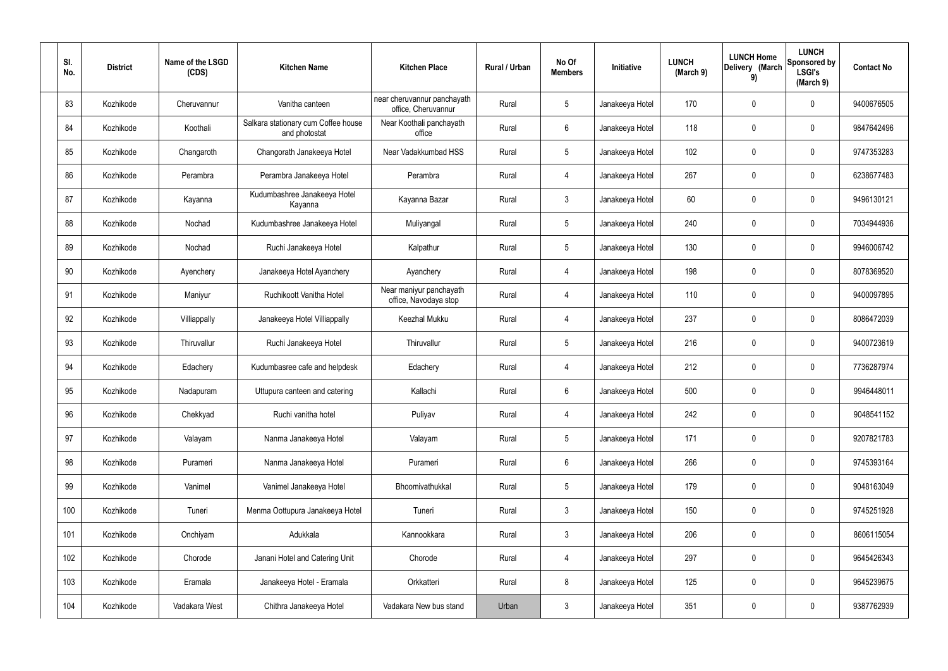| SI.<br>No. | <b>District</b> | Name of the LSGD<br>(CDS) | <b>Kitchen Name</b>                                  | <b>Kitchen Place</b>                               | Rural / Urban | No Of<br><b>Members</b> | Initiative      | <b>LUNCH</b><br>(March 9) | <b>LUNCH Home</b><br>Delivery (March<br>9) | <b>LUNCH</b><br>Sponsored by<br><b>LSGI's</b><br>(March 9) | <b>Contact No</b> |
|------------|-----------------|---------------------------|------------------------------------------------------|----------------------------------------------------|---------------|-------------------------|-----------------|---------------------------|--------------------------------------------|------------------------------------------------------------|-------------------|
| 83         | Kozhikode       | Cheruvannur               | Vanitha canteen                                      | near cheruvannur panchayath<br>office, Cheruvannur | Rural         | $5\phantom{.0}$         | Janakeeya Hotel | 170                       | 0                                          | $\mathbf 0$                                                | 9400676505        |
| 84         | Kozhikode       | Koothali                  | Salkara stationary cum Coffee house<br>and photostat | Near Koothali panchayath<br>office                 | Rural         | $6\phantom{.}6$         | Janakeeya Hotel | 118                       | 0                                          | $\mathbf 0$                                                | 9847642496        |
| 85         | Kozhikode       | Changaroth                | Changorath Janakeeya Hotel                           | Near Vadakkumbad HSS                               | Rural         | $5\phantom{.0}$         | Janakeeya Hotel | 102                       | 0                                          | $\mathbf 0$                                                | 9747353283        |
| 86         | Kozhikode       | Perambra                  | Perambra Janakeeya Hotel                             | Perambra                                           | Rural         | $\overline{4}$          | Janakeeya Hotel | 267                       | 0                                          | $\mathbf 0$                                                | 6238677483        |
| 87         | Kozhikode       | Kayanna                   | Kudumbashree Janakeeya Hotel<br>Kayanna              | Kayanna Bazar                                      | Rural         | $\mathbf{3}$            | Janakeeya Hotel | 60                        | 0                                          | $\mathbf 0$                                                | 9496130121        |
| 88         | Kozhikode       | Nochad                    | Kudumbashree Janakeeya Hotel                         | Muliyangal                                         | Rural         | $5\phantom{.0}$         | Janakeeya Hotel | 240                       | 0                                          | $\mathbf 0$                                                | 7034944936        |
| 89         | Kozhikode       | Nochad                    | Ruchi Janakeeya Hotel                                | Kalpathur                                          | Rural         | $5\phantom{.0}$         | Janakeeya Hotel | 130                       | 0                                          | $\mathbf 0$                                                | 9946006742        |
| 90         | Kozhikode       | Ayenchery                 | Janakeeya Hotel Ayanchery                            | Ayanchery                                          | Rural         | $\overline{4}$          | Janakeeya Hotel | 198                       | 0                                          | $\mathbf 0$                                                | 8078369520        |
| 91         | Kozhikode       | Maniyur                   | Ruchikoott Vanitha Hotel                             | Near maniyur panchayath<br>office, Navodaya stop   | Rural         | $\overline{4}$          | Janakeeya Hotel | 110                       | 0                                          | $\mathbf 0$                                                | 9400097895        |
| 92         | Kozhikode       | Villiappally              | Janakeeya Hotel Villiappally                         | <b>Keezhal Mukku</b>                               | Rural         | 4                       | Janakeeya Hotel | 237                       | 0                                          | $\mathbf 0$                                                | 8086472039        |
| 93         | Kozhikode       | Thiruvallur               | Ruchi Janakeeya Hotel                                | Thiruvallur                                        | Rural         | $5\,$                   | Janakeeya Hotel | 216                       | 0                                          | $\mathbf 0$                                                | 9400723619        |
| 94         | Kozhikode       | Edachery                  | Kudumbasree cafe and helpdesk                        | Edachery                                           | Rural         | 4                       | Janakeeya Hotel | 212                       | 0                                          | $\mathbf 0$                                                | 7736287974        |
| 95         | Kozhikode       | Nadapuram                 | Uttupura canteen and catering                        | Kallachi                                           | Rural         | $6\phantom{.}6$         | Janakeeya Hotel | 500                       | 0                                          | 0                                                          | 9946448011        |
| 96         | Kozhikode       | Chekkyad                  | Ruchi vanitha hotel                                  | Puliyav                                            | Rural         | $\overline{4}$          | Janakeeya Hotel | 242                       | 0                                          | $\mathbf 0$                                                | 9048541152        |
| 97         | Kozhikode       | Valayam                   | Nanma Janakeeya Hotel                                | Valayam                                            | Rural         | $5\phantom{.0}$         | Janakeeya Hotel | 171                       | 0                                          | $\mathbf 0$                                                | 9207821783        |
| 98         | Kozhikode       | Purameri                  | Nanma Janakeeya Hotel                                | Purameri                                           | Rural         | $6\overline{6}$         | Janakeeya Hotel | 266                       | 0                                          | $\mathbf 0$                                                | 9745393164        |
| 99         | Kozhikode       | Vanimel                   | Vanimel Janakeeya Hotel                              | Bhoomivathukkal                                    | Rural         | $5\phantom{.0}$         | Janakeeya Hotel | 179                       | 0                                          | $\mathbf 0$                                                | 9048163049        |
| 100        | Kozhikode       | Tuneri                    | Menma Oottupura Janakeeya Hotel                      | Tuneri                                             | Rural         | $\mathbf{3}$            | Janakeeya Hotel | 150                       | 0                                          | $\mathbf 0$                                                | 9745251928        |
| 101        | Kozhikode       | Onchiyam                  | Adukkala                                             | Kannookkara                                        | Rural         | $\mathbf{3}$            | Janakeeya Hotel | 206                       | 0                                          | $\mathbf 0$                                                | 8606115054        |
| 102        | Kozhikode       | Chorode                   | Janani Hotel and Catering Unit                       | Chorode                                            | Rural         | $\overline{4}$          | Janakeeya Hotel | 297                       | 0                                          | $\mathbf 0$                                                | 9645426343        |
| 103        | Kozhikode       | Eramala                   | Janakeeya Hotel - Eramala                            | Orkkatteri                                         | Rural         | $\bf 8$                 | Janakeeya Hotel | 125                       | $\pmb{0}$                                  | $\mathbf 0$                                                | 9645239675        |
| 104        | Kozhikode       | Vadakara West             | Chithra Janakeeya Hotel                              | Vadakara New bus stand                             | Urban         | $\mathbf{3}$            | Janakeeya Hotel | 351                       | $\pmb{0}$                                  | $\boldsymbol{0}$                                           | 9387762939        |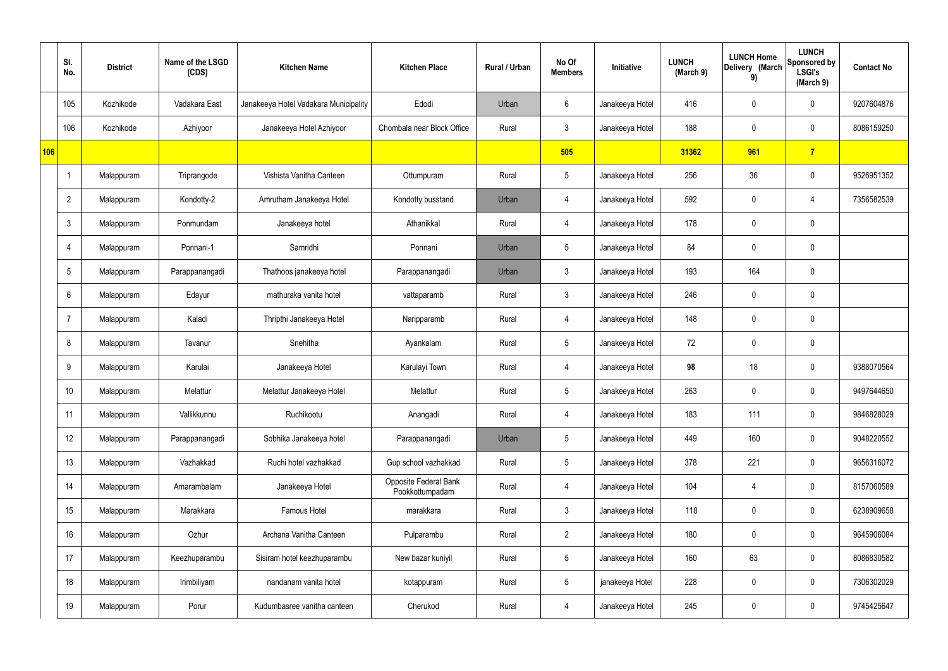|     | SI.<br>No.     | <b>District</b> | Name of the LSGD<br>(CDS) | <b>Kitchen Name</b>                   | <b>Kitchen Place</b>                     | Rural / Urban | No Of<br><b>Members</b> | Initiative      | <b>LUNCH</b><br>(March 9) | <b>LUNCH Home</b><br>Delivery (March<br>9) | <b>LUNCH</b><br>Sponsored by<br><b>LSGI's</b><br>(March 9) | <b>Contact No</b> |
|-----|----------------|-----------------|---------------------------|---------------------------------------|------------------------------------------|---------------|-------------------------|-----------------|---------------------------|--------------------------------------------|------------------------------------------------------------|-------------------|
|     | 105            | Kozhikode       | Vadakara East             | Janakeeya Hotel Vadakara Municipality | Edodi                                    | Urban         | 6                       | Janakeeya Hotel | 416                       | $\mathbf 0$                                | $\mathbf 0$                                                | 9207604876        |
|     | 106            | Kozhikode       | Azhiyoor                  | Janakeeya Hotel Azhiyoor              | Chombala near Block Office               | Rural         | $\mathbf{3}$            | Janakeeya Hotel | 188                       | $\mathbf 0$                                | $\mathbf 0$                                                | 8086159250        |
| 106 |                |                 |                           |                                       |                                          |               | 505                     |                 | 31362                     | 961                                        | $\overline{7}$                                             |                   |
|     | -1             | Malappuram      | Triprangode               | Vishista Vanitha Canteen              | Ottumpuram                               | Rural         | $5\phantom{.0}$         | Janakeeya Hotel | 256                       | 36                                         | $\mathbf 0$                                                | 9526951352        |
|     | $\overline{2}$ | Malappuram      | Kondotty-2                | Amrutham Janakeeya Hotel              | Kondotty busstand                        | Urban         | 4                       | Janakeeya Hotel | 592                       | $\mathbf 0$                                | 4                                                          | 7356582539        |
|     | $\mathbf{3}$   | Malappuram      | Ponmundam                 | Janakeeya hotel                       | Athanikkal                               | Rural         | 4                       | Janakeeya Hotel | 178                       | $\mathbf 0$                                | $\mathbf 0$                                                |                   |
|     | 4              | Malappuram      | Ponnani-1                 | Samridhi                              | Ponnani                                  | Urban         | $5\overline{)}$         | Janakeeya Hotel | 84                        | $\mathbf 0$                                | $\mathbf 0$                                                |                   |
|     | 5              | Malappuram      | Parappanangadi            | Thathoos janakeeya hotel              | Parappanangadi                           | Urban         | $\mathbf{3}$            | Janakeeya Hotel | 193                       | 164                                        | $\mathbf 0$                                                |                   |
|     | 6              | Malappuram      | Edayur                    | mathuraka vanita hotel                | vattaparamb                              | Rural         | $\mathbf{3}$            | Janakeeya Hotel | 246                       | 0                                          | $\mathbf 0$                                                |                   |
|     | 7              | Malappuram      | Kaladi                    | Thripthi Janakeeya Hotel              | Naripparamb                              | Rural         | 4                       | Janakeeya Hotel | 148                       | $\mathbf 0$                                | $\mathbf 0$                                                |                   |
|     | 8              | Malappuram      | Tavanur                   | Snehitha                              | Ayankalam                                | Rural         | $5\phantom{.0}$         | Janakeeya Hotel | 72                        | 0                                          | $\mathbf 0$                                                |                   |
|     | 9              | Malappuram      | Karulai                   | Janakeeya Hotel                       | Karulayi Town                            | Rural         | 4                       | Janakeeya Hotel | 98                        | 18                                         | $\mathbf 0$                                                | 9388070564        |
|     | 10             | Malappuram      | Melattur                  | Melattur Janakeeya Hotel              | Melattur                                 | Rural         | $5\overline{)}$         | Janakeeya Hotel | 263                       | $\mathbf 0$                                | $\mathbf 0$                                                | 9497644650        |
|     | 11             | Malappuram      | Vallikkunnu               | Ruchikootu                            | Anangadi                                 | Rural         | $\overline{4}$          | Janakeeya Hotel | 183                       | 111                                        | $\mathbf 0$                                                | 9846828029        |
|     | 12             | Malappuram      | Parappanangadi            | Sobhika Janakeeya hotel               | Parappanangadi                           | Urban         | $5\phantom{.0}$         | Janakeeya Hotel | 449                       | 160                                        | $\mathbf 0$                                                | 9048220552        |
|     | 13             | Malappuram      | Vazhakkad                 | Ruchi hotel vazhakkad                 | Gup school vazhakkad                     | Rural         | $5\phantom{.0}$         | Janakeeya Hotel | 378                       | 221                                        | $\mathbf 0$                                                | 9656316072        |
|     | 14             | Malappuram      | Amarambalam               | Janakeeya Hotel                       | Opposite Federal Bank<br>Pookkottumpadam | Rural         | $\overline{4}$          | Janakeeya Hotel | 104                       | $\overline{4}$                             | $\mathbf 0$                                                | 8157060589        |
|     | 15             | Malappuram      | Marakkara                 | Famous Hotel                          | marakkara                                | Rural         | $\mathbf{3}$            | Janakeeya Hotel | 118                       | 0                                          | $\mathbf 0$                                                | 6238909658        |
|     | 16             | Malappuram      | Ozhur                     | Archana Vanitha Canteen               | Pulparambu                               | Rural         | $\overline{2}$          | Janakeeya Hotel | 180                       | $\pmb{0}$                                  | $\mathbf 0$                                                | 9645906084        |
|     | 17             | Malappuram      | Keezhuparambu             | Sisiram hotel keezhuparambu           | New bazar kuniyil                        | Rural         | $5\phantom{.0}$         | Janakeeya Hotel | 160                       | 63                                         | $\mathbf 0$                                                | 8086830582        |
|     | 18             | Malappuram      | Irimbiliyam               | nandanam vanita hotel                 | kotappuram                               | Rural         | $5\phantom{.0}$         | janakeeya Hotel | 228                       | 0                                          | $\mathbf 0$                                                | 7306302029        |
|     | 19             | Malappuram      | Porur                     | Kudumbasree vanitha canteen           | Cherukod                                 | Rural         | $\overline{4}$          | Janakeeya Hotel | 245                       | 0                                          | $\boldsymbol{0}$                                           | 9745425647        |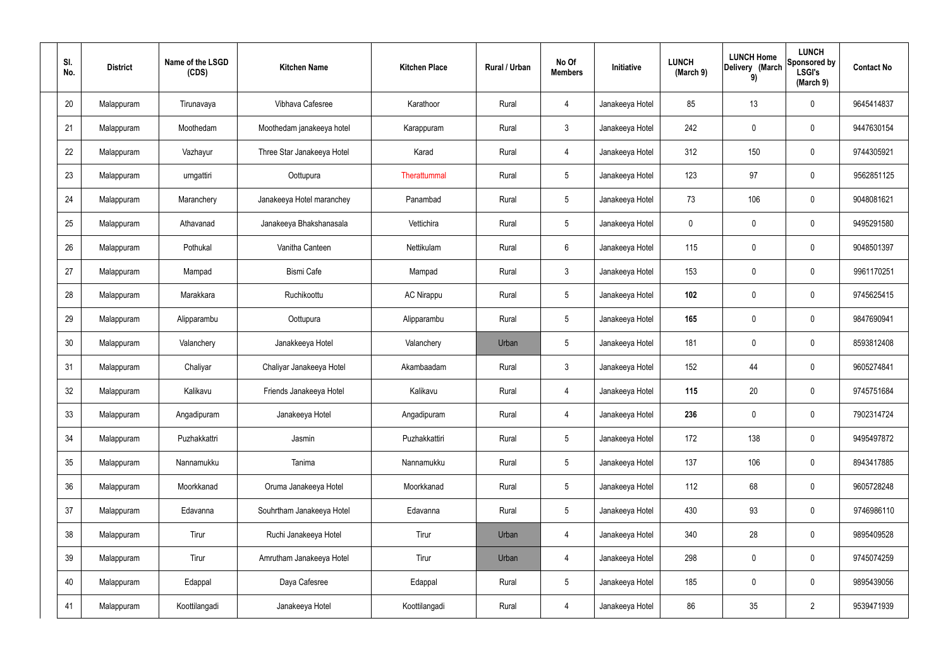| SI.<br>No. | <b>District</b> | Name of the LSGD<br>(CDS) | <b>Kitchen Name</b>        | <b>Kitchen Place</b> | Rural / Urban | No Of<br><b>Members</b> | Initiative      | <b>LUNCH</b><br>(March 9) | <b>LUNCH Home</b><br>Delivery (March<br>9) | <b>LUNCH</b><br>Sponsored by<br><b>LSGI's</b><br>(March 9) | <b>Contact No</b> |
|------------|-----------------|---------------------------|----------------------------|----------------------|---------------|-------------------------|-----------------|---------------------------|--------------------------------------------|------------------------------------------------------------|-------------------|
| 20         | Malappuram      | Tirunavaya                | Vibhava Cafesree           | Karathoor            | Rural         | $\overline{4}$          | Janakeeya Hotel | 85                        | 13                                         | $\mathbf 0$                                                | 9645414837        |
| 21         | Malappuram      | Moothedam                 | Moothedam janakeeya hotel  | Karappuram           | Rural         | $\mathbf{3}$            | Janakeeya Hotel | 242                       | $\mathsf{0}$                               | $\mathbf 0$                                                | 9447630154        |
| 22         | Malappuram      | Vazhayur                  | Three Star Janakeeya Hotel | Karad                | Rural         | 4                       | Janakeeya Hotel | 312                       | 150                                        | $\mathbf 0$                                                | 9744305921        |
| 23         | Malappuram      | urngattiri                | Oottupura                  | Therattummal         | Rural         | $5\phantom{.0}$         | Janakeeya Hotel | 123                       | 97                                         | $\mathbf 0$                                                | 9562851125        |
| 24         | Malappuram      | Maranchery                | Janakeeya Hotel maranchey  | Panambad             | Rural         | $5\phantom{.0}$         | Janakeeya Hotel | 73                        | 106                                        | $\mathbf 0$                                                | 9048081621        |
| 25         | Malappuram      | Athavanad                 | Janakeeya Bhakshanasala    | Vettichira           | Rural         | $\sqrt{5}$              | Janakeeya Hotel | $\mathbf 0$               | $\boldsymbol{0}$                           | $\mathbf 0$                                                | 9495291580        |
| 26         | Malappuram      | Pothukal                  | Vanitha Canteen            | Nettikulam           | Rural         | $6\phantom{.}$          | Janakeeya Hotel | 115                       | 0                                          | $\mathbf 0$                                                | 9048501397        |
| 27         | Malappuram      | Mampad                    | Bismi Cafe                 | Mampad               | Rural         | $\mathbf{3}$            | Janakeeya Hotel | 153                       | $\mathbf 0$                                | $\mathbf 0$                                                | 9961170251        |
| 28         | Malappuram      | Marakkara                 | Ruchikoottu                | <b>AC Nirappu</b>    | Rural         | $5\phantom{.0}$         | Janakeeya Hotel | 102                       | 0                                          | $\mathbf 0$                                                | 9745625415        |
| 29         | Malappuram      | Alipparambu               | Oottupura                  | Alipparambu          | Rural         | $\sqrt{5}$              | Janakeeya Hotel | 165                       | 0                                          | $\mathbf 0$                                                | 9847690941        |
| 30         | Malappuram      | Valanchery                | Janakkeeya Hotel           | Valanchery           | Urban         | $\sqrt{5}$              | Janakeeya Hotel | 181                       | 0                                          | $\mathbf 0$                                                | 8593812408        |
| 31         | Malappuram      | Chaliyar                  | Chaliyar Janakeeya Hotel   | Akambaadam           | Rural         | $\mathbf{3}$            | Janakeeya Hotel | 152                       | 44                                         | $\boldsymbol{0}$                                           | 9605274841        |
| 32         | Malappuram      | Kalikavu                  | Friends Janakeeya Hotel    | Kalikavu             | Rural         | $\overline{4}$          | Janakeeya Hotel | 115                       | 20                                         | $\boldsymbol{0}$                                           | 9745751684        |
| 33         | Malappuram      | Angadipuram               | Janakeeya Hotel            | Angadipuram          | Rural         | 4                       | Janakeeya Hotel | 236                       | $\mathsf{0}$                               | $\mathbf 0$                                                | 7902314724        |
| 34         | Malappuram      | Puzhakkattri              | Jasmin                     | Puzhakkattiri        | Rural         | $5\phantom{.0}$         | Janakeeya Hotel | 172                       | 138                                        | $\mathbf 0$                                                | 9495497872        |
| 35         | Malappuram      | Nannamukku                | Tanima                     | Nannamukku           | Rural         | $5\phantom{.0}$         | Janakeeya Hotel | 137                       | 106                                        | $\mathbf 0$                                                | 8943417885        |
| 36         | Malappuram      | Moorkkanad                | Oruma Janakeeya Hotel      | Moorkkanad           | Rural         | $5\phantom{.0}$         | Janakeeya Hotel | 112                       | 68                                         | $\mathbf 0$                                                | 9605728248        |
| 37         | Malappuram      | Edavanna                  | Souhrtham Janakeeya Hotel  | Edavanna             | Rural         | $5\phantom{.0}$         | Janakeeya Hotel | 430                       | 93                                         | $\mathbf 0$                                                | 9746986110        |
| 38         | Malappuram      | Tirur                     | Ruchi Janakeeya Hotel      | Tirur                | Urban         | 4                       | Janakeeya Hotel | 340                       | 28                                         | $\mathbf 0$                                                | 9895409528        |
| 39         | Malappuram      | Tirur                     | Amrutham Janakeeya Hotel   | Tirur                | Urban         | 4                       | Janakeeya Hotel | 298                       | $\mathbf 0$                                | $\mathbf 0$                                                | 9745074259        |
| 40         | Malappuram      | Edappal                   | Daya Cafesree              | Edappal              | Rural         | $5\,$                   | Janakeeya Hotel | 185                       | 0                                          | $\mathbf 0$                                                | 9895439056        |
| 41         | Malappuram      | Koottilangadi             | Janakeeya Hotel            | Koottilangadi        | Rural         | 4                       | Janakeeya Hotel | 86                        | $35\,$                                     | $\overline{2}$                                             | 9539471939        |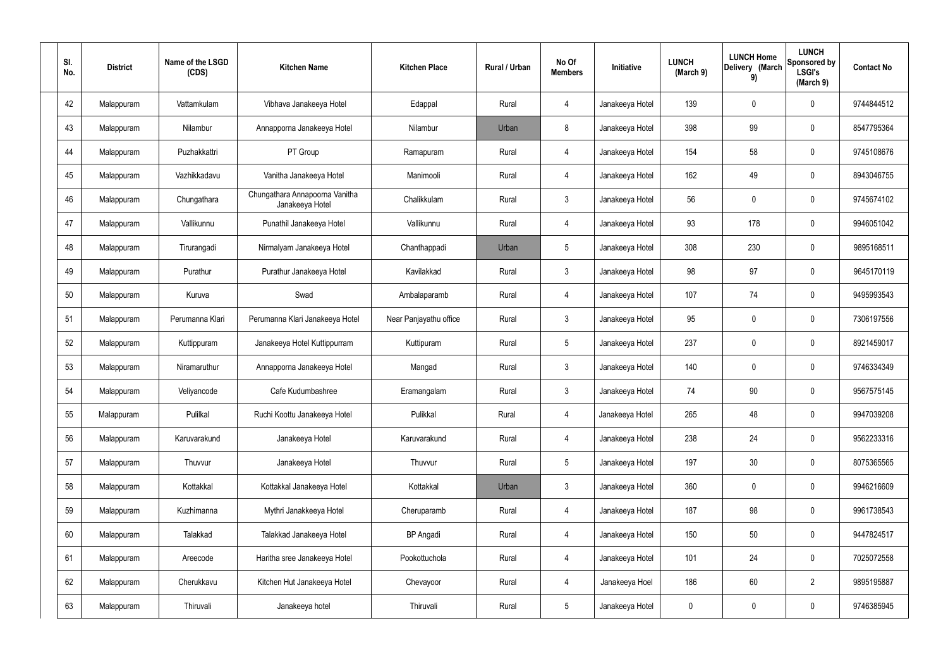| SI.<br>No. | <b>District</b> | Name of the LSGD<br>(CDS) | <b>Kitchen Name</b>                               | <b>Kitchen Place</b>   | Rural / Urban | No Of<br><b>Members</b> | Initiative      | <b>LUNCH</b><br>(March 9) | <b>LUNCH Home</b><br>Delivery (March<br>9) | <b>LUNCH</b><br>Sponsored by<br><b>LSGI's</b><br>(March 9) | <b>Contact No</b> |
|------------|-----------------|---------------------------|---------------------------------------------------|------------------------|---------------|-------------------------|-----------------|---------------------------|--------------------------------------------|------------------------------------------------------------|-------------------|
| 42         | Malappuram      | Vattamkulam               | Vibhava Janakeeya Hotel                           | Edappal                | Rural         | 4                       | Janakeeya Hotel | 139                       | $\mathbf 0$                                | 0                                                          | 9744844512        |
| 43         | Malappuram      | Nilambur                  | Annapporna Janakeeya Hotel                        | Nilambur               | Urban         | 8                       | Janakeeya Hotel | 398                       | 99                                         | 0                                                          | 8547795364        |
| 44         | Malappuram      | Puzhakkattri              | PT Group                                          | Ramapuram              | Rural         | 4                       | Janakeeya Hotel | 154                       | 58                                         | 0                                                          | 9745108676        |
| 45         | Malappuram      | Vazhikkadavu              | Vanitha Janakeeya Hotel                           | Manimooli              | Rural         | 4                       | Janakeeya Hotel | 162                       | 49                                         | 0                                                          | 8943046755        |
| 46         | Malappuram      | Chungathara               | Chungathara Annapoorna Vanitha<br>Janakeeya Hotel | Chalikkulam            | Rural         | $\mathbf{3}$            | Janakeeya Hotel | 56                        | $\mathbf 0$                                | 0                                                          | 9745674102        |
| 47         | Malappuram      | Vallikunnu                | Punathil Janakeeya Hotel                          | Vallikunnu             | Rural         | 4                       | Janakeeya Hotel | 93                        | 178                                        | 0                                                          | 9946051042        |
| 48         | Malappuram      | Tirurangadi               | Nirmalyam Janakeeya Hotel                         | Chanthappadi           | Urban         | $5\phantom{.0}$         | Janakeeya Hotel | 308                       | 230                                        | 0                                                          | 9895168511        |
| 49         | Malappuram      | Purathur                  | Purathur Janakeeya Hotel                          | Kavilakkad             | Rural         | $\mathbf{3}$            | Janakeeya Hotel | 98                        | 97                                         | 0                                                          | 9645170119        |
| 50         | Malappuram      | Kuruva                    | Swad                                              | Ambalaparamb           | Rural         | 4                       | Janakeeya Hotel | 107                       | 74                                         | 0                                                          | 9495993543        |
| 51         | Malappuram      | Perumanna Klari           | Perumanna Klari Janakeeya Hotel                   | Near Panjayathu office | Rural         | $\mathbf{3}$            | Janakeeya Hotel | 95                        | 0                                          | 0                                                          | 7306197556        |
| 52         | Malappuram      | Kuttippuram               | Janakeeya Hotel Kuttippurram                      | Kuttipuram             | Rural         | $5\phantom{.0}$         | Janakeeya Hotel | 237                       | 0                                          | 0                                                          | 8921459017        |
| 53         | Malappuram      | Niramaruthur              | Annapporna Janakeeya Hotel                        | Mangad                 | Rural         | $\mathbf{3}$            | Janakeeya Hotel | 140                       | 0                                          | 0                                                          | 9746334349        |
| 54         | Malappuram      | Veliyancode               | Cafe Kudumbashree                                 | Eramangalam            | Rural         | $\mathbf{3}$            | Janakeeya Hotel | 74                        | 90                                         | 0                                                          | 9567575145        |
| 55         | Malappuram      | Pulilkal                  | Ruchi Koottu Janakeeya Hotel                      | Pulikkal               | Rural         | $\overline{4}$          | Janakeeya Hotel | 265                       | 48                                         | 0                                                          | 9947039208        |
| 56         | Malappuram      | Karuvarakund              | Janakeeya Hotel                                   | Karuvarakund           | Rural         | $\overline{4}$          | Janakeeya Hotel | 238                       | 24                                         | 0                                                          | 9562233316        |
| 57         | Malappuram      | Thuvvur                   | Janakeeya Hotel                                   | Thuvvur                | Rural         | $5\phantom{.0}$         | Janakeeya Hotel | 197                       | 30 <sub>2</sub>                            | 0                                                          | 8075365565        |
| 58         | Malappuram      | Kottakkal                 | Kottakkal Janakeeya Hotel                         | Kottakkal              | Urban         | $\mathbf{3}$            | Janakeeya Hotel | 360                       | $\pmb{0}$                                  | 0                                                          | 9946216609        |
| 59         | Malappuram      | Kuzhimanna                | Mythri Janakkeeya Hotel                           | Cheruparamb            | Rural         | $\overline{4}$          | Janakeeya Hotel | 187                       | 98                                         | 0                                                          | 9961738543        |
| 60         | Malappuram      | Talakkad                  | Talakkad Janakeeya Hotel                          | <b>BP</b> Angadi       | Rural         | $\overline{4}$          | Janakeeya Hotel | 150                       | 50                                         | 0                                                          | 9447824517        |
| 61         | Malappuram      | Areecode                  | Haritha sree Janakeeya Hotel                      | Pookottuchola          | Rural         | $\overline{4}$          | Janakeeya Hotel | 101                       | 24                                         | 0                                                          | 7025072558        |
| 62         | Malappuram      | Cherukkavu                | Kitchen Hut Janakeeya Hotel                       | Chevayoor              | Rural         | $\overline{4}$          | Janakeeya Hoel  | 186                       | 60                                         | $\overline{2}$                                             | 9895195887        |
| 63         | Malappuram      | Thiruvali                 | Janakeeya hotel                                   | Thiruvali              | Rural         | $5\phantom{.0}$         | Janakeeya Hotel | $\mathbf 0$               | $\pmb{0}$                                  | 0                                                          | 9746385945        |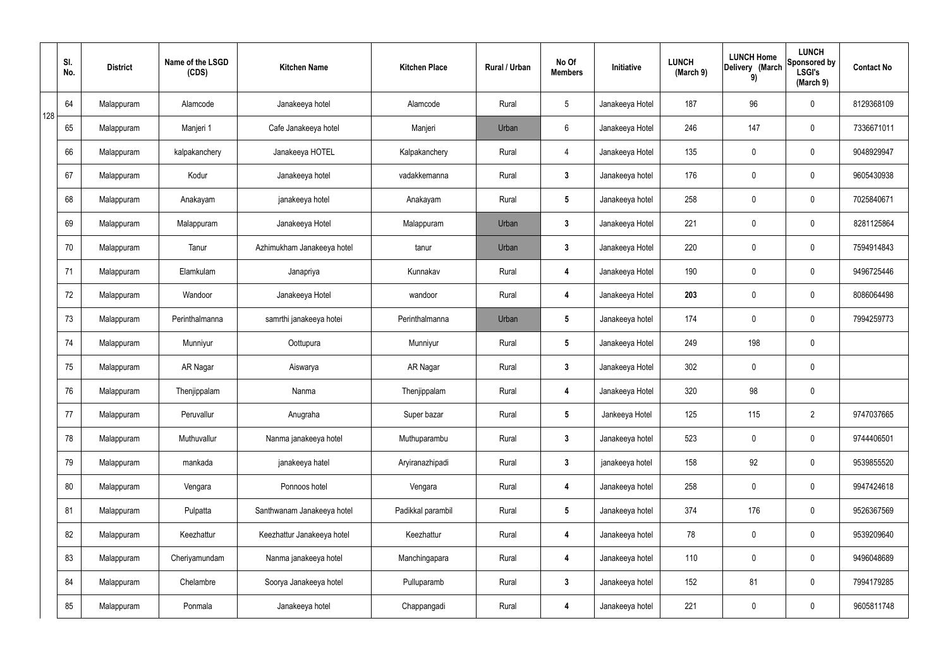|     | SI.<br>No. | <b>District</b> | Name of the LSGD<br>(CDS) | <b>Kitchen Name</b>        | <b>Kitchen Place</b> | Rural / Urban | No Of<br><b>Members</b> | Initiative      | <b>LUNCH</b><br>(March 9) | <b>LUNCH Home</b><br>Delivery (March<br>9) | <b>LUNCH</b><br>Sponsored by<br><b>LSGI's</b><br>(March 9) | <b>Contact No</b> |
|-----|------------|-----------------|---------------------------|----------------------------|----------------------|---------------|-------------------------|-----------------|---------------------------|--------------------------------------------|------------------------------------------------------------|-------------------|
| 128 | 64         | Malappuram      | Alamcode                  | Janakeeya hotel            | Alamcode             | Rural         | $5\phantom{.0}$         | Janakeeya Hotel | 187                       | 96                                         | $\mathbf 0$                                                | 8129368109        |
|     | 65         | Malappuram      | Manjeri 1                 | Cafe Janakeeya hotel       | Manjeri              | Urban         | $6\phantom{.}6$         | Janakeeya Hotel | 246                       | 147                                        | $\mathbf 0$                                                | 7336671011        |
|     | 66         | Malappuram      | kalpakanchery             | Janakeeya HOTEL            | Kalpakanchery        | Rural         | $\overline{4}$          | Janakeeya Hotel | 135                       | 0                                          | $\mathbf 0$                                                | 9048929947        |
|     | 67         | Malappuram      | Kodur                     | Janakeeya hotel            | vadakkemanna         | Rural         | $\mathbf{3}$            | Janakeeya hotel | 176                       | 0                                          | $\mathbf 0$                                                | 9605430938        |
|     | 68         | Malappuram      | Anakayam                  | janakeeya hotel            | Anakayam             | Rural         | $5\phantom{.0}$         | Janakeeya hotel | 258                       | 0                                          | $\mathbf 0$                                                | 7025840671        |
|     | 69         | Malappuram      | Malappuram                | Janakeeya Hotel            | Malappuram           | Urban         | $\mathbf{3}$            | Janakeeya Hotel | 221                       | $\mathbf 0$                                | $\mathbf 0$                                                | 8281125864        |
|     | 70         | Malappuram      | Tanur                     | Azhimukham Janakeeya hotel | tanur                | Urban         | $\mathbf{3}$            | Janakeeya Hotel | 220                       | $\mathbf 0$                                | $\mathbf 0$                                                | 7594914843        |
|     | 71         | Malappuram      | Elamkulam                 | Janapriya                  | Kunnakav             | Rural         | 4                       | Janakeeya Hotel | 190                       | $\mathbf 0$                                | $\mathbf 0$                                                | 9496725446        |
|     | 72         | Malappuram      | Wandoor                   | Janakeeya Hotel            | wandoor              | Rural         | 4                       | Janakeeya Hotel | 203                       | 0                                          | $\mathbf 0$                                                | 8086064498        |
|     | 73         | Malappuram      | Perinthalmanna            | samrthi janakeeya hotei    | Perinthalmanna       | Urban         | $5\phantom{.0}$         | Janakeeya hotel | 174                       | 0                                          | $\mathbf 0$                                                | 7994259773        |
|     | 74         | Malappuram      | Munniyur                  | Oottupura                  | Munniyur             | Rural         | $5\phantom{.0}$         | Janakeeya Hotel | 249                       | 198                                        | $\pmb{0}$                                                  |                   |
|     | 75         | Malappuram      | AR Nagar                  | Aiswarya                   | AR Nagar             | Rural         | $\mathbf{3}$            | Janakeeya Hotel | 302                       | 0                                          | $\mathbf 0$                                                |                   |
|     | 76         | Malappuram      | Thenjippalam              | Nanma                      | Thenjippalam         | Rural         | 4                       | Janakeeya Hotel | 320                       | 98                                         | $\mathbf 0$                                                |                   |
|     | 77         | Malappuram      | Peruvallur                | Anugraha                   | Super bazar          | Rural         | $5\overline{)}$         | Jankeeya Hotel  | 125                       | 115                                        | $\overline{2}$                                             | 9747037665        |
|     | 78         | Malappuram      | Muthuvallur               | Nanma janakeeya hotel      | Muthuparambu         | Rural         | $3\phantom{a}$          | Janakeeya hotel | 523                       | 0                                          | $\mathbf 0$                                                | 9744406501        |
|     | 79         | Malappuram      | mankada                   | janakeeya hatel            | Aryiranazhipadi      | Rural         | $\mathbf{3}$            | janakeeya hotel | 158                       | 92                                         | $\mathbf 0$                                                | 9539855520        |
|     | 80         | Malappuram      | Vengara                   | Ponnoos hotel              | Vengara              | Rural         | 4                       | Janakeeya hotel | 258                       | 0                                          | $\mathbf 0$                                                | 9947424618        |
|     | 81         | Malappuram      | Pulpatta                  | Santhwanam Janakeeya hotel | Padikkal parambil    | Rural         | $5\phantom{.0}$         | Janakeeya hotel | 374                       | 176                                        | $\mathbf 0$                                                | 9526367569        |
|     | 82         | Malappuram      | Keezhattur                | Keezhattur Janakeeya hotel | Keezhattur           | Rural         | 4                       | Janakeeya hotel | 78                        | 0                                          | $\mathbf 0$                                                | 9539209640        |
|     | 83         | Malappuram      | Cheriyamundam             | Nanma janakeeya hotel      | Manchingapara        | Rural         | 4                       | Janakeeya hotel | 110                       | 0                                          | $\mathbf 0$                                                | 9496048689        |
|     | 84         | Malappuram      | Chelambre                 | Soorya Janakeeya hotel     | Pulluparamb          | Rural         | $\mathbf{3}$            | Janakeeya hotel | 152                       | 81                                         | $\mathbf 0$                                                | 7994179285        |
|     | 85         | Malappuram      | Ponmala                   | Janakeeya hotel            | Chappangadi          | Rural         | 4                       | Janakeeya hotel | 221                       | 0                                          | $\mathbf 0$                                                | 9605811748        |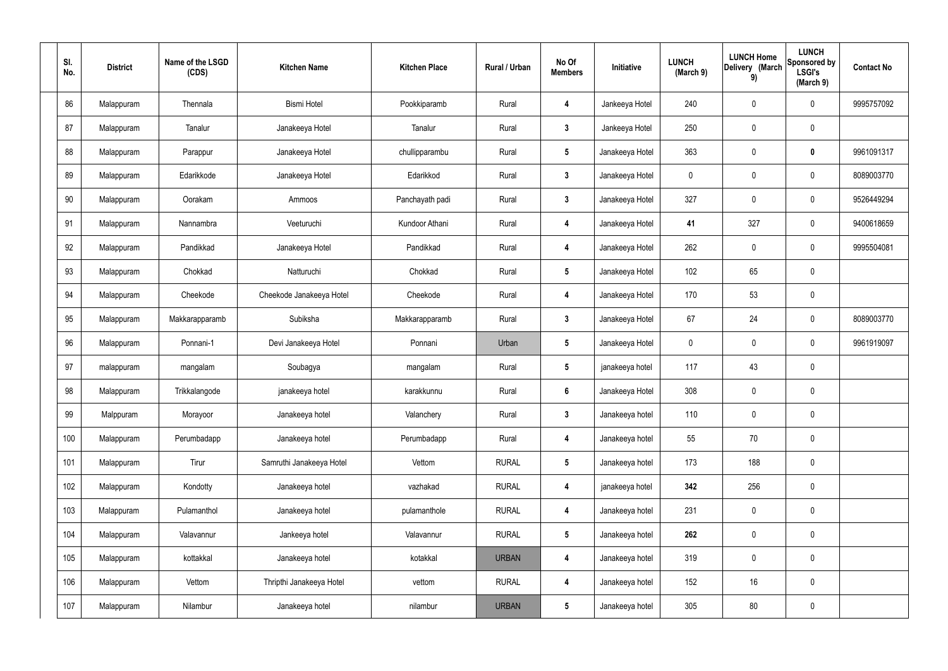| SI.<br>No. | <b>District</b> | Name of the LSGD<br>(CDS) | <b>Kitchen Name</b>      | <b>Kitchen Place</b> | Rural / Urban | No Of<br><b>Members</b> | Initiative      | <b>LUNCH</b><br>(March 9) | <b>LUNCH Home</b><br>Delivery (March<br>9) | <b>LUNCH</b><br>Sponsored by<br><b>LSGI's</b><br>(March 9) | <b>Contact No</b> |
|------------|-----------------|---------------------------|--------------------------|----------------------|---------------|-------------------------|-----------------|---------------------------|--------------------------------------------|------------------------------------------------------------|-------------------|
| 86         | Malappuram      | Thennala                  | <b>Bismi Hotel</b>       | Pookkiparamb         | Rural         | 4                       | Jankeeya Hotel  | 240                       | 0                                          | $\mathbf 0$                                                | 9995757092        |
| 87         | Malappuram      | Tanalur                   | Janakeeya Hotel          | Tanalur              | Rural         | $\mathbf{3}$            | Jankeeya Hotel  | 250                       | 0                                          | $\pmb{0}$                                                  |                   |
| 88         | Malappuram      | Parappur                  | Janakeeya Hotel          | chullipparambu       | Rural         | $5\phantom{.0}$         | Janakeeya Hotel | 363                       | $\boldsymbol{0}$                           | $\mathbf 0$                                                | 9961091317        |
| 89         | Malappuram      | Edarikkode                | Janakeeya Hotel          | Edarikkod            | Rural         | $\mathbf{3}$            | Janakeeya Hotel | $\mathbf 0$               | $\boldsymbol{0}$                           | $\mathbf 0$                                                | 8089003770        |
| 90         | Malappuram      | Oorakam                   | Ammoos                   | Panchayath padi      | Rural         | $\mathbf{3}$            | Janakeeya Hotel | 327                       | 0                                          | $\pmb{0}$                                                  | 9526449294        |
| 91         | Malappuram      | Nannambra                 | Veeturuchi               | Kundoor Athani       | Rural         | 4                       | Janakeeya Hotel | 41                        | 327                                        | $\mathbf 0$                                                | 9400618659        |
| 92         | Malappuram      | Pandikkad                 | Janakeeya Hotel          | Pandikkad            | Rural         | $\boldsymbol{4}$        | Janakeeya Hotel | 262                       | 0                                          | $\mathbf 0$                                                | 9995504081        |
| 93         | Malappuram      | Chokkad                   | Natturuchi               | Chokkad              | Rural         | $5\phantom{.0}$         | Janakeeya Hotel | 102                       | 65                                         | $\pmb{0}$                                                  |                   |
| 94         | Malappuram      | Cheekode                  | Cheekode Janakeeya Hotel | Cheekode             | Rural         | $\boldsymbol{4}$        | Janakeeya Hotel | 170                       | 53                                         | $\pmb{0}$                                                  |                   |
| 95         | Malappuram      | Makkarapparamb            | Subiksha                 | Makkarapparamb       | Rural         | $\mathbf{3}$            | Janakeeya Hotel | 67                        | 24                                         | $\mathbf 0$                                                | 8089003770        |
| 96         | Malappuram      | Ponnani-1                 | Devi Janakeeya Hotel     | Ponnani              | Urban         | $5\phantom{.0}$         | Janakeeya Hotel | $\mathbf 0$               | 0                                          | $\mathbf 0$                                                | 9961919097        |
| 97         | malappuram      | mangalam                  | Soubagya                 | mangalam             | Rural         | $5\phantom{.0}$         | janakeeya hotel | 117                       | 43                                         | $\mathbf 0$                                                |                   |
| 98         | Malappuram      | Trikkalangode             | janakeeya hotel          | karakkunnu           | Rural         | $6\phantom{1}$          | Janakeeya Hotel | 308                       | 0                                          | $\mathbf 0$                                                |                   |
| 99         | Malppuram       | Morayoor                  | Janakeeya hotel          | Valanchery           | Rural         | $\mathbf{3}$            | Janakeeya hotel | 110                       | $\mathbf 0$                                | $\mathbf 0$                                                |                   |
| 100        | Malappuram      | Perumbadapp               | Janakeeya hotel          | Perumbadapp          | Rural         | 4                       | Janakeeya hotel | 55                        | 70                                         | $\mathbf 0$                                                |                   |
| 101        | Malappuram      | Tirur                     | Samruthi Janakeeya Hotel | Vettom               | <b>RURAL</b>  | $5\overline{)}$         | Janakeeya hotel | 173                       | 188                                        | $\mathbf 0$                                                |                   |
| 102        | Malappuram      | Kondotty                  | Janakeeya hotel          | vazhakad             | <b>RURAL</b>  | 4                       | janakeeya hotel | 342                       | 256                                        | $\mathbf 0$                                                |                   |
| 103        | Malappuram      | Pulamanthol               | Janakeeya hotel          | pulamanthole         | <b>RURAL</b>  | $\boldsymbol{4}$        | Janakeeya hotel | 231                       | 0                                          | $\mathbf 0$                                                |                   |
| 104        | Malappuram      | Valavannur                | Jankeeya hotel           | Valavannur           | <b>RURAL</b>  | $5\phantom{.0}$         | Janakeeya hotel | 262                       | 0                                          | $\mathbf 0$                                                |                   |
| 105        | Malappuram      | kottakkal                 | Janakeeya hotel          | kotakkal             | <b>URBAN</b>  | 4                       | Janakeeya hotel | 319                       | 0                                          | $\mathbf 0$                                                |                   |
| 106        | Malappuram      | Vettom                    | Thripthi Janakeeya Hotel | vettom               | <b>RURAL</b>  | $\boldsymbol{4}$        | Janakeeya hotel | 152                       | 16                                         | $\mathbf 0$                                                |                   |
| 107        | Malappuram      | Nilambur                  | Janakeeya hotel          | nilambur             | <b>URBAN</b>  | $5\phantom{.0}$         | Janakeeya hotel | 305                       | $80\,$                                     | $\pmb{0}$                                                  |                   |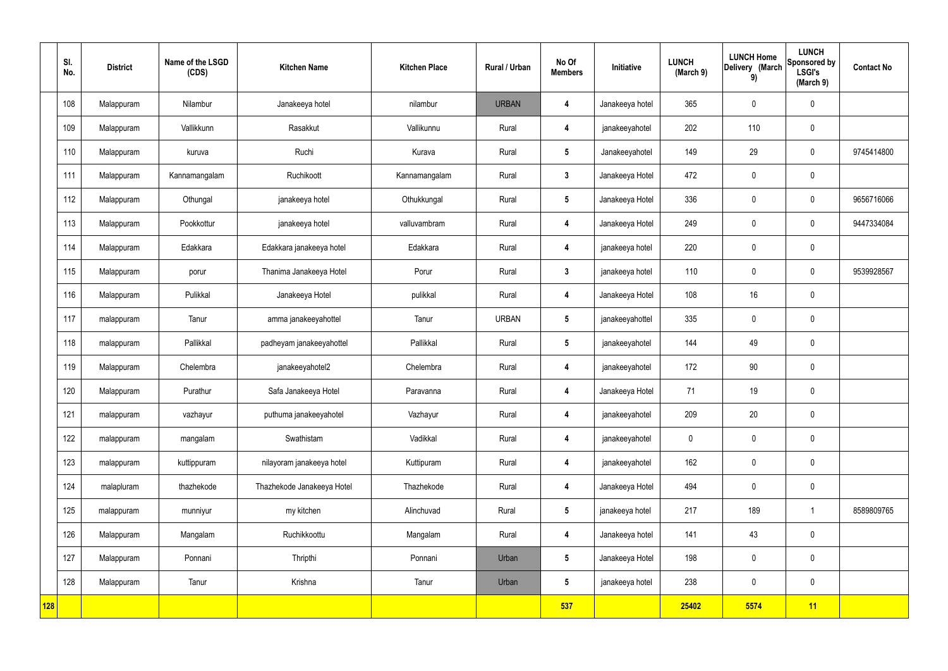|            | SI.<br>No. | <b>District</b> | Name of the LSGD<br>(CDS) | <b>Kitchen Name</b>        | <b>Kitchen Place</b> | Rural / Urban | No Of<br><b>Members</b> | Initiative      | <b>LUNCH</b><br>(March 9) | <b>LUNCH Home</b><br>Delivery (March<br>9) | <b>LUNCH</b><br>Sponsored by<br><b>LSGI's</b><br>(March 9) | <b>Contact No</b> |
|------------|------------|-----------------|---------------------------|----------------------------|----------------------|---------------|-------------------------|-----------------|---------------------------|--------------------------------------------|------------------------------------------------------------|-------------------|
|            | 108        | Malappuram      | Nilambur                  | Janakeeya hotel            | nilambur             | <b>URBAN</b>  | 4                       | Janakeeya hotel | 365                       | $\mathbf 0$                                | $\mathbf 0$                                                |                   |
|            | 109        | Malappuram      | Vallikkunn                | Rasakkut                   | Vallikunnu           | Rural         | $\overline{\mathbf{4}}$ | janakeeyahotel  | 202                       | 110                                        | $\mathbf 0$                                                |                   |
|            | 110        | Malappuram      | kuruva                    | Ruchi                      | Kurava               | Rural         | $5\overline{)}$         | Janakeeyahotel  | 149                       | 29                                         | $\mathbf 0$                                                | 9745414800        |
|            | 111        | Malappuram      | Kannamangalam             | Ruchikoott                 | Kannamangalam        | Rural         | $\mathbf{3}$            | Janakeeya Hotel | 472                       | $\mathbf 0$                                | $\mathbf 0$                                                |                   |
|            | 112        | Malappuram      | Othungal                  | janakeeya hotel            | Othukkungal          | Rural         | $5\overline{)}$         | Janakeeya Hotel | 336                       | $\mathbf 0$                                | $\mathbf 0$                                                | 9656716066        |
|            | 113        | Malappuram      | Pookkottur                | janakeeya hotel            | valluvambram         | Rural         | $\overline{\mathbf{4}}$ | Janakeeya Hotel | 249                       | $\mathbf 0$                                | $\mathbf 0$                                                | 9447334084        |
|            | 114        | Malappuram      | Edakkara                  | Edakkara janakeeya hotel   | Edakkara             | Rural         | $\overline{\mathbf{4}}$ | janakeeya hotel | 220                       | $\mathbf 0$                                | $\mathbf 0$                                                |                   |
|            | 115        | Malappuram      | porur                     | Thanima Janakeeya Hotel    | Porur                | Rural         | $\mathbf{3}$            | janakeeya hotel | 110                       | $\mathbf 0$                                | $\mathbf 0$                                                | 9539928567        |
|            | 116        | Malappuram      | Pulikkal                  | Janakeeya Hotel            | pulikkal             | Rural         | $\overline{\mathbf{4}}$ | Janakeeya Hotel | 108                       | 16                                         | $\mathbf 0$                                                |                   |
|            | 117        | malappuram      | Tanur                     | amma janakeeyahottel       | Tanur                | <b>URBAN</b>  | $5\phantom{.0}$         | janakeeyahottel | 335                       | $\pmb{0}$                                  | $\mathbf 0$                                                |                   |
|            | 118        | malappuram      | Pallikkal                 | padheyam janakeeyahottel   | Pallikkal            | Rural         | $5\phantom{.0}$         | janakeeyahotel  | 144                       | 49                                         | $\mathbf 0$                                                |                   |
|            | 119        | Malappuram      | Chelembra                 | janakeeyahotel2            | Chelembra            | Rural         | 4                       | janakeeyahotel  | 172                       | 90                                         | $\mathbf 0$                                                |                   |
|            | 120        | Malappuram      | Purathur                  | Safa Janakeeya Hotel       | Paravanna            | Rural         | 4                       | Janakeeya Hotel | 71                        | 19                                         | $\mathbf 0$                                                |                   |
|            | 121        | malappuram      | vazhayur                  | puthuma janakeeyahotel     | Vazhayur             | Rural         | 4                       | janakeeyahotel  | 209                       | 20                                         | $\mathbf 0$                                                |                   |
|            | 122        | malappuram      | mangalam                  | Swathistam                 | Vadikkal             | Rural         | $\overline{\mathbf{4}}$ | janakeeyahotel  | $\mathbf 0$               | $\pmb{0}$                                  | $\mathbf 0$                                                |                   |
|            | 123        | malappuram      | kuttippuram               | nilayoram janakeeya hotel  | Kuttipuram           | Rural         | $\overline{\mathbf{4}}$ | janakeeyahotel  | 162                       | 0                                          | $\mathbf 0$                                                |                   |
|            | 124        | malapluram      | thazhekode                | Thazhekode Janakeeya Hotel | Thazhekode           | Rural         | $\overline{\mathbf{4}}$ | Janakeeya Hotel | 494                       | $\pmb{0}$                                  | $\pmb{0}$                                                  |                   |
|            | 125        | malappuram      | munniyur                  | my kitchen                 | Alinchuvad           | Rural         | $5\phantom{.0}$         | janakeeya hotel | 217                       | 189                                        | $\mathbf{1}$                                               | 8589809765        |
|            | 126        | Malappuram      | Mangalam                  | Ruchikkoottu               | Mangalam             | Rural         | $\overline{\mathbf{4}}$ | Janakeeya hotel | 141                       | 43                                         | $\mathbf 0$                                                |                   |
|            | 127        | Malappuram      | Ponnani                   | Thripthi                   | Ponnani              | Urban         | $5\phantom{.0}$         | Janakeeya Hotel | 198                       | 0                                          | $\mathbf 0$                                                |                   |
|            | 128        | Malappuram      | Tanur                     | Krishna                    | Tanur                | Urban         | $5\overline{)}$         | janakeeya hotel | 238                       | $\pmb{0}$                                  | $\mathbf 0$                                                |                   |
| <b>128</b> |            |                 |                           |                            |                      |               | 537                     |                 | 25402                     | 5574                                       | 11                                                         |                   |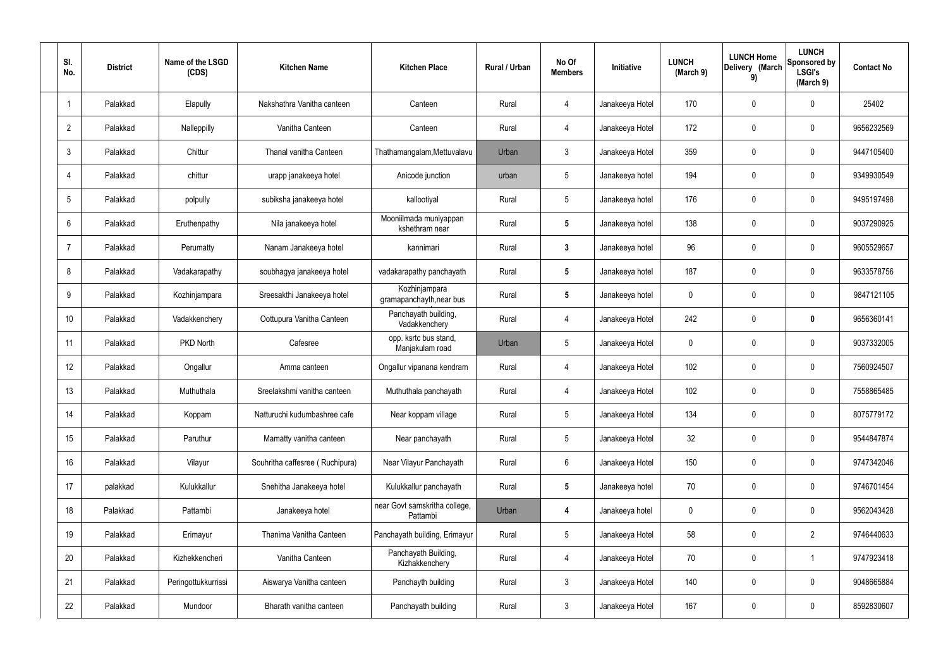| SI.<br>No.      | <b>District</b> | Name of the LSGD<br>(CDS) | <b>Kitchen Name</b>             | <b>Kitchen Place</b>                      | Rural / Urban | No Of<br><b>Members</b> | Initiative      | <b>LUNCH</b><br>(March 9) | <b>LUNCH Home</b><br>Delivery (March<br>9) | <b>LUNCH</b><br>Sponsored by<br><b>LSGI's</b><br>(March 9) | <b>Contact No</b> |
|-----------------|-----------------|---------------------------|---------------------------------|-------------------------------------------|---------------|-------------------------|-----------------|---------------------------|--------------------------------------------|------------------------------------------------------------|-------------------|
|                 | Palakkad        | Elapully                  | Nakshathra Vanitha canteen      | Canteen                                   | Rural         | $\overline{4}$          | Janakeeya Hotel | 170                       | 0                                          | 0                                                          | 25402             |
| $\overline{2}$  | Palakkad        | Nalleppilly               | Vanitha Canteen                 | Canteen                                   | Rural         | $\overline{4}$          | Janakeeya Hotel | 172                       | 0                                          | $\mathbf 0$                                                | 9656232569        |
| 3               | Palakkad        | Chittur                   | Thanal vanitha Canteen          | Thathamangalam, Mettuvalavu               | Urban         | $\mathbf{3}$            | Janakeeya Hotel | 359                       | 0                                          | $\mathbf 0$                                                | 9447105400        |
| $\overline{4}$  | Palakkad        | chittur                   | urapp janakeeya hotel           | Anicode junction                          | urban         | $5\phantom{.0}$         | Janakeeya hotel | 194                       | 0                                          | $\mathbf 0$                                                | 9349930549        |
| 5               | Palakkad        | polpully                  | subiksha janakeeya hotel        | kallootiyal                               | Rural         | $5\phantom{.0}$         | Janakeeya hotel | 176                       | 0                                          | $\mathbf 0$                                                | 9495197498        |
| 6               | Palakkad        | Eruthenpathy              | Nila janakeeya hotel            | Mooniilmada muniyappan<br>kshethram near  | Rural         | $5\phantom{.0}$         | Janakeeya hotel | 138                       | 0                                          | $\mathbf 0$                                                | 9037290925        |
| $\overline{7}$  | Palakkad        | Perumatty                 | Nanam Janakeeya hotel           | kannimari                                 | Rural         | $\mathbf{3}$            | Janakeeya hotel | 96                        | 0                                          | $\mathbf 0$                                                | 9605529657        |
| 8               | Palakkad        | Vadakarapathy             | soubhagya janakeeya hotel       | vadakarapathy panchayath                  | Rural         | $5\phantom{.0}$         | Janakeeya hotel | 187                       | 0                                          | $\mathbf 0$                                                | 9633578756        |
| 9               | Palakkad        | Kozhinjampara             | Sreesakthi Janakeeya hotel      | Kozhinjampara<br>gramapanchayth, near bus | Rural         | $5\phantom{.0}$         | Janakeeya hotel | 0                         | 0                                          | $\mathbf 0$                                                | 9847121105        |
| 10 <sup>°</sup> | Palakkad        | Vadakkenchery             | Oottupura Vanitha Canteen       | Panchayath building,<br>Vadakkenchery     | Rural         | $\overline{4}$          | Janakeeya Hotel | 242                       | 0                                          | $\boldsymbol{0}$                                           | 9656360141        |
| 11              | Palakkad        | PKD North                 | Cafesree                        | opp. ksrtc bus stand,<br>Manjakulam road  | Urban         | $5\phantom{.0}$         | Janakeeya Hotel | $\mathbf 0$               | 0                                          | $\mathbf 0$                                                | 9037332005        |
| 12              | Palakkad        | Ongallur                  | Amma canteen                    | Ongallur vipanana kendram                 | Rural         | $\overline{4}$          | Janakeeya Hotel | 102                       | 0                                          | $\mathbf 0$                                                | 7560924507        |
| 13              | Palakkad        | Muthuthala                | Sreelakshmi vanitha canteen     | Muthuthala panchayath                     | Rural         | 4                       | Janakeeya Hotel | 102                       | 0                                          | $\mathbf 0$                                                | 7558865485        |
| 14              | Palakkad        | Koppam                    | Natturuchi kudumbashree cafe    | Near koppam village                       | Rural         | $5\phantom{.0}$         | Janakeeya Hotel | 134                       | $\mathsf{0}$                               | $\pmb{0}$                                                  | 8075779172        |
| 15              | Palakkad        | Paruthur                  | Mamatty vanitha canteen         | Near panchayath                           | Rural         | $5\phantom{.0}$         | Janakeeya Hotel | 32                        | 0                                          | $\mathbf 0$                                                | 9544847874        |
| 16              | Palakkad        | Vilayur                   | Souhritha caffesree (Ruchipura) | Near Vilayur Panchayath                   | Rural         | $6\phantom{.}6$         | Janakeeya Hotel | 150                       | 0                                          | $\mathbf 0$                                                | 9747342046        |
| 17              | palakkad        | Kulukkallur               | Snehitha Janakeeya hotel        | Kulukkallur panchayath                    | Rural         | $5\phantom{.0}$         | Janakeeya hotel | 70                        | 0                                          | $\mathbf 0$                                                | 9746701454        |
| 18              | Palakkad        | Pattambi                  | Janakeeya hotel                 | near Govt samskritha college,<br>Pattambi | Urban         | 4                       | Janakeeya hotel | 0                         | 0                                          | $\mathbf 0$                                                | 9562043428        |
| 19              | Palakkad        | Erimayur                  | Thanima Vanitha Canteen         | Panchayath building, Erimayur             | Rural         | $5\phantom{.0}$         | Janakeeya Hotel | 58                        | 0                                          | $\overline{2}$                                             | 9746440633        |
| 20              | Palakkad        | Kizhekkencheri            | Vanitha Canteen                 | Panchayath Building,<br>Kizhakkenchery    | Rural         | $\overline{4}$          | Janakeeya Hotel | 70                        | 0                                          | $\mathbf 1$                                                | 9747923418        |
| 21              | Palakkad        | Peringottukkurrissi       | Aiswarya Vanitha canteen        | Panchayth building                        | Rural         | $\mathbf{3}$            | Janakeeya Hotel | 140                       | 0                                          | $\mathbf 0$                                                | 9048665884        |
| 22              | Palakkad        | Mundoor                   | Bharath vanitha canteen         | Panchayath building                       | Rural         | $\mathbf{3}$            | Janakeeya Hotel | 167                       | 0                                          | $\boldsymbol{0}$                                           | 8592830607        |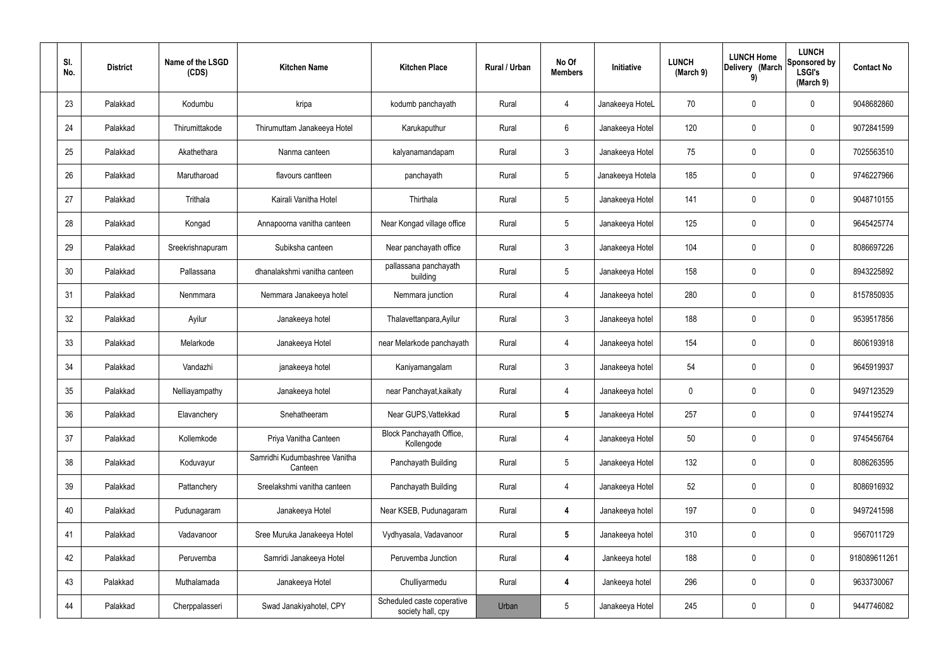| SI.<br>No. | <b>District</b> | Name of the LSGD<br>(CDS) | <b>Kitchen Name</b>                      | <b>Kitchen Place</b>                            | Rural / Urban | No Of<br><b>Members</b> | Initiative       | <b>LUNCH</b><br>(March 9) | <b>LUNCH Home</b><br>Delivery (March<br>9) | <b>LUNCH</b><br>Sponsored by<br><b>LSGI's</b><br>(March 9) | <b>Contact No</b> |
|------------|-----------------|---------------------------|------------------------------------------|-------------------------------------------------|---------------|-------------------------|------------------|---------------------------|--------------------------------------------|------------------------------------------------------------|-------------------|
| 23         | Palakkad        | Kodumbu                   | kripa                                    | kodumb panchayath                               | Rural         | 4                       | Janakeeya HoteL  | 70                        | $\mathbf 0$                                | 0                                                          | 9048682860        |
| 24         | Palakkad        | Thirumittakode            | Thirumuttam Janakeeya Hotel              | Karukaputhur                                    | Rural         | 6                       | Janakeeya Hotel  | 120                       | $\mathbf 0$                                | 0                                                          | 9072841599        |
| 25         | Palakkad        | Akathethara               | Nanma canteen                            | kalyanamandapam                                 | Rural         | $\mathbf{3}$            | Janakeeya Hotel  | 75                        | 0                                          | 0                                                          | 7025563510        |
| 26         | Palakkad        | Marutharoad               | flavours cantteen                        | panchayath                                      | Rural         | $5\phantom{.0}$         | Janakeeya Hotela | 185                       | $\mathbf 0$                                | 0                                                          | 9746227966        |
| 27         | Palakkad        | Trithala                  | Kairali Vanitha Hotel                    | Thirthala                                       | Rural         | $5\phantom{.0}$         | Janakeeya Hotel  | 141                       | 0                                          | 0                                                          | 9048710155        |
| 28         | Palakkad        | Kongad                    | Annapoorna vanitha canteen               | Near Kongad village office                      | Rural         | $5\phantom{.0}$         | Janakeeya Hotel  | 125                       | $\mathbf 0$                                | 0                                                          | 9645425774        |
| 29         | Palakkad        | Sreekrishnapuram          | Subiksha canteen                         | Near panchayath office                          | Rural         | $\mathbf{3}$            | Janakeeya Hotel  | 104                       | $\mathbf 0$                                | 0                                                          | 8086697226        |
| 30         | Palakkad        | Pallassana                | dhanalakshmi vanitha canteen             | pallassana panchayath<br>building               | Rural         | $5\phantom{.0}$         | Janakeeya Hotel  | 158                       | $\mathbf 0$                                | 0                                                          | 8943225892        |
| 31         | Palakkad        | Nenmmara                  | Nemmara Janakeeya hotel                  | Nemmara junction                                | Rural         | 4                       | Janakeeya hotel  | 280                       | $\mathbf 0$                                | 0                                                          | 8157850935        |
| 32         | Palakkad        | Ayilur                    | Janakeeya hotel                          | Thalavettanpara, Ayilur                         | Rural         | $\mathbf{3}$            | Janakeeya hotel  | 188                       | 0                                          | 0                                                          | 9539517856        |
| 33         | Palakkad        | Melarkode                 | Janakeeya Hotel                          | near Melarkode panchayath                       | Rural         | $\overline{4}$          | Janakeeya hotel  | 154                       | 0                                          | 0                                                          | 8606193918        |
| 34         | Palakkad        | Vandazhi                  | janakeeya hotel                          | Kaniyamangalam                                  | Rural         | $\mathbf{3}$            | Janakeeya hotel  | 54                        | 0                                          | 0                                                          | 9645919937        |
| 35         | Palakkad        | Nelliayampathy            | Janakeeya hotel                          | near Panchayat, kaikaty                         | Rural         | 4                       | Janakeeya hotel  | 0                         | 0                                          | 0                                                          | 9497123529        |
| 36         | Palakkad        | Elavanchery               | Snehatheeram                             | Near GUPS, Vattekkad                            | Rural         | $\sqrt{5}$              | Janakeeya Hotel  | 257                       | $\mathbf 0$                                | 0                                                          | 9744195274        |
| 37         | Palakkad        | Kollemkode                | Priya Vanitha Canteen                    | Block Panchayath Office,<br>Kollengode          | Rural         | $\overline{4}$          | Janakeeya Hotel  | 50                        | $\mathbf 0$                                | 0                                                          | 9745456764        |
| 38         | Palakkad        | Koduvayur                 | Samridhi Kudumbashree Vanitha<br>Canteen | Panchayath Building                             | Rural         | $5\phantom{.0}$         | Janakeeya Hotel  | 132                       | $\mathbf 0$                                | 0                                                          | 8086263595        |
| 39         | Palakkad        | Pattanchery               | Sreelakshmi vanitha canteen              | Panchayath Building                             | Rural         | $\overline{4}$          | Janakeeya Hotel  | 52                        | $\mathbf 0$                                | 0                                                          | 8086916932        |
| 40         | Palakkad        | Pudunagaram               | Janakeeya Hotel                          | Near KSEB, Pudunagaram                          | Rural         | $\overline{4}$          | Janakeeya hotel  | 197                       | $\mathbf 0$                                | 0                                                          | 9497241598        |
| 41         | Palakkad        | Vadavanoor                | Sree Muruka Janakeeya Hotel              | Vydhyasala, Vadavanoor                          | Rural         | $5\phantom{.0}$         | Janakeeya hotel  | 310                       | $\mathbf 0$                                | 0                                                          | 9567011729        |
| 42         | Palakkad        | Peruvemba                 | Samridi Janakeeya Hotel                  | Peruvemba Junction                              | Rural         | 4                       | Jankeeya hotel   | 188                       | $\mathbf 0$                                | 0                                                          | 918089611261      |
| 43         | Palakkad        | Muthalamada               | Janakeeya Hotel                          | Chulliyarmedu                                   | Rural         | 4                       | Jankeeya hotel   | 296                       | $\mathbf 0$                                | 0                                                          | 9633730067        |
| 44         | Palakkad        | Cherppalasseri            | Swad Janakiyahotel, CPY                  | Scheduled caste coperative<br>society hall, cpy | Urban         | $5\phantom{.0}$         | Janakeeya Hotel  | 245                       | 0                                          | 0                                                          | 9447746082        |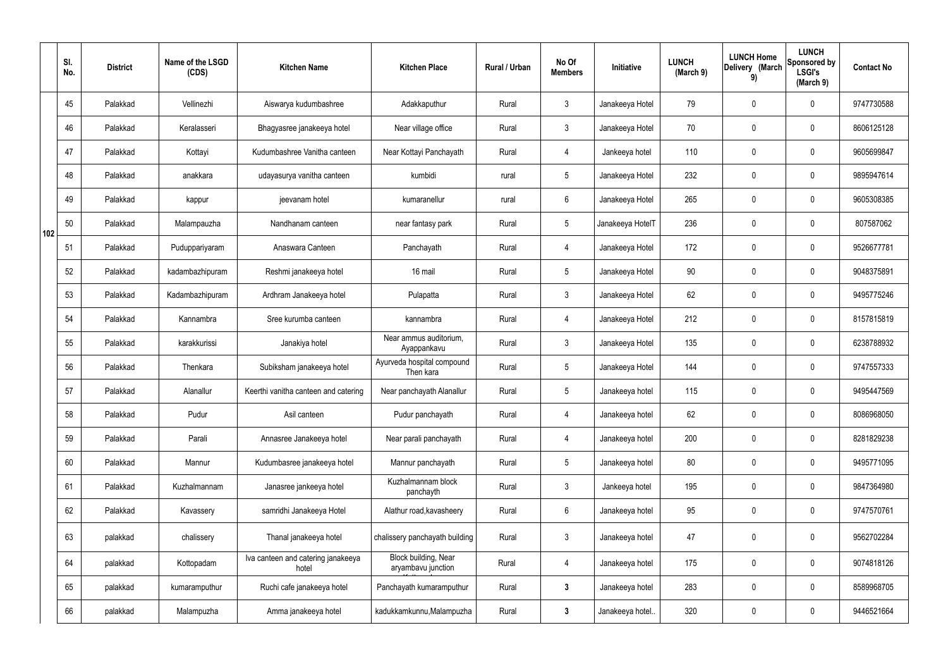|     | SI.<br>No. | <b>District</b> | Name of the LSGD<br>(CDS) | <b>Kitchen Name</b>                         | <b>Kitchen Place</b>                       | Rural / Urban | No Of<br><b>Members</b> | Initiative       | <b>LUNCH</b><br>(March 9) | <b>LUNCH Home</b><br>Delivery (March<br>9) | <b>LUNCH</b><br>Sponsored by<br><b>LSGI's</b><br>(March 9) | <b>Contact No</b> |
|-----|------------|-----------------|---------------------------|---------------------------------------------|--------------------------------------------|---------------|-------------------------|------------------|---------------------------|--------------------------------------------|------------------------------------------------------------|-------------------|
|     | 45         | Palakkad        | Vellinezhi                | Aiswarya kudumbashree                       | Adakkaputhur                               | Rural         | $\mathbf{3}$            | Janakeeya Hotel  | 79                        | 0                                          | $\mathbf 0$                                                | 9747730588        |
|     | 46         | Palakkad        | Keralasseri               | Bhagyasree janakeeya hotel                  | Near village office                        | Rural         | $\mathbf{3}$            | Janakeeya Hotel  | 70                        | $\mathbf 0$                                | $\pmb{0}$                                                  | 8606125128        |
|     | 47         | Palakkad        | Kottayi                   | Kudumbashree Vanitha canteen                | Near Kottayi Panchayath                    | Rural         | $\overline{4}$          | Jankeeya hotel   | 110                       | 0                                          | $\mathbf 0$                                                | 9605699847        |
|     | 48         | Palakkad        | anakkara                  | udayasurya vanitha canteen                  | kumbidi                                    | rural         | $5\phantom{.0}$         | Janakeeya Hotel  | 232                       | $\mathbf 0$                                | $\mathbf 0$                                                | 9895947614        |
|     | 49         | Palakkad        | kappur                    | jeevanam hotel                              | kumaranellur                               | rural         | $6\phantom{.}6$         | Janakeeya Hotel  | 265                       | 0                                          | $\mathbf 0$                                                | 9605308385        |
| 102 | 50         | Palakkad        | Malampauzha               | Nandhanam canteen                           | near fantasy park                          | Rural         | $5\phantom{.0}$         | Janakeeya HotelT | 236                       | 0                                          | $\mathbf 0$                                                | 807587062         |
|     | 51         | Palakkad        | Puduppariyaram            | Anaswara Canteen                            | Panchayath                                 | Rural         | $\overline{4}$          | Janakeeya Hotel  | 172                       | 0                                          | $\mathbf 0$                                                | 9526677781        |
|     | 52         | Palakkad        | kadambazhipuram           | Reshmi janakeeya hotel                      | 16 mail                                    | Rural         | $5\phantom{.0}$         | Janakeeya Hotel  | 90                        | 0                                          | $\mathbf 0$                                                | 9048375891        |
|     | 53         | Palakkad        | Kadambazhipuram           | Ardhram Janakeeya hotel                     | Pulapatta                                  | Rural         | $\mathbf{3}$            | Janakeeya Hotel  | 62                        | 0                                          | $\mathbf 0$                                                | 9495775246        |
|     | 54         | Palakkad        | Kannambra                 | Sree kurumba canteen                        | kannambra                                  | Rural         | $\overline{4}$          | Janakeeya Hotel  | 212                       | 0                                          | $\pmb{0}$                                                  | 8157815819        |
|     | 55         | Palakkad        | karakkurissi              | Janakiya hotel                              | Near ammus auditorium,<br>Ayappankavu      | Rural         | $\mathbf{3}$            | Janakeeya Hotel  | 135                       | 0                                          | $\mathbf 0$                                                | 6238788932        |
|     | 56         | Palakkad        | Thenkara                  | Subiksham janakeeya hotel                   | Ayurveda hospital compound<br>Then kara    | Rural         | $5\phantom{.0}$         | Janakeeya Hotel  | 144                       | 0                                          | $\mathbf 0$                                                | 9747557333        |
|     | 57         | Palakkad        | Alanallur                 | Keerthi vanitha canteen and catering        | Near panchayath Alanallur                  | Rural         | $5\phantom{.0}$         | Janakeeya hotel  | 115                       | 0                                          | $\mathbf 0$                                                | 9495447569        |
|     | 58         | Palakkad        | Pudur                     | Asil canteen                                | Pudur panchayath                           | Rural         | $\overline{4}$          | Janakeeya hotel  | 62                        | 0                                          | $\mathbf 0$                                                | 8086968050        |
|     | 59         | Palakkad        | Parali                    | Annasree Janakeeya hotel                    | Near parali panchayath                     | Rural         | 4                       | Janakeeya hotel  | 200                       | 0                                          | $\mathbf 0$                                                | 8281829238        |
|     | 60         | Palakkad        | Mannur                    | Kudumbasree janakeeya hotel                 | Mannur panchayath                          | Rural         | $5\phantom{.0}$         | Janakeeya hotel  | 80                        | 0                                          | $\pmb{0}$                                                  | 9495771095        |
|     | 61         | Palakkad        | Kuzhalmannam              | Janasree jankeeya hotel                     | Kuzhalmannam block<br>panchayth            | Rural         | $\mathbf{3}$            | Jankeeya hotel   | 195                       | 0                                          | $\mathbf 0$                                                | 9847364980        |
|     | 62         | Palakkad        | Kavassery                 | samridhi Janakeeya Hotel                    | Alathur road, kavasheery                   | Rural         | $6\phantom{.}6$         | Janakeeya hotel  | 95                        | 0                                          | $\pmb{0}$                                                  | 9747570761        |
|     | 63         | palakkad        | chalissery                | Thanal janakeeya hotel                      | chalissery panchayath building             | Rural         | $\mathfrak{Z}$          | Janakeeya hotel  | 47                        | $\mathbf 0$                                | $\pmb{0}$                                                  | 9562702284        |
|     | 64         | palakkad        | Kottopadam                | Iva canteen and catering janakeeya<br>hotel | Block building, Near<br>aryambavu junction | Rural         | 4                       | Janakeeya hotel  | 175                       | 0                                          | $\mathbf 0$                                                | 9074818126        |
|     | 65         | palakkad        | kumaramputhur             | Ruchi cafe janakeeya hotel                  | Panchayath kumaramputhur                   | Rural         | $3\phantom{a}$          | Janakeeya hotel  | 283                       | 0                                          | $\mathbf 0$                                                | 8589968705        |
|     | 66         | palakkad        | Malampuzha                | Amma janakeeya hotel                        | kadukkamkunnu, Malampuzha                  | Rural         | $\mathbf{3}$            | Janakeeya hotel. | 320                       | 0                                          | $\boldsymbol{0}$                                           | 9446521664        |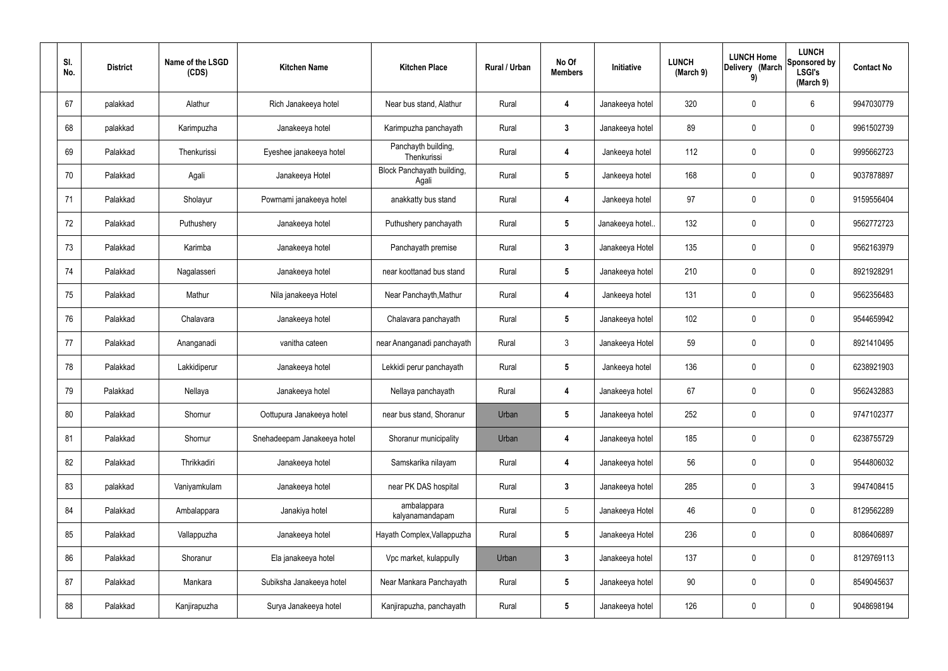| SI.<br>No. | <b>District</b> | Name of the LSGD<br>(CDS) | <b>Kitchen Name</b>         | <b>Kitchen Place</b>                | Rural / Urban | No Of<br><b>Members</b> | Initiative       | <b>LUNCH</b><br>(March 9) | <b>LUNCH Home</b><br>Delivery (March<br>9) | <b>LUNCH</b><br>Sponsored by<br><b>LSGI's</b><br>(March 9) | <b>Contact No</b> |
|------------|-----------------|---------------------------|-----------------------------|-------------------------------------|---------------|-------------------------|------------------|---------------------------|--------------------------------------------|------------------------------------------------------------|-------------------|
| 67         | palakkad        | Alathur                   | Rich Janakeeya hotel        | Near bus stand, Alathur             | Rural         | 4                       | Janakeeya hotel  | 320                       | 0                                          | 6                                                          | 9947030779        |
| 68         | palakkad        | Karimpuzha                | Janakeeya hotel             | Karimpuzha panchayath               | Rural         | $\mathbf{3}$            | Janakeeya hotel  | 89                        | $\mathbf 0$                                | $\mathbf 0$                                                | 9961502739        |
| 69         | Palakkad        | Thenkurissi               | Eyeshee janakeeya hotel     | Panchayth building,<br>Thenkurissi  | Rural         | 4                       | Jankeeya hotel   | 112                       | 0                                          | $\mathbf 0$                                                | 9995662723        |
| 70         | Palakkad        | Agali                     | Janakeeya Hotel             | Block Panchayath building,<br>Agali | Rural         | $5\phantom{.0}$         | Jankeeya hotel   | 168                       | $\mathbf 0$                                | $\mathbf 0$                                                | 9037878897        |
| 71         | Palakkad        | Sholayur                  | Powrnami janakeeya hotel    | anakkatty bus stand                 | Rural         | 4                       | Jankeeya hotel   | 97                        | $\mathbf 0$                                | $\mathbf 0$                                                | 9159556404        |
| 72         | Palakkad        | Puthushery                | Janakeeya hotel             | Puthushery panchayath               | Rural         | $5\phantom{.0}$         | Janakeeya hotel. | 132                       | $\mathbf 0$                                | $\mathbf 0$                                                | 9562772723        |
| 73         | Palakkad        | Karimba                   | Janakeeya hotel             | Panchayath premise                  | Rural         | $\mathbf{3}$            | Janakeeya Hotel  | 135                       | $\mathbf 0$                                | $\mathbf 0$                                                | 9562163979        |
| 74         | Palakkad        | Nagalasseri               | Janakeeya hotel             | near koottanad bus stand            | Rural         | $5\phantom{.0}$         | Janakeeya hotel  | 210                       | $\mathbf 0$                                | $\mathbf 0$                                                | 8921928291        |
| 75         | Palakkad        | Mathur                    | Nila janakeeya Hotel        | Near Panchayth, Mathur              | Rural         | 4                       | Jankeeya hotel   | 131                       | $\mathbf 0$                                | $\mathbf 0$                                                | 9562356483        |
| 76         | Palakkad        | Chalavara                 | Janakeeya hotel             | Chalavara panchayath                | Rural         | $5\phantom{.0}$         | Janakeeya hotel  | 102                       | 0                                          | $\mathbf 0$                                                | 9544659942        |
| 77         | Palakkad        | Ananganadi                | vanitha cateen              | near Ananganadi panchayath          | Rural         | $\mathbf{3}$            | Janakeeya Hotel  | 59                        | 0                                          | $\mathbf 0$                                                | 8921410495        |
| 78         | Palakkad        | Lakkidiperur              | Janakeeya hotel             | Lekkidi perur panchayath            | Rural         | $5\phantom{.0}$         | Jankeeya hotel   | 136                       | $\mathbf 0$                                | $\mathbf 0$                                                | 6238921903        |
| 79         | Palakkad        | Nellaya                   | Janakeeya hotel             | Nellaya panchayath                  | Rural         | 4                       | Janakeeya hotel  | 67                        | 0                                          | $\mathbf 0$                                                | 9562432883        |
| 80         | Palakkad        | Shornur                   | Oottupura Janakeeya hotel   | near bus stand, Shoranur            | Urban         | $5\phantom{.0}$         | Janakeeya hotel  | 252                       | $\mathbf 0$                                | $\mathbf 0$                                                | 9747102377        |
| 81         | Palakkad        | Shornur                   | Snehadeepam Janakeeya hotel | Shoranur municipality               | Urban         | $\overline{4}$          | Janakeeya hotel  | 185                       | 0                                          | $\mathbf 0$                                                | 6238755729        |
| 82         | Palakkad        | Thrikkadiri               | Janakeeya hotel             | Samskarika nilayam                  | Rural         | 4                       | Janakeeya hotel  | 56                        | 0                                          | $\mathbf 0$                                                | 9544806032        |
| 83         | palakkad        | Vaniyamkulam              | Janakeeya hotel             | near PK DAS hospital                | Rural         | $\mathbf{3}$            | Janakeeya hotel  | 285                       | 0                                          | $\mathbf{3}$                                               | 9947408415        |
| 84         | Palakkad        | Ambalappara               | Janakiya hotel              | ambalappara<br>kalyanamandapam      | Rural         | $5\phantom{.0}$         | Janakeeya Hotel  | 46                        | 0                                          | $\mathbf 0$                                                | 8129562289        |
| 85         | Palakkad        | Vallappuzha               | Janakeeya hotel             | Hayath Complex, Vallappuzha         | Rural         | $5\phantom{.0}$         | Janakeeya Hotel  | 236                       | 0                                          | $\mathbf 0$                                                | 8086406897        |
| 86         | Palakkad        | Shoranur                  | Ela janakeeya hotel         | Vpc market, kulappully              | Urban         | $\mathbf{3}$            | Janakeeya hotel  | 137                       | 0                                          | $\mathbf 0$                                                | 8129769113        |
| 87         | Palakkad        | Mankara                   | Subiksha Janakeeya hotel    | Near Mankara Panchayath             | Rural         | $5\phantom{.0}$         | Janakeeya hotel  | 90                        | 0                                          | $\mathbf 0$                                                | 8549045637        |
| 88         | Palakkad        | Kanjirapuzha              | Surya Janakeeya hotel       | Kanjirapuzha, panchayath            | Rural         | $5\overline{)}$         | Janakeeya hotel  | 126                       | 0                                          | $\overline{0}$                                             | 9048698194        |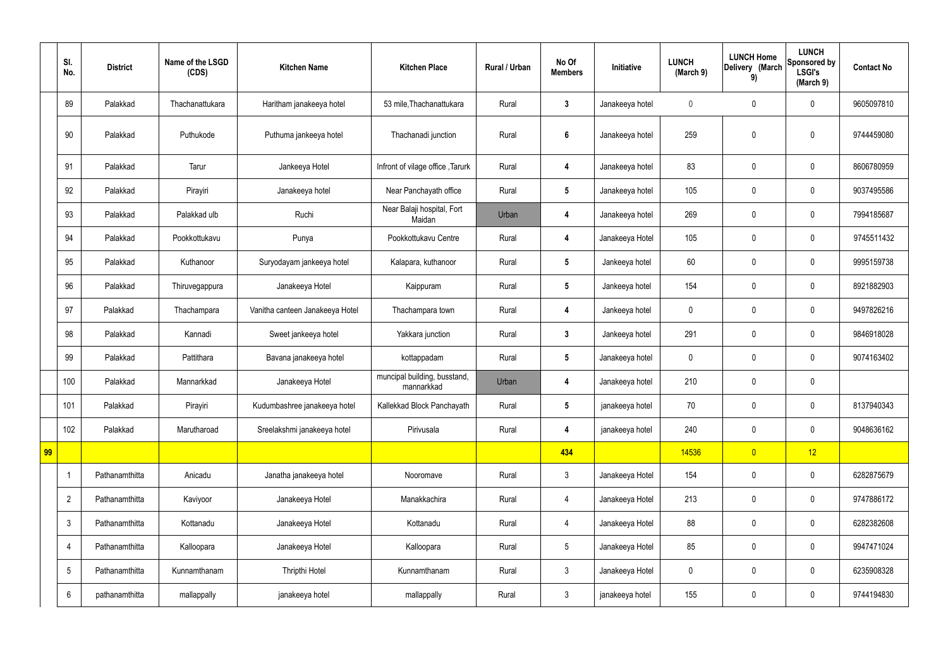|    | SI.<br>No.     | <b>District</b> | Name of the LSGD<br>(CDS) | <b>Kitchen Name</b>             | <b>Kitchen Place</b>                       | Rural / Urban | No Of<br><b>Members</b> | Initiative      | <b>LUNCH</b><br>(March 9) | <b>LUNCH Home</b><br>Delivery (March<br>9) | <b>LUNCH</b><br>Sponsored by<br><b>LSGI's</b><br>(March 9) | <b>Contact No</b> |
|----|----------------|-----------------|---------------------------|---------------------------------|--------------------------------------------|---------------|-------------------------|-----------------|---------------------------|--------------------------------------------|------------------------------------------------------------|-------------------|
|    | 89             | Palakkad        | Thachanattukara           | Haritham janakeeya hotel        | 53 mile, Thachanattukara                   | Rural         | $\mathbf{3}$            | Janakeeya hotel | $\mathbf 0$               | $\mathbf 0$                                | $\mathbf 0$                                                | 9605097810        |
|    | 90             | Palakkad        | Puthukode                 | Puthuma jankeeya hotel          | Thachanadi junction                        | Rural         | $6\phantom{1}$          | Janakeeya hotel | 259                       | $\mathbf 0$                                | $\mathbf 0$                                                | 9744459080        |
|    | 91             | Palakkad        | Tarur                     | Jankeeya Hotel                  | Infront of vilage office, Tarurk           | Rural         | 4                       | Janakeeya hotel | 83                        | $\mathbf 0$                                | $\mathbf 0$                                                | 8606780959        |
|    | 92             | Palakkad        | Pirayiri                  | Janakeeya hotel                 | Near Panchayath office                     | Rural         | $5\overline{)}$         | Janakeeya hotel | 105                       | $\mathbf 0$                                | $\mathbf 0$                                                | 9037495586        |
|    | 93             | Palakkad        | Palakkad ulb              | Ruchi                           | Near Balaji hospital, Fort<br>Maidan       | Urban         | 4                       | Janakeeya hotel | 269                       | $\mathbf 0$                                | $\mathbf 0$                                                | 7994185687        |
|    | 94             | Palakkad        | Pookkottukavu             | Punya                           | Pookkottukavu Centre                       | Rural         | $\overline{\mathbf{4}}$ | Janakeeya Hotel | 105                       | $\mathbf 0$                                | $\mathbf 0$                                                | 9745511432        |
|    | 95             | Palakkad        | Kuthanoor                 | Suryodayam jankeeya hotel       | Kalapara, kuthanoor                        | Rural         | $5\overline{)}$         | Jankeeya hotel  | 60                        | $\mathbf 0$                                | $\mathbf 0$                                                | 9995159738        |
|    | 96             | Palakkad        | Thiruvegappura            | Janakeeya Hotel                 | Kaippuram                                  | Rural         | $5\phantom{.0}$         | Jankeeya hotel  | 154                       | $\mathbf 0$                                | $\mathbf 0$                                                | 8921882903        |
|    | 97             | Palakkad        | Thachampara               | Vanitha canteen Janakeeya Hotel | Thachampara town                           | Rural         | 4                       | Jankeeya hotel  | $\mathbf 0$               | $\mathbf 0$                                | $\mathbf 0$                                                | 9497826216        |
|    | 98             | Palakkad        | Kannadi                   | Sweet jankeeya hotel            | Yakkara junction                           | Rural         | $\mathbf{3}$            | Jankeeya hotel  | 291                       | $\mathbf 0$                                | $\mathbf 0$                                                | 9846918028        |
|    | 99             | Palakkad        | Pattithara                | Bavana janakeeya hotel          | kottappadam                                | Rural         | $5\phantom{.0}$         | Janakeeya hotel | $\mathbf 0$               | $\mathbf 0$                                | $\mathbf 0$                                                | 9074163402        |
|    | 100            | Palakkad        | Mannarkkad                | Janakeeya Hotel                 | muncipal building, busstand,<br>mannarkkad | Urban         | $\overline{4}$          | Janakeeya hotel | 210                       | $\mathbf 0$                                | $\mathbf 0$                                                |                   |
|    | 101            | Palakkad        | Pirayiri                  | Kudumbashree janakeeya hotel    | Kallekkad Block Panchayath                 | Rural         | $5\phantom{.0}$         | janakeeya hotel | $70\,$                    | $\pmb{0}$                                  | $\mathbf 0$                                                | 8137940343        |
|    | 102            | Palakkad        | Marutharoad               | Sreelakshmi janakeeya hotel     | Pirivusala                                 | Rural         | $\overline{\mathbf{4}}$ | janakeeya hotel | 240                       | $\pmb{0}$                                  | $\mathbf 0$                                                | 9048636162        |
| 99 |                |                 |                           |                                 |                                            |               | 434                     |                 | 14536                     | $\overline{0}$                             | 12                                                         |                   |
|    | $\mathbf 1$    | Pathanamthitta  | Anicadu                   | Janatha janakeeya hotel         | Nooromave                                  | Rural         | 3 <sup>5</sup>          | Janakeeya Hotel | 154                       | $\pmb{0}$                                  | $\pmb{0}$                                                  | 6282875679        |
|    | $\overline{2}$ | Pathanamthitta  | Kaviyoor                  | Janakeeya Hotel                 | Manakkachira                               | Rural         | $\overline{4}$          | Janakeeya Hotel | 213                       | $\pmb{0}$                                  | $\mathbf 0$                                                | 9747886172        |
|    | $\mathfrak{Z}$ | Pathanamthitta  | Kottanadu                 | Janakeeya Hotel                 | Kottanadu                                  | Rural         | $\overline{4}$          | Janakeeya Hotel | 88                        | $\pmb{0}$                                  | $\mathbf 0$                                                | 6282382608        |
|    | 4              | Pathanamthitta  | Kalloopara                | Janakeeya Hotel                 | Kalloopara                                 | Rural         | $5\overline{)}$         | Janakeeya Hotel | 85                        | $\pmb{0}$                                  | $\mathbf 0$                                                | 9947471024        |
|    | 5              | Pathanamthitta  | Kunnamthanam              | Thripthi Hotel                  | Kunnamthanam                               | Rural         | 3 <sup>2</sup>          | Janakeeya Hotel | $\pmb{0}$                 | $\pmb{0}$                                  | $\mathbf 0$                                                | 6235908328        |
|    | 6              | pathanamthitta  | mallappally               | janakeeya hotel                 | mallappally                                | Rural         | 3 <sup>1</sup>          | janakeeya hotel | 155                       | $\pmb{0}$                                  | $\boldsymbol{0}$                                           | 9744194830        |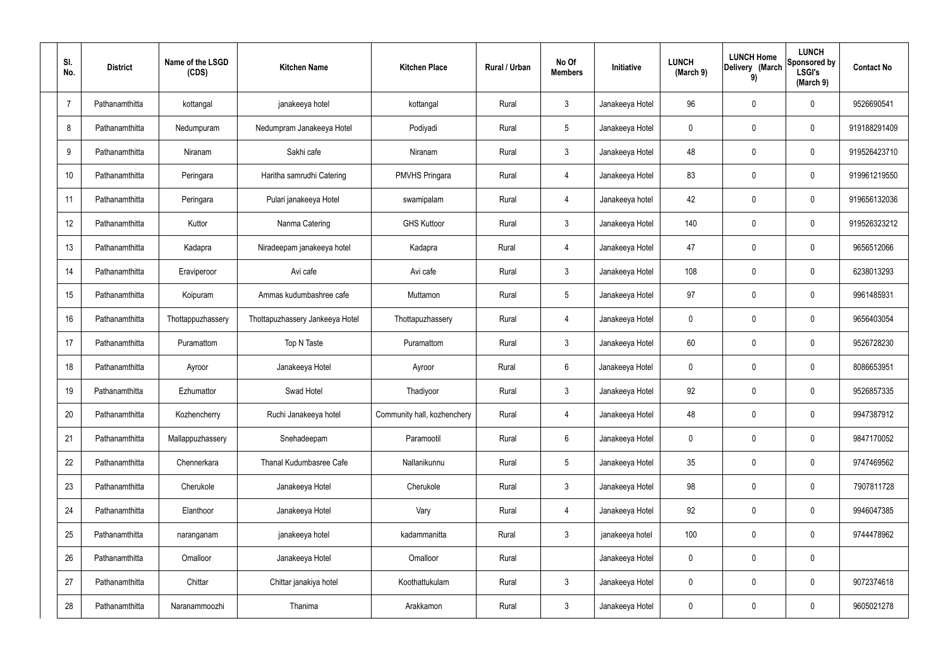| SI. | No.            | <b>District</b> | Name of the LSGD<br>(CDS) | <b>Kitchen Name</b>             | <b>Kitchen Place</b>        | Rural / Urban | No Of<br><b>Members</b> | Initiative      | <b>LUNCH</b><br>(March 9) | <b>LUNCH Home</b><br>Delivery (March<br>9) | <b>LUNCH</b><br>Sponsored by<br><b>LSGI's</b><br>(March 9) | <b>Contact No</b> |
|-----|----------------|-----------------|---------------------------|---------------------------------|-----------------------------|---------------|-------------------------|-----------------|---------------------------|--------------------------------------------|------------------------------------------------------------|-------------------|
|     | $\overline{7}$ | Pathanamthitta  | kottangal                 | janakeeya hotel                 | kottangal                   | Rural         | $\mathbf{3}$            | Janakeeya Hotel | 96                        | 0                                          | $\mathbf 0$                                                | 9526690541        |
|     | 8              | Pathanamthitta  | Nedumpuram                | Nedumpram Janakeeya Hotel       | Podiyadi                    | Rural         | $5\phantom{.0}$         | Janakeeya Hotel | 0                         | 0                                          | $\mathbf 0$                                                | 919188291409      |
|     | 9              | Pathanamthitta  | Niranam                   | Sakhi cafe                      | Niranam                     | Rural         | $\mathbf{3}$            | Janakeeya Hotel | 48                        | 0                                          | $\mathbf 0$                                                | 919526423710      |
|     | 10             | Pathanamthitta  | Peringara                 | Haritha samrudhi Catering       | <b>PMVHS Pringara</b>       | Rural         | 4                       | Janakeeya Hotel | 83                        | 0                                          | $\mathbf 0$                                                | 919961219550      |
|     | 11             | Pathanamthitta  | Peringara                 | Pulari janakeeya Hotel          | swamipalam                  | Rural         | 4                       | Janakeeya hotel | 42                        | 0                                          | $\mathbf 0$                                                | 919656132036      |
|     | 12             | Pathanamthitta  | Kuttor                    | Nanma Catering                  | <b>GHS Kuttoor</b>          | Rural         | $\mathfrak{Z}$          | Janakeeya Hotel | 140                       | 0                                          | $\mathbf 0$                                                | 919526323212      |
|     | 13             | Pathanamthitta  | Kadapra                   | Niradeepam janakeeya hotel      | Kadapra                     | Rural         | 4                       | Janakeeya Hotel | 47                        | 0                                          | $\mathbf 0$                                                | 9656512066        |
|     | 14             | Pathanamthitta  | Eraviperoor               | Avi cafe                        | Avi cafe                    | Rural         | $\mathfrak{Z}$          | Janakeeya Hotel | 108                       | 0                                          | $\mathbf 0$                                                | 6238013293        |
|     | 15             | Pathanamthitta  | Koipuram                  | Ammas kudumbashree cafe         | Muttamon                    | Rural         | $5\phantom{.0}$         | Janakeeya Hotel | 97                        | 0                                          | $\mathbf 0$                                                | 9961485931        |
|     | 16             | Pathanamthitta  | Thottappuzhassery         | Thottapuzhassery Jankeeya Hotel | Thottapuzhassery            | Rural         | 4                       | Janakeeya Hotel | 0                         | 0                                          | $\boldsymbol{0}$                                           | 9656403054        |
|     | 17             | Pathanamthitta  | Puramattom                | Top N Taste                     | Puramattom                  | Rural         | $\mathbf{3}$            | Janakeeya Hotel | 60                        | 0                                          | $\boldsymbol{0}$                                           | 9526728230        |
|     | 18             | Pathanamthitta  | Ayroor                    | Janakeeya Hotel                 | Ayroor                      | Rural         | 6                       | Janakeeya Hotel | 0                         | 0                                          | $\boldsymbol{0}$                                           | 8086653951        |
|     | 19             | Pathanamthitta  | Ezhumattor                | Swad Hotel                      | Thadiyoor                   | Rural         | $\mathbf{3}$            | Janakeeya Hotel | 92                        | 0                                          | $\boldsymbol{0}$                                           | 9526857335        |
|     | 20             | Pathanamthitta  | Kozhencherry              | Ruchi Janakeeya hotel           | Community hall, kozhenchery | Rural         | 4                       | Janakeeya Hotel | 48                        | 0                                          | $\mathbf 0$                                                | 9947387912        |
|     | 21             | Pathanamthitta  | Mallappuzhassery          | Snehadeepam                     | Paramootil                  | Rural         | $6\phantom{.}6$         | Janakeeya Hotel | 0                         | 0                                          | $\mathbf 0$                                                | 9847170052        |
|     | 22             | Pathanamthitta  | Chennerkara               | Thanal Kudumbasree Cafe         | Nallanikunnu                | Rural         | $\sqrt{5}$              | Janakeeya Hotel | 35                        | 0                                          | $\mathbf 0$                                                | 9747469562        |
|     | 23             | Pathanamthitta  | Cherukole                 | Janakeeya Hotel                 | Cherukole                   | Rural         | $\mathfrak{Z}$          | Janakeeya Hotel | 98                        | 0                                          | $\mathbf 0$                                                | 7907811728        |
|     | 24             | Pathanamthitta  | Elanthoor                 | Janakeeya Hotel                 | Vary                        | Rural         | 4                       | Janakeeya Hotel | 92                        | 0                                          | $\mathbf 0$                                                | 9946047385        |
|     | 25             | Pathanamthitta  | naranganam                | janakeeya hotel                 | kadammanitta                | Rural         | $\mathbf{3}$            | janakeeya hotel | 100                       | 0                                          | $\mathbf 0$                                                | 9744478962        |
|     | 26             | Pathanamthitta  | Omalloor                  | Janakeeya Hotel                 | Omalloor                    | Rural         |                         | Janakeeya Hotel | 0                         | 0                                          | $\pmb{0}$                                                  |                   |
|     | 27             | Pathanamthitta  | Chittar                   | Chittar janakiya hotel          | Koothattukulam              | Rural         | $\mathfrak{Z}$          | Janakeeya Hotel | 0                         | 0                                          | $\mathbf 0$                                                | 9072374618        |
|     | 28             | Pathanamthitta  | Naranammoozhi             | Thanima                         | Arakkamon                   | Rural         | $\mathfrak{Z}$          | Janakeeya Hotel | 0                         | 0                                          | $\boldsymbol{0}$                                           | 9605021278        |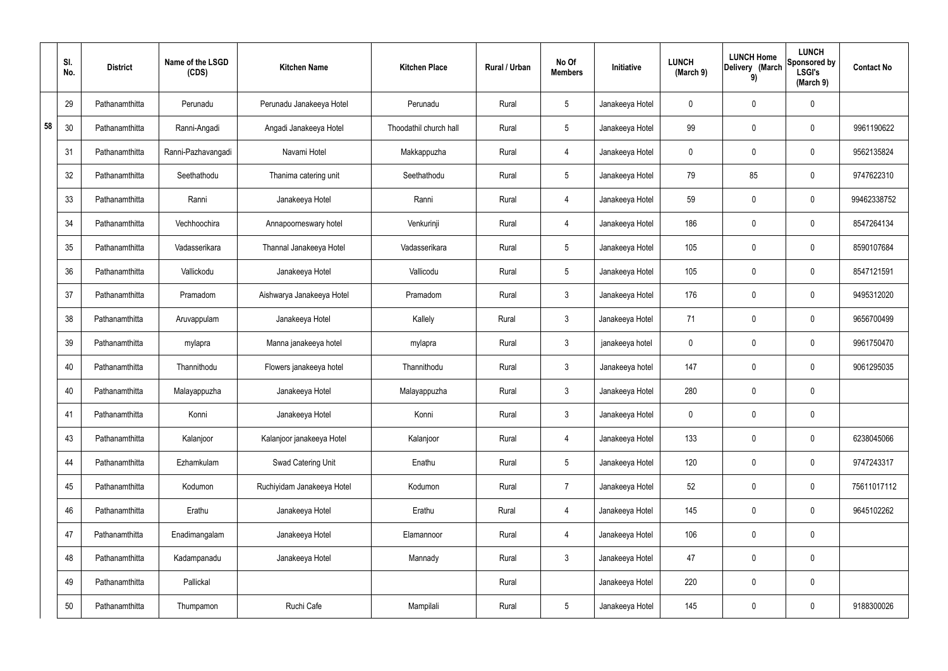|    | SI.<br>No. | <b>District</b> | Name of the LSGD<br>(CDS) | <b>Kitchen Name</b>        | <b>Kitchen Place</b>   | Rural / Urban | No Of<br><b>Members</b> | Initiative      | <b>LUNCH</b><br>(March 9) | <b>LUNCH Home</b><br>Delivery (March<br>9) | <b>LUNCH</b><br>Sponsored by<br><b>LSGI's</b><br>(March 9) | <b>Contact No</b> |
|----|------------|-----------------|---------------------------|----------------------------|------------------------|---------------|-------------------------|-----------------|---------------------------|--------------------------------------------|------------------------------------------------------------|-------------------|
|    | 29         | Pathanamthitta  | Perunadu                  | Perunadu Janakeeya Hotel   | Perunadu               | Rural         | $5\phantom{.0}$         | Janakeeya Hotel | $\mathbf 0$               | $\mathbf 0$                                | $\mathbf{0}$                                               |                   |
| 58 | 30         | Pathanamthitta  | Ranni-Angadi              | Angadi Janakeeya Hotel     | Thoodathil church hall | Rural         | $5\overline{)}$         | Janakeeya Hotel | 99                        | $\mathbf 0$                                | $\mathbf 0$                                                | 9961190622        |
|    | 31         | Pathanamthitta  | Ranni-Pazhavangadi        | Navami Hotel               | Makkappuzha            | Rural         | $\overline{4}$          | Janakeeya Hotel | $\mathbf 0$               | $\mathbf 0$                                | $\mathbf 0$                                                | 9562135824        |
|    | 32         | Pathanamthitta  | Seethathodu               | Thanima catering unit      | Seethathodu            | Rural         | $5\overline{)}$         | Janakeeya Hotel | 79                        | 85                                         | $\mathbf 0$                                                | 9747622310        |
|    | 33         | Pathanamthitta  | Ranni                     | Janakeeya Hotel            | Ranni                  | Rural         | 4                       | Janakeeya Hotel | 59                        | $\mathbf 0$                                | $\mathbf 0$                                                | 99462338752       |
|    | 34         | Pathanamthitta  | Vechhoochira              | Annapoorneswary hotel      | Venkurinji             | Rural         | 4                       | Janakeeya Hotel | 186                       | $\mathbf 0$                                | $\mathbf 0$                                                | 8547264134        |
|    | 35         | Pathanamthitta  | Vadasserikara             | Thannal Janakeeya Hotel    | Vadasserikara          | Rural         | $5\phantom{.0}$         | Janakeeya Hotel | 105                       | $\mathbf 0$                                | $\mathbf 0$                                                | 8590107684        |
|    | 36         | Pathanamthitta  | Vallickodu                | Janakeeya Hotel            | Vallicodu              | Rural         | $5\phantom{.0}$         | Janakeeya Hotel | 105                       | $\mathbf 0$                                | $\mathbf 0$                                                | 8547121591        |
|    | 37         | Pathanamthitta  | Pramadom                  | Aishwarya Janakeeya Hotel  | Pramadom               | Rural         | $\mathbf{3}$            | Janakeeya Hotel | 176                       | $\mathbf 0$                                | $\mathbf 0$                                                | 9495312020        |
|    | 38         | Pathanamthitta  | Aruvappulam               | Janakeeya Hotel            | Kallely                | Rural         | $\mathbf{3}$            | Janakeeya Hotel | 71                        | $\mathbf 0$                                | $\mathbf 0$                                                | 9656700499        |
|    | 39         | Pathanamthitta  | mylapra                   | Manna janakeeya hotel      | mylapra                | Rural         | $\mathbf{3}$            | janakeeya hotel | $\mathbf 0$               | $\mathbf 0$                                | $\mathbf 0$                                                | 9961750470        |
|    | 40         | Pathanamthitta  | Thannithodu               | Flowers janakeeya hotel    | Thannithodu            | Rural         | $\mathbf{3}$            | Janakeeya hotel | 147                       | $\mathbf 0$                                | $\mathbf 0$                                                | 9061295035        |
|    | 40         | Pathanamthitta  | Malayappuzha              | Janakeeya Hotel            | Malayappuzha           | Rural         | $\mathbf{3}$            | Janakeeya Hotel | 280                       | $\mathbf 0$                                | $\mathbf 0$                                                |                   |
|    | 41         | Pathanamthitta  | Konni                     | Janakeeya Hotel            | Konni                  | Rural         | $\mathbf{3}$            | Janakeeya Hotel | $\mathbf 0$               | $\pmb{0}$                                  | $\mathbf 0$                                                |                   |
|    | 43         | Pathanamthitta  | Kalanjoor                 | Kalanjoor janakeeya Hotel  | Kalanjoor              | Rural         | $\overline{4}$          | Janakeeya Hotel | 133                       | $\pmb{0}$                                  | $\mathbf 0$                                                | 6238045066        |
|    | 44         | Pathanamthitta  | Ezhamkulam                | Swad Catering Unit         | Enathu                 | Rural         | $5\overline{)}$         | Janakeeya Hotel | 120                       | $\pmb{0}$                                  | $\mathbf 0$                                                | 9747243317        |
|    | 45         | Pathanamthitta  | Kodumon                   | Ruchiyidam Janakeeya Hotel | Kodumon                | Rural         | $\overline{7}$          | Janakeeya Hotel | 52                        | $\pmb{0}$                                  | $\mathbf 0$                                                | 75611017112       |
|    | 46         | Pathanamthitta  | Erathu                    | Janakeeya Hotel            | Erathu                 | Rural         | $\overline{4}$          | Janakeeya Hotel | 145                       | $\pmb{0}$                                  | $\mathbf 0$                                                | 9645102262        |
|    | 47         | Pathanamthitta  | Enadimangalam             | Janakeeya Hotel            | Elamannoor             | Rural         | $\overline{4}$          | Janakeeya Hotel | 106                       | $\pmb{0}$                                  | $\mathbf 0$                                                |                   |
|    | 48         | Pathanamthitta  | Kadampanadu               | Janakeeya Hotel            | Mannady                | Rural         | 3 <sup>1</sup>          | Janakeeya Hotel | 47                        | $\pmb{0}$                                  | $\mathbf 0$                                                |                   |
|    | 49         | Pathanamthitta  | Pallickal                 |                            |                        | Rural         |                         | Janakeeya Hotel | 220                       | $\pmb{0}$                                  | $\mathbf 0$                                                |                   |
|    | 50         | Pathanamthitta  | Thumpamon                 | Ruchi Cafe                 | Mampilali              | Rural         | $5\phantom{.0}$         | Janakeeya Hotel | 145                       | $\pmb{0}$                                  | $\boldsymbol{0}$                                           | 9188300026        |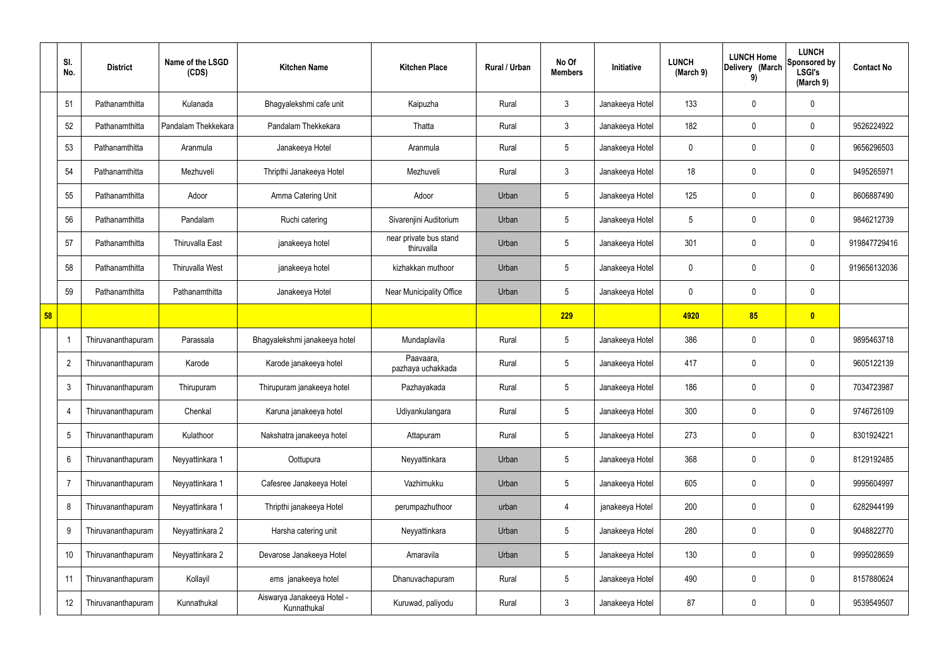|    | SI.<br>No.      | <b>District</b>    | Name of the LSGD<br>(CDS) | <b>Kitchen Name</b>                       | <b>Kitchen Place</b>                 | Rural / Urban | No Of<br><b>Members</b> | Initiative      | <b>LUNCH</b><br>(March 9) | <b>LUNCH Home</b><br>Delivery (March<br>9) | <b>LUNCH</b><br>Sponsored by<br><b>LSGI's</b><br>(March 9) | <b>Contact No</b> |
|----|-----------------|--------------------|---------------------------|-------------------------------------------|--------------------------------------|---------------|-------------------------|-----------------|---------------------------|--------------------------------------------|------------------------------------------------------------|-------------------|
|    | 51              | Pathanamthitta     | Kulanada                  | Bhagyalekshmi cafe unit                   | Kaipuzha                             | Rural         | $\mathbf{3}$            | Janakeeya Hotel | 133                       | 0                                          | $\mathbf 0$                                                |                   |
|    | 52              | Pathanamthitta     | Pandalam Thekkekara       | Pandalam Thekkekara                       | Thatta                               | Rural         | $\mathbf{3}$            | Janakeeya Hotel | 182                       | 0                                          | $\boldsymbol{0}$                                           | 9526224922        |
|    | 53              | Pathanamthitta     | Aranmula                  | Janakeeya Hotel                           | Aranmula                             | Rural         | $5\overline{)}$         | Janakeeya Hotel | 0                         | 0                                          | $\pmb{0}$                                                  | 9656296503        |
|    | 54              | Pathanamthitta     | Mezhuveli                 | Thripthi Janakeeya Hotel                  | Mezhuveli                            | Rural         | $\mathbf{3}$            | Janakeeya Hotel | 18                        | 0                                          | $\pmb{0}$                                                  | 9495265971        |
|    | 55              | Pathanamthitta     | Adoor                     | Amma Catering Unit                        | Adoor                                | Urban         | 5                       | Janakeeya Hotel | 125                       | 0                                          | $\pmb{0}$                                                  | 8606887490        |
|    | 56              | Pathanamthitta     | Pandalam                  | Ruchi catering                            | Sivarenjini Auditorium               | Urban         | $5\overline{)}$         | Janakeeya Hotel | 5                         | 0                                          | $\pmb{0}$                                                  | 9846212739        |
|    | 57              | Pathanamthitta     | Thiruvalla East           | janakeeya hotel                           | near private bus stand<br>thiruvalla | Urban         | 5                       | Janakeeya Hotel | 301                       | 0                                          | $\pmb{0}$                                                  | 919847729416      |
|    | 58              | Pathanamthitta     | <b>Thiruvalla West</b>    | janakeeya hotel                           | kizhakkan muthoor                    | Urban         | $5\overline{)}$         | Janakeeya Hotel | 0                         | 0                                          | $\pmb{0}$                                                  | 919656132036      |
|    | 59              | Pathanamthitta     | Pathanamthitta            | Janakeeya Hotel                           | <b>Near Municipality Office</b>      | Urban         | $5\overline{)}$         | Janakeeya Hotel | 0                         | 0                                          | $\mathbf 0$                                                |                   |
| 58 |                 |                    |                           |                                           |                                      |               | 229                     |                 | 4920                      | 85                                         | $\bullet$                                                  |                   |
|    |                 | Thiruvananthapuram | Parassala                 | Bhagyalekshmi janakeeya hotel             | Mundaplavila                         | Rural         | $5\overline{)}$         | Janakeeya Hotel | 386                       | 0                                          | $\boldsymbol{0}$                                           | 9895463718        |
|    | $\overline{2}$  | Thiruvananthapuram | Karode                    | Karode janakeeya hotel                    | Paavaara,<br>pazhaya uchakkada       | Rural         | $5\phantom{.0}$         | Janakeeya Hotel | 417                       | 0                                          | $\boldsymbol{0}$                                           | 9605122139        |
|    | $\mathbf{3}$    | Thiruvananthapuram | Thirupuram                | Thirupuram janakeeya hotel                | Pazhayakada                          | Rural         | $5\overline{)}$         | Janakeeya Hotel | 186                       | 0                                          | $\mathbf 0$                                                | 7034723987        |
|    | $\overline{4}$  | Thiruvananthapuram | Chenkal                   | Karuna janakeeya hotel                    | Udiyankulangara                      | Rural         | $5\phantom{.0}$         | Janakeeya Hotel | 300                       | 0                                          | $\boldsymbol{0}$                                           | 9746726109        |
|    | $5\phantom{.0}$ | Thiruvananthapuram | Kulathoor                 | Nakshatra janakeeya hotel                 | Attapuram                            | Rural         | 5                       | Janakeeya Hotel | 273                       | 0                                          | $\pmb{0}$                                                  | 8301924221        |
|    | 6               | Thiruvananthapuram | Neyyattinkara 1           | Oottupura                                 | Neyyattinkara                        | Urban         | $5\phantom{.0}$         | Janakeeya Hotel | 368                       | 0                                          | $\mathbf 0$                                                | 8129192485        |
|    | $\overline{7}$  | Thiruvananthapuram | Neyyattinkara 1           | Cafesree Janakeeya Hotel                  | Vazhimukku                           | Urban         | $5\phantom{.0}$         | Janakeeya Hotel | 605                       | 0                                          | $\pmb{0}$                                                  | 9995604997        |
|    | 8               | Thiruvananthapuram | Neyyattinkara 1           | Thripthi janakeeya Hotel                  | perumpazhuthoor                      | urban         | 4                       | janakeeya Hotel | 200                       | 0                                          | $\mathbf 0$                                                | 6282944199        |
|    | 9               | Thiruvananthapuram | Neyyattinkara 2           | Harsha catering unit                      | Neyyattinkara                        | Urban         | $5\phantom{.0}$         | Janakeeya Hotel | 280                       | 0                                          | $\pmb{0}$                                                  | 9048822770        |
|    | 10              | Thiruvananthapuram | Neyyattinkara 2           | Devarose Janakeeya Hotel                  | Amaravila                            | Urban         | $5\phantom{.0}$         | Janakeeya Hotel | 130                       | 0                                          | $\boldsymbol{0}$                                           | 9995028659        |
|    | 11              | Thiruvananthapuram | Kollayil                  | ems janakeeya hotel                       | Dhanuvachapuram                      | Rural         | $5\phantom{.0}$         | Janakeeya Hotel | 490                       | 0                                          | $\pmb{0}$                                                  | 8157880624        |
|    | 12              | Thiruvananthapuram | Kunnathukal               | Aiswarya Janakeeya Hotel -<br>Kunnathukal | Kuruwad, paliyodu                    | Rural         | $\mathbf{3}$            | Janakeeya Hotel | 87                        | 0                                          | $\boldsymbol{0}$                                           | 9539549507        |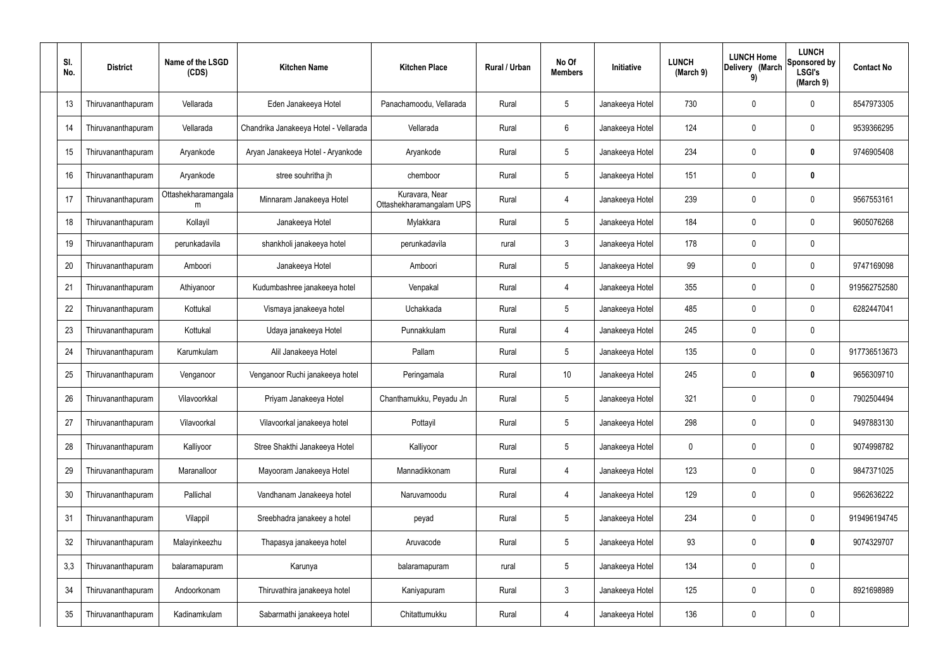| SI.<br>No. | <b>District</b>    | Name of the LSGD<br>(CDS) | <b>Kitchen Name</b>                   | <b>Kitchen Place</b>                       | Rural / Urban | No Of<br><b>Members</b> | Initiative      | <b>LUNCH</b><br>(March 9) | <b>LUNCH Home</b><br>Delivery (March<br>9) | <b>LUNCH</b><br>Sponsored by<br><b>LSGI's</b><br>(March 9) | <b>Contact No</b> |
|------------|--------------------|---------------------------|---------------------------------------|--------------------------------------------|---------------|-------------------------|-----------------|---------------------------|--------------------------------------------|------------------------------------------------------------|-------------------|
| 13         | Thiruvananthapuram | Vellarada                 | Eden Janakeeya Hotel                  | Panachamoodu, Vellarada                    | Rural         | $5\phantom{.0}$         | Janakeeya Hotel | 730                       | 0                                          | 0                                                          | 8547973305        |
| 14         | Thiruvananthapuram | Vellarada                 | Chandrika Janakeeya Hotel - Vellarada | Vellarada                                  | Rural         | 6                       | Janakeeya Hotel | 124                       | 0                                          | 0                                                          | 9539366295        |
| 15         | Thiruvananthapuram | Aryankode                 | Aryan Janakeeya Hotel - Aryankode     | Aryankode                                  | Rural         | $5\phantom{.0}$         | Janakeeya Hotel | 234                       | 0                                          | 0                                                          | 9746905408        |
| 16         | Thiruvananthapuram | Aryankode                 | stree souhritha jh                    | chemboor                                   | Rural         | $5\phantom{.0}$         | Janakeeya Hotel | 151                       | 0                                          | $\pmb{0}$                                                  |                   |
| 17         | Thiruvananthapuram | Ottashekharamangala<br>m  | Minnaram Janakeeya Hotel              | Kuravara, Near<br>Ottashekharamangalam UPS | Rural         | $\overline{4}$          | Janakeeya Hotel | 239                       | 0                                          | $\mathbf 0$                                                | 9567553161        |
| 18         | Thiruvananthapuram | Kollayil                  | Janakeeya Hotel                       | Mylakkara                                  | Rural         | $\sqrt{5}$              | Janakeeya Hotel | 184                       | $\mathbf 0$                                | $\pmb{0}$                                                  | 9605076268        |
| 19         | Thiruvananthapuram | perunkadavila             | shankholi janakeeya hotel             | perunkadavila                              | rural         | 3                       | Janakeeya Hotel | 178                       | 0                                          | $\boldsymbol{0}$                                           |                   |
| 20         | Thiruvananthapuram | Amboori                   | Janakeeya Hotel                       | Amboori                                    | Rural         | $5\phantom{.0}$         | Janakeeya Hotel | 99                        | 0                                          | $\boldsymbol{0}$                                           | 9747169098        |
| 21         | Thiruvananthapuram | Athiyanoor                | Kudumbashree janakeeya hotel          | Venpakal                                   | Rural         | 4                       | Janakeeya Hotel | 355                       | 0                                          | 0                                                          | 919562752580      |
| 22         | Thiruvananthapuram | Kottukal                  | Vismaya janakeeya hotel               | Uchakkada                                  | Rural         | $5\phantom{.0}$         | Janakeeya Hotel | 485                       | $\boldsymbol{0}$                           | 0                                                          | 6282447041        |
| 23         | Thiruvananthapuram | Kottukal                  | Udaya janakeeya Hotel                 | Punnakkulam                                | Rural         | $\overline{4}$          | Janakeeya Hotel | 245                       | 0                                          | $\boldsymbol{0}$                                           |                   |
| 24         | Thiruvananthapuram | Karumkulam                | Alil Janakeeya Hotel                  | Pallam                                     | Rural         | $5\phantom{.0}$         | Janakeeya Hotel | 135                       | $\boldsymbol{0}$                           | $\mathbf 0$                                                | 917736513673      |
| 25         | Thiruvananthapuram | Venganoor                 | Venganoor Ruchi janakeeya hotel       | Peringamala                                | Rural         | 10 <sup>°</sup>         | Janakeeya Hotel | 245                       | 0                                          | $\boldsymbol{0}$                                           | 9656309710        |
| 26         | Thiruvananthapuram | Vilavoorkkal              | Priyam Janakeeya Hotel                | Chanthamukku, Peyadu Jn                    | Rural         | 5                       | Janakeeya Hotel | 321                       | 0                                          | 0                                                          | 7902504494        |
| 27         | Thiruvananthapuram | Vilavoorkal               | Vilavoorkal janakeeya hotel           | Pottayil                                   | Rural         | $\sqrt{5}$              | Janakeeya Hotel | 298                       | 0                                          | $\pmb{0}$                                                  | 9497883130        |
| 28         | Thiruvananthapuram | Kalliyoor                 | Stree Shakthi Janakeeya Hotel         | Kalliyoor                                  | Rural         | $\sqrt{5}$              | Janakeeya Hotel | 0                         | 0                                          | $\pmb{0}$                                                  | 9074998782        |
| 29         | Thiruvananthapuram | Maranalloor               | Mayooram Janakeeya Hotel              | Mannadikkonam                              | Rural         | $\overline{4}$          | Janakeeya Hotel | 123                       | $\pmb{0}$                                  | $\pmb{0}$                                                  | 9847371025        |
| 30         | Thiruvananthapuram | Pallichal                 | Vandhanam Janakeeya hotel             | Naruvamoodu                                | Rural         | $\overline{4}$          | Janakeeya Hotel | 129                       | 0                                          | $\pmb{0}$                                                  | 9562636222        |
| 31         | Thiruvananthapuram | Vilappil                  | Sreebhadra janakeey a hotel           | peyad                                      | Rural         | $5\phantom{.0}$         | Janakeeya Hotel | 234                       | $\pmb{0}$                                  | $\pmb{0}$                                                  | 919496194745      |
| 32         | Thiruvananthapuram | Malayinkeezhu             | Thapasya janakeeya hotel              | Aruvacode                                  | Rural         | $5\phantom{.0}$         | Janakeeya Hotel | 93                        | 0                                          | $\pmb{0}$                                                  | 9074329707        |
| 3,3        | Thiruvananthapuram | balaramapuram             | Karunya                               | balaramapuram                              | rural         | $5\phantom{.0}$         | Janakeeya Hotel | 134                       | $\pmb{0}$                                  | $\pmb{0}$                                                  |                   |
| 34         | Thiruvananthapuram | Andoorkonam               | Thiruvathira janakeeya hotel          | Kaniyapuram                                | Rural         | $\mathbf{3}$            | Janakeeya Hotel | 125                       | 0                                          | $\pmb{0}$                                                  | 8921698989        |
| 35         | Thiruvananthapuram | Kadinamkulam              | Sabarmathi janakeeya hotel            | Chitattumukku                              | Rural         | 4                       | Janakeeya Hotel | 136                       | 0                                          | $\pmb{0}$                                                  |                   |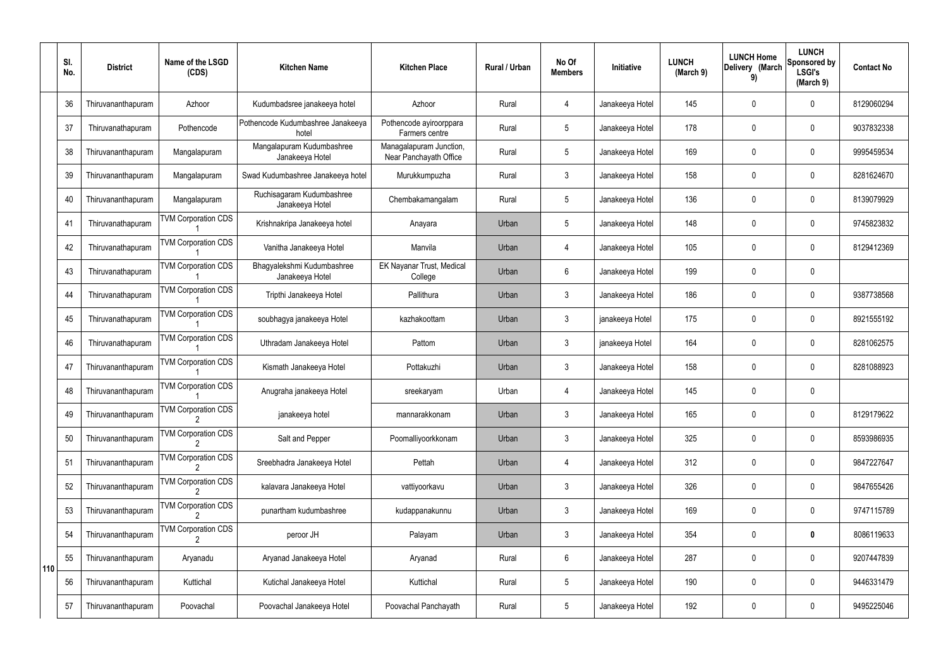|     | SI.<br>No. | <b>District</b>    | Name of the LSGD<br>(CDS)  | <b>Kitchen Name</b>                           | <b>Kitchen Place</b>                              | Rural / Urban | No Of<br><b>Members</b> | <b>Initiative</b> | <b>LUNCH</b><br>(March 9) | <b>LUNCH Home</b><br>Delivery (March<br>9) | <b>LUNCH</b><br>Sponsored by<br><b>LSGI's</b><br>(March 9) | <b>Contact No</b> |
|-----|------------|--------------------|----------------------------|-----------------------------------------------|---------------------------------------------------|---------------|-------------------------|-------------------|---------------------------|--------------------------------------------|------------------------------------------------------------|-------------------|
|     | 36         | Thiruvananthapuram | Azhoor                     | Kudumbadsree janakeeya hotel                  | Azhoor                                            | Rural         | 4                       | Janakeeya Hotel   | 145                       | 0                                          | $\mathbf 0$                                                | 8129060294        |
|     | 37         | Thiruvanathapuram  | Pothencode                 | Pothencode Kudumbashree Janakeeya<br>hotel    | Pothencode ayiroorppara<br>Farmers centre         | Rural         | $5\overline{)}$         | Janakeeya Hotel   | 178                       | 0                                          | $\mathbf 0$                                                | 9037832338        |
|     | 38         | Thiruvananthapuram | Mangalapuram               | Mangalapuram Kudumbashree<br>Janakeeya Hotel  | Managalapuram Junction,<br>Near Panchayath Office | Rural         | 5                       | Janakeeya Hotel   | 169                       | 0                                          | $\mathbf 0$                                                | 9995459534        |
|     | 39         | Thiruvananthapuram | Mangalapuram               | Swad Kudumbashree Janakeeya hotel             | Murukkumpuzha                                     | Rural         | $\mathbf{3}$            | Janakeeya Hotel   | 158                       | 0                                          | $\mathbf 0$                                                | 8281624670        |
|     | 40         | Thiruvananthapuram | Mangalapuram               | Ruchisagaram Kudumbashree<br>Janakeeya Hotel  | Chembakamangalam                                  | Rural         | $5\overline{)}$         | Janakeeya Hotel   | 136                       | 0                                          | $\mathbf 0$                                                | 8139079929        |
|     | 41         | Thiruvanathapuram  | <b>TVM Corporation CDS</b> | Krishnakripa Janakeeya hotel                  | Anayara                                           | Urban         | $5\phantom{.0}$         | Janakeeya Hotel   | 148                       | 0                                          | $\mathbf 0$                                                | 9745823832        |
|     | 42         | Thiruvanathapuram  | <b>TVM Corporation CDS</b> | Vanitha Janakeeya Hotel                       | Manvila                                           | Urban         | 4                       | Janakeeya Hotel   | 105                       | 0                                          | $\mathbf 0$                                                | 8129412369        |
|     | 43         | Thiruvanathapuram  | <b>TVM Corporation CDS</b> | Bhagyalekshmi Kudumbashree<br>Janakeeya Hotel | EK Nayanar Trust, Medical<br>College              | Urban         | 6                       | Janakeeya Hotel   | 199                       | 0                                          | $\mathbf 0$                                                |                   |
|     | 44         | Thiruvanathapuram  | <b>TVM Corporation CDS</b> | Tripthi Janakeeya Hotel                       | Pallithura                                        | Urban         | $\mathbf{3}$            | Janakeeya Hotel   | 186                       | 0                                          | $\mathbf 0$                                                | 9387738568        |
|     | 45         | Thiruvanathapuram  | <b>TVM Corporation CDS</b> | soubhagya janakeeya Hotel                     | kazhakoottam                                      | Urban         | $\mathbf{3}$            | janakeeya Hotel   | 175                       | $\mathbf 0$                                | $\mathbf 0$                                                | 8921555192        |
|     | 46         | Thiruvanathapuram  | <b>TVM Corporation CDS</b> | Uthradam Janakeeya Hotel                      | Pattom                                            | Urban         | $\mathbf{3}$            | janakeeya Hotel   | 164                       | $\mathbf 0$                                | $\mathbf 0$                                                | 8281062575        |
|     | 47         | Thiruvananthapuram | <b>TVM Corporation CDS</b> | Kismath Janakeeya Hotel                       | Pottakuzhi                                        | Urban         | $\mathfrak{Z}$          | Janakeeya Hotel   | 158                       | 0                                          | $\mathbf 0$                                                | 8281088923        |
|     | 48         | Thiruvananthapuram | <b>TVM Corporation CDS</b> | Anugraha janakeeya Hotel                      | sreekaryam                                        | Urban         | 4                       | Janakeeya Hotel   | 145                       | 0                                          | 0                                                          |                   |
|     | 49         | Thiruvananthapuram | <b>TVM Corporation CDS</b> | janakeeya hotel                               | mannarakkonam                                     | Urban         | $\mathbf{3}$            | Janakeeya Hotel   | 165                       | 0                                          | $\mathbf 0$                                                | 8129179622        |
|     | 50         | Thiruvananthapuram | <b>TVM Corporation CDS</b> | Salt and Pepper                               | Poomalliyoorkkonam                                | Urban         | $\mathbf{3}$            | Janakeeya Hotel   | 325                       | $\mathbf 0$                                | $\mathbf 0$                                                | 8593986935        |
|     | 51         | Thiruvananthapuram | <b>TVM Corporation CDS</b> | Sreebhadra Janakeeya Hotel                    | Pettah                                            | Urban         | $\overline{4}$          | Janakeeya Hotel   | 312                       | $\mathbf 0$                                | $\mathbf 0$                                                | 9847227647        |
|     | 52         | Thiruvananthapuram | <b>TVM Corporation CDS</b> | kalavara Janakeeya Hotel                      | vattiyoorkavu                                     | Urban         | $\mathbf{3}$            | Janakeeya Hotel   | 326                       | $\mathbf 0$                                | $\mathbf 0$                                                | 9847655426        |
|     | 53         | Thiruvananthapuram | <b>TVM Corporation CDS</b> | punartham kudumbashree                        | kudappanakunnu                                    | Urban         | $\mathbf{3}$            | Janakeeya Hotel   | 169                       | $\mathbf 0$                                | $\mathbf 0$                                                | 9747115789        |
|     | 54         | Thiruvananthapuram | <b>TVM Corporation CDS</b> | peroor JH                                     | Palayam                                           | Urban         | $\mathbf{3}$            | Janakeeya Hotel   | 354                       | $\mathbf 0$                                | $\bf{0}$                                                   | 8086119633        |
| 110 | 55         | Thiruvananthapuram | Aryanadu                   | Aryanad Janakeeya Hotel                       | Aryanad                                           | Rural         | $6\phantom{.}6$         | Janakeeya Hotel   | 287                       | 0                                          | $\mathbf 0$                                                | 9207447839        |
|     | 56         | Thiruvananthapuram | Kuttichal                  | Kutichal Janakeeya Hotel                      | Kuttichal                                         | Rural         | $5\phantom{.0}$         | Janakeeya Hotel   | 190                       | $\mathbf 0$                                | $\mathbf 0$                                                | 9446331479        |
|     | 57         | Thiruvananthapuram | Poovachal                  | Poovachal Janakeeya Hotel                     | Poovachal Panchayath                              | Rural         | 5 <sub>5</sub>          | Janakeeya Hotel   | 192                       | 0                                          | $\overline{0}$                                             | 9495225046        |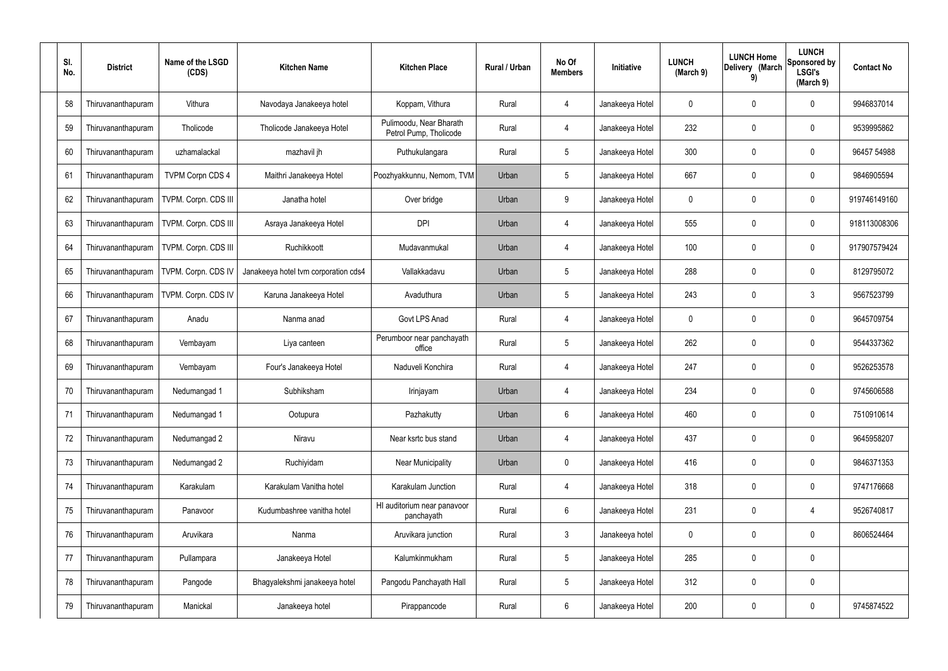| SI.<br>No. | <b>District</b>    | Name of the LSGD<br>(CDS) | <b>Kitchen Name</b>                  | <b>Kitchen Place</b>                              | Rural / Urban | No Of<br><b>Members</b> | Initiative      | <b>LUNCH</b><br>(March 9) | <b>LUNCH Home</b><br>Delivery (March<br>9) | <b>LUNCH</b><br>Sponsored by<br><b>LSGI's</b><br>(March 9) | <b>Contact No</b> |
|------------|--------------------|---------------------------|--------------------------------------|---------------------------------------------------|---------------|-------------------------|-----------------|---------------------------|--------------------------------------------|------------------------------------------------------------|-------------------|
| 58         | Thiruvananthapuram | Vithura                   | Navodaya Janakeeya hotel             | Koppam, Vithura                                   | Rural         | $\overline{4}$          | Janakeeya Hotel | 0                         | 0                                          | 0                                                          | 9946837014        |
| 59         | Thiruvananthapuram | Tholicode                 | Tholicode Janakeeya Hotel            | Pulimoodu, Near Bharath<br>Petrol Pump, Tholicode | Rural         | $\overline{4}$          | Janakeeya Hotel | 232                       | 0                                          | $\boldsymbol{0}$                                           | 9539995862        |
| 60         | Thiruvananthapuram | uzhamalackal              | mazhavil jh                          | Puthukulangara                                    | Rural         | $5\phantom{.0}$         | Janakeeya Hotel | 300                       | 0                                          | $\boldsymbol{0}$                                           | 96457 54988       |
| 61         | Thiruvananthapuram | <b>TVPM Corpn CDS 4</b>   | Maithri Janakeeya Hotel              | Poozhyakkunnu, Nemom, TVM                         | Urban         | $5\phantom{.0}$         | Janakeeya Hotel | 667                       | $\mathbf 0$                                | $\boldsymbol{0}$                                           | 9846905594        |
| 62         | Thiruvananthapuram | TVPM. Corpn. CDS III      | Janatha hotel                        | Over bridge                                       | Urban         | 9                       | Janakeeya Hotel | 0                         | 0                                          | $\boldsymbol{0}$                                           | 919746149160      |
| 63         | Thiruvananthapuram | TVPM. Corpn. CDS III      | Asraya Janakeeya Hotel               | <b>DPI</b>                                        | Urban         | 4                       | Janakeeya Hotel | 555                       | $\mathbf 0$                                | $\boldsymbol{0}$                                           | 918113008306      |
| 64         | Thiruvananthapuram | TVPM. Corpn. CDS III      | Ruchikkoott                          | Mudavanmukal                                      | Urban         | $\overline{4}$          | Janakeeya Hotel | 100                       | 0                                          | $\boldsymbol{0}$                                           | 917907579424      |
| 65         | Thiruvananthapuram | TVPM. Corpn. CDS IV       | Janakeeya hotel tvm corporation cds4 | Vallakkadavu                                      | Urban         | $5\phantom{.0}$         | Janakeeya Hotel | 288                       | 0                                          | $\boldsymbol{0}$                                           | 8129795072        |
| 66         | Thiruvananthapuram | TVPM. Corpn. CDS IV       | Karuna Janakeeya Hotel               | Avaduthura                                        | Urban         | $5\phantom{.0}$         | Janakeeya Hotel | 243                       | $\boldsymbol{0}$                           | 3                                                          | 9567523799        |
| 67         | Thiruvananthapuram | Anadu                     | Nanma anad                           | Govt LPS Anad                                     | Rural         | $\overline{4}$          | Janakeeya Hotel | 0                         | 0                                          | $\boldsymbol{0}$                                           | 9645709754        |
| 68         | Thiruvananthapuram | Vembayam                  | Liya canteen                         | Perumboor near panchayath<br>office               | Rural         | $5\phantom{.0}$         | Janakeeya Hotel | 262                       | 0                                          | 0                                                          | 9544337362        |
| 69         | Thiruvananthapuram | Vembayam                  | Four's Janakeeya Hotel               | Naduveli Konchira                                 | Rural         | 4                       | Janakeeya Hotel | 247                       | 0                                          | $\boldsymbol{0}$                                           | 9526253578        |
| 70         | Thiruvananthapuram | Nedumangad 1              | Subhiksham                           | Irinjayam                                         | Urban         |                         | Janakeeya Hotel | 234                       | 0                                          | 0                                                          | 9745606588        |
| 71         | Thiruvananthapuram | Nedumangad 1              | Ootupura                             | Pazhakutty                                        | Urban         | 6                       | Janakeeya Hotel | 460                       | 0                                          | $\boldsymbol{0}$                                           | 7510910614        |
| 72         | Thiruvananthapuram | Nedumangad 2              | Niravu                               | Near ksrtc bus stand                              | Urban         | $\overline{4}$          | Janakeeya Hotel | 437                       | 0                                          | $\pmb{0}$                                                  | 9645958207        |
| 73         | Thiruvananthapuram | Nedumangad 2              | Ruchiyidam                           | Near Municipality                                 | Urban         | $\pmb{0}$               | Janakeeya Hotel | 416                       | 0                                          | $\boldsymbol{0}$                                           | 9846371353        |
| 74         | Thiruvananthapuram | Karakulam                 | Karakulam Vanitha hotel              | Karakulam Junction                                | Rural         | $\overline{4}$          | Janakeeya Hotel | 318                       | 0                                          | $\pmb{0}$                                                  | 9747176668        |
| 75         | Thiruvananthapuram | Panavoor                  | Kudumbashree vanitha hotel           | HI auditorium near panavoor<br>panchayath         | Rural         | $6\phantom{.}$          | Janakeeya Hotel | 231                       | 0                                          | 4                                                          | 9526740817        |
| 76         | Thiruvananthapuram | Aruvikara                 | Nanma                                | Aruvikara junction                                | Rural         | $\mathbf{3}$            | Janakeeya hotel | 0                         | 0                                          | $\boldsymbol{0}$                                           | 8606524464        |
| 77         | Thiruvananthapuram | Pullampara                | Janakeeya Hotel                      | Kalumkinmukham                                    | Rural         | $5\phantom{.0}$         | Janakeeya Hotel | 285                       | 0                                          | $\pmb{0}$                                                  |                   |
| 78         | Thiruvananthapuram | Pangode                   | Bhagyalekshmi janakeeya hotel        | Pangodu Panchayath Hall                           | Rural         | $\sqrt{5}$              | Janakeeya Hotel | 312                       | $\boldsymbol{0}$                           | $\pmb{0}$                                                  |                   |
| 79         | Thiruvananthapuram | Manickal                  | Janakeeya hotel                      | Pirappancode                                      | Rural         | 6                       | Janakeeya Hotel | 200                       | $\boldsymbol{0}$                           | $\pmb{0}$                                                  | 9745874522        |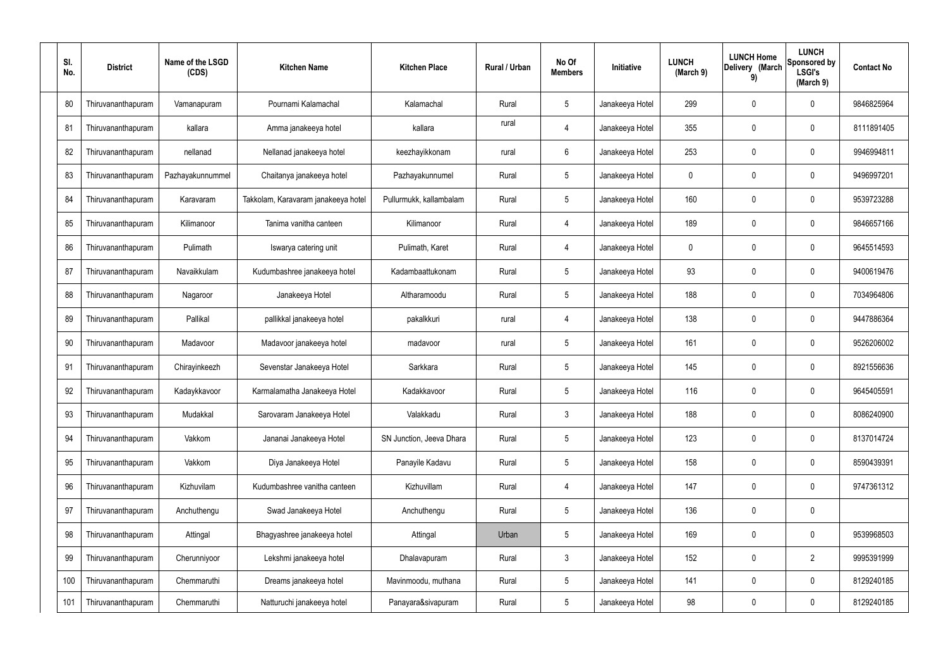| SI.<br>No. | <b>District</b>    | Name of the LSGD<br>(CDS) | <b>Kitchen Name</b>                 | <b>Kitchen Place</b>     | Rural / Urban | No Of<br><b>Members</b> | Initiative      | <b>LUNCH</b><br>(March 9) | <b>LUNCH Home</b><br>Delivery (March<br>9) | <b>LUNCH</b><br>Sponsored by<br><b>LSGI's</b><br>(March 9) | <b>Contact No</b> |
|------------|--------------------|---------------------------|-------------------------------------|--------------------------|---------------|-------------------------|-----------------|---------------------------|--------------------------------------------|------------------------------------------------------------|-------------------|
| 80         | Thiruvananthapuram | Vamanapuram               | Pournami Kalamachal                 | Kalamachal               | Rural         | $5\phantom{.0}$         | Janakeeya Hotel | 299                       | 0                                          | 0                                                          | 9846825964        |
| 81         | Thiruvananthapuram | kallara                   | Amma janakeeya hotel                | kallara                  | rural         | $\overline{4}$          | Janakeeya Hotel | 355                       | 0                                          | 0                                                          | 8111891405        |
| 82         | Thiruvananthapuram | nellanad                  | Nellanad janakeeya hotel            | keezhayikkonam           | rural         | 6                       | Janakeeya Hotel | 253                       | 0                                          | 0                                                          | 9946994811        |
| 83         | Thiruvananthapuram | Pazhayakunnummel          | Chaitanya janakeeya hotel           | Pazhayakunnumel          | Rural         | $5\phantom{.0}$         | Janakeeya Hotel | 0                         | 0                                          | 0                                                          | 9496997201        |
| 84         | Thiruvananthapuram | Karavaram                 | Takkolam, Karavaram janakeeya hotel | Pullurmukk, kallambalam  | Rural         | $5\phantom{.0}$         | Janakeeya Hotel | 160                       | 0                                          | 0                                                          | 9539723288        |
| 85         | Thiruvananthapuram | Kilimanoor                | Tanima vanitha canteen              | Kilimanoor               | Rural         | $\overline{4}$          | Janakeeya Hotel | 189                       | 0                                          | 0                                                          | 9846657166        |
| 86         | Thiruvananthapuram | Pulimath                  | Iswarya catering unit               | Pulimath, Karet          | Rural         | $\overline{4}$          | Janakeeya Hotel | 0                         | 0                                          | 0                                                          | 9645514593        |
| 87         | Thiruvananthapuram | Navaikkulam               | Kudumbashree janakeeya hotel        | Kadambaattukonam         | Rural         | $5\phantom{.0}$         | Janakeeya Hotel | 93                        | 0                                          | 0                                                          | 9400619476        |
| 88         | Thiruvananthapuram | Nagaroor                  | Janakeeya Hotel                     | Altharamoodu             | Rural         | $5\phantom{.0}$         | Janakeeya Hotel | 188                       | 0                                          | 0                                                          | 7034964806        |
| 89         | Thiruvananthapuram | Pallikal                  | pallikkal janakeeya hotel           | pakalkkuri               | rural         | 4                       | Janakeeya Hotel | 138                       | 0                                          | $\mathbf 0$                                                | 9447886364        |
| 90         | Thiruvananthapuram | Madavoor                  | Madavoor janakeeya hotel            | madavoor                 | rural         | $5\phantom{.0}$         | Janakeeya Hotel | 161                       | 0                                          | $\mathbf 0$                                                | 9526206002        |
| 91         | Thiruvananthapuram | Chirayinkeezh             | Sevenstar Janakeeya Hotel           | Sarkkara                 | Rural         | $5\phantom{.0}$         | Janakeeya Hotel | 145                       | 0                                          | $\mathbf 0$                                                | 8921556636        |
| 92         | Thiruvananthapuram | Kadaykkavoor              | Karmalamatha Janakeeya Hotel        | Kadakkavoor              | Rural         | $5\phantom{.0}$         | Janakeeya Hotel | 116                       | 0                                          | 0                                                          | 9645405591        |
| 93         | Thiruvananthapuram | Mudakkal                  | Sarovaram Janakeeya Hotel           | Valakkadu                | Rural         | $\mathfrak{Z}$          | Janakeeya Hotel | 188                       | $\mathbf 0$                                | $\mathbf 0$                                                | 8086240900        |
| 94         | Thiruvananthapuram | Vakkom                    | Jananai Janakeeya Hotel             | SN Junction, Jeeva Dhara | Rural         | $5\phantom{.0}$         | Janakeeya Hotel | 123                       | 0                                          | $\mathbf 0$                                                | 8137014724        |
| 95         | Thiruvananthapuram | Vakkom                    | Diya Janakeeya Hotel                | Panayile Kadavu          | Rural         | $5\phantom{.0}$         | Janakeeya Hotel | 158                       | $\boldsymbol{0}$                           | $\pmb{0}$                                                  | 8590439391        |
| 96         | Thiruvananthapuram | Kizhuvilam                | Kudumbashree vanitha canteen        | Kizhuvillam              | Rural         | 4                       | Janakeeya Hotel | 147                       | 0                                          | $\mathbf 0$                                                | 9747361312        |
| 97         | Thiruvananthapuram | Anchuthengu               | Swad Janakeeya Hotel                | Anchuthengu              | Rural         | $5\phantom{.0}$         | Janakeeya Hotel | 136                       | $\boldsymbol{0}$                           | $\pmb{0}$                                                  |                   |
| 98         | Thiruvananthapuram | Attingal                  | Bhagyashree janakeeya hotel         | Attingal                 | Urban         | $5\phantom{.0}$         | Janakeeya Hotel | 169                       | 0                                          | $\mathbf 0$                                                | 9539968503        |
| 99         | Thiruvananthapuram | Cherunniyoor              | Lekshmi janakeeya hotel             | Dhalavapuram             | Rural         | $\mathfrak{Z}$          | Janakeeya Hotel | 152                       | $\boldsymbol{0}$                           | $\overline{2}$                                             | 9995391999        |
| 100        | Thiruvananthapuram | Chemmaruthi               | Dreams janakeeya hotel              | Mavinmoodu, muthana      | Rural         | $5\phantom{.0}$         | Janakeeya Hotel | 141                       | $\mathbf 0$                                | $\mathbf 0$                                                | 8129240185        |
| 101        | Thiruvananthapuram | Chemmaruthi               | Natturuchi janakeeya hotel          | Panayara&sivapuram       | Rural         | $\sqrt{5}$              | Janakeeya Hotel | 98                        | $\pmb{0}$                                  | $\boldsymbol{0}$                                           | 8129240185        |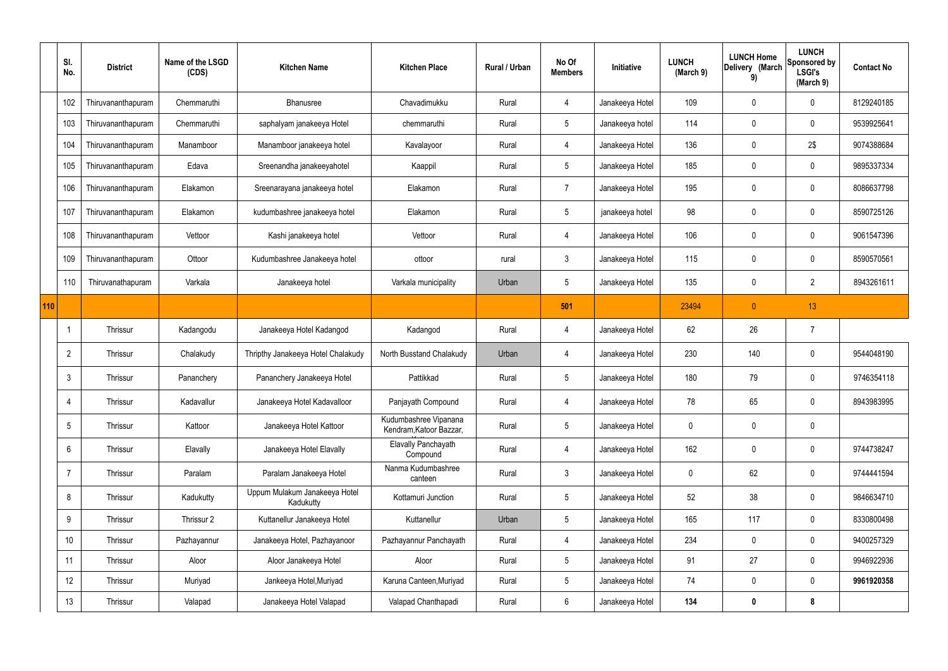|     | SI.<br>No.      | <b>District</b>    | Name of the LSGD<br>(CDS) | <b>Kitchen Name</b>                        | <b>Kitchen Place</b>                             | Rural / Urban | No Of<br><b>Members</b> | Initiative      | <b>LUNCH</b><br>(March 9) | <b>LUNCH Home</b><br>Delivery (March<br>9) | <b>LUNCH</b><br>Sponsored by<br><b>LSGI's</b><br>(March 9) | <b>Contact No</b> |
|-----|-----------------|--------------------|---------------------------|--------------------------------------------|--------------------------------------------------|---------------|-------------------------|-----------------|---------------------------|--------------------------------------------|------------------------------------------------------------|-------------------|
|     | 102             | Thiruvananthapuram | Chemmaruthi               | Bhanusree                                  | Chavadimukku                                     | Rural         | $\overline{4}$          | Janakeeya Hotel | 109                       | 0                                          | $\mathbf 0$                                                | 8129240185        |
|     | 103             | Thiruvananthapuram | Chemmaruthi               | saphalyam janakeeya Hotel                  | chemmaruthi                                      | Rural         | $5\overline{)}$         | Janakeeya hotel | 114                       | 0                                          | $\mathbf 0$                                                | 9539925641        |
|     | 104             | Thiruvananthapuram | Manamboor                 | Manamboor janakeeya hotel                  | Kavalayoor                                       | Rural         | 4                       | Janakeeya Hotel | 136                       | 0                                          | 2\$                                                        | 9074388684        |
|     | 105             | Thiruvananthapuram | Edava                     | Sreenandha janakeeyahotel                  | Kaappil                                          | Rural         | $5\phantom{.0}$         | Janakeeya Hotel | 185                       | 0                                          | $\mathbf 0$                                                | 9895337334        |
|     | 106             | Thiruvananthapuram | Elakamon                  | Sreenarayana janakeeya hotel               | Elakamon                                         | Rural         | $\overline{7}$          | Janakeeya Hotel | 195                       | 0                                          | $\mathbf 0$                                                | 8086637798        |
|     | 107             | Thiruvananthapuram | Elakamon                  | kudumbashree janakeeya hotel               | Elakamon                                         | Rural         | $5\phantom{.0}$         | janakeeya hotel | 98                        | 0                                          | $\pmb{0}$                                                  | 8590725126        |
|     | 108             | Thiruvananthapuram | Vettoor                   | Kashi janakeeya hotel                      | Vettoor                                          | Rural         | 4                       | Janakeeya Hotel | 106                       | 0                                          | $\mathbf 0$                                                | 9061547396        |
|     | 109             | Thiruvananthapuram | Ottoor                    | Kudumbashree Janakeeya hotel               | ottoor                                           | rural         | $\mathbf{3}$            | Janakeeya Hotel | 115                       | 0                                          | $\mathbf 0$                                                | 8590570561        |
|     | 110             | Thiruvanathapuram  | Varkala                   | Janakeeya hotel                            | Varkala municipality                             | Urban         | 5                       | Janakeeya Hotel | 135                       | 0                                          | $\overline{2}$                                             | 8943261611        |
| 110 |                 |                    |                           |                                            |                                                  |               | 501                     |                 | 23494                     | $\mathbf{0}$                               | 13                                                         |                   |
|     |                 | <b>Thrissur</b>    | Kadangodu                 | Janakeeya Hotel Kadangod                   | Kadangod                                         | Rural         | 4                       | Janakeeya Hotel | 62                        | 26                                         | $\overline{7}$                                             |                   |
|     | $\overline{2}$  | Thrissur           | Chalakudy                 | Thripthy Janakeeya Hotel Chalakudy         | North Busstand Chalakudy                         | Urban         | 4                       | Janakeeya Hotel | 230                       | 140                                        | $\mathbf 0$                                                | 9544048190        |
|     | 3               | <b>Thrissur</b>    | Pananchery                | Pananchery Janakeeya Hotel                 | Pattikkad                                        | Rural         | $5\phantom{.0}$         | Janakeeya Hotel | 180                       | 79                                         | $\mathbf 0$                                                | 9746354118        |
|     | 4               | Thrissur           | Kadavallur                | Janakeeya Hotel Kadavalloor                | Panjayath Compound                               | Rural         | 4                       | Janakeeya Hotel | 78                        | 65                                         | $\mathbf 0$                                                | 8943983995        |
|     | $5\overline{)}$ | Thrissur           | Kattoor                   | Janakeeya Hotel Kattoor                    | Kudumbashree Vipanana<br>Kendram, Katoor Bazzar, | Rural         | $5\overline{)}$         | Janakeeya Hotel | 0                         | 0                                          | $\pmb{0}$                                                  |                   |
|     | 6               | Thrissur           | Elavally                  | Janakeeya Hotel Elavally                   | <b>Elavally Panchayath</b><br>Compound           | Rural         | $\overline{4}$          | Janakeeya Hotel | 162                       | 0                                          | $\pmb{0}$                                                  | 9744738247        |
|     | 7               | Thrissur           | Paralam                   | Paralam Janakeeya Hotel                    | Nanma Kudumbashree<br>canteen                    | Rural         | $\mathbf{3}$            | Janakeeya Hotel | 0                         | 62                                         | $\mathbf 0$                                                | 9744441594        |
|     | 8               | Thrissur           | Kadukutty                 | Uppum Mulakum Janakeeya Hotel<br>Kadukutty | Kottamuri Junction                               | Rural         | $5\phantom{.0}$         | Janakeeya Hotel | 52                        | 38                                         | $\pmb{0}$                                                  | 9846634710        |
|     | 9               | Thrissur           | Thrissur 2                | Kuttanellur Janakeeya Hotel                | Kuttanellur                                      | Urban         | $5\overline{)}$         | Janakeeya Hotel | 165                       | 117                                        | $\mathbf 0$                                                | 8330800498        |
|     | 10              | Thrissur           | Pazhayannur               | Janakeeya Hotel, Pazhayanoor               | Pazhayannur Panchayath                           | Rural         | $\overline{4}$          | Janakeeya Hotel | 234                       | 0                                          | $\mathbf 0$                                                | 9400257329        |
|     | 11              | Thrissur           | Aloor                     | Aloor Janakeeya Hotel                      | Aloor                                            | Rural         | 5 <sub>5</sub>          | Janakeeya Hotel | 91                        | 27                                         | $\mathbf 0$                                                | 9946922936        |
|     | 12              | Thrissur           | Muriyad                   | Jankeeya Hotel, Muriyad                    | Karuna Canteen, Muriyad                          | Rural         | $5\phantom{.0}$         | Janakeeya Hotel | 74                        | 0                                          | $\mathbf 0$                                                | 9961920358        |
|     | 13              | Thrissur           | Valapad                   | Janakeeya Hotel Valapad                    | Valapad Chanthapadi                              | Rural         | $6\overline{6}$         | Janakeeya Hotel | 134                       | $\boldsymbol{0}$                           | 8                                                          |                   |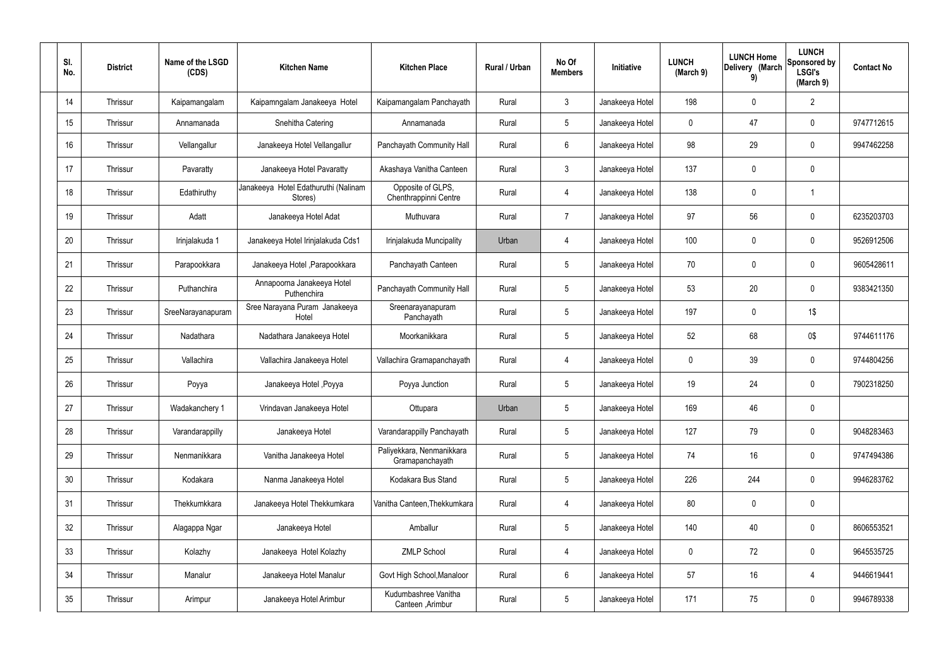| SI.<br>No. | <b>District</b> | Name of the LSGD<br>(CDS) | <b>Kitchen Name</b>                             | <b>Kitchen Place</b>                         | Rural / Urban | No Of<br><b>Members</b> | Initiative      | <b>LUNCH</b><br>(March 9) | <b>LUNCH Home</b><br>Delivery (March<br>9) | <b>LUNCH</b><br>Sponsored by<br><b>LSGI's</b><br>(March 9) | <b>Contact No</b> |
|------------|-----------------|---------------------------|-------------------------------------------------|----------------------------------------------|---------------|-------------------------|-----------------|---------------------------|--------------------------------------------|------------------------------------------------------------|-------------------|
| 14         | Thrissur        | Kaipamangalam             | Kaipamngalam Janakeeya Hotel                    | Kaipamangalam Panchayath                     | Rural         | 3 <sup>1</sup>          | Janakeeya Hotel | 198                       | 0                                          | $\overline{2}$                                             |                   |
| 15         | Thrissur        | Annamanada                | Snehitha Catering                               | Annamanada                                   | Rural         | $5\overline{)}$         | Janakeeya Hotel | $\mathbf 0$               | 47                                         | $\mathbf 0$                                                | 9747712615        |
| 16         | Thrissur        | Vellangallur              | Janakeeya Hotel Vellangallur                    | Panchayath Community Hall                    | Rural         | 6                       | Janakeeya Hotel | 98                        | 29                                         | $\mathbf 0$                                                | 9947462258        |
| 17         | Thrissur        | Pavaratty                 | Janakeeya Hotel Pavaratty                       | Akashaya Vanitha Canteen                     | Rural         | $\mathbf{3}$            | Janakeeya Hotel | 137                       | 0                                          | $\mathbf 0$                                                |                   |
| 18         | Thrissur        | Edathiruthy               | Janakeeya Hotel Edathuruthi (Nalinam<br>Stores) | Opposite of GLPS,<br>Chenthrappinni Centre   | Rural         | 4                       | Janakeeya Hotel | 138                       | 0                                          | $\mathbf 1$                                                |                   |
| 19         | Thrissur        | Adatt                     | Janakeeya Hotel Adat                            | Muthuvara                                    | Rural         | $\overline{7}$          | Janakeeya Hotel | 97                        | 56                                         | $\mathbf 0$                                                | 6235203703        |
| 20         | Thrissur        | Irinjalakuda 1            | Janakeeya Hotel Irinjalakuda Cds1               | Irinjalakuda Muncipality                     | Urban         | 4                       | Janakeeya Hotel | 100                       | 0                                          | $\boldsymbol{0}$                                           | 9526912506        |
| 21         | Thrissur        | Parapookkara              | Janakeeya Hotel, Parapookkara                   | Panchayath Canteen                           | Rural         | $5\overline{)}$         | Janakeeya Hotel | 70                        | 0                                          | $\mathbf 0$                                                | 9605428611        |
| 22         | Thrissur        | Puthanchira               | Annapoorna Janakeeya Hotel<br>Puthenchira       | Panchayath Community Hall                    | Rural         | $5\phantom{.0}$         | Janakeeya Hotel | 53                        | 20                                         | $\mathbf 0$                                                | 9383421350        |
| 23         | Thrissur        | SreeNarayanapuram         | Sree Narayana Puram Janakeeya<br>Hotel          | Sreenarayanapuram<br>Panchayath              | Rural         | $5\overline{)}$         | Janakeeya Hotel | 197                       | $\mathbf 0$                                | 1\$                                                        |                   |
| 24         | Thrissur        | Nadathara                 | Nadathara Janakeeya Hotel                       | Moorkanikkara                                | Rural         | $5\phantom{.0}$         | Janakeeya Hotel | 52                        | 68                                         | 0\$                                                        | 9744611176        |
| 25         | Thrissur        | Vallachira                | Vallachira Janakeeya Hotel                      | Vallachira Gramapanchayath                   | Rural         | 4                       | Janakeeya Hotel | $\mathbf 0$               | 39                                         | $\mathbf 0$                                                | 9744804256        |
| 26         | Thrissur        | Poyya                     | Janakeeya Hotel , Poyya                         | Poyya Junction                               | Rural         | $5\phantom{.0}$         | Janakeeya Hotel | 19                        | 24                                         | $\boldsymbol{0}$                                           | 7902318250        |
| 27         | Thrissur        | Wadakanchery 1            | Vrindavan Janakeeya Hotel                       | Ottupara                                     | Urban         | $\sqrt{5}$              | Janakeeya Hotel | 169                       | 46                                         | $\pmb{0}$                                                  |                   |
| 28         | Thrissur        | Varandarappilly           | Janakeeya Hotel                                 | Varandarappilly Panchayath                   | Rural         | $5\phantom{.0}$         | Janakeeya Hotel | 127                       | 79                                         | $\mathbf 0$                                                | 9048283463        |
| 29         | Thrissur        | Nenmanikkara              | Vanitha Janakeeya Hotel                         | Paliyekkara, Nenmanikkara<br>Gramapanchayath | Rural         | $5\phantom{.0}$         | Janakeeya Hotel | 74                        | 16                                         | $\mathbf 0$                                                | 9747494386        |
| 30         | Thrissur        | Kodakara                  | Nanma Janakeeya Hotel                           | Kodakara Bus Stand                           | Rural         | $5\phantom{.0}$         | Janakeeya Hotel | 226                       | 244                                        | $\mathbf 0$                                                | 9946283762        |
| 31         | Thrissur        | Thekkumkkara              | Janakeeya Hotel Thekkumkara                     | Vanitha Canteen, Thekkumkara                 | Rural         | $\overline{4}$          | Janakeeya Hotel | 80                        | $\pmb{0}$                                  | $\mathbf 0$                                                |                   |
| 32         | Thrissur        | Alagappa Ngar             | Janakeeya Hotel                                 | Amballur                                     | Rural         | $5\phantom{.0}$         | Janakeeya Hotel | 140                       | 40                                         | $\mathbf 0$                                                | 8606553521        |
| 33         | Thrissur        | Kolazhy                   | Janakeeya Hotel Kolazhy                         | <b>ZMLP School</b>                           | Rural         | $\overline{4}$          | Janakeeya Hotel | $\pmb{0}$                 | 72                                         | $\pmb{0}$                                                  | 9645535725        |
| 34         | Thrissur        | Manalur                   | Janakeeya Hotel Manalur                         | Govt High School, Manaloor                   | Rural         | $6\,$                   | Janakeeya Hotel | 57                        | 16                                         | 4                                                          | 9446619441        |
| 35         | Thrissur        | Arimpur                   | Janakeeya Hotel Arimbur                         | Kudumbashree Vanitha<br>Canteen, Arimbur     | Rural         | $\sqrt{5}$              | Janakeeya Hotel | 171                       | 75                                         | $\pmb{0}$                                                  | 9946789338        |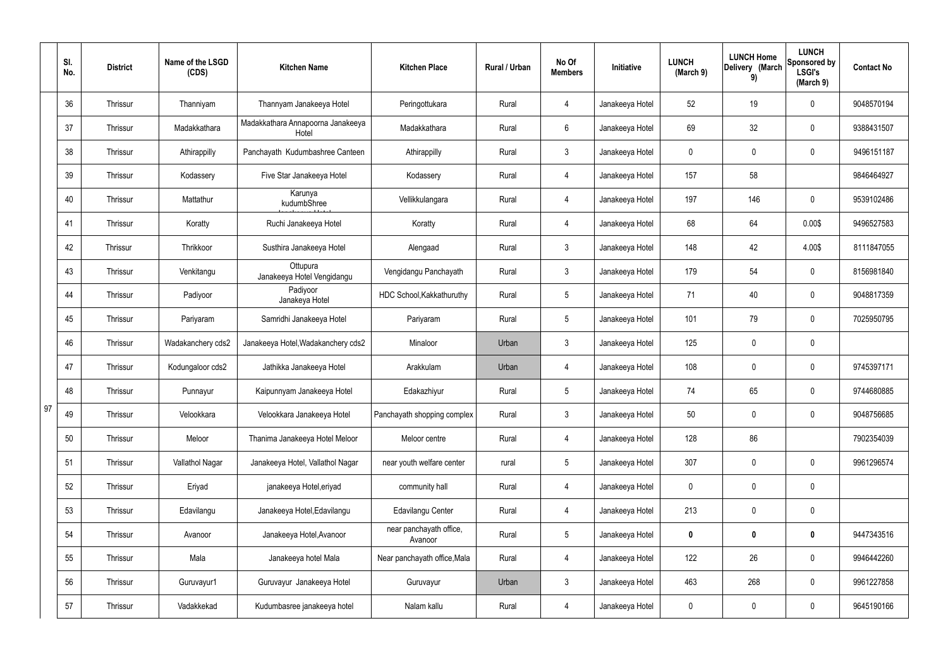|    | SI.<br>No. | <b>District</b> | Name of the LSGD<br>(CDS) | <b>Kitchen Name</b>                        | <b>Kitchen Place</b>               | Rural / Urban | No Of<br><b>Members</b> | Initiative      | <b>LUNCH</b><br>(March 9) | <b>LUNCH Home</b><br>Delivery (March<br>9) | <b>LUNCH</b><br>Sponsored by<br><b>LSGI's</b><br>(March 9) | <b>Contact No</b> |
|----|------------|-----------------|---------------------------|--------------------------------------------|------------------------------------|---------------|-------------------------|-----------------|---------------------------|--------------------------------------------|------------------------------------------------------------|-------------------|
|    | 36         | Thrissur        | Thanniyam                 | Thannyam Janakeeya Hotel                   | Peringottukara                     | Rural         | $\overline{4}$          | Janakeeya Hotel | 52                        | 19                                         | $\mathbf 0$                                                | 9048570194        |
|    | 37         | Thrissur        | Madakkathara              | Madakkathara Annapoorna Janakeeya<br>Hotel | Madakkathara                       | Rural         | $6\phantom{.}6$         | Janakeeya Hotel | 69                        | 32                                         | $\mathbf 0$                                                | 9388431507        |
|    | 38         | Thrissur        | Athirappilly              | Panchayath Kudumbashree Canteen            | Athirappilly                       | Rural         | $\mathbf{3}$            | Janakeeya Hotel | $\mathbf 0$               | $\mathbf 0$                                | $\mathbf 0$                                                | 9496151187        |
|    | 39         | Thrissur        | Kodassery                 | Five Star Janakeeya Hotel                  | Kodassery                          | Rural         | $\overline{4}$          | Janakeeya Hotel | 157                       | 58                                         |                                                            | 9846464927        |
|    | 40         | Thrissur        | Mattathur                 | Karunya<br>kudumbShree                     | Vellikkulangara                    | Rural         | $\overline{4}$          | Janakeeya Hotel | 197                       | 146                                        | $\mathbf 0$                                                | 9539102486        |
|    | 41         | Thrissur        | Koratty                   | Ruchi Janakeeya Hotel                      | Koratty                            | Rural         | $\overline{4}$          | Janakeeya Hotel | 68                        | 64                                         | 0.00\$                                                     | 9496527583        |
|    | 42         | Thrissur        | Thrikkoor                 | Susthira Janakeeya Hotel                   | Alengaad                           | Rural         | $\mathbf{3}$            | Janakeeya Hotel | 148                       | 42                                         | 4.00\$                                                     | 8111847055        |
|    | 43         | Thrissur        | Venkitangu                | Ottupura<br>Janakeeya Hotel Vengidangu     | Vengidangu Panchayath              | Rural         | $\mathbf{3}$            | Janakeeya Hotel | 179                       | 54                                         | $\mathbf 0$                                                | 8156981840        |
|    | 44         | Thrissur        | Padiyoor                  | Padiyoor<br>Janakeya Hotel                 | HDC School, Kakkathuruthy          | Rural         | $5\overline{)}$         | Janakeeya Hotel | 71                        | 40                                         | $\mathbf 0$                                                | 9048817359        |
|    | 45         | Thrissur        | Pariyaram                 | Samridhi Janakeeya Hotel                   | Pariyaram                          | Rural         | $5\overline{)}$         | Janakeeya Hotel | 101                       | 79                                         | $\mathbf 0$                                                | 7025950795        |
|    | 46         | Thrissur        | Wadakanchery cds2         | Janakeeya Hotel, Wadakanchery cds2         | Minaloor                           | Urban         | 3                       | Janakeeya Hotel | 125                       | $\mathbf 0$                                | $\mathbf 0$                                                |                   |
|    | 47         | Thrissur        | Kodungaloor cds2          | Jathikka Janakeeya Hotel                   | Arakkulam                          | Urban         | 4                       | Janakeeya Hotel | 108                       | $\mathbf 0$                                | $\mathbf 0$                                                | 9745397171        |
|    | 48         | Thrissur        | Punnayur                  | Kaipunnyam Janakeeya Hotel                 | Edakazhiyur                        | Rural         | 5                       | Janakeeya Hotel | 74                        | 65                                         | $\mathbf 0$                                                | 9744680885        |
| 97 | 49         | Thrissur        | Velookkara                | Velookkara Janakeeya Hotel                 | Panchayath shopping complex        | Rural         | $\mathbf{3}$            | Janakeeya Hotel | 50                        | $\mathbf 0$                                | $\mathbf 0$                                                | 9048756685        |
|    | 50         | Thrissur        | Meloor                    | Thanima Janakeeya Hotel Meloor             | Meloor centre                      | Rural         | $\overline{4}$          | Janakeeya Hotel | 128                       | 86                                         |                                                            | 7902354039        |
|    | 51         | Thrissur        | Vallathol Nagar           | Janakeeya Hotel, Vallathol Nagar           | near youth welfare center          | rural         | 5 <sup>5</sup>          | Janakeeya Hotel | 307                       | $\pmb{0}$                                  | $\mathbf 0$                                                | 9961296574        |
|    | 52         | Thrissur        | Eriyad                    | janakeeya Hotel, eriyad                    | community hall                     | Rural         | $\overline{4}$          | Janakeeya Hotel | $\mathbf 0$               | $\pmb{0}$                                  | $\mathbf 0$                                                |                   |
|    | 53         | Thrissur        | Edavilangu                | Janakeeya Hotel, Edavilangu                | Edavilangu Center                  | Rural         | $\overline{4}$          | Janakeeya Hotel | 213                       | $\pmb{0}$                                  | $\mathbf 0$                                                |                   |
|    | 54         | Thrissur        | Avanoor                   | Janakeeya Hotel, Avanoor                   | near panchayath office,<br>Avanoor | Rural         | 5 <sup>5</sup>          | Janakeeya Hotel | $\mathbf 0$               | $\bf{0}$                                   | $\bf{0}$                                                   | 9447343516        |
|    | 55         | Thrissur        | Mala                      | Janakeeya hotel Mala                       | Near panchayath office, Mala       | Rural         | $\overline{4}$          | Janakeeya Hotel | 122                       | 26                                         | $\mathbf 0$                                                | 9946442260        |
|    | 56         | Thrissur        | Guruvayur1                | Guruvayur Janakeeya Hotel                  | Guruvayur                          | Urban         | $\mathfrak{Z}$          | Janakeeya Hotel | 463                       | 268                                        | $\mathbf 0$                                                | 9961227858        |
|    | 57         | Thrissur        | Vadakkekad                | Kudumbasree janakeeya hotel                | Nalam kallu                        | Rural         | 4                       | Janakeeya Hotel | $\pmb{0}$                 | $\pmb{0}$                                  | $\boldsymbol{0}$                                           | 9645190166        |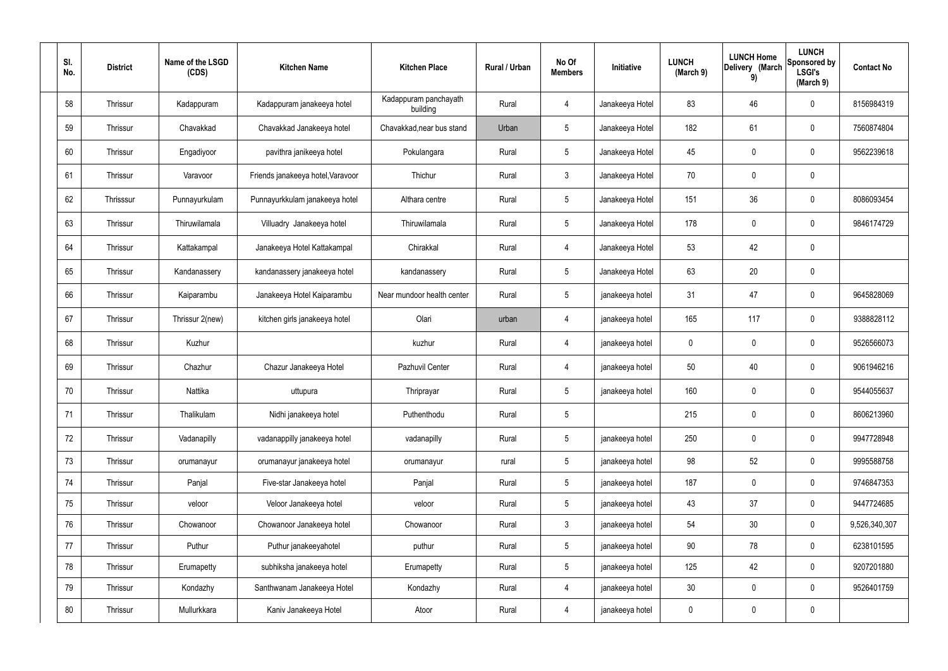| SI.<br>No. | <b>District</b> | Name of the LSGD<br>(CDS) | <b>Kitchen Name</b>               | <b>Kitchen Place</b>              | Rural / Urban | No Of<br><b>Members</b> | Initiative      | <b>LUNCH</b><br>(March 9) | <b>LUNCH Home</b><br>Delivery (March<br>9) | <b>LUNCH</b><br>Sponsored by<br><b>LSGI's</b><br>(March 9) | <b>Contact No</b> |
|------------|-----------------|---------------------------|-----------------------------------|-----------------------------------|---------------|-------------------------|-----------------|---------------------------|--------------------------------------------|------------------------------------------------------------|-------------------|
| 58         | Thrissur        | Kadappuram                | Kadappuram janakeeya hotel        | Kadappuram panchayath<br>building | Rural         | 4                       | Janakeeya Hotel | 83                        | 46                                         | $\mathbf 0$                                                | 8156984319        |
| 59         | Thrissur        | Chavakkad                 | Chavakkad Janakeeya hotel         | Chavakkad, near bus stand         | Urban         | $5\phantom{.0}$         | Janakeeya Hotel | 182                       | 61                                         | $\mathbf 0$                                                | 7560874804        |
| 60         | Thrissur        | Engadiyoor                | pavithra janikeeya hotel          | Pokulangara                       | Rural         | $5\overline{)}$         | Janakeeya Hotel | 45                        | 0                                          | $\mathbf 0$                                                | 9562239618        |
| 61         | Thrissur        | Varavoor                  | Friends janakeeya hotel, Varavoor | Thichur                           | Rural         | $\mathbf{3}$            | Janakeeya Hotel | 70                        | $\mathbf 0$                                | $\mathbf 0$                                                |                   |
| 62         | Thrisssur       | Punnayurkulam             | Punnayurkkulam janakeeya hotel    | Althara centre                    | Rural         | $5\phantom{.0}$         | Janakeeya Hotel | 151                       | 36                                         | $\mathbf 0$                                                | 8086093454        |
| 63         | Thrissur        | Thiruwilamala             | Villuadry Janakeeya hotel         | Thiruwilamala                     | Rural         | $5\phantom{.0}$         | Janakeeya Hotel | 178                       | $\mathbf 0$                                | $\mathbf 0$                                                | 9846174729        |
| 64         | Thrissur        | Kattakampal               | Janakeeya Hotel Kattakampal       | Chirakkal                         | Rural         | $\overline{4}$          | Janakeeya Hotel | 53                        | 42                                         | $\mathbf 0$                                                |                   |
| 65         | Thrissur        | Kandanassery              | kandanassery janakeeya hotel      | kandanassery                      | Rural         | $5\phantom{.0}$         | Janakeeya Hotel | 63                        | 20                                         | $\mathbf 0$                                                |                   |
| 66         | Thrissur        | Kaiparambu                | Janakeeya Hotel Kaiparambu        | Near mundoor health center        | Rural         | $5\phantom{.0}$         | janakeeya hotel | 31                        | 47                                         | $\mathbf 0$                                                | 9645828069        |
| 67         | Thrissur        | Thrissur 2(new)           | kitchen girls janakeeya hotel     | Olari                             | urban         | 4                       | janakeeya hotel | 165                       | 117                                        | $\mathbf 0$                                                | 9388828112        |
| 68         | Thrissur        | Kuzhur                    |                                   | kuzhur                            | Rural         | $\overline{4}$          | janakeeya hotel | 0                         | 0                                          | $\mathbf 0$                                                | 9526566073        |
| 69         | Thrissur        | Chazhur                   | Chazur Janakeeya Hotel            | Pazhuvil Center                   | Rural         | 4                       | janakeeya hotel | 50                        | 40                                         | $\mathbf 0$                                                | 9061946216        |
| 70         | Thrissur        | Nattika                   | uttupura                          | Thriprayar                        | Rural         | $5\phantom{.0}$         | janakeeya hotel | 160                       | $\mathbf 0$                                | $\mathbf 0$                                                | 9544055637        |
| 71         | Thrissur        | Thalikulam                | Nidhi janakeeya hotel             | Puthenthodu                       | Rural         | 5                       |                 | 215                       | 0                                          | $\mathbf 0$                                                | 8606213960        |
| 72         | Thrissur        | Vadanapilly               | vadanappilly janakeeya hotel      | vadanapilly                       | Rural         | $5\phantom{.0}$         | janakeeya hotel | 250                       | 0                                          | $\mathbf 0$                                                | 9947728948        |
| 73         | Thrissur        | orumanayur                | orumanayur janakeeya hotel        | orumanayur                        | rural         | $5\phantom{.0}$         | janakeeya hotel | 98                        | 52                                         | $\mathbf 0$                                                | 9995588758        |
| 74         | Thrissur        | Panjal                    | Five-star Janakeeya hotel         | Panjal                            | Rural         | $5\phantom{.0}$         | janakeeya hotel | 187                       | 0                                          | $\mathbf 0$                                                | 9746847353        |
| 75         | Thrissur        | veloor                    | Veloor Janakeeya hotel            | veloor                            | Rural         | $5\phantom{.0}$         | janakeeya hotel | 43                        | 37                                         | $\mathbf 0$                                                | 9447724685        |
| 76         | Thrissur        | Chowanoor                 | Chowanoor Janakeeya hotel         | Chowanoor                         | Rural         | $\mathbf{3}$            | janakeeya hotel | 54                        | 30                                         | $\mathbf 0$                                                | 9,526,340,307     |
| 77         | Thrissur        | Puthur                    | Puthur janakeeyahotel             | puthur                            | Rural         | $5\overline{)}$         | janakeeya hotel | 90                        | 78                                         | $\overline{0}$                                             | 6238101595        |
| 78         | Thrissur        | Erumapetty                | subhiksha janakeeya hotel         | Erumapetty                        | Rural         | $5\phantom{.0}$         | janakeeya hotel | 125                       | 42                                         | $\mathbf 0$                                                | 9207201880        |
| 79         | Thrissur        | Kondazhy                  | Santhwanam Janakeeya Hotel        | Kondazhy                          | Rural         | $\overline{4}$          | janakeeya hotel | 30 <sub>o</sub>           | 0                                          | $\mathbf 0$                                                | 9526401759        |
| 80         | Thrissur        | Mullurkkara               | Kaniv Janakeeya Hotel             | Atoor                             | Rural         | $\overline{4}$          | janakeeya hotel | 0                         | $\pmb{0}$                                  | $\pmb{0}$                                                  |                   |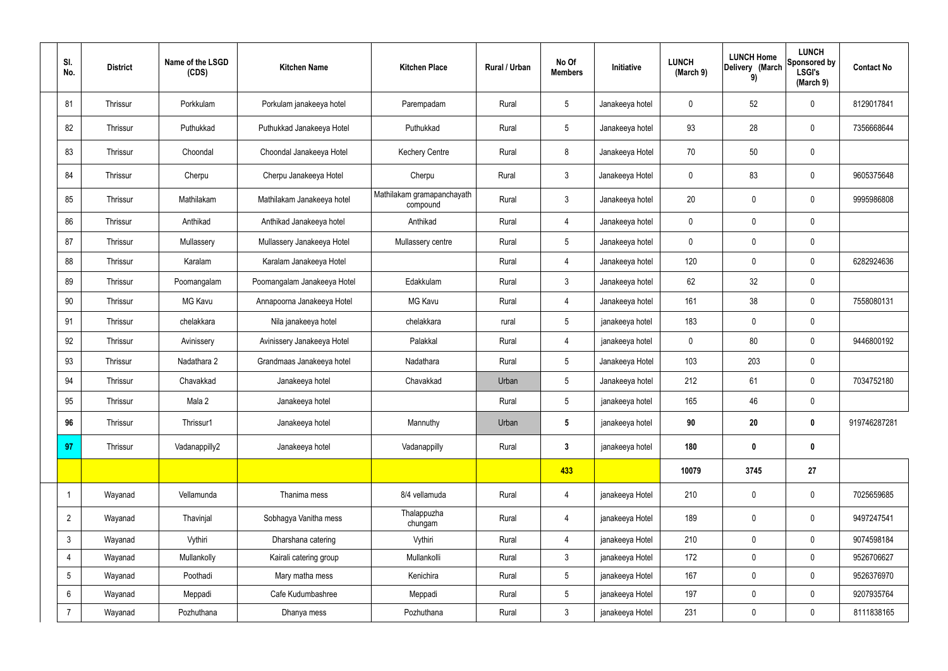| SI.<br>No.     | <b>District</b> | Name of the LSGD<br>(CDS) | <b>Kitchen Name</b>         | <b>Kitchen Place</b>                   | Rural / Urban | No Of<br><b>Members</b> | Initiative      | <b>LUNCH</b><br>(March 9) | <b>LUNCH Home</b><br>Delivery (March<br>9) | <b>LUNCH</b><br>Sponsored by<br><b>LSGI's</b><br>(March 9) | <b>Contact No</b> |
|----------------|-----------------|---------------------------|-----------------------------|----------------------------------------|---------------|-------------------------|-----------------|---------------------------|--------------------------------------------|------------------------------------------------------------|-------------------|
| 81             | Thrissur        | Porkkulam                 | Porkulam janakeeya hotel    | Parempadam                             | Rural         | 5 <sup>5</sup>          | Janakeeya hotel | $\mathbf 0$               | 52                                         | $\mathbf 0$                                                | 8129017841        |
| 82             | Thrissur        | Puthukkad                 | Puthukkad Janakeeya Hotel   | Puthukkad                              | Rural         | $5\overline{)}$         | Janakeeya hotel | 93                        | 28                                         | $\mathbf 0$                                                | 7356668644        |
| 83             | Thrissur        | Choondal                  | Choondal Janakeeya Hotel    | <b>Kechery Centre</b>                  | Rural         | 8                       | Janakeeya Hotel | 70                        | 50                                         | $\mathbf 0$                                                |                   |
| 84             | Thrissur        | Cherpu                    | Cherpu Janakeeya Hotel      | Cherpu                                 | Rural         | 3                       | Janakeeya Hotel | $\mathbf 0$               | 83                                         | $\mathbf 0$                                                | 9605375648        |
| 85             | Thrissur        | Mathilakam                | Mathilakam Janakeeya hotel  | Mathilakam gramapanchayath<br>compound | Rural         | 3                       | Janakeeya hotel | 20                        | $\mathbf 0$                                | $\mathbf 0$                                                | 9995986808        |
| 86             | Thrissur        | Anthikad                  | Anthikad Janakeeya hotel    | Anthikad                               | Rural         | $\overline{4}$          | Janakeeya hotel | $\mathbf 0$               | $\mathbf 0$                                | $\mathbf 0$                                                |                   |
| 87             | Thrissur        | Mullassery                | Mullassery Janakeeya Hotel  | Mullassery centre                      | Rural         | 5 <sup>5</sup>          | Janakeeya hotel | $\mathbf 0$               | $\pmb{0}$                                  | $\mathbf 0$                                                |                   |
| 88             | Thrissur        | Karalam                   | Karalam Janakeeya Hotel     |                                        | Rural         | $\overline{4}$          | Janakeeya hotel | 120                       | $\mathbf 0$                                | $\mathbf 0$                                                | 6282924636        |
| 89             | Thrissur        | Poomangalam               | Poomangalam Janakeeya Hotel | Edakkulam                              | Rural         | $\mathbf{3}$            | Janakeeya hotel | 62                        | 32                                         | $\mathbf 0$                                                |                   |
| 90             | Thrissur        | <b>MG Kavu</b>            | Annapoorna Janakeeya Hotel  | <b>MG Kavu</b>                         | Rural         | 4                       | Janakeeya hotel | 161                       | 38                                         | $\mathbf 0$                                                | 7558080131        |
| 91             | Thrissur        | chelakkara                | Nila janakeeya hotel        | chelakkara                             | rural         | $5\overline{)}$         | janakeeya hotel | 183                       | $\mathbf 0$                                | $\mathbf 0$                                                |                   |
| 92             | Thrissur        | Avinissery                | Avinissery Janakeeya Hotel  | Palakkal                               | Rural         | 4                       | janakeeya hotel | $\mathbf 0$               | 80                                         | $\mathbf 0$                                                | 9446800192        |
| 93             | Thrissur        | Nadathara 2               | Grandmaas Janakeeya hotel   | Nadathara                              | Rural         | 5 <sub>5</sub>          | Janakeeya Hotel | 103                       | 203                                        | $\mathbf 0$                                                |                   |
| 94             | Thrissur        | Chavakkad                 | Janakeeya hotel             | Chavakkad                              | Urban         | 5 <sub>5</sub>          | Janakeeya hotel | 212                       | 61                                         | $\mathbf 0$                                                | 7034752180        |
| 95             | Thrissur        | Mala 2                    | Janakeeya hotel             |                                        | Rural         | $5\overline{)}$         | janakeeya hotel | 165                       | 46                                         | $\mathbf 0$                                                |                   |
| 96             | Thrissur        | Thrissur1                 | Janakeeya hotel             | Mannuthy                               | Urban         | $5\overline{)}$         | janakeeya hotel | 90                        | 20                                         | $\mathbf 0$                                                | 919746287281      |
| 97             | Thrissur        | Vadanappilly2             | Janakeeya hotel             | Vadanappilly                           | Rural         | $3\phantom{a}$          | janakeeya hotel | 180                       | $\pmb{0}$                                  | $\mathbf 0$                                                |                   |
|                |                 |                           |                             |                                        |               | 433                     |                 | 10079                     | 3745                                       | 27                                                         |                   |
| $\mathbf 1$    | Wayanad         | Vellamunda                | Thanima mess                | 8/4 vellamuda                          | Rural         | $\overline{4}$          | janakeeya Hotel | 210                       | $\pmb{0}$                                  | $\pmb{0}$                                                  | 7025659685        |
| $\overline{2}$ | Wayanad         | Thavinjal                 | Sobhagya Vanitha mess       | Thalappuzha<br>chungam                 | Rural         | $\overline{4}$          | janakeeya Hotel | 189                       | $\pmb{0}$                                  | $\mathbf 0$                                                | 9497247541        |
| 3              | Wayanad         | Vythiri                   | Dharshana catering          | Vythiri                                | Rural         | $\overline{4}$          | janakeeya Hotel | 210                       | $\mathbf 0$                                | $\mathbf 0$                                                | 9074598184        |
| 4              | Wayanad         | Mullankolly               | Kairali catering group      | Mullankolli                            | Rural         | 3                       | janakeeya Hotel | 172                       | $\pmb{0}$                                  | $\mathbf 0$                                                | 9526706627        |
| 5              | Wayanad         | Poothadi                  | Mary matha mess             | Kenichira                              | Rural         | 5 <sub>5</sub>          | janakeeya Hotel | 167                       | $\pmb{0}$                                  | $\mathbf 0$                                                | 9526376970        |
| 6              | Wayanad         | Meppadi                   | Cafe Kudumbashree           | Meppadi                                | Rural         | $5\overline{)}$         | janakeeya Hotel | 197                       | $\mathbf 0$                                | $\mathbf 0$                                                | 9207935764        |
| $\overline{7}$ | Wayanad         | Pozhuthana                | Dhanya mess                 | Pozhuthana                             | Rural         | $\mathbf{3}$            | janakeeya Hotel | 231                       | $\pmb{0}$                                  | $\mathbf 0$                                                | 8111838165        |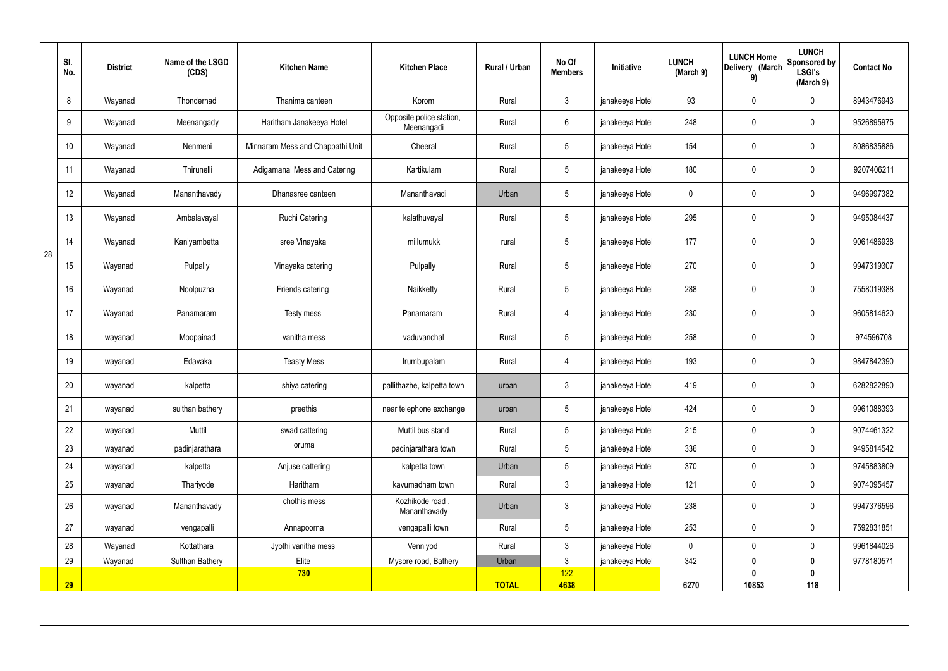|    | SI.<br>No. | <b>District</b> | Name of the LSGD<br>(CDS) | <b>Kitchen Name</b>              | <b>Kitchen Place</b>                   | Rural / Urban | No Of<br><b>Members</b> | Initiative      | <b>LUNCH</b><br>(March 9) | <b>LUNCH Home</b><br>Delivery (March<br>9) | <b>LUNCH</b><br>Sponsored by<br><b>LSGI's</b><br>(March 9) | <b>Contact No</b> |
|----|------------|-----------------|---------------------------|----------------------------------|----------------------------------------|---------------|-------------------------|-----------------|---------------------------|--------------------------------------------|------------------------------------------------------------|-------------------|
|    | 8          | Wayanad         | Thondernad                | Thanima canteen                  | Korom                                  | Rural         | $\mathbf{3}$            | janakeeya Hotel | 93                        | $\mathbf 0$                                | $\mathbf 0$                                                | 8943476943        |
|    | 9          | Wayanad         | Meenangady                | Haritham Janakeeya Hotel         | Opposite police station,<br>Meenangadi | Rural         | $6\overline{6}$         | janakeeya Hotel | 248                       | $\mathbf 0$                                | $\mathbf 0$                                                | 9526895975        |
|    | 10         | Wayanad         | Nenmeni                   | Minnaram Mess and Chappathi Unit | Cheeral                                | Rural         | $5\overline{)}$         | janakeeya Hotel | 154                       | 0                                          | $\pmb{0}$                                                  | 8086835886        |
|    | 11         | Wayanad         | Thirunelli                | Adigamanai Mess and Catering     | Kartikulam                             | Rural         | $5\overline{)}$         | janakeeya Hotel | 180                       | $\boldsymbol{0}$                           | $\mathbf 0$                                                | 9207406211        |
|    | 12         | Wayanad         | Mananthavady              | Dhanasree canteen                | Mananthavadi                           | Urban         | $5\phantom{.0}$         | janakeeya Hotel | 0                         | 0                                          | $\pmb{0}$                                                  | 9496997382        |
|    | 13         | Wayanad         | Ambalavayal               | <b>Ruchi Catering</b>            | kalathuvayal                           | Rural         | $5\overline{)}$         | janakeeya Hotel | 295                       | $\boldsymbol{0}$                           | $\mathbf 0$                                                | 9495084437        |
|    | 14         | Wayanad         | Kaniyambetta              | sree Vinayaka                    | millumukk                              | rural         | $5\phantom{.0}$         | janakeeya Hotel | 177                       | $\boldsymbol{0}$                           | $\pmb{0}$                                                  | 9061486938        |
| 28 | 15         | Wayanad         | Pulpally                  | Vinayaka catering                | Pulpally                               | Rural         | 5 <sub>5</sub>          | janakeeya Hotel | 270                       | $\boldsymbol{0}$                           | $\mathbf 0$                                                | 9947319307        |
|    | 16         | Wayanad         | Noolpuzha                 | Friends catering                 | Naikketty                              | Rural         | $5\phantom{.0}$         | janakeeya Hotel | 288                       | $\boldsymbol{0}$                           | $\pmb{0}$                                                  | 7558019388        |
|    | 17         | Wayanad         | Panamaram                 | Testy mess                       | Panamaram                              | Rural         | 4                       | janakeeya Hotel | 230                       | $\boldsymbol{0}$                           | $\mathbf 0$                                                | 9605814620        |
|    | 18         | wayanad         | Moopainad                 | vanitha mess                     | vaduvanchal                            | Rural         | $5\overline{)}$         | janakeeya Hotel | 258                       | $\boldsymbol{0}$                           | $\mathbf 0$                                                | 974596708         |
|    | 19         | wayanad         | Edavaka                   | <b>Teasty Mess</b>               | Irumbupalam                            | Rural         | 4                       | janakeeya Hotel | 193                       | 0                                          | $\mathbf 0$                                                | 9847842390        |
|    | 20         | wayanad         | kalpetta                  | shiya catering                   | pallithazhe, kalpetta town             | urban         | $\mathbf{3}$            | janakeeya Hotel | 419                       | 0                                          | $\mathbf 0$                                                | 6282822890        |
|    | 21         | wayanad         | sulthan bathery           | preethis                         | near telephone exchange                | urban         | $5\phantom{.0}$         | janakeeya Hotel | 424                       | 0                                          | $\pmb{0}$                                                  | 9961088393        |
|    | 22         | wayanad         | Muttil                    | swad cattering                   | Muttil bus stand                       | Rural         | $5\overline{)}$         | janakeeya Hotel | 215                       | $\mathbf 0$                                | $\mathbf 0$                                                | 9074461322        |
|    | 23         | wayanad         | padinjarathara            | oruma                            | padinjarathara town                    | Rural         | $5\overline{)}$         | janakeeya Hotel | 336                       | 0                                          | $\mathbf 0$                                                | 9495814542        |
|    | 24         | wayanad         | kalpetta                  | Anjuse cattering                 | kalpetta town                          | Urban         | 5 <sup>5</sup>          | janakeeya Hotel | 370                       | 0                                          | $\mathbf 0$                                                | 9745883809        |
|    | 25         | wayanad         | Thariyode                 | Haritham                         | kavumadham town                        | Rural         | $\mathbf{3}$            | janakeeya Hotel | 121                       | 0                                          | $\mathbf 0$                                                | 9074095457        |
|    | 26         | wayanad         | Mananthavady              | chothis mess                     | Kozhikode road,<br>Mananthavady        | Urban         | $\mathbf{3}$            | janakeeya Hotel | 238                       | 0                                          | $\mathbf 0$                                                | 9947376596        |
|    | 27         | wayanad         | vengapalli                | Annapoorna                       | vengapalli town                        | Rural         | $5\overline{)}$         | janakeeya Hotel | 253                       | 0                                          | $\mathbf 0$                                                | 7592831851        |
|    | 28         | Wayanad         | Kottathara                | Jyothi vanitha mess              | Venniyod                               | Rural         | 3                       | janakeeya Hotel | 0                         | 0                                          | $\mathbf 0$                                                | 9961844026        |
|    | 29         | Wayanad         | Sulthan Bathery           | Elite                            | Mysore road, Bathery                   | Urban         | $\mathfrak{Z}$          | janakeeya Hotel | 342                       | $\boldsymbol{0}$                           | $\mathbf 0$                                                | 9778180571        |
|    | <b>29</b>  |                 |                           | 730                              |                                        | <b>TOTAL</b>  | 122<br>4638             |                 | 6270                      | 0<br>10853                                 | $\pmb{0}$<br>118                                           |                   |
|    |            |                 |                           |                                  |                                        |               |                         |                 |                           |                                            |                                                            |                   |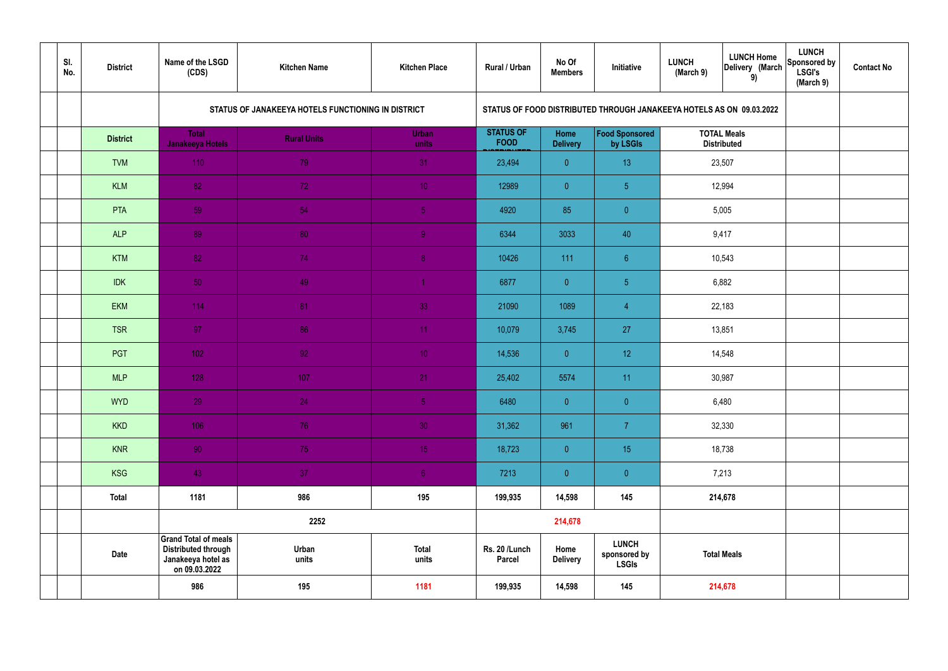| SI.<br>No. | <b>District</b> | Name of the LSGD<br>(CDS)                                                                        | <b>Kitchen Name</b>                                | <b>Kitchen Place</b>  | Rural / Urban                   | No Of<br><b>Members</b>        | Initiative                                                           | <b>LUNCH Home</b><br><b>LUNCH</b><br>Delivery (March<br>(March 9)<br>9) |                                          | <b>LUNCH</b><br>Sponsored by<br><b>LSGI's</b><br>(March 9) | <b>Contact No</b> |
|------------|-----------------|--------------------------------------------------------------------------------------------------|----------------------------------------------------|-----------------------|---------------------------------|--------------------------------|----------------------------------------------------------------------|-------------------------------------------------------------------------|------------------------------------------|------------------------------------------------------------|-------------------|
|            |                 |                                                                                                  | STATUS OF JANAKEEYA HOTELS FUNCTIONING IN DISTRICT |                       |                                 |                                | STATUS OF FOOD DISTRIBUTED THROUGH JANAKEEYA HOTELS AS ON 09.03.2022 |                                                                         |                                          |                                                            |                   |
|            | <b>District</b> | <b>Total</b><br><b>Janakeeya Hotels</b>                                                          | <b>Rural Units</b>                                 | <b>Urban</b><br>units | <b>STATUS OF</b><br><b>FOOD</b> | <b>Home</b><br><b>Delivery</b> | Food Sponsored<br>by LSGIs                                           |                                                                         | <b>TOTAL Meals</b><br><b>Distributed</b> |                                                            |                   |
|            | <b>TVM</b>      | 110                                                                                              | 79                                                 | 31                    | 23,494                          | $\overline{0}$                 | 13                                                                   |                                                                         | 23,507                                   |                                                            |                   |
|            | <b>KLM</b>      | 82                                                                                               | 72                                                 | 10 <sub>1</sub>       | 12989                           | $\overline{0}$                 | 5 <sub>5</sub>                                                       |                                                                         | 12,994                                   |                                                            |                   |
|            | PTA             | 59                                                                                               | 54                                                 | $\sqrt{5}$            | 4920                            | 85                             | $\overline{0}$                                                       |                                                                         | 5,005                                    |                                                            |                   |
|            | <b>ALP</b>      | 89                                                                                               | 80                                                 | $\overline{9}$        | 6344                            | 3033                           | 40                                                                   |                                                                         | 9,417                                    |                                                            |                   |
|            | <b>KTM</b>      | 82                                                                                               | 74                                                 | 8 <sup>°</sup>        | 10426                           | 111                            | 6 <sup>°</sup>                                                       |                                                                         | 10,543                                   |                                                            |                   |
|            | <b>IDK</b>      | 50                                                                                               | 49                                                 | $\blacktriangleleft$  | 6877                            | $\overline{0}$                 | 5 <sub>5</sub>                                                       | 6,882                                                                   |                                          |                                                            |                   |
|            | <b>EKM</b>      | 114                                                                                              | 81                                                 | 33                    | 21090                           | 1089                           | $\overline{4}$                                                       | 22,183                                                                  |                                          |                                                            |                   |
|            | <b>TSR</b>      | 97                                                                                               | 86                                                 | 11                    | 10,079                          | 3,745                          | 27                                                                   |                                                                         | 13,851                                   |                                                            |                   |
|            | PGT             | $102$                                                                                            | 92                                                 | 10 <sup>°</sup>       | 14,536                          | $\overline{0}$                 | 12 <sup>°</sup>                                                      |                                                                         | 14,548                                   |                                                            |                   |
|            | <b>MLP</b>      | 128                                                                                              | 107                                                | 21                    | 25,402                          | 5574                           | 11                                                                   |                                                                         | 30,987                                   |                                                            |                   |
|            | <b>WYD</b>      | 29                                                                                               | 24                                                 | 5 <sub>1</sub>        | 6480                            | $\mathbf{0}$                   | $\overline{0}$                                                       |                                                                         | 6,480                                    |                                                            |                   |
|            | <b>KKD</b>      | 106                                                                                              | 76                                                 | 30 <sup>°</sup>       | 31,362                          | 961                            | $\overline{7}$                                                       |                                                                         | 32,330                                   |                                                            |                   |
|            | <b>KNR</b>      | 90 <sub>1</sub>                                                                                  | 75                                                 | 15 <sub>1</sub>       | 18,723                          | $\overline{0}$                 | 15 <sub>15</sub>                                                     |                                                                         | 18,738                                   |                                                            |                   |
|            | <b>KSG</b>      | 43                                                                                               | 37 <sub>2</sub>                                    | 6 <sup>1</sup>        | 7213                            | $\overline{0}$                 | $\pmb{0}$                                                            |                                                                         | 7,213                                    |                                                            |                   |
|            | <b>Total</b>    | 1181                                                                                             | 986                                                | 195                   | 199,935                         | 14,598                         | 145                                                                  | 214,678                                                                 |                                          |                                                            |                   |
|            |                 |                                                                                                  | 2252                                               |                       |                                 | 214,678                        |                                                                      |                                                                         |                                          |                                                            |                   |
|            | <b>Date</b>     | <b>Grand Total of meals</b><br><b>Distributed through</b><br>Janakeeya hotel as<br>on 09.03.2022 | Urban<br>units                                     | <b>Total</b><br>units | Rs. 20 /Lunch<br><b>Parcel</b>  | Home<br><b>Delivery</b>        | <b>LUNCH</b><br>sponsored by<br><b>LSGIs</b>                         | <b>Total Meals</b>                                                      |                                          |                                                            |                   |
|            |                 | 986                                                                                              | 195                                                | 1181                  | 199,935                         | 14,598                         | 145                                                                  | 214,678                                                                 |                                          |                                                            |                   |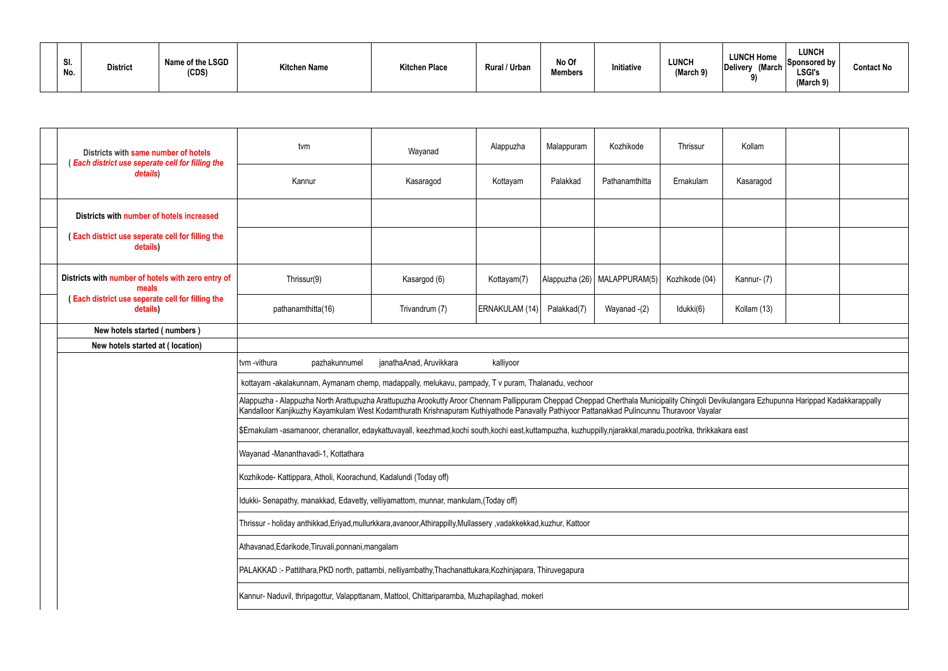| SI.<br>No. | <b>District</b> | Name of the LSGD<br>(CDS) | <b>Kitchen Name</b> | <b>Kitchen Place</b> | Rural / Urban | No Of<br><b>Members</b> | Initiative | <b>LUNCH</b><br>(March 9) | <b>LUNCH Home</b><br>Delivery (March | LUNCH<br>Sponsored by<br><b>LSGI's</b><br>(March 9) | <b>Contact No</b> |
|------------|-----------------|---------------------------|---------------------|----------------------|---------------|-------------------------|------------|---------------------------|--------------------------------------|-----------------------------------------------------|-------------------|
|------------|-----------------|---------------------------|---------------------|----------------------|---------------|-------------------------|------------|---------------------------|--------------------------------------|-----------------------------------------------------|-------------------|

|                                                                                                                    | Districts with same number of hotels                         | tvm                                                                                                                                                                                                                                                                                                                                   |               | Wayanad                                                                                                                                                   | Alappuzha      | Malappuram  | Kozhikode                      | Thrissur       | Kollam      |  |  |  |
|--------------------------------------------------------------------------------------------------------------------|--------------------------------------------------------------|---------------------------------------------------------------------------------------------------------------------------------------------------------------------------------------------------------------------------------------------------------------------------------------------------------------------------------------|---------------|-----------------------------------------------------------------------------------------------------------------------------------------------------------|----------------|-------------|--------------------------------|----------------|-------------|--|--|--|
|                                                                                                                    | (Each district use seperate cell for filling the<br>details) | Kannur                                                                                                                                                                                                                                                                                                                                |               | Kasaragod                                                                                                                                                 | Kottayam       | Palakkad    | Pathanamthitta                 | Ernakulam      | Kasaragod   |  |  |  |
|                                                                                                                    | Districts with number of hotels increased                    |                                                                                                                                                                                                                                                                                                                                       |               |                                                                                                                                                           |                |             |                                |                |             |  |  |  |
|                                                                                                                    | (Each district use seperate cell for filling the<br>details) |                                                                                                                                                                                                                                                                                                                                       |               |                                                                                                                                                           |                |             |                                |                |             |  |  |  |
|                                                                                                                    | Districts with number of hotels with zero entry of<br>meals  | Thrissur(9)                                                                                                                                                                                                                                                                                                                           |               | Kasargod (6)                                                                                                                                              | Kottayam(7)    |             | Alappuzha (26)   MALAPPURAM(5) | Kozhikode (04) | Kannur- (7) |  |  |  |
|                                                                                                                    | (Each district use seperate cell for filling the<br>details) | pathanamthitta(16)                                                                                                                                                                                                                                                                                                                    |               | Trivandrum (7)                                                                                                                                            | ERNAKULAM (14) | Palakkad(7) | Wayanad -(2)                   | Idukki(6)      | Kollam (13) |  |  |  |
|                                                                                                                    | New hotels started (numbers)                                 |                                                                                                                                                                                                                                                                                                                                       |               |                                                                                                                                                           |                |             |                                |                |             |  |  |  |
|                                                                                                                    | New hotels started at (location)                             |                                                                                                                                                                                                                                                                                                                                       |               |                                                                                                                                                           |                |             |                                |                |             |  |  |  |
|                                                                                                                    |                                                              | tvm -vithura                                                                                                                                                                                                                                                                                                                          | pazhakunnumel | janathaAnad, Aruvikkara                                                                                                                                   | kalliyoor      |             |                                |                |             |  |  |  |
|                                                                                                                    |                                                              | kottayam -akalakunnam, Aymanam chemp, madappally, melukavu, pampady, T v puram, Thalanadu, vechoor                                                                                                                                                                                                                                    |               |                                                                                                                                                           |                |             |                                |                |             |  |  |  |
|                                                                                                                    |                                                              | Alappuzha - Alappuzha North Arattupuzha Arattupuzha Arookutty Aroor Chennam Pallippuram Cheppad Cheppad Cherthala Municipality Chingoli Devikulangara Ezhupunna Harippad Kadakkarappally<br>Kandalloor Kanjikuzhy Kayamkulam West Kodamthurath Krishnapuram Kuthiyathode Panavally Pathiyoor Pattanakkad Pulincunnu Thuravoor Vayalar |               |                                                                                                                                                           |                |             |                                |                |             |  |  |  |
|                                                                                                                    |                                                              |                                                                                                                                                                                                                                                                                                                                       |               | \$Ernakulam-asamanoor, cheranallor, edaykattuvayall, keezhmad,kochi south,kochi east,kuttampuzha, kuzhuppilly,njarakkal,maradu,pootrika, thrikkakara east |                |             |                                |                |             |  |  |  |
|                                                                                                                    |                                                              | Wayanad -Mananthavadi-1, Kottathara                                                                                                                                                                                                                                                                                                   |               |                                                                                                                                                           |                |             |                                |                |             |  |  |  |
|                                                                                                                    |                                                              |                                                                                                                                                                                                                                                                                                                                       |               | Kozhikode- Kattippara, Atholi, Koorachund, Kadalundi (Today off)                                                                                          |                |             |                                |                |             |  |  |  |
|                                                                                                                    |                                                              |                                                                                                                                                                                                                                                                                                                                       |               | Idukki- Senapathy, manakkad, Edavetty, velliyamattom, munnar, mankulam, (Today off)                                                                       |                |             |                                |                |             |  |  |  |
| Thrissur - holiday anthikkad, Eriyad, mullurkkara, avanoor, Athirappilly, Mullassery, vadakkekkad, kuzhur, Kattoor |                                                              |                                                                                                                                                                                                                                                                                                                                       |               |                                                                                                                                                           |                |             |                                |                |             |  |  |  |
|                                                                                                                    |                                                              | Athavanad, Edarikode, Tiruvali, ponnani, mangalam                                                                                                                                                                                                                                                                                     |               |                                                                                                                                                           |                |             |                                |                |             |  |  |  |
|                                                                                                                    |                                                              |                                                                                                                                                                                                                                                                                                                                       |               | PALAKKAD:- Pattithara, PKD north, pattambi, nelliyambathy, Thachanattukara, Kozhinjapara, Thiruvegapura                                                   |                |             |                                |                |             |  |  |  |
|                                                                                                                    |                                                              |                                                                                                                                                                                                                                                                                                                                       |               | Kannur-Naduvil, thripagottur, Valappttanam, Mattool, Chittariparamba, Muzhapilaghad, mokeri                                                               |                |             |                                |                |             |  |  |  |